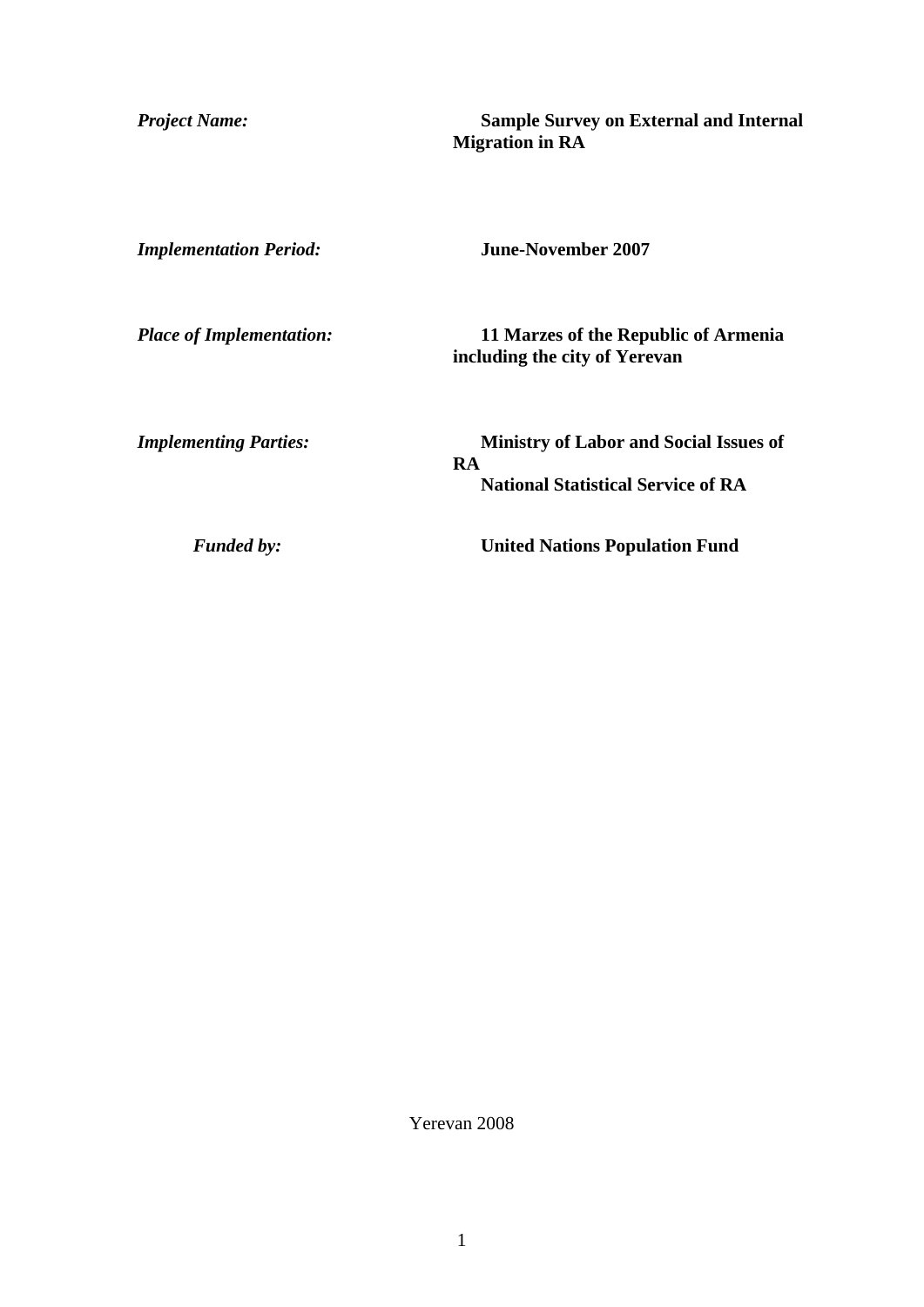*Project Name:* **Sample Survey on External and Internal Migration in RA** 

*Implementation Period:* **June-November 2007** 

*Place of Implementation:* **11 Marzes of the Republic of Armenia including the city of Yerevan** 

*Implementing Parties:* **Ministry of Labor and Social Issues of RA National Statistical Service of RA** 

*Funded by:* **United Nations Population Fund**

Yerevan 2008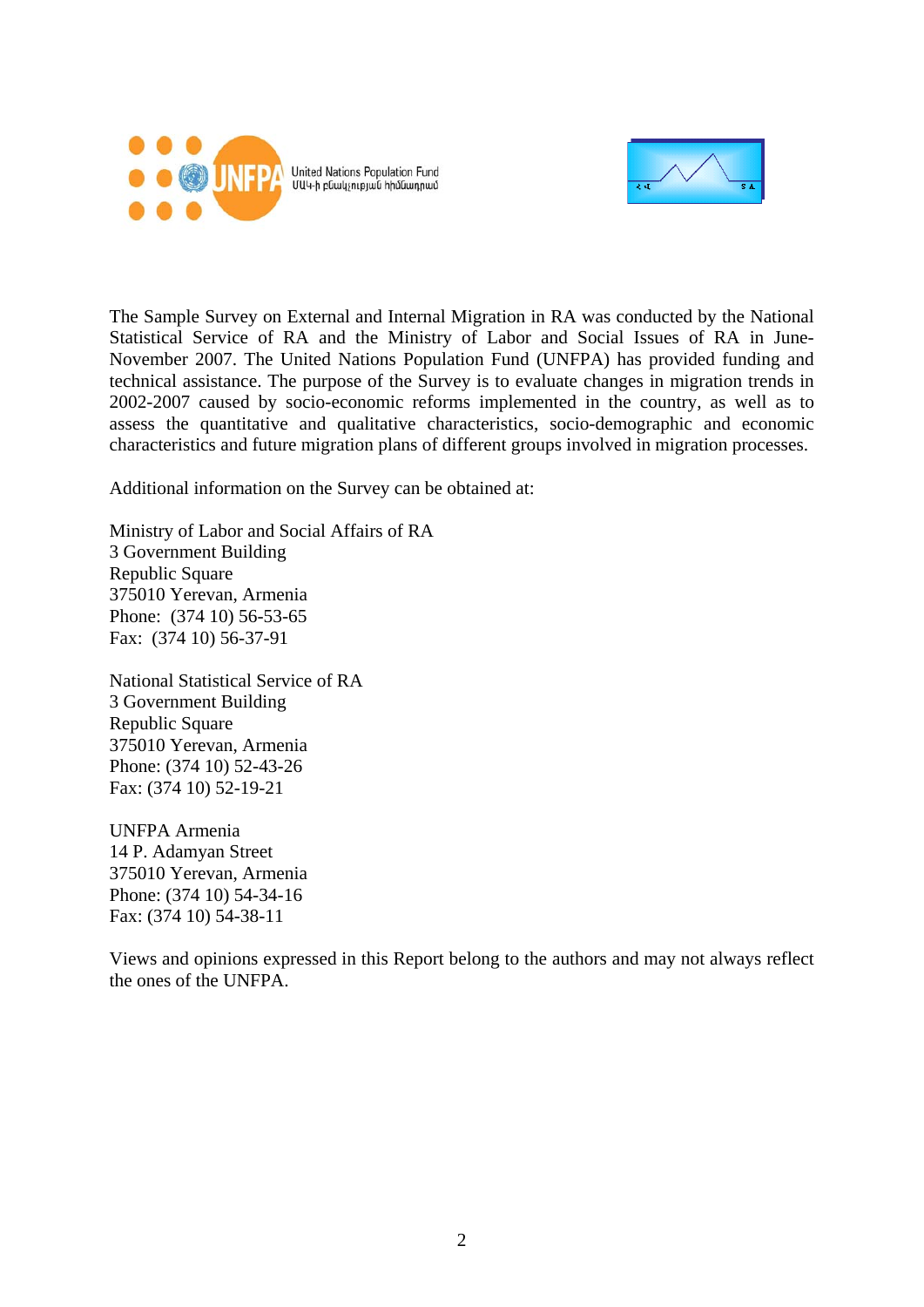

United Nations Population Fund<br>ՄԱԿ-ի բնակչության հիմնադրամ



The Sample Survey on External and Internal Migration in RA was conducted by the National Statistical Service of RA and the Ministry of Labor and Social Issues of RA in June-November 2007. The United Nations Population Fund (UNFPA) has provided funding and technical assistance. The purpose of the Survey is to evaluate changes in migration trends in 2002-2007 caused by socio-economic reforms implemented in the country, as well as to assess the quantitative and qualitative characteristics, socio-demographic and economic characteristics and future migration plans of different groups involved in migration processes.

Additional information on the Survey can be obtained at:

Ministry of Labor and Social Affairs of RA 3 Government Building Republic Square 375010 Yerevan, Armenia Phone: (374 10) 56-53-65 Fax: (374 10) 56-37-91

National Statistical Service of RA 3 Government Building Republic Square 375010 Yerevan, Armenia Phone: (374 10) 52-43-26 Fax: (374 10) 52-19-21

UNFPA Armenia 14 P. Adamyan Street 375010 Yerevan, Armenia Phone: (374 10) 54-34-16 Fax: (374 10) 54-38-11

Views and opinions expressed in this Report belong to the authors and may not always reflect the ones of the UNFPA.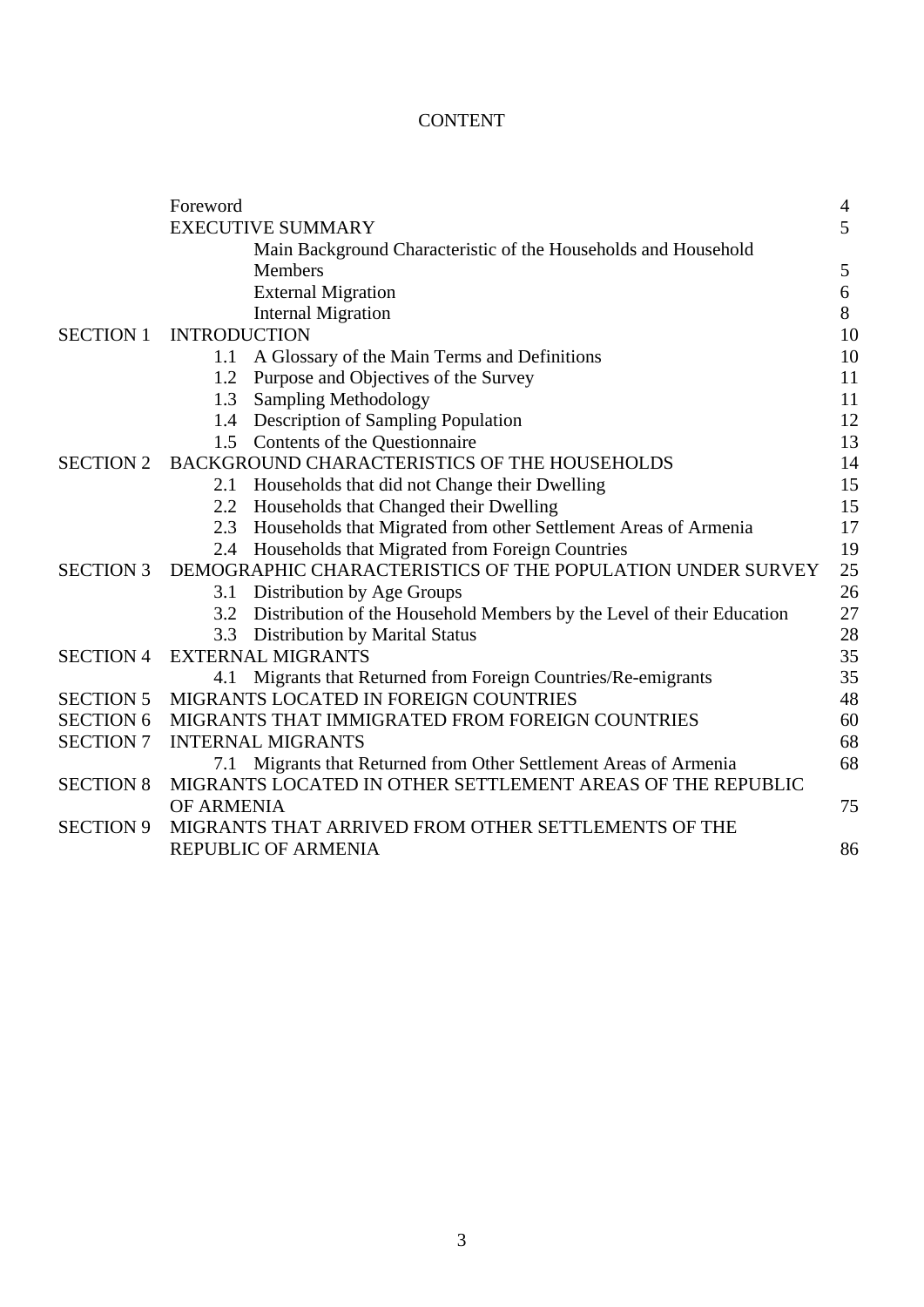# CONTENT

|                  | Foreword                                                                     | 4  |
|------------------|------------------------------------------------------------------------------|----|
|                  | <b>EXECUTIVE SUMMARY</b>                                                     | 5  |
|                  | Main Background Characteristic of the Households and Household               |    |
|                  | <b>Members</b>                                                               | 5  |
|                  | <b>External Migration</b>                                                    | 6  |
|                  | <b>Internal Migration</b>                                                    | 8  |
| <b>SECTION 1</b> | <b>INTRODUCTION</b>                                                          | 10 |
|                  | A Glossary of the Main Terms and Definitions<br>1.1                          | 10 |
|                  | Purpose and Objectives of the Survey<br>1.2                                  | 11 |
|                  | <b>Sampling Methodology</b><br>1.3                                           | 11 |
|                  | Description of Sampling Population<br>1.4                                    | 12 |
|                  | Contents of the Questionnaire<br>1.5                                         | 13 |
| <b>SECTION 2</b> | BACKGROUND CHARACTERISTICS OF THE HOUSEHOLDS                                 | 14 |
|                  | Households that did not Change their Dwelling<br>2.1                         | 15 |
|                  | Households that Changed their Dwelling<br>2.2                                | 15 |
|                  | Households that Migrated from other Settlement Areas of Armenia<br>2.3       | 17 |
|                  | Households that Migrated from Foreign Countries<br>2.4                       | 19 |
| <b>SECTION 3</b> | DEMOGRAPHIC CHARACTERISTICS OF THE POPULATION UNDER SURVEY                   | 25 |
|                  | Distribution by Age Groups<br>3.1                                            | 26 |
|                  | Distribution of the Household Members by the Level of their Education<br>3.2 | 27 |
|                  | <b>Distribution by Marital Status</b><br>3.3                                 | 28 |
| <b>SECTION 4</b> | <b>EXTERNAL MIGRANTS</b>                                                     | 35 |
|                  | Migrants that Returned from Foreign Countries/Re-emigrants<br>4.1            | 35 |
| <b>SECTION 5</b> | MIGRANTS LOCATED IN FOREIGN COUNTRIES                                        | 48 |
| <b>SECTION 6</b> | MIGRANTS THAT IMMIGRATED FROM FOREIGN COUNTRIES                              | 60 |
| <b>SECTION 7</b> | <b>INTERNAL MIGRANTS</b>                                                     | 68 |
|                  | 7.1 Migrants that Returned from Other Settlement Areas of Armenia            | 68 |
| <b>SECTION 8</b> | MIGRANTS LOCATED IN OTHER SETTLEMENT AREAS OF THE REPUBLIC                   |    |
|                  | <b>OF ARMENIA</b>                                                            | 75 |
| <b>SECTION 9</b> | MIGRANTS THAT ARRIVED FROM OTHER SETTLEMENTS OF THE                          |    |
|                  | <b>REPUBLIC OF ARMENIA</b>                                                   | 86 |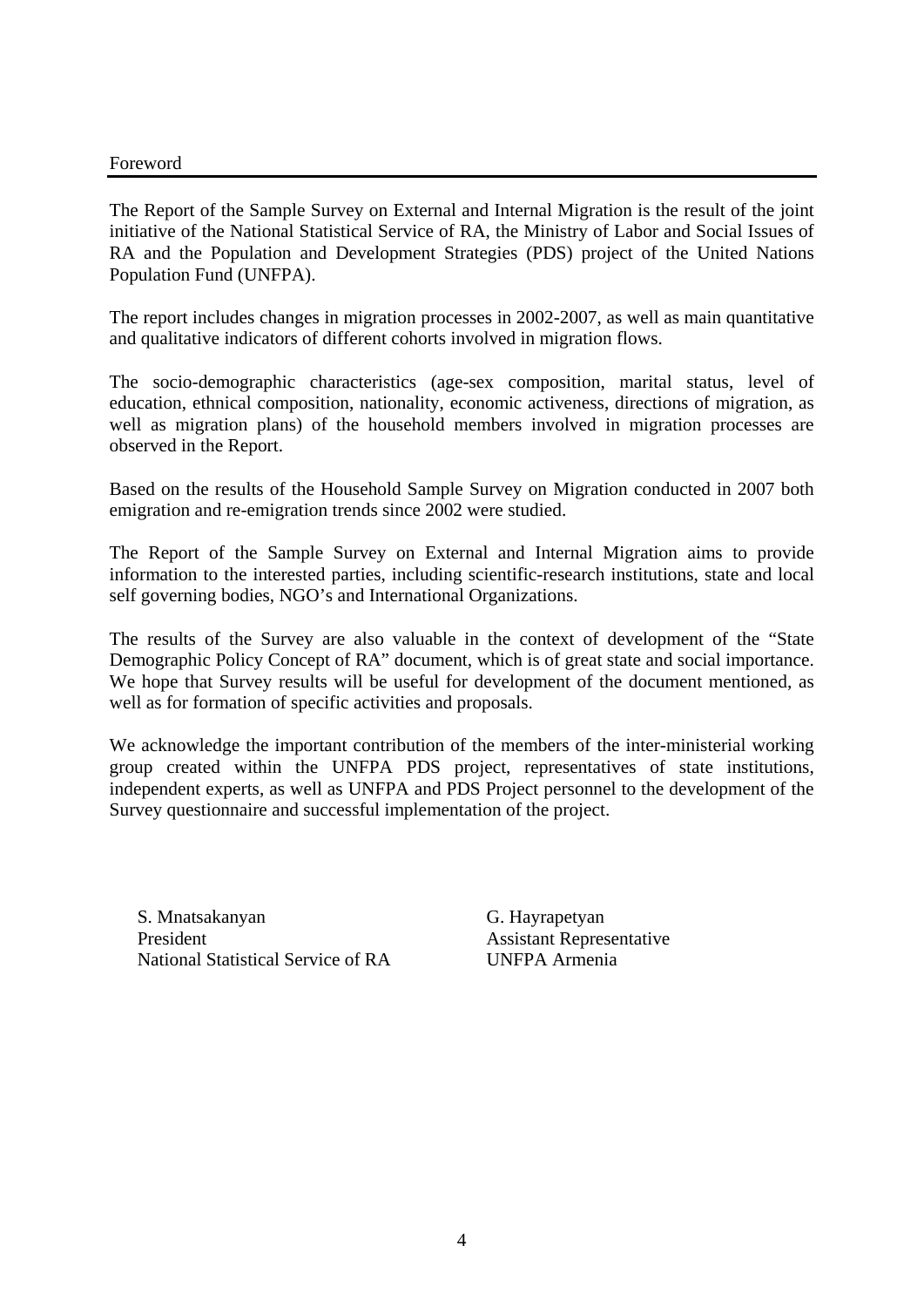#### Foreword

The Report of the Sample Survey on External and Internal Migration is the result of the joint initiative of the National Statistical Service of RA, the Ministry of Labor and Social Issues of RA and the Population and Development Strategies (PDS) project of the United Nations Population Fund (UNFPA).

The report includes changes in migration processes in 2002-2007, as well as main quantitative and qualitative indicators of different cohorts involved in migration flows.

The socio-demographic characteristics (age-sex composition, marital status, level of education, ethnical composition, nationality, economic activeness, directions of migration, as well as migration plans) of the household members involved in migration processes are observed in the Report.

Based on the results of the Household Sample Survey on Migration conducted in 2007 both emigration and re-emigration trends since 2002 were studied.

The Report of the Sample Survey on External and Internal Migration aims to provide information to the interested parties, including scientific-research institutions, state and local self governing bodies, NGO's and International Organizations.

The results of the Survey are also valuable in the context of development of the "State Demographic Policy Concept of RA" document, which is of great state and social importance. We hope that Survey results will be useful for development of the document mentioned, as well as for formation of specific activities and proposals.

We acknowledge the important contribution of the members of the inter-ministerial working group created within the UNFPA PDS project, representatives of state institutions, independent experts, as well as UNFPA and PDS Project personnel to the development of the Survey questionnaire and successful implementation of the project.

S. Mnatsakanyan President National Statistical Service of RA G. Hayrapetyan Assistant Representative UNFPA Armenia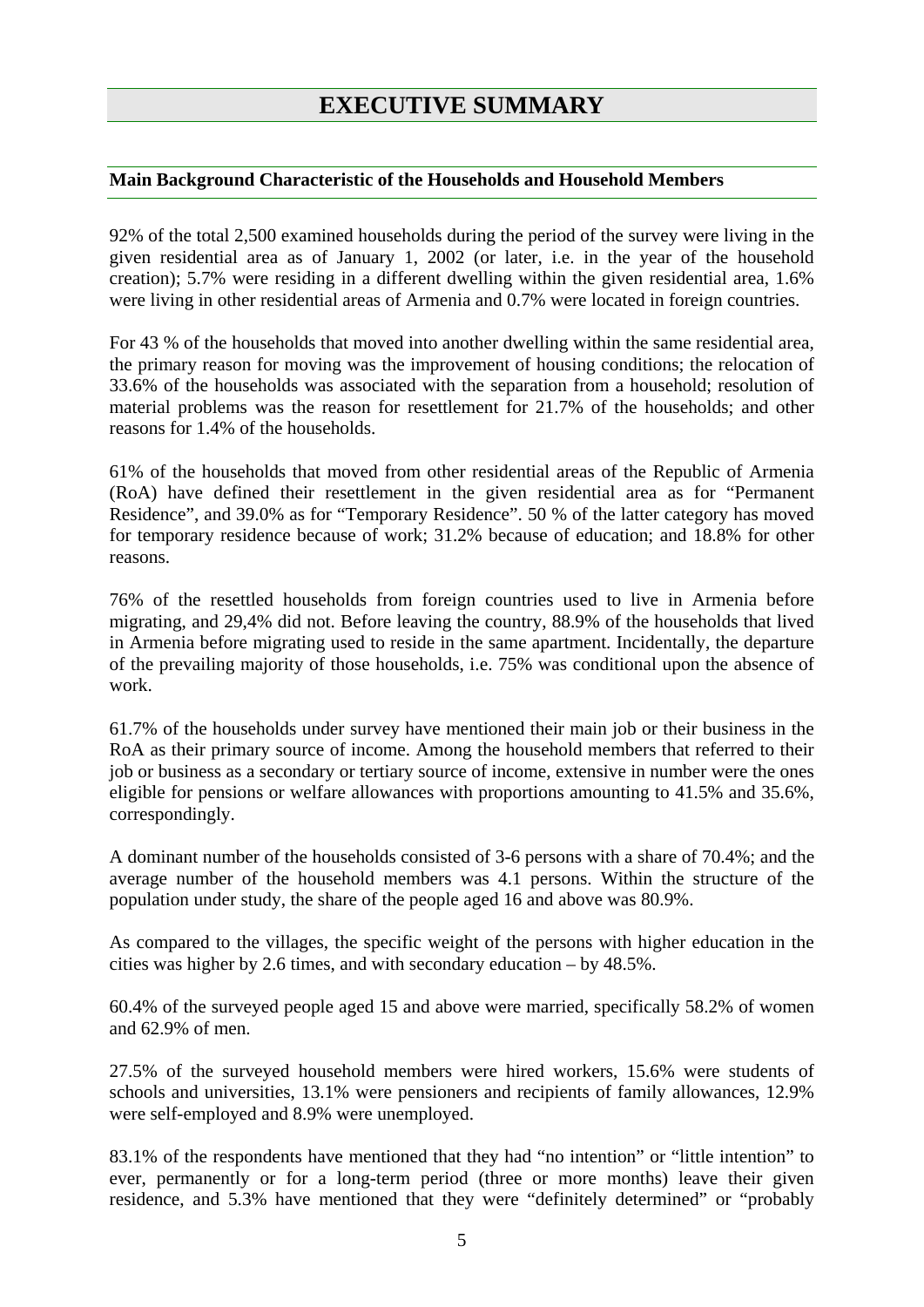# **EXECUTIVE SUMMARY**

#### **Main Background Characteristic of the Households and Household Members**

92% of the total 2,500 examined households during the period of the survey were living in the given residential area as of January 1, 2002 (or later, i.e. in the year of the household creation); 5.7% were residing in a different dwelling within the given residential area, 1.6% were living in other residential areas of Armenia and 0.7% were located in foreign countries.

For 43 % of the households that moved into another dwelling within the same residential area, the primary reason for moving was the improvement of housing conditions; the relocation of 33.6% of the households was associated with the separation from a household; resolution of material problems was the reason for resettlement for 21.7% of the households; and other reasons for 1.4% of the households.

61% of the households that moved from other residential areas of the Republic of Armenia (RoA) have defined their resettlement in the given residential area as for "Permanent Residence", and 39.0% as for "Temporary Residence". 50 % of the latter category has moved for temporary residence because of work; 31.2% because of education; and 18.8% for other reasons.

76% of the resettled households from foreign countries used to live in Armenia before migrating, and 29,4% did not. Before leaving the country, 88.9% of the households that lived in Armenia before migrating used to reside in the same apartment. Incidentally, the departure of the prevailing majority of those households, i.e. 75% was conditional upon the absence of work.

61.7% of the households under survey have mentioned their main job or their business in the RoA as their primary source of income. Among the household members that referred to their job or business as a secondary or tertiary source of income, extensive in number were the ones eligible for pensions or welfare allowances with proportions amounting to 41.5% and 35.6%, correspondingly.

A dominant number of the households consisted of 3-6 persons with a share of 70.4%; and the average number of the household members was 4.1 persons. Within the structure of the population under study, the share of the people aged 16 and above was 80.9%.

As compared to the villages, the specific weight of the persons with higher education in the cities was higher by 2.6 times, and with secondary education – by 48.5%.

60.4% of the surveyed people aged 15 and above were married, specifically 58.2% of women and 62.9% of men.

27.5% of the surveyed household members were hired workers, 15.6% were students of schools and universities, 13.1% were pensioners and recipients of family allowances, 12.9% were self-employed and 8.9% were unemployed.

83.1% of the respondents have mentioned that they had "no intention" or "little intention" to ever, permanently or for a long-term period (three or more months) leave their given residence, and 5.3% have mentioned that they were "definitely determined" or "probably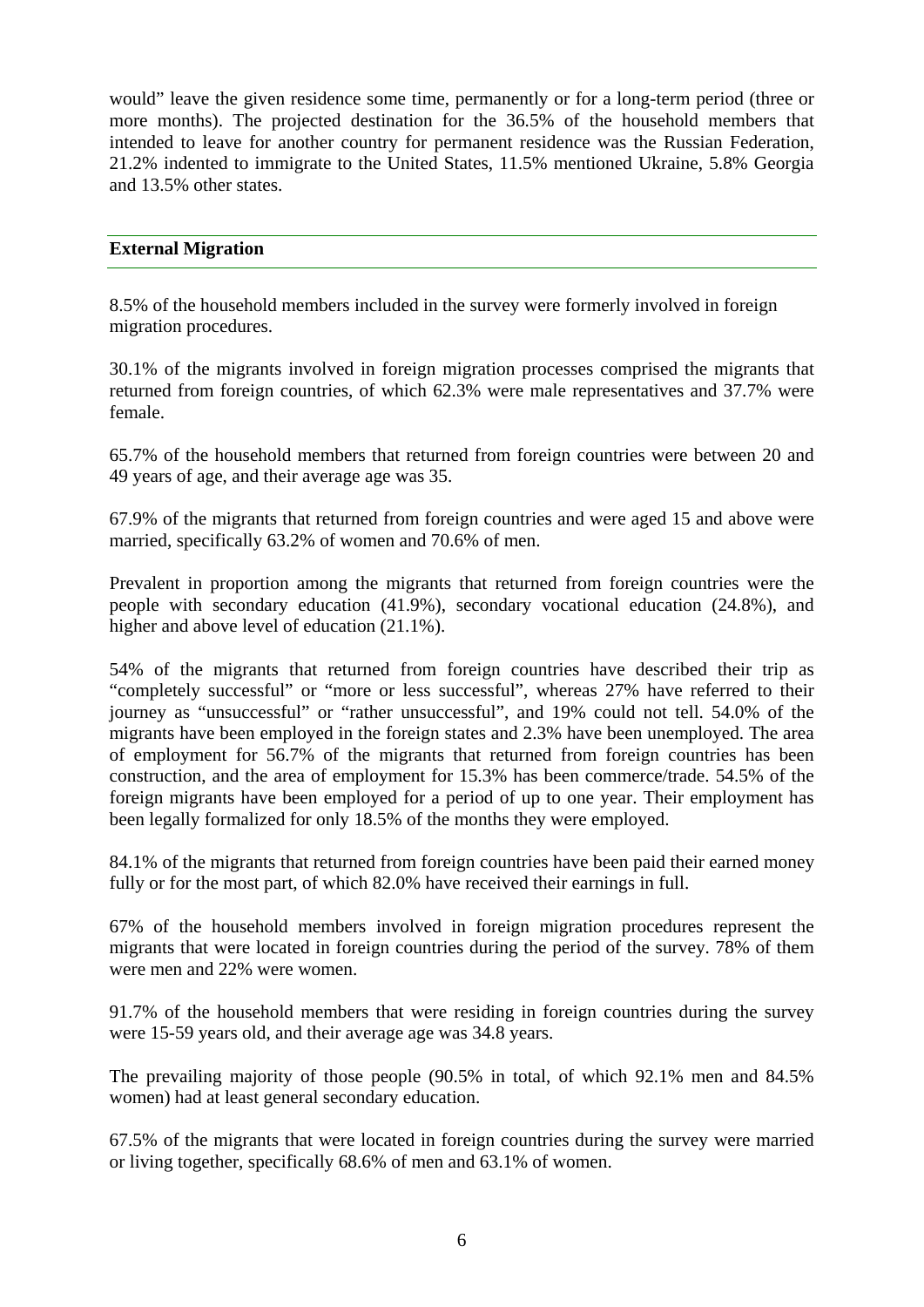would" leave the given residence some time, permanently or for a long-term period (three or more months). The projected destination for the 36.5% of the household members that intended to leave for another country for permanent residence was the Russian Federation, 21.2% indented to immigrate to the United States, 11.5% mentioned Ukraine, 5.8% Georgia and 13.5% other states.

# **External Migration**

8.5% of the household members included in the survey were formerly involved in foreign migration procedures.

30.1% of the migrants involved in foreign migration processes comprised the migrants that returned from foreign countries, of which 62.3% were male representatives and 37.7% were female.

65.7% of the household members that returned from foreign countries were between 20 and 49 years of age, and their average age was 35.

67.9% of the migrants that returned from foreign countries and were aged 15 and above were married, specifically 63.2% of women and 70.6% of men.

Prevalent in proportion among the migrants that returned from foreign countries were the people with secondary education (41.9%), secondary vocational education (24.8%), and higher and above level of education (21.1%).

54% of the migrants that returned from foreign countries have described their trip as "completely successful" or "more or less successful", whereas 27% have referred to their journey as "unsuccessful" or "rather unsuccessful", and 19% could not tell. 54.0% of the migrants have been employed in the foreign states and 2.3% have been unemployed. The area of employment for 56.7% of the migrants that returned from foreign countries has been construction, and the area of employment for 15.3% has been commerce/trade. 54.5% of the foreign migrants have been employed for a period of up to one year. Their employment has been legally formalized for only 18.5% of the months they were employed.

84.1% of the migrants that returned from foreign countries have been paid their earned money fully or for the most part, of which 82.0% have received their earnings in full.

67% of the household members involved in foreign migration procedures represent the migrants that were located in foreign countries during the period of the survey. 78% of them were men and 22% were women.

91.7% of the household members that were residing in foreign countries during the survey were 15-59 years old, and their average age was 34.8 years.

The prevailing majority of those people (90.5% in total, of which 92.1% men and 84.5% women) had at least general secondary education.

67.5% of the migrants that were located in foreign countries during the survey were married or living together, specifically 68.6% of men and 63.1% of women.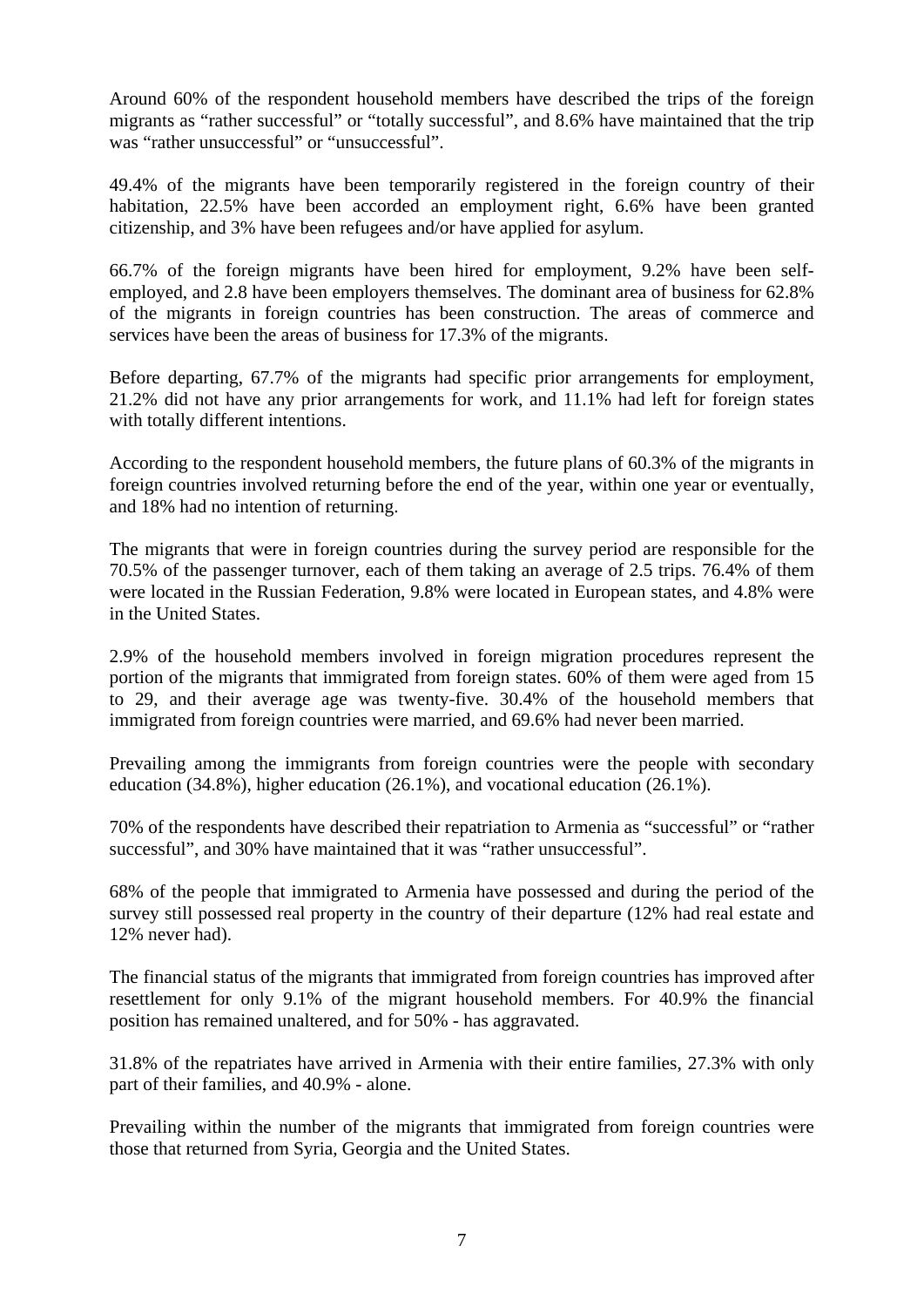Around 60% of the respondent household members have described the trips of the foreign migrants as "rather successful" or "totally successful", and 8.6% have maintained that the trip was "rather unsuccessful" or "unsuccessful".

49.4% of the migrants have been temporarily registered in the foreign country of their habitation, 22.5% have been accorded an employment right, 6.6% have been granted citizenship, and 3% have been refugees and/or have applied for asylum.

66.7% of the foreign migrants have been hired for employment, 9.2% have been selfemployed, and 2.8 have been employers themselves. The dominant area of business for 62.8% of the migrants in foreign countries has been construction. The areas of commerce and services have been the areas of business for 17.3% of the migrants.

Before departing, 67.7% of the migrants had specific prior arrangements for employment, 21.2% did not have any prior arrangements for work, and 11.1% had left for foreign states with totally different intentions.

According to the respondent household members, the future plans of 60.3% of the migrants in foreign countries involved returning before the end of the year, within one year or eventually, and 18% had no intention of returning.

The migrants that were in foreign countries during the survey period are responsible for the 70.5% of the passenger turnover, each of them taking an average of 2.5 trips. 76.4% of them were located in the Russian Federation, 9.8% were located in European states, and 4.8% were in the United States.

2.9% of the household members involved in foreign migration procedures represent the portion of the migrants that immigrated from foreign states. 60% of them were aged from 15 to 29, and their average age was twenty-five. 30.4% of the household members that immigrated from foreign countries were married, and 69.6% had never been married.

Prevailing among the immigrants from foreign countries were the people with secondary education (34.8%), higher education (26.1%), and vocational education (26.1%).

70% of the respondents have described their repatriation to Armenia as "successful" or "rather successful", and 30% have maintained that it was "rather unsuccessful".

68% of the people that immigrated to Armenia have possessed and during the period of the survey still possessed real property in the country of their departure (12% had real estate and 12% never had).

The financial status of the migrants that immigrated from foreign countries has improved after resettlement for only 9.1% of the migrant household members. For 40.9% the financial position has remained unaltered, and for 50% - has aggravated.

31.8% of the repatriates have arrived in Armenia with their entire families, 27.3% with only part of their families, and 40.9% - alone.

Prevailing within the number of the migrants that immigrated from foreign countries were those that returned from Syria, Georgia and the United States.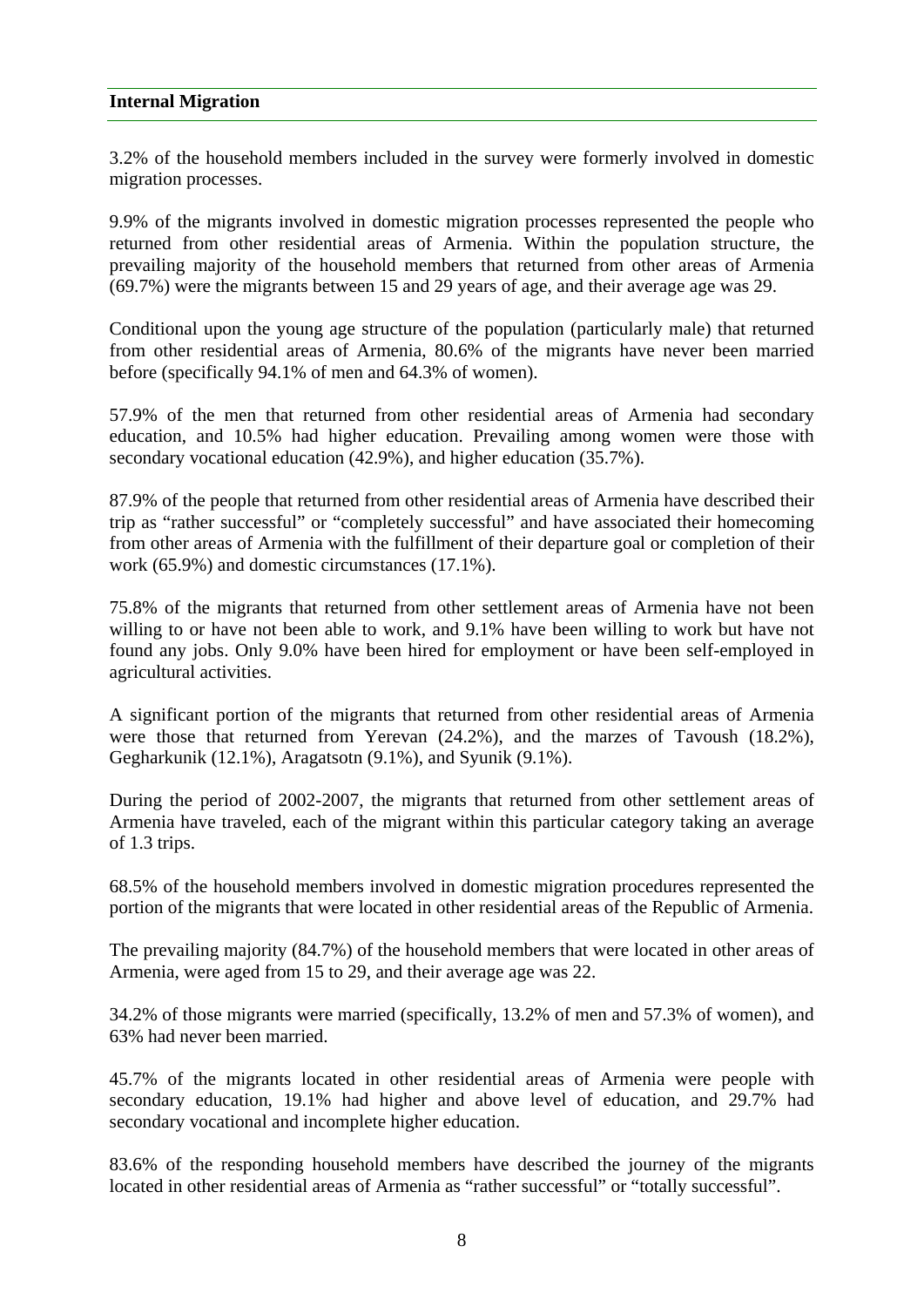#### **Internal Migration**

3.2% of the household members included in the survey were formerly involved in domestic migration processes.

9.9% of the migrants involved in domestic migration processes represented the people who returned from other residential areas of Armenia. Within the population structure, the prevailing majority of the household members that returned from other areas of Armenia (69.7%) were the migrants between 15 and 29 years of age, and their average age was 29.

Conditional upon the young age structure of the population (particularly male) that returned from other residential areas of Armenia, 80.6% of the migrants have never been married before (specifically 94.1% of men and 64.3% of women).

57.9% of the men that returned from other residential areas of Armenia had secondary education, and 10.5% had higher education. Prevailing among women were those with secondary vocational education (42.9%), and higher education (35.7%).

87.9% of the people that returned from other residential areas of Armenia have described their trip as "rather successful" or "completely successful" and have associated their homecoming from other areas of Armenia with the fulfillment of their departure goal or completion of their work (65.9%) and domestic circumstances (17.1%).

75.8% of the migrants that returned from other settlement areas of Armenia have not been willing to or have not been able to work, and 9.1% have been willing to work but have not found any jobs. Only 9.0% have been hired for employment or have been self-employed in agricultural activities.

A significant portion of the migrants that returned from other residential areas of Armenia were those that returned from Yerevan (24.2%), and the marzes of Tavoush (18.2%), Gegharkunik (12.1%), Aragatsotn (9.1%), and Syunik (9.1%).

During the period of 2002-2007, the migrants that returned from other settlement areas of Armenia have traveled, each of the migrant within this particular category taking an average of 1.3 trips.

68.5% of the household members involved in domestic migration procedures represented the portion of the migrants that were located in other residential areas of the Republic of Armenia.

The prevailing majority (84.7%) of the household members that were located in other areas of Armenia, were aged from 15 to 29, and their average age was 22.

34.2% of those migrants were married (specifically, 13.2% of men and 57.3% of women), and 63% had never been married.

45.7% of the migrants located in other residential areas of Armenia were people with secondary education, 19.1% had higher and above level of education, and 29.7% had secondary vocational and incomplete higher education.

83.6% of the responding household members have described the journey of the migrants located in other residential areas of Armenia as "rather successful" or "totally successful".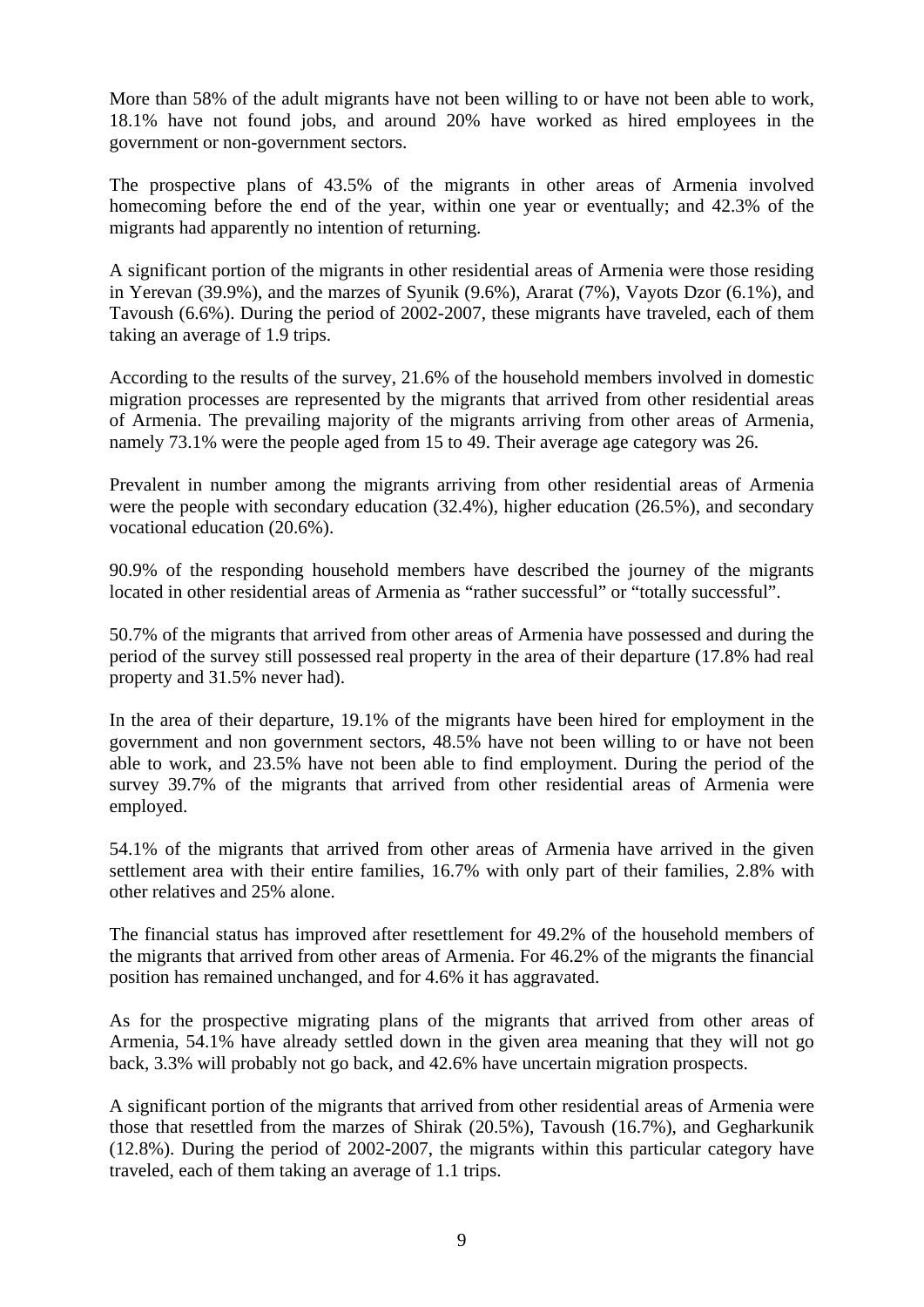More than 58% of the adult migrants have not been willing to or have not been able to work, 18.1% have not found jobs, and around 20% have worked as hired employees in the government or non-government sectors.

The prospective plans of 43.5% of the migrants in other areas of Armenia involved homecoming before the end of the year, within one year or eventually; and 42.3% of the migrants had apparently no intention of returning.

A significant portion of the migrants in other residential areas of Armenia were those residing in Yerevan (39.9%), and the marzes of Syunik (9.6%), Ararat (7%), Vayots Dzor (6.1%), and Tavoush (6.6%). During the period of 2002-2007, these migrants have traveled, each of them taking an average of 1.9 trips.

According to the results of the survey, 21.6% of the household members involved in domestic migration processes are represented by the migrants that arrived from other residential areas of Armenia. The prevailing majority of the migrants arriving from other areas of Armenia, namely 73.1% were the people aged from 15 to 49. Their average age category was 26.

Prevalent in number among the migrants arriving from other residential areas of Armenia were the people with secondary education (32.4%), higher education (26.5%), and secondary vocational education (20.6%).

90.9% of the responding household members have described the journey of the migrants located in other residential areas of Armenia as "rather successful" or "totally successful".

50.7% of the migrants that arrived from other areas of Armenia have possessed and during the period of the survey still possessed real property in the area of their departure (17.8% had real property and 31.5% never had).

In the area of their departure, 19.1% of the migrants have been hired for employment in the government and non government sectors, 48.5% have not been willing to or have not been able to work, and 23.5% have not been able to find employment. During the period of the survey 39.7% of the migrants that arrived from other residential areas of Armenia were employed.

54.1% of the migrants that arrived from other areas of Armenia have arrived in the given settlement area with their entire families, 16.7% with only part of their families, 2.8% with other relatives and 25% alone.

The financial status has improved after resettlement for 49.2% of the household members of the migrants that arrived from other areas of Armenia. For 46.2% of the migrants the financial position has remained unchanged, and for 4.6% it has aggravated.

As for the prospective migrating plans of the migrants that arrived from other areas of Armenia, 54.1% have already settled down in the given area meaning that they will not go back, 3.3% will probably not go back, and 42.6% have uncertain migration prospects.

A significant portion of the migrants that arrived from other residential areas of Armenia were those that resettled from the marzes of Shirak (20.5%), Tavoush (16.7%), and Gegharkunik (12.8%). During the period of 2002-2007, the migrants within this particular category have traveled, each of them taking an average of 1.1 trips.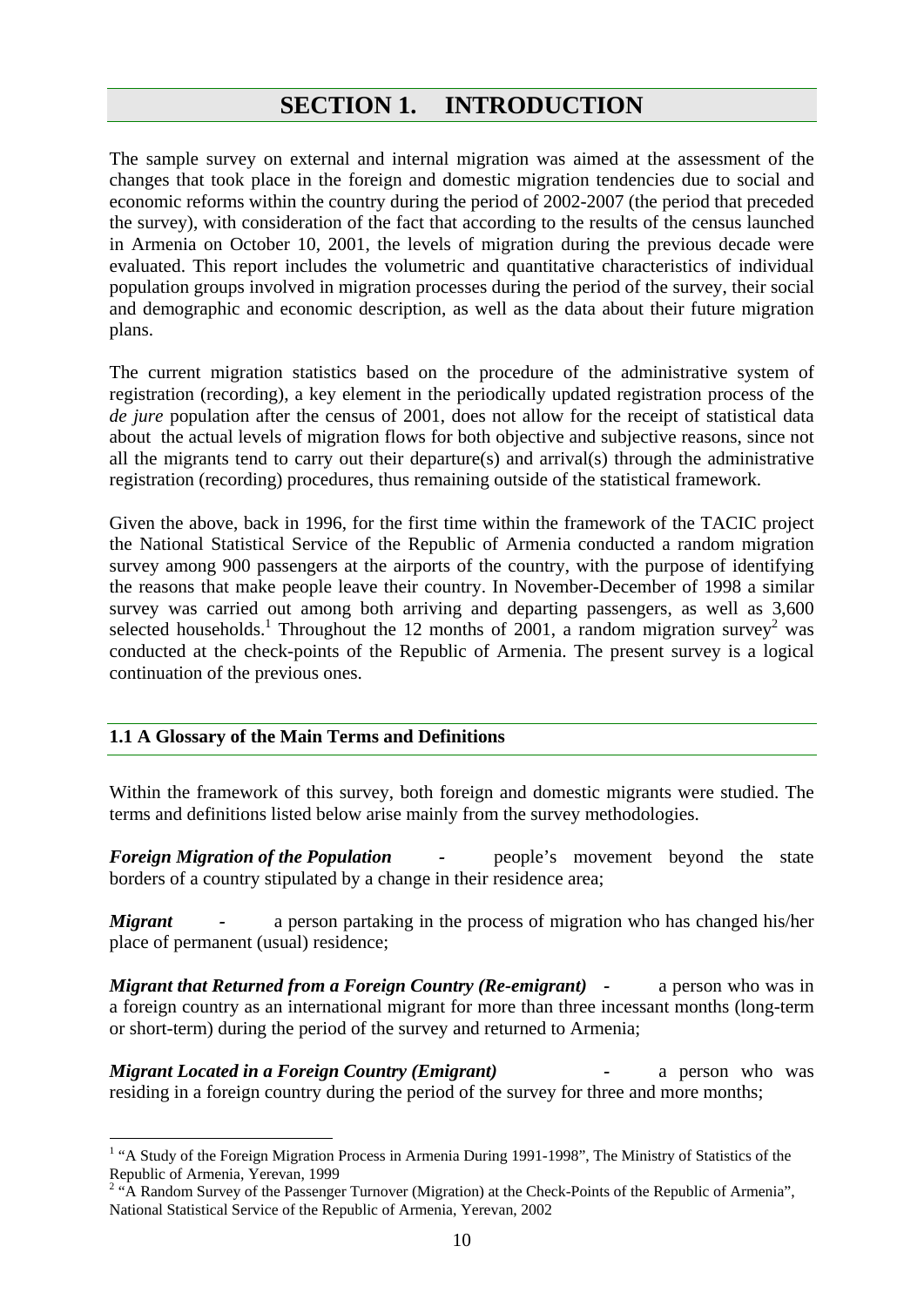# **SECTION 1. INTRODUCTION**

The sample survey on external and internal migration was aimed at the assessment of the changes that took place in the foreign and domestic migration tendencies due to social and economic reforms within the country during the period of 2002-2007 (the period that preceded the survey), with consideration of the fact that according to the results of the census launched in Armenia on October 10, 2001, the levels of migration during the previous decade were evaluated. This report includes the volumetric and quantitative characteristics of individual population groups involved in migration processes during the period of the survey, their social and demographic and economic description, as well as the data about their future migration plans.

The current migration statistics based on the procedure of the administrative system of registration (recording), a key element in the periodically updated registration process of the *de jure* population after the census of 2001, does not allow for the receipt of statistical data about the actual levels of migration flows for both objective and subjective reasons, since not all the migrants tend to carry out their departure(s) and arrival(s) through the administrative registration (recording) procedures, thus remaining outside of the statistical framework.

Given the above, back in 1996, for the first time within the framework of the TACIC project the National Statistical Service of the Republic of Armenia conducted a random migration survey among 900 passengers at the airports of the country, with the purpose of identifying the reasons that make people leave their country. In November-December of 1998 a similar survey was carried out among both arriving and departing passengers, as well as 3,600 selected households.<sup>1</sup> Throughout the 12 months of 2001, a random migration survey<sup>2</sup> was conducted at the check-points of the Republic of Armenia. The present survey is a logical continuation of the previous ones.

# **1.1 A Glossary of the Main Terms and Definitions**

 $\overline{a}$ 

Within the framework of this survey, both foreign and domestic migrants were studied. The terms and definitions listed below arise mainly from the survey methodologies.

*Foreign Migration of the Population* - people's movement beyond the state borders of a country stipulated by a change in their residence area;

*Migrant* - a person partaking in the process of migration who has changed his/her place of permanent (usual) residence;

*Migrant that Returned from a Foreign Country (Re-emigrant)* - a person who was in a foreign country as an international migrant for more than three incessant months (long-term or short-term) during the period of the survey and returned to Armenia;

*Migrant Located in a Foreign Country (Emigrant) -* a person who was residing in a foreign country during the period of the survey for three and more months;

<sup>&</sup>lt;sup>1</sup> "A Study of the Foreign Migration Process in Armenia During 1991-1998", The Ministry of Statistics of the Republic of Armenia, Yerevan, 1999

 $2 \text{``A Random Survey of the Passenger Turnover (Migration)}$  at the Check-Points of the Republic of Armenia", National Statistical Service of the Republic of Armenia, Yerevan, 2002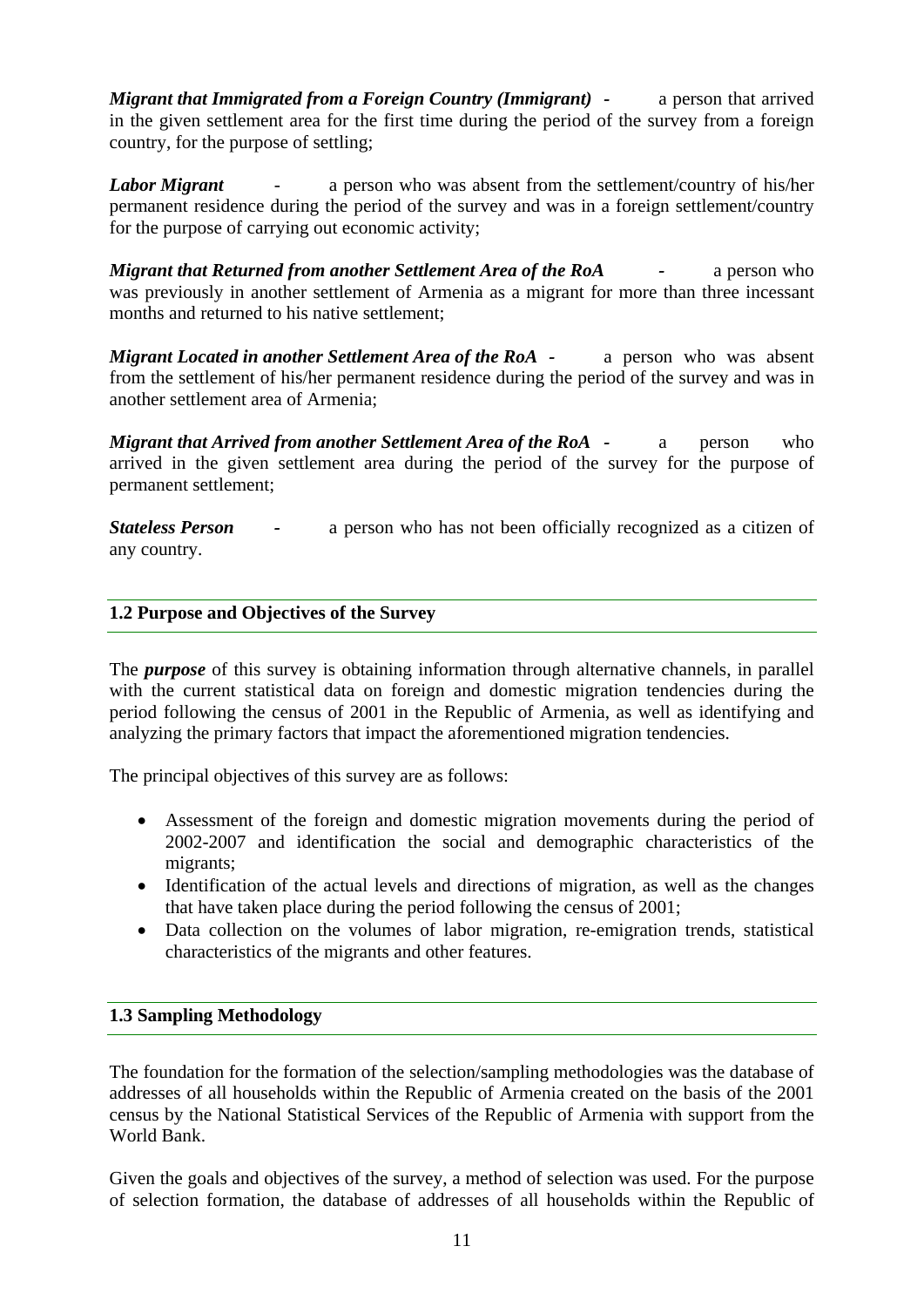*Migrant that Immigrated from a Foreign Country (Immigrant)* - a person that arrived in the given settlement area for the first time during the period of the survey from a foreign country, for the purpose of settling;

*Labor Migrant* - a person who was absent from the settlement/country of his/her permanent residence during the period of the survey and was in a foreign settlement/country for the purpose of carrying out economic activity;

*Migrant that Returned from another Settlement Area of the RoA* - a person who was previously in another settlement of Armenia as a migrant for more than three incessant months and returned to his native settlement;

*Migrant Located in another Settlement Area of the RoA - a person who was absent* from the settlement of his/her permanent residence during the period of the survey and was in another settlement area of Armenia;

*Migrant that Arrived from another Settlement Area of the RoA - a person who* arrived in the given settlement area during the period of the survey for the purpose of permanent settlement;

*Stateless Person -* a person who has not been officially recognized as a citizen of any country.

# **1.2 Purpose and Objectives of the Survey**

The *purpose* of this survey is obtaining information through alternative channels, in parallel with the current statistical data on foreign and domestic migration tendencies during the period following the census of 2001 in the Republic of Armenia, as well as identifying and analyzing the primary factors that impact the aforementioned migration tendencies.

The principal objectives of this survey are as follows:

- Assessment of the foreign and domestic migration movements during the period of 2002-2007 and identification the social and demographic characteristics of the migrants;
- Identification of the actual levels and directions of migration, as well as the changes that have taken place during the period following the census of 2001;
- Data collection on the volumes of labor migration, re-emigration trends, statistical characteristics of the migrants and other features.

# **1.3 Sampling Methodology**

The foundation for the formation of the selection/sampling methodologies was the database of addresses of all households within the Republic of Armenia created on the basis of the 2001 census by the National Statistical Services of the Republic of Armenia with support from the World Bank.

Given the goals and objectives of the survey, a method of selection was used. For the purpose of selection formation, the database of addresses of all households within the Republic of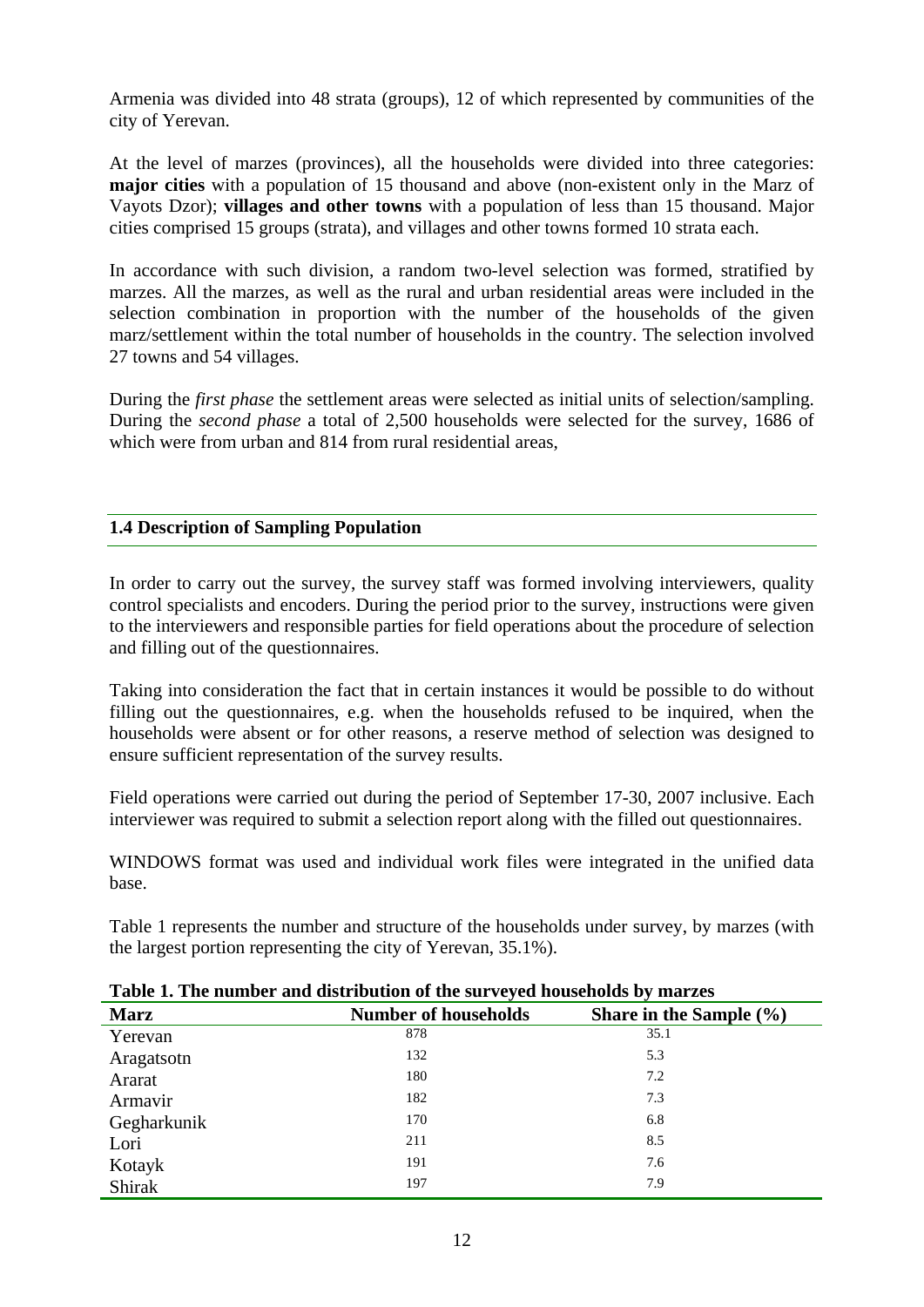Armenia was divided into 48 strata (groups), 12 of which represented by communities of the city of Yerevan.

At the level of marzes (provinces), all the households were divided into three categories: **major cities** with a population of 15 thousand and above (non-existent only in the Marz of Vayots Dzor); **villages and other towns** with a population of less than 15 thousand. Major cities comprised 15 groups (strata), and villages and other towns formed 10 strata each.

In accordance with such division, a random two-level selection was formed, stratified by marzes. All the marzes, as well as the rural and urban residential areas were included in the selection combination in proportion with the number of the households of the given marz/settlement within the total number of households in the country. The selection involved 27 towns and 54 villages.

During the *first phase* the settlement areas were selected as initial units of selection/sampling. During the *second phase* a total of 2,500 households were selected for the survey, 1686 of which were from urban and 814 from rural residential areas.

# **1.4 Description of Sampling Population**

In order to carry out the survey, the survey staff was formed involving interviewers, quality control specialists and encoders. During the period prior to the survey, instructions were given to the interviewers and responsible parties for field operations about the procedure of selection and filling out of the questionnaires.

Taking into consideration the fact that in certain instances it would be possible to do without filling out the questionnaires, e.g. when the households refused to be inquired, when the households were absent or for other reasons, a reserve method of selection was designed to ensure sufficient representation of the survey results.

Field operations were carried out during the period of September 17-30, 2007 inclusive. Each interviewer was required to submit a selection report along with the filled out questionnaires.

WINDOWS format was used and individual work files were integrated in the unified data base.

Table 1 represents the number and structure of the households under survey, by marzes (with the largest portion representing the city of Yerevan, 35.1%).

| Twore It The humber and distribution of the survey of households by marked |                             |                             |  |  |  |  |  |
|----------------------------------------------------------------------------|-----------------------------|-----------------------------|--|--|--|--|--|
| <b>Marz</b>                                                                | <b>Number of households</b> | Share in the Sample $(\% )$ |  |  |  |  |  |
| Yerevan                                                                    | 878                         | 35.1                        |  |  |  |  |  |
| Aragatsotn                                                                 | 132                         | 5.3                         |  |  |  |  |  |
| Ararat                                                                     | 180                         | 7.2                         |  |  |  |  |  |
| Armavir                                                                    | 182                         | 7.3                         |  |  |  |  |  |
| Gegharkunik                                                                | 170                         | 6.8                         |  |  |  |  |  |
| Lori                                                                       | 211                         | 8.5                         |  |  |  |  |  |
| Kotayk                                                                     | 191                         | 7.6                         |  |  |  |  |  |
| Shirak                                                                     | 197                         | 7.9                         |  |  |  |  |  |

#### **Table 1. The number and distribution of the surveyed households by marzes**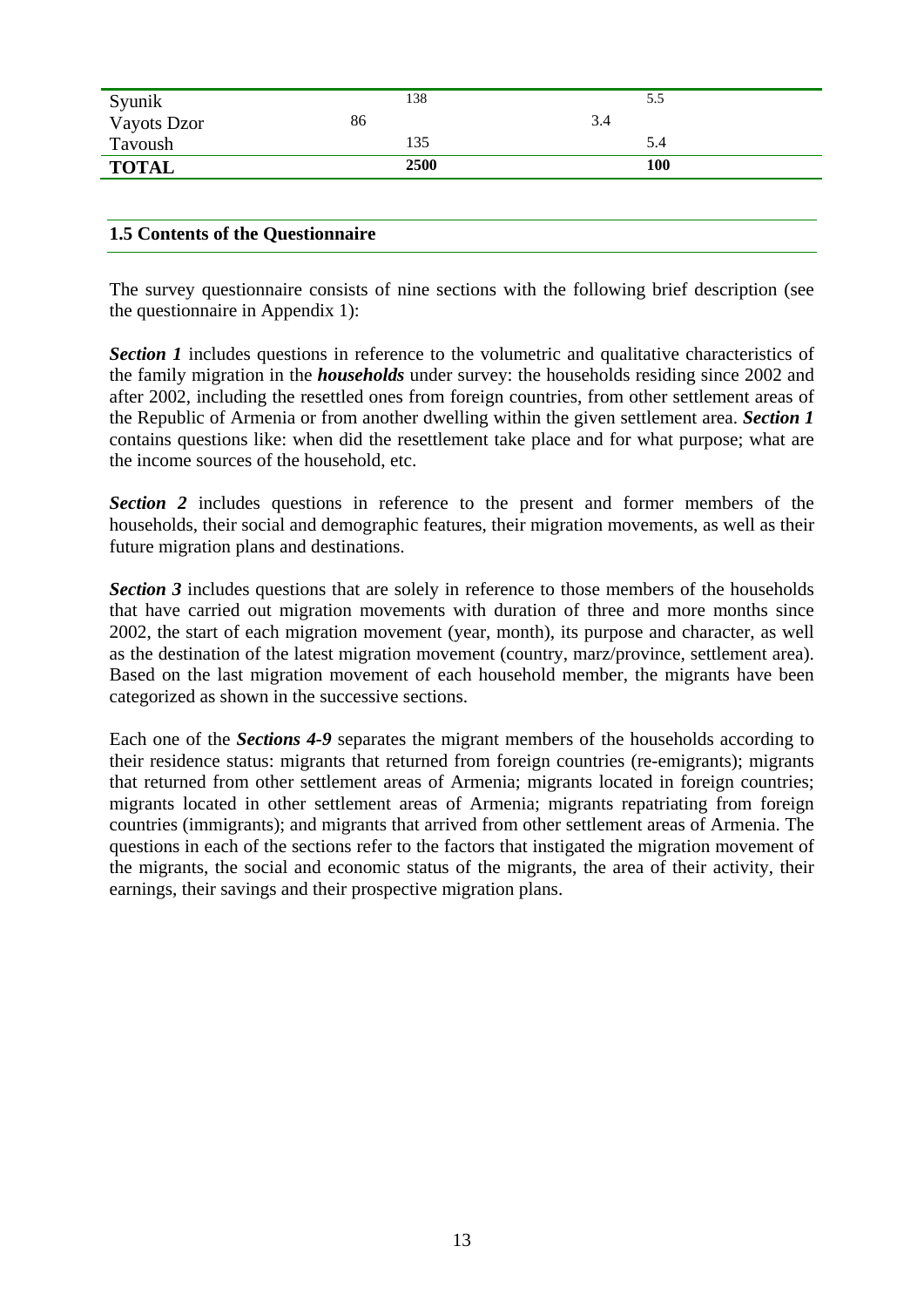| Vayots Dzor<br>86<br>3.4<br>Tavoush<br>135<br>5.4 | Syunik       | 138  | 5.5 |  |
|---------------------------------------------------|--------------|------|-----|--|
|                                                   |              |      |     |  |
|                                                   |              |      |     |  |
|                                                   | <b>TOTAL</b> | 2500 | 100 |  |

#### **1.5 Contents of the Questionnaire**

The survey questionnaire consists of nine sections with the following brief description (see the questionnaire in Appendix 1):

**Section 1** includes questions in reference to the volumetric and qualitative characteristics of the family migration in the *households* under survey: the households residing since 2002 and after 2002, including the resettled ones from foreign countries, from other settlement areas of the Republic of Armenia or from another dwelling within the given settlement area. *Section 1* contains questions like: when did the resettlement take place and for what purpose; what are the income sources of the household, etc.

**Section 2** includes questions in reference to the present and former members of the households, their social and demographic features, their migration movements, as well as their future migration plans and destinations.

**Section 3** includes questions that are solely in reference to those members of the households that have carried out migration movements with duration of three and more months since 2002, the start of each migration movement (year, month), its purpose and character, as well as the destination of the latest migration movement (country, marz/province, settlement area). Based on the last migration movement of each household member, the migrants have been categorized as shown in the successive sections.

Each one of the *Sections 4-9* separates the migrant members of the households according to their residence status: migrants that returned from foreign countries (re-emigrants); migrants that returned from other settlement areas of Armenia; migrants located in foreign countries; migrants located in other settlement areas of Armenia; migrants repatriating from foreign countries (immigrants); and migrants that arrived from other settlement areas of Armenia. The questions in each of the sections refer to the factors that instigated the migration movement of the migrants, the social and economic status of the migrants, the area of their activity, their earnings, their savings and their prospective migration plans.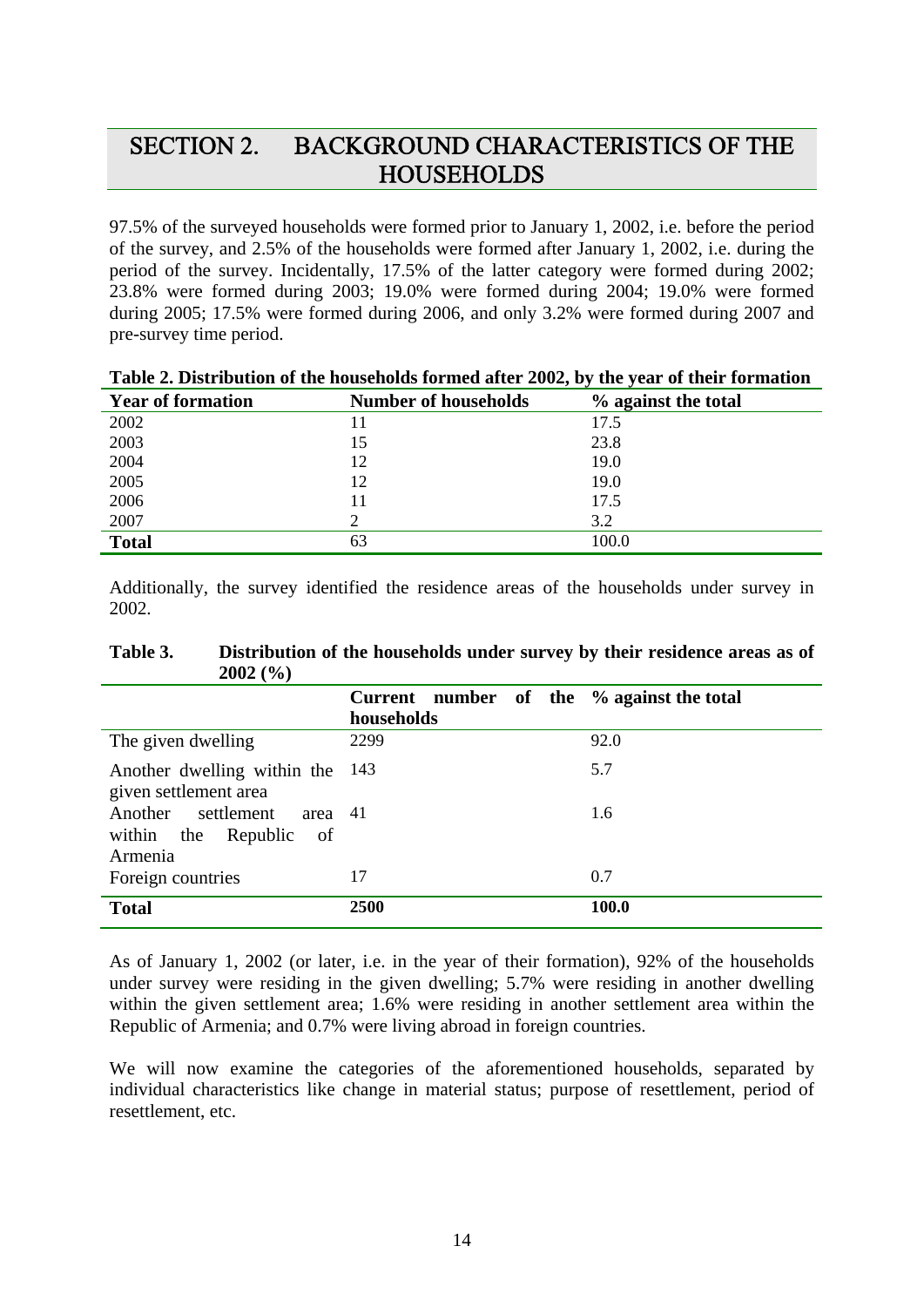# SECTION 2. BACKGROUND CHARACTERISTICS OF THE **HOUSEHOLDS**

97.5% of the surveyed households were formed prior to January 1, 2002, i.e. before the period of the survey, and 2.5% of the households were formed after January 1, 2002, i.e. during the period of the survey. Incidentally, 17.5% of the latter category were formed during 2002; 23.8% were formed during 2003; 19.0% were formed during 2004; 19.0% were formed during 2005; 17.5% were formed during 2006, and only 3.2% were formed during 2007 and pre-survey time period.

| <b>Year of formation</b> | <b>Number of households</b> | % against the total |
|--------------------------|-----------------------------|---------------------|
| 2002                     | 11                          | 17.5                |
| 2003                     | 15                          | 23.8                |
| 2004                     | 12                          | 19.0                |
| 2005                     | 12                          | 19.0                |
| 2006                     | 11                          | 17.5                |
| 2007                     |                             | 3.2                 |
| <b>Total</b>             | 63                          | 100.0               |

# **Table 2. Distribution of the households formed after 2002, by the year of their formation**

Additionally, the survey identified the residence areas of the households under survey in 2002.

| 2002(70)                                                              |                                                         |       |
|-----------------------------------------------------------------------|---------------------------------------------------------|-------|
|                                                                       | Current number of the % against the total<br>households |       |
| The given dwelling                                                    | 2299                                                    | 92.0  |
| Another dwelling within the<br>given settlement area                  | - 143                                                   | 5.7   |
| Another settlement<br>area 41<br>within the Republic<br>of<br>Armenia |                                                         | 1.6   |
| Foreign countries                                                     | 17                                                      | 0.7   |
| <b>Total</b>                                                          | 2500                                                    | 100.0 |

#### **Table 3. Distribution of the households under survey by their residence areas as of 2002 (%)**

As of January 1, 2002 (or later, i.e. in the year of their formation), 92% of the households under survey were residing in the given dwelling; 5.7% were residing in another dwelling within the given settlement area; 1.6% were residing in another settlement area within the Republic of Armenia; and 0.7% were living abroad in foreign countries.

We will now examine the categories of the aforementioned households, separated by individual characteristics like change in material status; purpose of resettlement, period of resettlement, etc.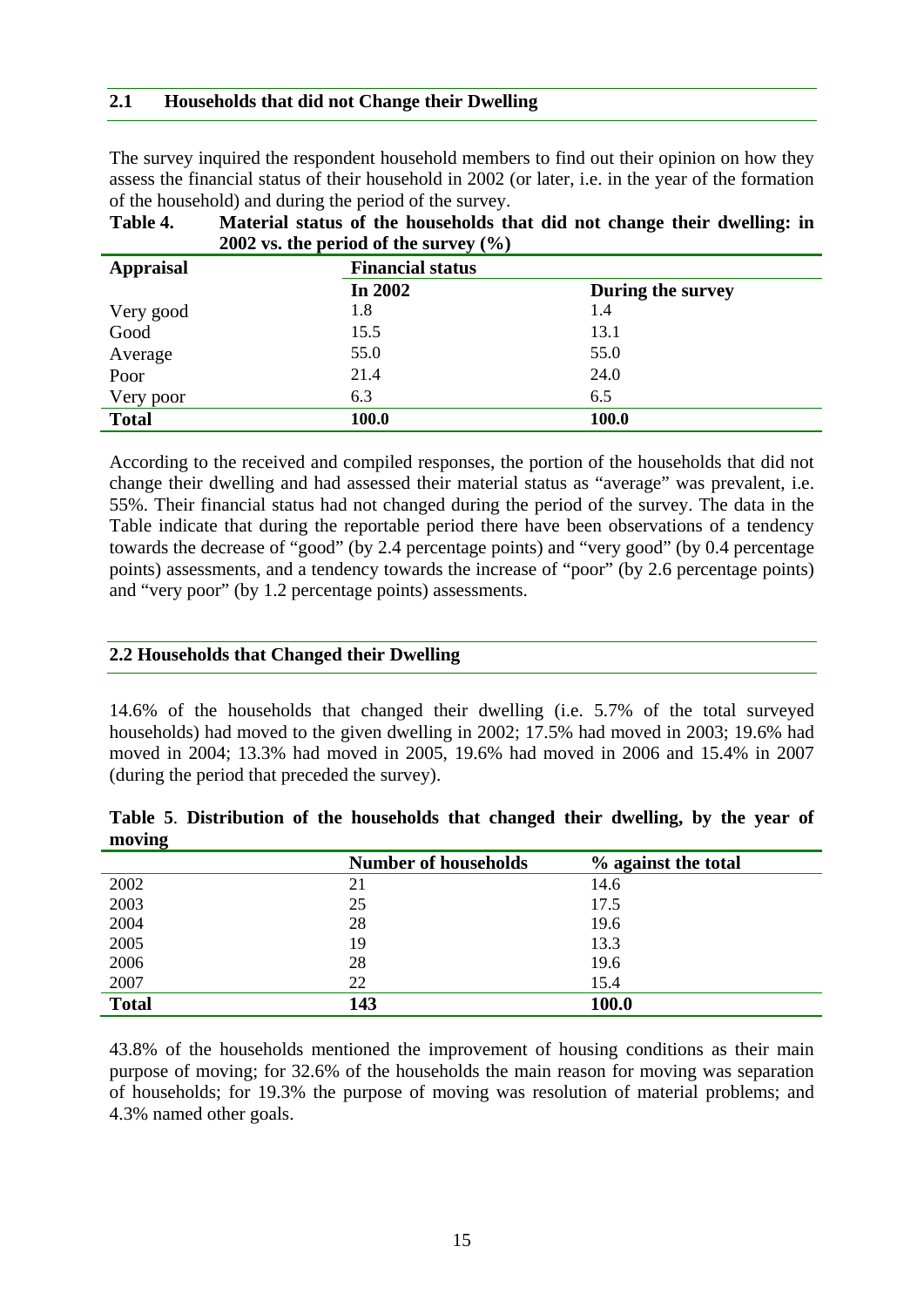## **2.1 Households that did not Change their Dwelling**

The survey inquired the respondent household members to find out their opinion on how they assess the financial status of their household in 2002 (or later, i.e. in the year of the formation of the household) and during the period of the survey.

|                  | $2002$ vs. the period of the survey (70) |                   |  |  |  |  |
|------------------|------------------------------------------|-------------------|--|--|--|--|
| <b>Appraisal</b> | <b>Financial status</b>                  |                   |  |  |  |  |
|                  | In 2002                                  | During the survey |  |  |  |  |
| Very good        | 1.8                                      | 1.4               |  |  |  |  |
| Good             | 15.5                                     | 13.1              |  |  |  |  |
| Average          | 55.0                                     | 55.0              |  |  |  |  |
| Poor             | 21.4                                     | 24.0              |  |  |  |  |
| Very poor        | 6.3                                      | 6.5               |  |  |  |  |
| <b>Total</b>     | 100.0                                    | 100.0             |  |  |  |  |

| Table 4. | Material status of the households that did not change their dwelling: in |
|----------|--------------------------------------------------------------------------|
|          | 2002 vs. the period of the survey $(\% )$                                |

According to the received and compiled responses, the portion of the households that did not change their dwelling and had assessed their material status as "average" was prevalent, i.e. 55%. Their financial status had not changed during the period of the survey. The data in the Table indicate that during the reportable period there have been observations of a tendency towards the decrease of "good" (by 2.4 percentage points) and "very good" (by 0.4 percentage points) assessments, and a tendency towards the increase of "poor" (by 2.6 percentage points) and "very poor" (by 1.2 percentage points) assessments.

## **2.2 Households that Changed their Dwelling**

14.6% of the households that changed their dwelling (i.e. 5.7% of the total surveyed households) had moved to the given dwelling in 2002; 17.5% had moved in 2003; 19.6% had moved in 2004; 13.3% had moved in 2005, 19.6% had moved in 2006 and 15.4% in 2007 (during the period that preceded the survey).

|        | Table 5. Distribution of the households that changed their dwelling, by the year of |  |  |  |  |  |  |
|--------|-------------------------------------------------------------------------------------|--|--|--|--|--|--|
| moving |                                                                                     |  |  |  |  |  |  |

|              | <b>Number of households</b> | % against the total |
|--------------|-----------------------------|---------------------|
| 2002         | 21                          | 14.6                |
| 2003         | 25                          | 17.5                |
| 2004         | 28                          | 19.6                |
| 2005         | 19                          | 13.3                |
| 2006         | 28                          | 19.6                |
| 2007         | 22                          | 15.4                |
| <b>Total</b> | 143                         | 100.0               |

43.8% of the households mentioned the improvement of housing conditions as their main purpose of moving; for 32.6% of the households the main reason for moving was separation of households; for 19.3% the purpose of moving was resolution of material problems; and 4.3% named other goals.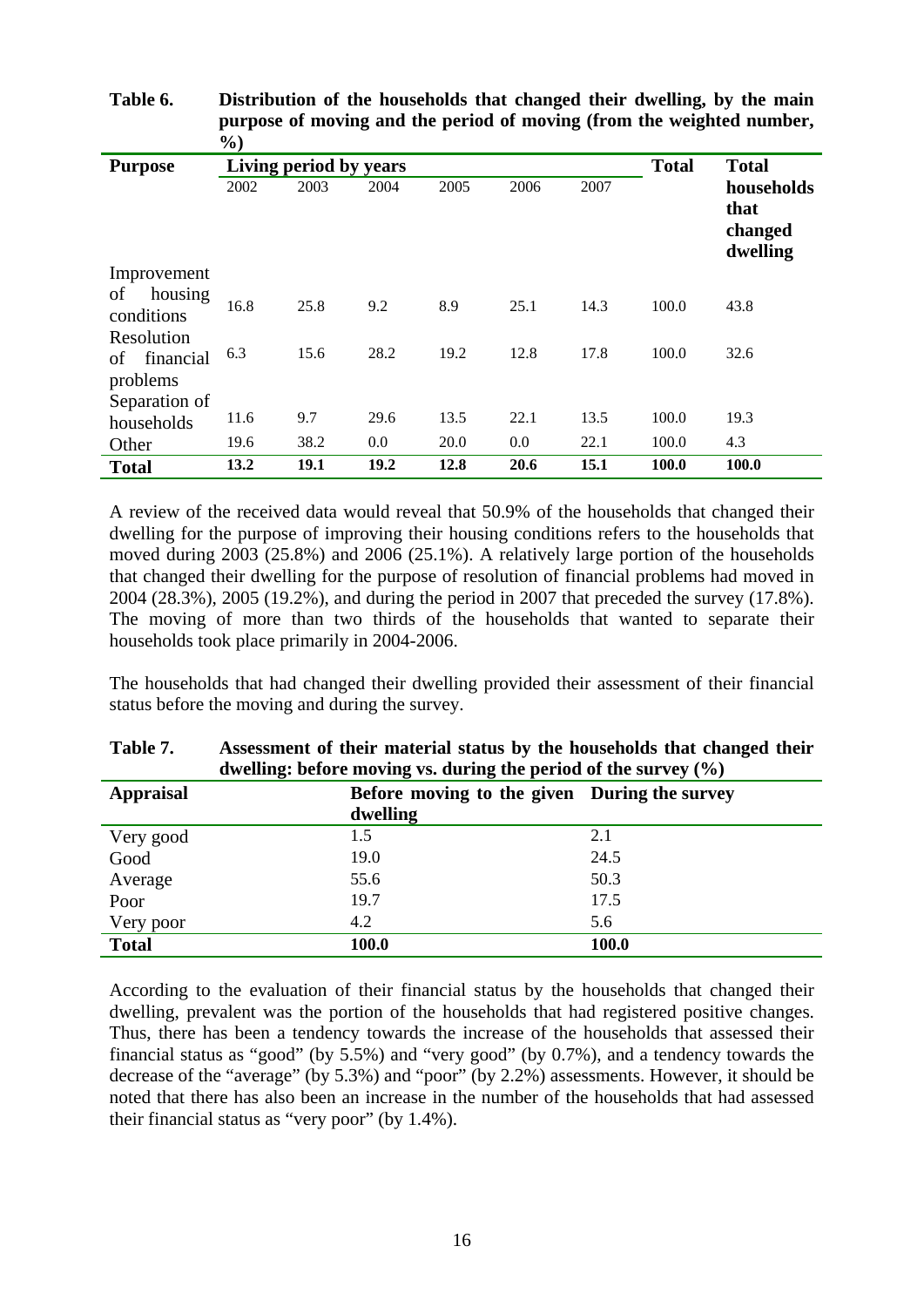|                                           | 70 J |                        |      |              |              |      |       |                                           |
|-------------------------------------------|------|------------------------|------|--------------|--------------|------|-------|-------------------------------------------|
| <b>Purpose</b>                            |      | Living period by years |      | <b>Total</b> | <b>Total</b> |      |       |                                           |
|                                           | 2002 | 2003                   | 2004 | 2005         | 2006         | 2007 |       | households<br>that<br>changed<br>dwelling |
| Improvement                               |      |                        |      |              |              |      |       |                                           |
| housing<br>οf<br>conditions               | 16.8 | 25.8                   | 9.2  | 8.9          | 25.1         | 14.3 | 100.0 | 43.8                                      |
| Resolution<br>financial<br>οf<br>problems | 6.3  | 15.6                   | 28.2 | 19.2         | 12.8         | 17.8 | 100.0 | 32.6                                      |
| Separation of                             |      |                        |      |              |              |      |       |                                           |
| households                                | 11.6 | 9.7                    | 29.6 | 13.5         | 22.1         | 13.5 | 100.0 | 19.3                                      |
| Other                                     | 19.6 | 38.2                   | 0.0  | 20.0         | 0.0          | 22.1 | 100.0 | 4.3                                       |
| <b>Total</b>                              | 13.2 | 19.1                   | 19.2 | 12.8         | 20.6         | 15.1 | 100.0 | 100.0                                     |

**Table 6. Distribution of the households that changed their dwelling, by the main purpose of moving and the period of moving (from the weighted number,**   $\mathbf{0}$ 

A review of the received data would reveal that 50.9% of the households that changed their dwelling for the purpose of improving their housing conditions refers to the households that moved during 2003 (25.8%) and 2006 (25.1%). A relatively large portion of the households that changed their dwelling for the purpose of resolution of financial problems had moved in 2004 (28.3%), 2005 (19.2%), and during the period in 2007 that preceded the survey (17.8%). The moving of more than two thirds of the households that wanted to separate their households took place primarily in 2004-2006.

The households that had changed their dwelling provided their assessment of their financial status before the moving and during the survey.

| Appraisal    | Before moving to the given During the survey |       |
|--------------|----------------------------------------------|-------|
|              | dwelling                                     |       |
| Very good    | 1.5                                          | 2.1   |
| Good         | 19.0                                         | 24.5  |
| Average      | 55.6                                         | 50.3  |
| Poor         | 19.7                                         | 17.5  |
| Very poor    | 4.2                                          | 5.6   |
| <b>Total</b> | 100.0                                        | 100.0 |

| Table 7. | Assessment of their material status by the households that changed their |
|----------|--------------------------------------------------------------------------|
|          | dwelling: before moving vs. during the period of the survey $(\%$ )      |

According to the evaluation of their financial status by the households that changed their dwelling, prevalent was the portion of the households that had registered positive changes. Thus, there has been a tendency towards the increase of the households that assessed their financial status as "good" (by 5.5%) and "very good" (by 0.7%), and a tendency towards the decrease of the "average" (by 5.3%) and "poor" (by 2.2%) assessments. However, it should be noted that there has also been an increase in the number of the households that had assessed their financial status as "very poor" (by 1.4%).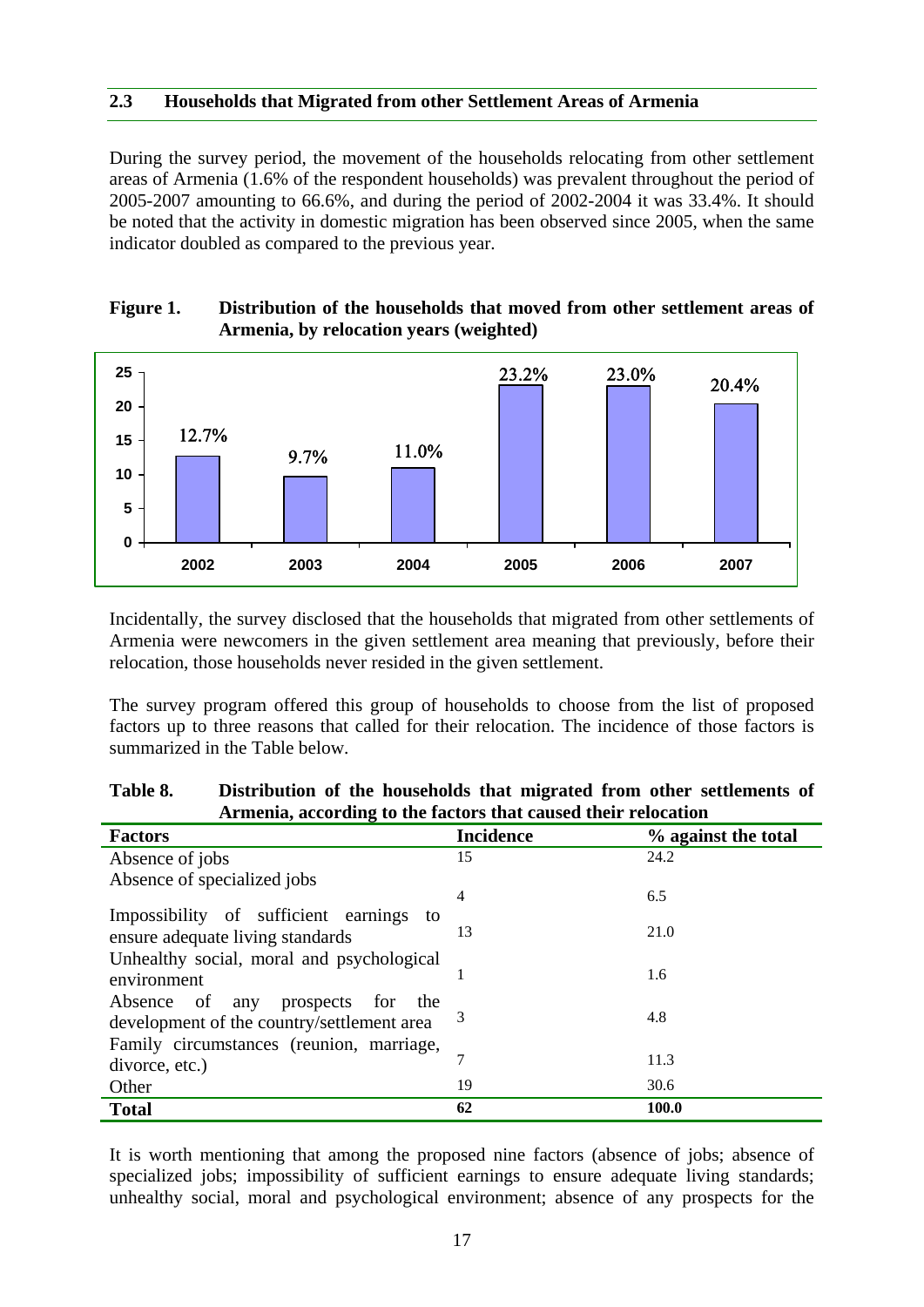#### **2.3 Households that Migrated from other Settlement Areas of Armenia**

During the survey period, the movement of the households relocating from other settlement areas of Armenia (1.6% of the respondent households) was prevalent throughout the period of 2005-2007 amounting to 66.6%, and during the period of 2002-2004 it was 33.4%. It should be noted that the activity in domestic migration has been observed since 2005, when the same indicator doubled as compared to the previous year.

#### **Figure 1. Distribution of the households that moved from other settlement areas of Armenia, by relocation years (weighted)**



Incidentally, the survey disclosed that the households that migrated from other settlements of Armenia were newcomers in the given settlement area meaning that previously, before their relocation, those households never resided in the given settlement.

The survey program offered this group of households to choose from the list of proposed factors up to three reasons that called for their relocation. The incidence of those factors is summarized in the Table below.

|                                                                                        | Armenia, according to the factors that caused their relocation |                     |  |  |  |  |  |
|----------------------------------------------------------------------------------------|----------------------------------------------------------------|---------------------|--|--|--|--|--|
| <b>Factors</b>                                                                         | <b>Incidence</b>                                               | % against the total |  |  |  |  |  |
| Absence of jobs                                                                        | 15                                                             | 24.2                |  |  |  |  |  |
| Absence of specialized jobs                                                            |                                                                |                     |  |  |  |  |  |
| Impossibility of sufficient earnings to                                                | 4                                                              | 6.5                 |  |  |  |  |  |
| ensure adequate living standards                                                       | 13                                                             | 21.0                |  |  |  |  |  |
| Unhealthy social, moral and psychological                                              |                                                                | 1.6                 |  |  |  |  |  |
| environment                                                                            |                                                                |                     |  |  |  |  |  |
| Absence of any<br>prospects for<br>the                                                 | 3                                                              | 4.8                 |  |  |  |  |  |
| development of the country/settlement area<br>Family circumstances (reunion, marriage, |                                                                |                     |  |  |  |  |  |
| divorce, etc.)                                                                         | 7                                                              | 11.3                |  |  |  |  |  |
| Other                                                                                  | 19                                                             | 30.6                |  |  |  |  |  |
| <b>Total</b>                                                                           | 62                                                             | 100.0               |  |  |  |  |  |

#### **Table 8. Distribution of the households that migrated from other settlements of Armenia, according to the factors that caused their relocation**

It is worth mentioning that among the proposed nine factors (absence of jobs; absence of specialized jobs; impossibility of sufficient earnings to ensure adequate living standards; unhealthy social, moral and psychological environment; absence of any prospects for the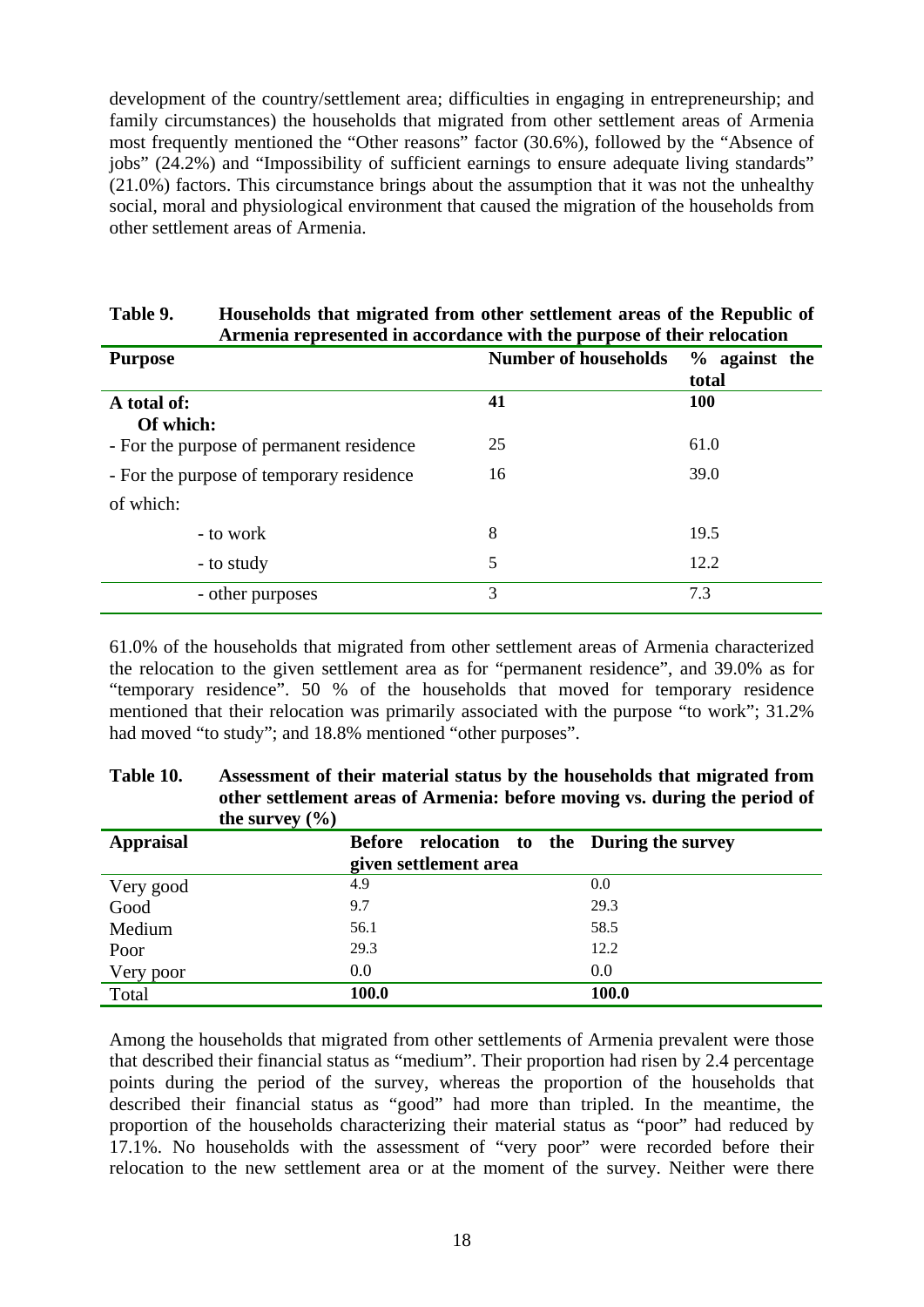development of the country/settlement area; difficulties in engaging in entrepreneurship; and family circumstances) the households that migrated from other settlement areas of Armenia most frequently mentioned the "Other reasons" factor (30.6%), followed by the "Absence of jobs" (24.2%) and "Impossibility of sufficient earnings to ensure adequate living standards" (21.0%) factors. This circumstance brings about the assumption that it was not the unhealthy social, moral and physiological environment that caused the migration of the households from other settlement areas of Armenia.

| Armenia represented in accordance with the purpose of their relocation |                             |                 |  |  |  |  |  |
|------------------------------------------------------------------------|-----------------------------|-----------------|--|--|--|--|--|
| <b>Purpose</b>                                                         | <b>Number of households</b> | $%$ against the |  |  |  |  |  |
|                                                                        |                             | total           |  |  |  |  |  |
| A total of:                                                            | 41                          | 100             |  |  |  |  |  |
| Of which:                                                              |                             |                 |  |  |  |  |  |
| - For the purpose of permanent residence                               | 25                          | 61.0            |  |  |  |  |  |
| - For the purpose of temporary residence                               | 16                          | 39.0            |  |  |  |  |  |
| of which:                                                              |                             |                 |  |  |  |  |  |
| - to work                                                              | 8                           | 19.5            |  |  |  |  |  |
| - to study                                                             | 5                           | 12.2            |  |  |  |  |  |
| - other purposes                                                       | 3                           | 7.3             |  |  |  |  |  |

#### Table 9. Households that migrated from other settlement areas of the Republic of **Armenia** represented in accordance with the purpose of their relocation <del>.</del><br>Arith the nurpo

61.0% of the households that migrated from other settlement areas of Armenia characterized the relocation to the given settlement area as for "permanent residence", and 39.0% as for "temporary residence". 50 % of the households that moved for temporary residence mentioned that their relocation was primarily associated with the purpose "to work"; 31.2% had moved "to study"; and 18.8% mentioned "other purposes".

| the survey $(\% )$ |                                            |       |
|--------------------|--------------------------------------------|-------|
| <b>Appraisal</b>   | Before relocation to the During the survey |       |
|                    | given settlement area                      |       |
| Very good          | 4.9                                        | 0.0   |
| Good               | 9.7                                        | 29.3  |
| Medium             | 56.1                                       | 58.5  |
| Poor               | 29.3                                       | 12.2  |
| Very poor          | 0.0                                        | 0.0   |
| Total              | 100.0                                      | 100.0 |

**Table 10. Assessment of their material status by the households that migrated from other settlement areas of Armenia: before moving vs. during the period of** 

Among the households that migrated from other settlements of Armenia prevalent were those that described their financial status as "medium". Their proportion had risen by 2.4 percentage points during the period of the survey, whereas the proportion of the households that described their financial status as "good" had more than tripled. In the meantime, the proportion of the households characterizing their material status as "poor" had reduced by 17.1%. No households with the assessment of "very poor" were recorded before their relocation to the new settlement area or at the moment of the survey. Neither were there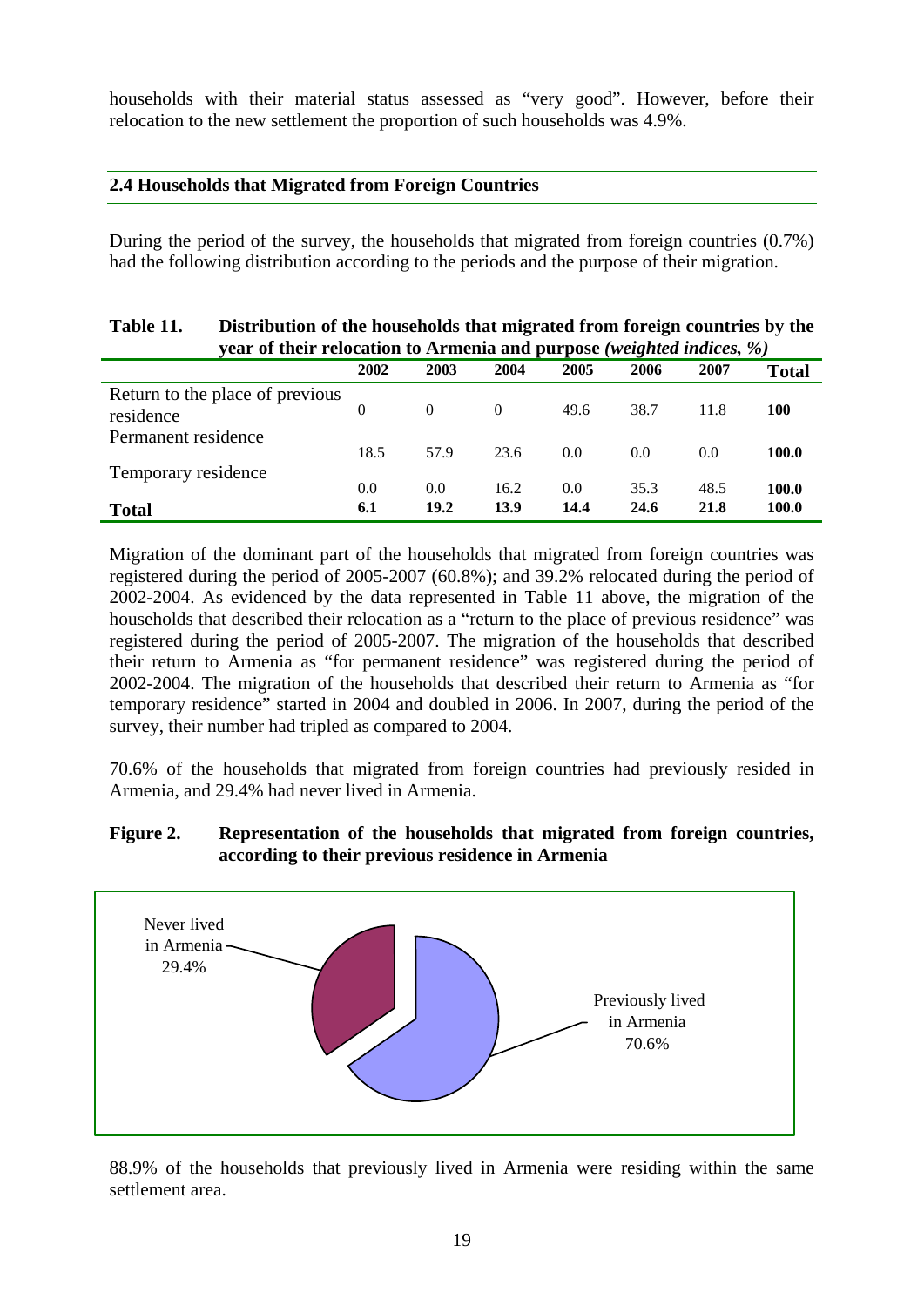households with their material status assessed as "very good". However, before their relocation to the new settlement the proportion of such households was 4.9%.

#### **2.4 Households that Migrated from Foreign Countries**

During the period of the survey, the households that migrated from foreign countries (0.7%) had the following distribution according to the periods and the purpose of their migration.

| Table 11.                                    | Distribution of the households that migrated from foreign countries by the<br>year of their relocation to Armenia and purpose (weighted indices, %) |          |          |      |      |      |              |  |  |
|----------------------------------------------|-----------------------------------------------------------------------------------------------------------------------------------------------------|----------|----------|------|------|------|--------------|--|--|
|                                              | 2002                                                                                                                                                | 2003     | 2004     | 2005 | 2006 | 2007 | <b>Total</b> |  |  |
| Return to the place of previous<br>residence | $\Omega$                                                                                                                                            | $\Omega$ | $\Omega$ | 49.6 | 38.7 | 11.8 | <b>100</b>   |  |  |
| Permanent residence                          | 18.5                                                                                                                                                | 57.9     | 23.6     | 0.0  | 0.0  | 0.0  | 100.0        |  |  |
| Temporary residence                          | 0.0                                                                                                                                                 | 0.0      | 16.2     | 0.0  | 35.3 | 48.5 | 100.0        |  |  |
| <b>Total</b>                                 | 6.1                                                                                                                                                 | 19.2     | 13.9     | 14.4 | 24.6 | 21.8 | 100.0        |  |  |

Migration of the dominant part of the households that migrated from foreign countries was registered during the period of 2005-2007 (60.8%); and 39.2% relocated during the period of 2002-2004. As evidenced by the data represented in Table 11 above, the migration of the households that described their relocation as a "return to the place of previous residence" was registered during the period of 2005-2007. The migration of the households that described their return to Armenia as "for permanent residence" was registered during the period of 2002-2004. The migration of the households that described their return to Armenia as "for temporary residence" started in 2004 and doubled in 2006. In 2007, during the period of the survey, their number had tripled as compared to 2004.

70.6% of the households that migrated from foreign countries had previously resided in Armenia, and 29.4% had never lived in Armenia.

#### **Figure 2. Representation of the households that migrated from foreign countries, according to their previous residence in Armenia**



88.9% of the households that previously lived in Armenia were residing within the same settlement area.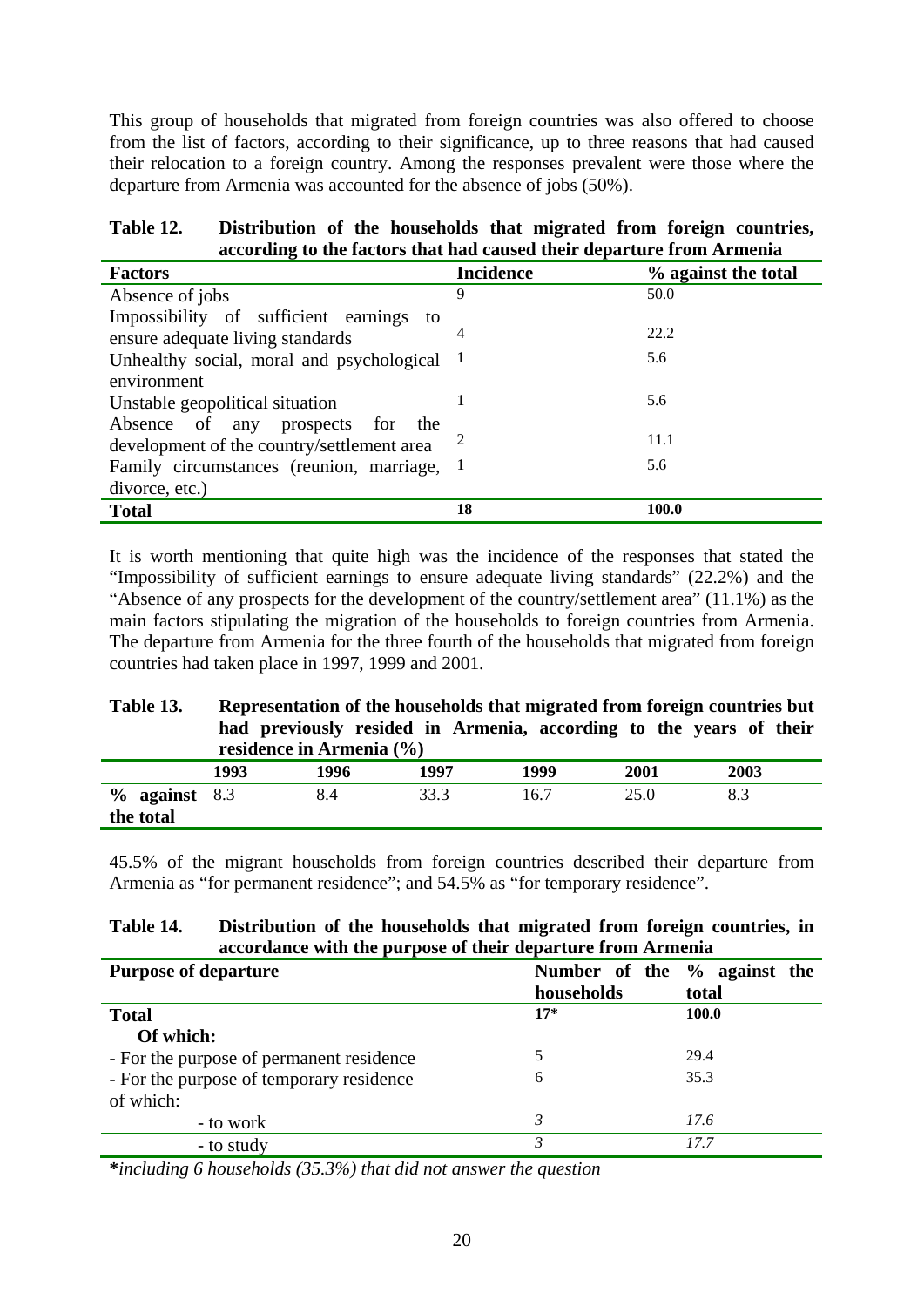This group of households that migrated from foreign countries was also offered to choose from the list of factors, according to their significance, up to three reasons that had caused their relocation to a foreign country. Among the responses prevalent were those where the departure from Armenia was accounted for the absence of jobs (50%).

#### **Table 12. Distribution of the households that migrated from foreign countries, according to the factors that had caused their departure from Armenia**

| <b>Factors</b>                              | <b>Incidence</b> | % against the total |
|---------------------------------------------|------------------|---------------------|
| Absence of jobs                             | 9                | 50.0                |
| Impossibility of sufficient earnings to     |                  |                     |
| ensure adequate living standards            |                  | 22.2                |
| Unhealthy social, moral and psychological 1 |                  | 5.6                 |
| environment                                 |                  |                     |
| Unstable geopolitical situation             |                  | 5.6                 |
| Absence of any prospects for the            |                  |                     |
| development of the country/settlement area  |                  | 11.1                |
| Family circumstances (reunion, marriage, 1  |                  | 5.6                 |
| divorce, etc.)                              |                  |                     |
| <b>Total</b>                                | 18               | 100.0               |

It is worth mentioning that quite high was the incidence of the responses that stated the "Impossibility of sufficient earnings to ensure adequate living standards" (22.2%) and the "Absence of any prospects for the development of the country/settlement area" (11.1%) as the main factors stipulating the migration of the households to foreign countries from Armenia. The departure from Armenia for the three fourth of the households that migrated from foreign countries had taken place in 1997, 1999 and 2001.

#### **Table 13. Representation of the households that migrated from foreign countries but had previously resided in Armenia, according to the years of their residence in Armenia (%)**

|                               | residence in Armema (*/0) |      |      |      |      |      |  |  |  |
|-------------------------------|---------------------------|------|------|------|------|------|--|--|--|
|                               | 1993                      | 1996 | 1997 | 1999 | 2001 | 2003 |  |  |  |
| $\%$ against 8.3<br>the total |                           |      | 33.3 | 16.7 |      | 8.3  |  |  |  |

45.5% of the migrant households from foreign countries described their departure from Armenia as "for permanent residence"; and 54.5% as "for temporary residence".

# **Table 14. Distribution of the households that migrated from foreign countries, in accordance with the purpose of their departure from Armenia**

| <b>Purpose of departure</b>              | Number of the % against the |       |
|------------------------------------------|-----------------------------|-------|
|                                          | households                  | total |
| <b>Total</b>                             | $17*$                       | 100.0 |
| Of which:                                |                             |       |
| - For the purpose of permanent residence |                             | 29.4  |
| - For the purpose of temporary residence | 6                           | 35.3  |
| of which:                                |                             |       |
| - to work                                |                             | 17.6  |
| - to study                               |                             | 17.7  |

**\****including 6 households (35.3%) that did not answer the question*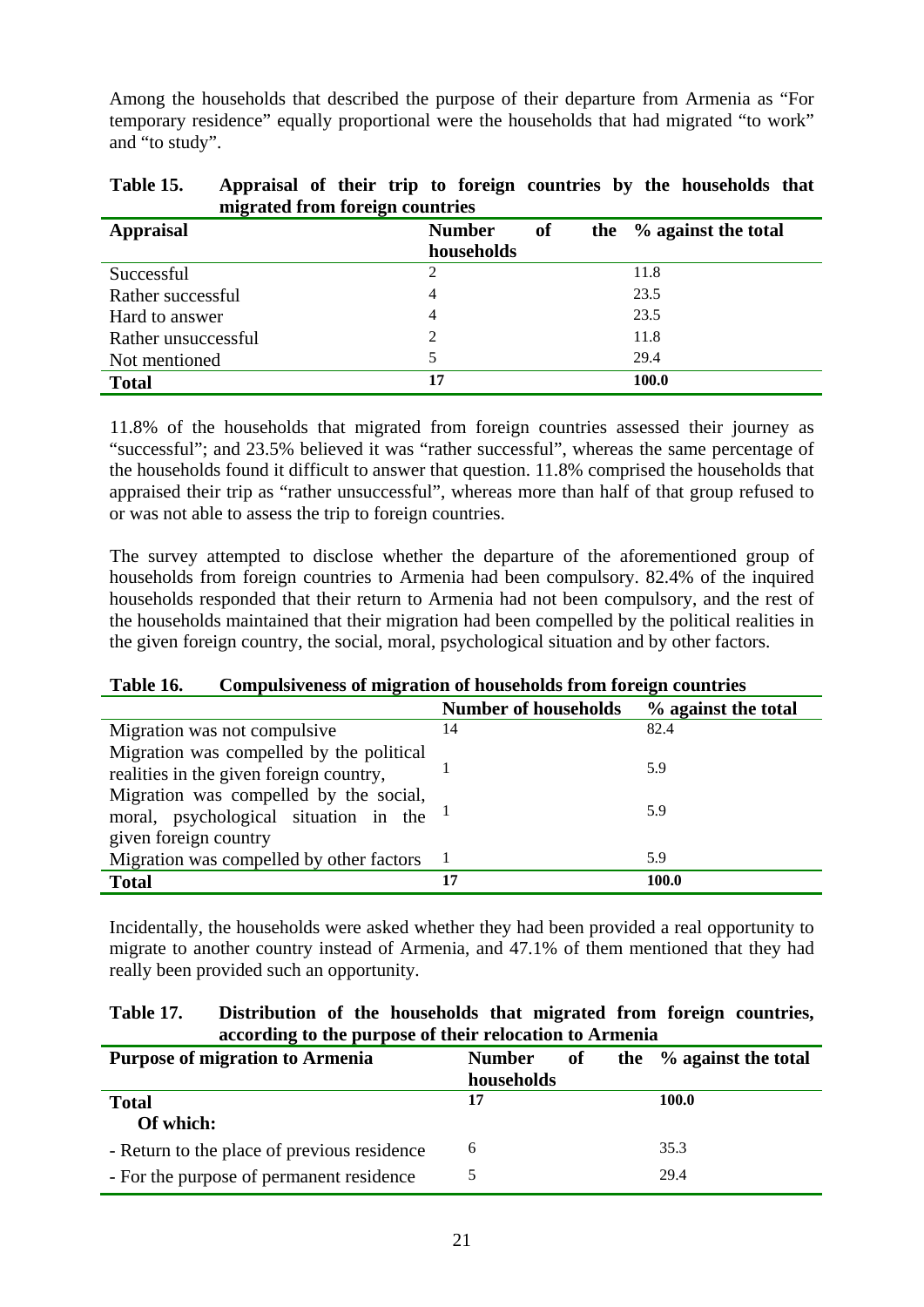Among the households that described the purpose of their departure from Armenia as "For temporary residence" equally proportional were the households that had migrated "to work" and "to study".

| migrated from foreign countries |               |           |  |                            |  |  |  |
|---------------------------------|---------------|-----------|--|----------------------------|--|--|--|
| <b>Appraisal</b>                | <b>Number</b> | <b>of</b> |  | the $\%$ against the total |  |  |  |
|                                 | households    |           |  |                            |  |  |  |
| Successful                      | 2             |           |  | 11.8                       |  |  |  |
| Rather successful               | 4             |           |  | 23.5                       |  |  |  |
| Hard to answer                  | 4             |           |  | 23.5                       |  |  |  |
| Rather unsuccessful             | 2             |           |  | 11.8                       |  |  |  |
| Not mentioned                   |               |           |  | 29.4                       |  |  |  |
| <b>Total</b>                    | 17            |           |  | 100.0                      |  |  |  |

| Table 15.                       |  |  |  |  |  |  |  | Appraisal of their trip to foreign countries by the households that |  |
|---------------------------------|--|--|--|--|--|--|--|---------------------------------------------------------------------|--|
| migrated from foreign countries |  |  |  |  |  |  |  |                                                                     |  |

11.8% of the households that migrated from foreign countries assessed their journey as "successful"; and 23.5% believed it was "rather successful", whereas the same percentage of the households found it difficult to answer that question. 11.8% comprised the households that appraised their trip as "rather unsuccessful", whereas more than half of that group refused to or was not able to assess the trip to foreign countries.

The survey attempted to disclose whether the departure of the aforementioned group of households from foreign countries to Armenia had been compulsory. 82.4% of the inquired households responded that their return to Armenia had not been compulsory, and the rest of the households maintained that their migration had been compelled by the political realities in the given foreign country, the social, moral, psychological situation and by other factors.

| Table 16. |  | Compulsiveness of migration of households from foreign countries |
|-----------|--|------------------------------------------------------------------|
|-----------|--|------------------------------------------------------------------|

|                                           | <b>Number of households</b> | % against the total |
|-------------------------------------------|-----------------------------|---------------------|
| Migration was not compulsive.             | 14                          | 82.4                |
| Migration was compelled by the political  |                             |                     |
| realities in the given foreign country,   |                             | 5.9                 |
| Migration was compelled by the social,    |                             |                     |
| moral, psychological situation in the $1$ |                             | 5.9                 |
| given foreign country                     |                             |                     |
| Migration was compelled by other factors  |                             | 5.9                 |
| <b>Total</b>                              | 17                          | 100.0               |

Incidentally, the households were asked whether they had been provided a real opportunity to migrate to another country instead of Armenia, and 47.1% of them mentioned that they had really been provided such an opportunity.

| Table 17. | Distribution of the households that migrated from foreign countries, |  |  |  |  |
|-----------|----------------------------------------------------------------------|--|--|--|--|
|           | according to the purpose of their relocation to Armenia              |  |  |  |  |

| <b>Purpose of migration to Armenia</b>      | <b>Number</b><br>of | the % against the total |
|---------------------------------------------|---------------------|-------------------------|
|                                             | households          |                         |
| <b>Total</b>                                | 17                  | 100.0                   |
| Of which:                                   |                     |                         |
| - Return to the place of previous residence | 6                   | 35.3                    |
| - For the purpose of permanent residence    |                     | 29.4                    |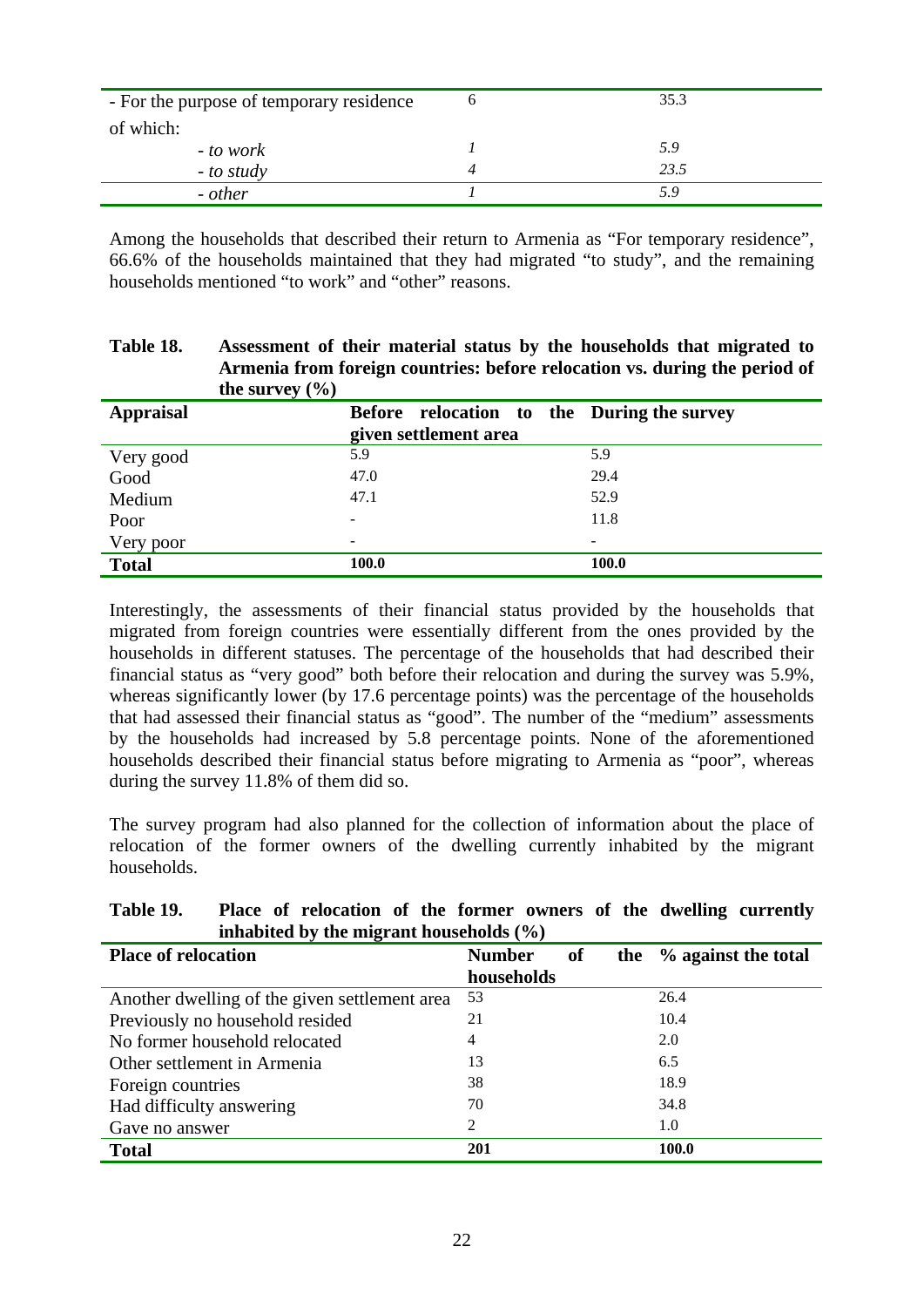| - For the purpose of temporary residence | 35.3 |
|------------------------------------------|------|
| of which:                                |      |
| <i>- to work</i>                         | 5.9  |
| $-$ to study                             | 23.5 |
| - other                                  | 5.9  |

Among the households that described their return to Armenia as "For temporary residence", 66.6% of the households maintained that they had migrated "to study", and the remaining households mentioned "to work" and "other" reasons.

**Table 18. Assessment of their material status by the households that migrated to** 

| the survey $(\% )$ | Armenia from foreign countries: before relocation vs. during the period of |       |
|--------------------|----------------------------------------------------------------------------|-------|
| <b>Appraisal</b>   | Before relocation to the During the survey<br>given settlement area        |       |
|                    |                                                                            |       |
| Very good          | 5.9                                                                        | 5.9   |
| Good               | 47.0                                                                       | 29.4  |
| Medium             | 47.1                                                                       | 52.9  |
| Poor               |                                                                            | 11.8  |
| Very poor          |                                                                            |       |
| <b>Total</b>       | 100.0                                                                      | 100.0 |

Interestingly, the assessments of their financial status provided by the households that migrated from foreign countries were essentially different from the ones provided by the households in different statuses. The percentage of the households that had described their financial status as "very good" both before their relocation and during the survey was 5.9%, whereas significantly lower (by 17.6 percentage points) was the percentage of the households that had assessed their financial status as "good". The number of the "medium" assessments by the households had increased by 5.8 percentage points. None of the aforementioned households described their financial status before migrating to Armenia as "poor", whereas during the survey 11.8% of them did so.

The survey program had also planned for the collection of information about the place of relocation of the former owners of the dwelling currently inhabited by the migrant households.

| inhabited by the migrant households $(\%)$    |                     |                         |  |  |  |  |
|-----------------------------------------------|---------------------|-------------------------|--|--|--|--|
| <b>Place of relocation</b>                    | <b>Number</b><br>of | the % against the total |  |  |  |  |
|                                               | households          |                         |  |  |  |  |
| Another dwelling of the given settlement area | 53                  | 26.4                    |  |  |  |  |
| Previously no household resided               | 21                  | 10.4                    |  |  |  |  |
| No former household relocated                 | 4                   | 2.0                     |  |  |  |  |
| Other settlement in Armenia                   | 13                  | 6.5                     |  |  |  |  |
| Foreign countries                             | 38                  | 18.9                    |  |  |  |  |
| Had difficulty answering                      | 70                  | 34.8                    |  |  |  |  |
| Gave no answer                                | 2                   | 1.0                     |  |  |  |  |
| <b>Total</b>                                  | 201                 | 100.0                   |  |  |  |  |

# **Table 19. Place of relocation of the former owners of the dwelling currently**   $\frac{1}{2}$  and  $\frac{1}{2}$  **i**  $\frac{1}{2}$  **i**  $\frac{1}{2}$  **i**  $\frac{1}{2}$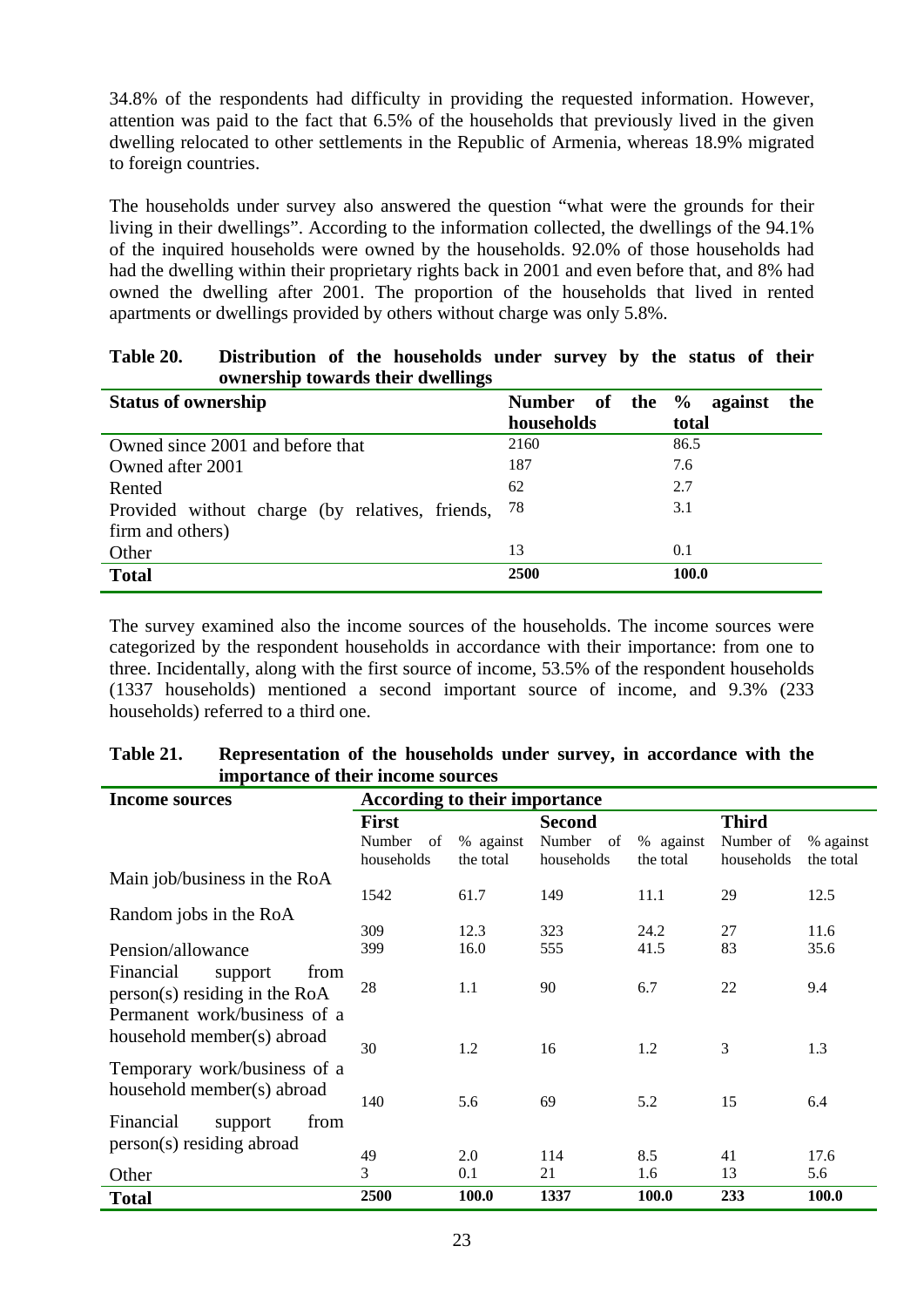34.8% of the respondents had difficulty in providing the requested information. However, attention was paid to the fact that 6.5% of the households that previously lived in the given dwelling relocated to other settlements in the Republic of Armenia, whereas 18.9% migrated to foreign countries.

The households under survey also answered the question "what were the grounds for their living in their dwellings". According to the information collected, the dwellings of the 94.1% of the inquired households were owned by the households. 92.0% of those households had had the dwelling within their proprietary rights back in 2001 and even before that, and 8% had owned the dwelling after 2001. The proportion of the households that lived in rented apartments or dwellings provided by others without charge was only 5.8%.

| ownership towards their dwellings               |                            |                     |
|-------------------------------------------------|----------------------------|---------------------|
| <b>Status of ownership</b>                      | of<br><b>Number</b><br>the | $\%$ against<br>the |
|                                                 | households                 | total               |
| Owned since 2001 and before that                | 2160                       | 86.5                |
| Owned after 2001                                | 187                        | 7.6                 |
| Rented                                          | 62                         | 2.7                 |
| Provided without charge (by relatives, friends, | 78                         | 3.1                 |
| firm and others)                                |                            |                     |
| Other                                           | 13                         | 0.1                 |
| <b>Total</b>                                    | 2500                       | 100.0               |

**Table 20. Distribution of the households under survey by the status of their ownership towards their dwellings** 

The survey examined also the income sources of the households. The income sources were categorized by the respondent households in accordance with their importance: from one to three. Incidentally, along with the first source of income, 53.5% of the respondent households (1337 households) mentioned a second important source of income, and 9.3% (233 households) referred to a third one.

| Table 21. | Representation of the households under survey, in accordance with the |
|-----------|-----------------------------------------------------------------------|
|           | importance of their income sources                                    |

| Income sources                | According to their importance |           |               |           |              |           |
|-------------------------------|-------------------------------|-----------|---------------|-----------|--------------|-----------|
|                               | <b>First</b>                  |           | <b>Second</b> |           | <b>Third</b> |           |
|                               | Number<br>of                  | % against | Number<br>of  | % against | Number of    | % against |
|                               | households                    | the total | households    | the total | households   | the total |
| Main job/business in the RoA  |                               |           |               |           |              |           |
|                               | 1542                          | 61.7      | 149           | 11.1      | 29           | 12.5      |
| Random jobs in the RoA        |                               |           |               |           |              |           |
|                               | 309                           | 12.3      | 323           | 24.2      | 27           | 11.6      |
| Pension/allowance             | 399                           | 16.0      | 555           | 41.5      | 83           | 35.6      |
| Financial<br>from<br>support  |                               |           |               |           |              |           |
| person(s) residing in the RoA | 28                            | 1.1       | 90            | 6.7       | 22           | 9.4       |
| Permanent work/business of a  |                               |           |               |           |              |           |
| household member(s) abroad    |                               |           |               |           |              |           |
|                               | 30                            | 1.2       | 16            | 1.2       | 3            | 1.3       |
| Temporary work/business of a  |                               |           |               |           |              |           |
| household member(s) abroad    |                               |           |               |           |              |           |
|                               | 140                           | 5.6       | 69            | 5.2       | 15           | 6.4       |
| Financial<br>from<br>support  |                               |           |               |           |              |           |
| person(s) residing abroad     |                               |           |               |           |              |           |
|                               | 49                            | 2.0       | 114           | 8.5       | 41           | 17.6      |
| Other                         | 3                             | 0.1       | 21            | 1.6       | 13           | 5.6       |
| <b>Total</b>                  | 2500                          | 100.0     | 1337          | 100.0     | 233          | 100.0     |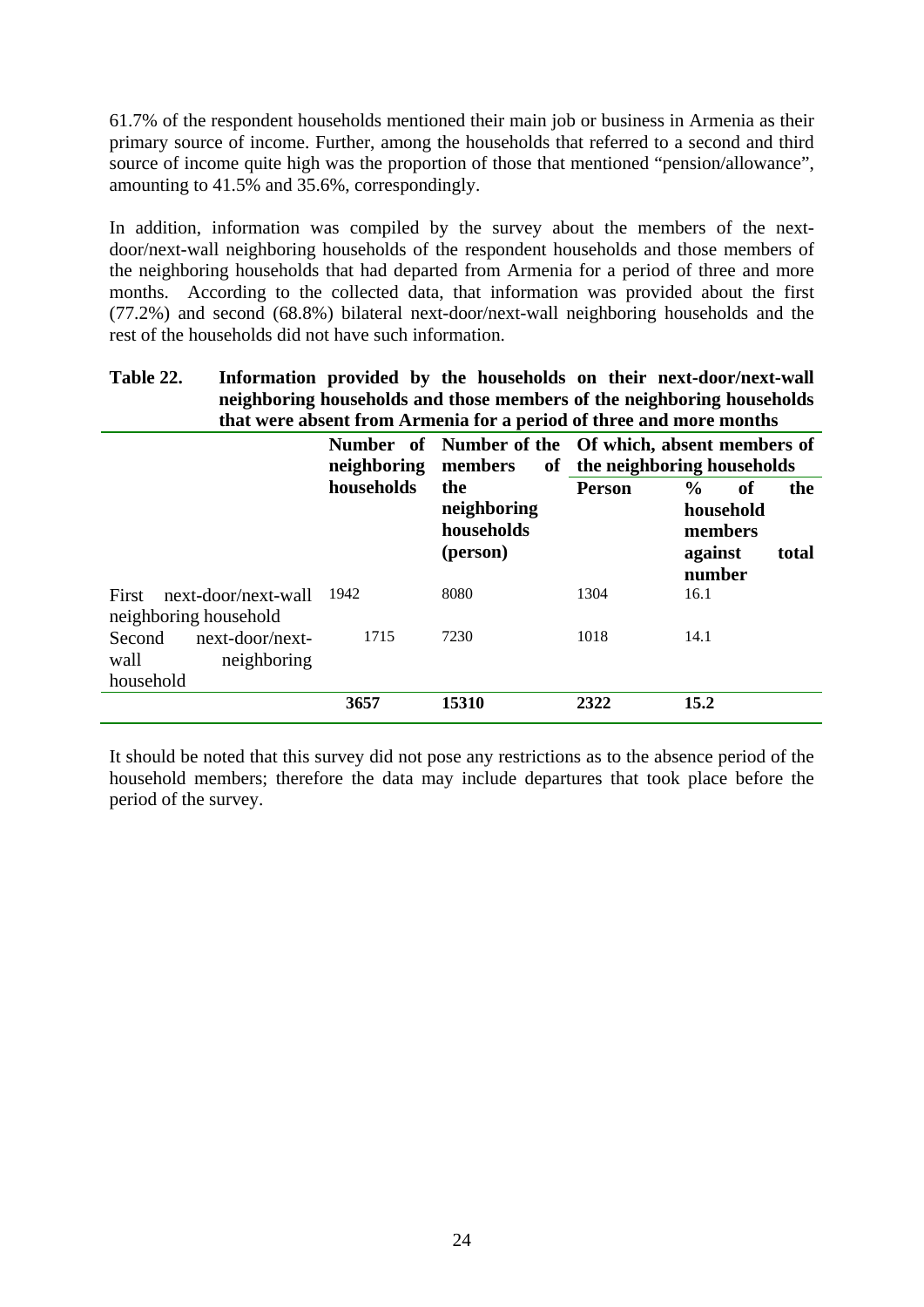61.7% of the respondent households mentioned their main job or business in Armenia as their primary source of income. Further, among the households that referred to a second and third source of income quite high was the proportion of those that mentioned "pension/allowance", amounting to 41.5% and 35.6%, correspondingly.

In addition, information was compiled by the survey about the members of the nextdoor/next-wall neighboring households of the respondent households and those members of the neighboring households that had departed from Armenia for a period of three and more months. According to the collected data, that information was provided about the first (77.2%) and second (68.8%) bilateral next-door/next-wall neighboring households and the rest of the households did not have such information.

#### **Table 22. Information provided by the households on their next-door/next-wall neighboring households and those members of the neighboring households that were absent from Armenia for a period of three and more months**

|                                                               | neighboring | members                                      | Number of Number of the Of which, absent members of<br>of the neighboring households |                                                                                  |  |  |
|---------------------------------------------------------------|-------------|----------------------------------------------|--------------------------------------------------------------------------------------|----------------------------------------------------------------------------------|--|--|
|                                                               | households  | the<br>neighboring<br>households<br>(person) | <b>Person</b>                                                                        | $\frac{0}{0}$<br>of<br>the<br>household<br>members<br>against<br>total<br>number |  |  |
| next-door/next-wall<br>First<br>neighboring household         | 1942        | 8080                                         | 1304                                                                                 | 16.1                                                                             |  |  |
| next-door/next-<br>Second<br>wall<br>neighboring<br>household | 1715        | 7230                                         | 1018                                                                                 | 14.1                                                                             |  |  |
|                                                               | 3657        | 15310                                        | 2322                                                                                 | 15.2                                                                             |  |  |

It should be noted that this survey did not pose any restrictions as to the absence period of the household members; therefore the data may include departures that took place before the period of the survey.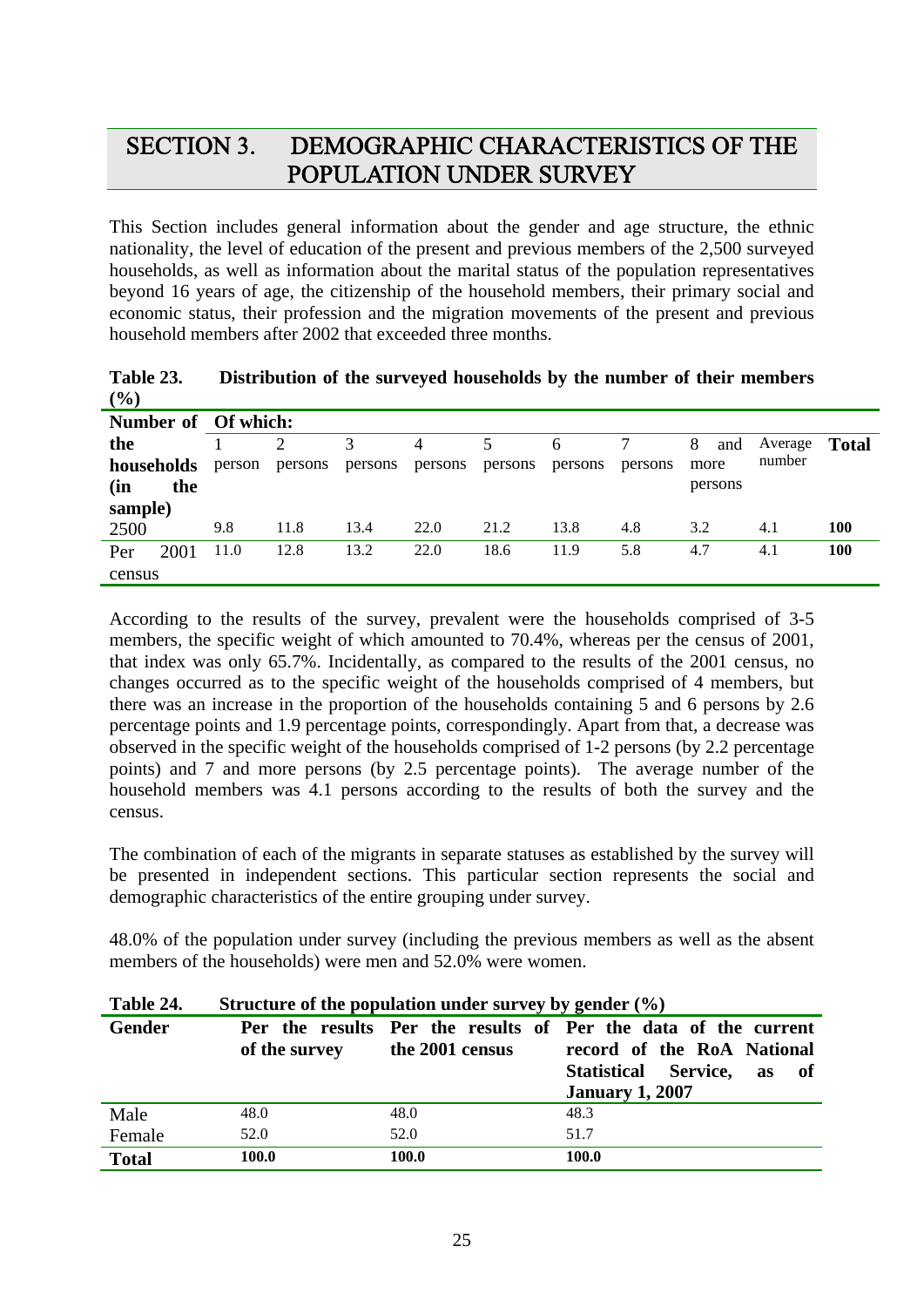# SECTION 3. DEMOGRAPHIC CHARACTERISTICS OF THE POPULATION UNDER SURVEY

This Section includes general information about the gender and age structure, the ethnic nationality, the level of education of the present and previous members of the 2,500 surveyed households, as well as information about the marital status of the population representatives beyond 16 years of age, the citizenship of the household members, their primary social and economic status, their profession and the migration movements of the present and previous household members after 2002 that exceeded three months.

| Table 23. | Distribution of the surveyed households by the number of their members |
|-----------|------------------------------------------------------------------------|
| (%)       |                                                                        |

|            |      | Number of Of which: |         |         |         |         |         |         |          |         |              |
|------------|------|---------------------|---------|---------|---------|---------|---------|---------|----------|---------|--------------|
| the        |      |                     |         |         | 4       | 5       | 6       |         | 8<br>and | Average | <b>Total</b> |
| households |      | person              | persons | persons | persons | persons | persons | persons | more     | number  |              |
| (in        | the  |                     |         |         |         |         |         |         | persons  |         |              |
| sample)    |      |                     |         |         |         |         |         |         |          |         |              |
| 2500       |      | 9.8                 | 11.8    | 13.4    | 22.0    | 21.2    | 13.8    | 4.8     | 3.2      | 4.1     | <b>100</b>   |
| Per        | 2001 | 11.0                | 12.8    | 13.2    | 22.0    | 18.6    | 11.9    | 5.8     | 4.7      | 4.1     | 100          |
| census     |      |                     |         |         |         |         |         |         |          |         |              |

According to the results of the survey, prevalent were the households comprised of 3-5 members, the specific weight of which amounted to 70.4%, whereas per the census of 2001, that index was only 65.7%. Incidentally, as compared to the results of the 2001 census, no changes occurred as to the specific weight of the households comprised of 4 members, but there was an increase in the proportion of the households containing 5 and 6 persons by 2.6 percentage points and 1.9 percentage points, correspondingly. Apart from that, a decrease was observed in the specific weight of the households comprised of 1-2 persons (by 2.2 percentage points) and 7 and more persons (by 2.5 percentage points). The average number of the household members was 4.1 persons according to the results of both the survey and the census.

The combination of each of the migrants in separate statuses as established by the survey will be presented in independent sections. This particular section represents the social and demographic characteristics of the entire grouping under survey.

48.0% of the population under survey (including the previous members as well as the absent members of the households) were men and 52.0% were women.

| Table 24.    | Structure of the population under survey by gender $(\%)$ |                 |                                                                                                                                                      |  |  |  |  |
|--------------|-----------------------------------------------------------|-----------------|------------------------------------------------------------------------------------------------------------------------------------------------------|--|--|--|--|
| Gender       | of the survey                                             | the 2001 census | Per the results Per the results of Per the data of the current<br>record of the RoA National<br>Statistical Service, as of<br><b>January 1, 2007</b> |  |  |  |  |
| Male         | 48.0                                                      | 48.0            | 48.3                                                                                                                                                 |  |  |  |  |
| Female       | 52.0                                                      | 52.0            | 51.7                                                                                                                                                 |  |  |  |  |
| <b>Total</b> | 100.0                                                     | 100.0           | 100.0                                                                                                                                                |  |  |  |  |

**Table 24. Structure of the population under survey by gender (%)**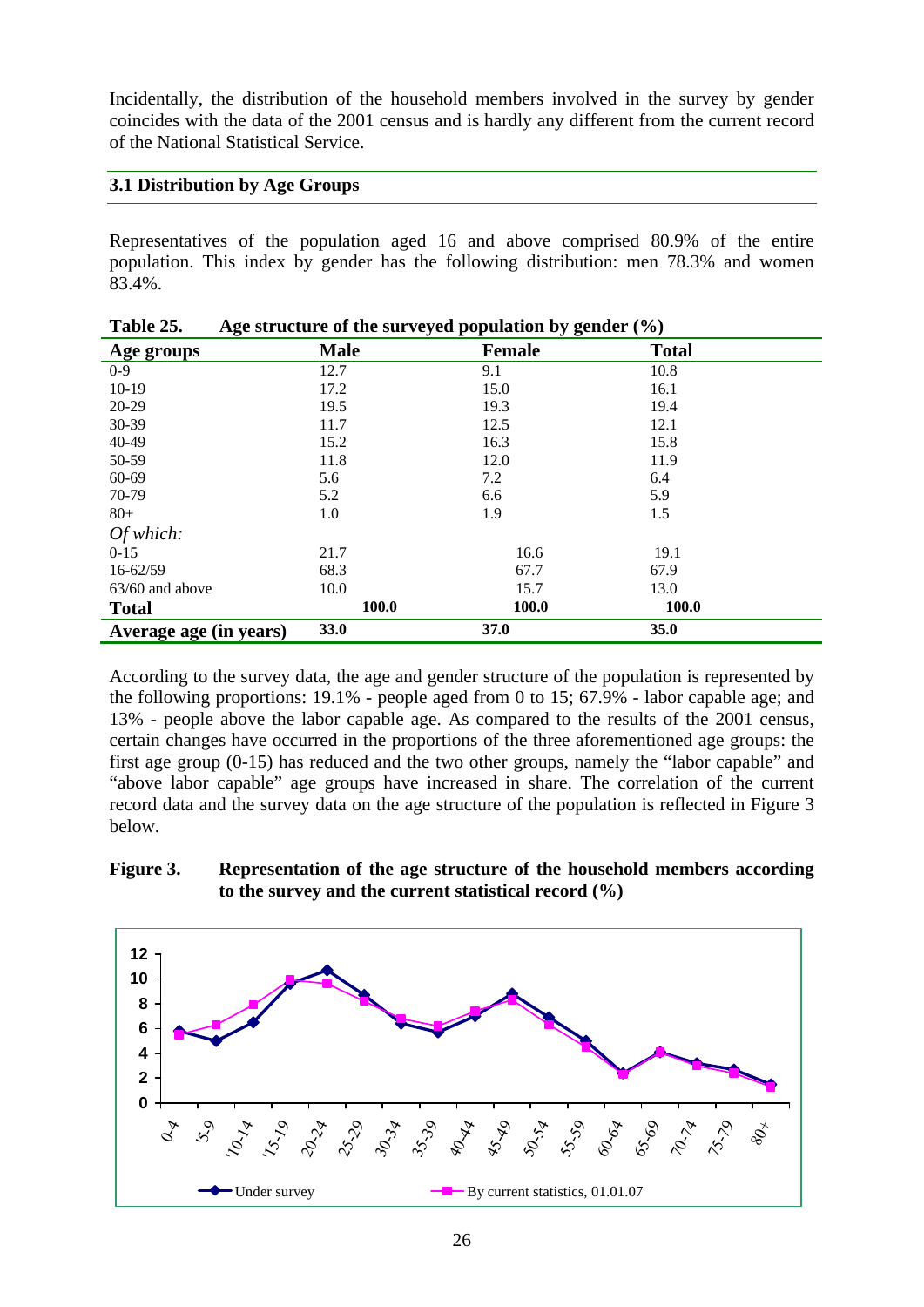Incidentally, the distribution of the household members involved in the survey by gender coincides with the data of the 2001 census and is hardly any different from the current record of the National Statistical Service.

# **3.1 Distribution by Age Groups**

Representatives of the population aged 16 and above comprised 80.9% of the entire population. This index by gender has the following distribution: men 78.3% and women 83.4%.

| -ə-<br>Age groups      | <b>Male</b> | <u>"J 8"</u><br><b>Female</b> | $\cdots$<br><b>Total</b> |
|------------------------|-------------|-------------------------------|--------------------------|
| $0 - 9$                | 12.7        | 9.1                           | 10.8                     |
| $10-19$                | 17.2        | 15.0                          | 16.1                     |
| 20-29                  | 19.5        | 19.3                          | 19.4                     |
| 30-39                  | 11.7        | 12.5                          | 12.1                     |
| 40-49                  | 15.2        | 16.3                          | 15.8                     |
| 50-59                  | 11.8        | 12.0                          | 11.9                     |
| 60-69                  | 5.6         | 7.2                           | 6.4                      |
| 70-79                  | 5.2         | 6.6                           | 5.9                      |
| $80 +$                 | 1.0         | 1.9                           | 1.5                      |
| Of which:              |             |                               |                          |
| $0-15$                 | 21.7        | 16.6                          | 19.1                     |
| $16 - 62/59$           | 68.3        | 67.7                          | 67.9                     |
| $63/60$ and above      | 10.0        | 15.7                          | 13.0                     |
| <b>Total</b>           | 100.0       | 100.0                         | 100.0                    |
| Average age (in years) | <b>33.0</b> | <b>37.0</b>                   | 35.0                     |

| Table 25. | Age structure of the surveyed population by gender $(\% )$ |  |
|-----------|------------------------------------------------------------|--|
|           |                                                            |  |

According to the survey data, the age and gender structure of the population is represented by the following proportions: 19.1% - people aged from 0 to 15; 67.9% - labor capable age; and 13% - people above the labor capable age. As compared to the results of the 2001 census, certain changes have occurred in the proportions of the three aforementioned age groups: the first age group (0-15) has reduced and the two other groups, namely the "labor capable" and "above labor capable" age groups have increased in share. The correlation of the current record data and the survey data on the age structure of the population is reflected in Figure 3 below.

#### **Figure 3. Representation of the age structure of the household members according to the survey and the current statistical record (%)**

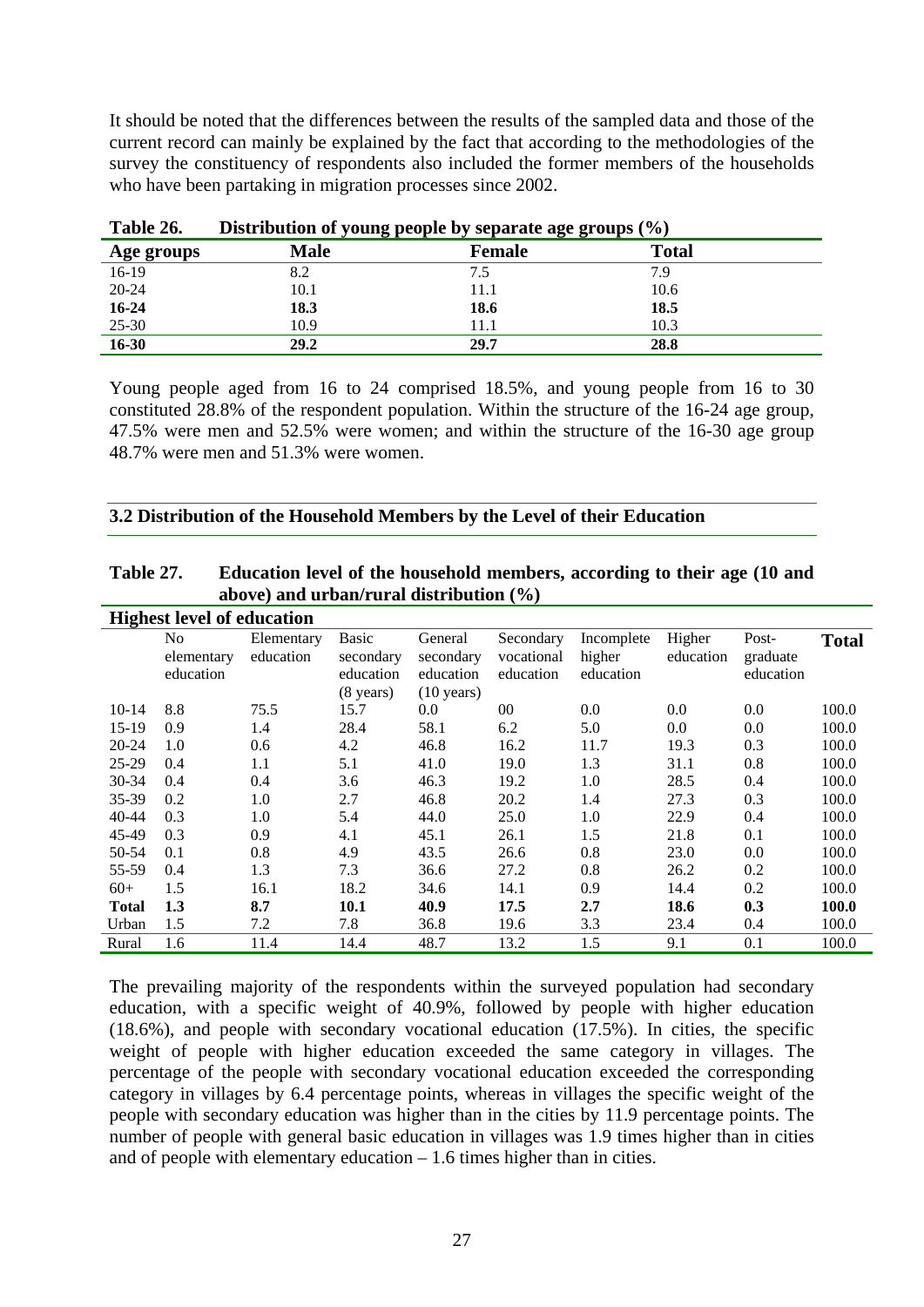It should be noted that the differences between the results of the sampled data and those of the current record can mainly be explained by the fact that according to the methodologies of the survey the constituency of respondents also included the former members of the households who have been partaking in migration processes since 2002.

| Table 26.  | Distribution of young people by separate age groups (%) |               |       |  |  |
|------------|---------------------------------------------------------|---------------|-------|--|--|
| Age groups | Male                                                    | <b>Female</b> | Total |  |  |
| 16-19      | 8.2                                                     | 7.5           | 7.9   |  |  |
| $20 - 24$  | 10.1                                                    | 11.1          | 10.6  |  |  |
| $16 - 24$  | 18.3                                                    | 18.6          | 18.5  |  |  |
| 25-30      | 10.9                                                    | 11.1          | 10.3  |  |  |
| 16-30      | 29.2                                                    | 29.7          | 28.8  |  |  |

| Table 26. | Distribution of young people by separate age groups (%) |
|-----------|---------------------------------------------------------|
|-----------|---------------------------------------------------------|

Young people aged from 16 to 24 comprised 18.5%, and young people from 16 to 30 constituted 28.8% of the respondent population. Within the structure of the 16-24 age group, 47.5% were men and 52.5% were women; and within the structure of the 16-30 age group 48.7% were men and 51.3% were women.

**3.2 Distribution of the Household Members by the Level of their Education** 

|              | <b>Highest level of education</b> |            |                                               |                                                |                         |                     |           |                       |              |
|--------------|-----------------------------------|------------|-----------------------------------------------|------------------------------------------------|-------------------------|---------------------|-----------|-----------------------|--------------|
|              | No                                | Elementary | <b>Basic</b>                                  | General                                        | Secondary               | Incomplete          | Higher    | Post-                 | <b>Total</b> |
|              | elementary<br>education           | education  | secondary<br>education<br>$(8 \text{ years})$ | secondary<br>education<br>$(10 \text{ years})$ | vocational<br>education | higher<br>education | education | graduate<br>education |              |
| $10-14$      | 8.8                               | 75.5       | 15.7                                          | 0.0                                            | 00 <sup>1</sup>         | 0.0                 | 0.0       | 0.0                   | 100.0        |
| $15-19$      | 0.9                               | 1.4        | 28.4                                          | 58.1                                           | 6.2                     | 5.0                 | 0.0       | 0.0                   | 100.0        |
| $20 - 24$    | 1.0                               | 0.6        | 4.2                                           | 46.8                                           | 16.2                    | 11.7                | 19.3      | 0.3                   | 100.0        |
| $25-29$      | 0.4                               | 1.1        | 5.1                                           | 41.0                                           | 19.0                    | 1.3                 | 31.1      | 0.8                   | 100.0        |
| $30 - 34$    | 0.4                               | 0.4        | 3.6                                           | 46.3                                           | 19.2                    | 1.0                 | 28.5      | 0.4                   | 100.0        |
| 35-39        | 0.2                               | 1.0        | 2.7                                           | 46.8                                           | 20.2                    | 1.4                 | 27.3      | 0.3                   | 100.0        |
| 40-44        | 0.3                               | 1.0        | 5.4                                           | 44.0                                           | 25.0                    | 1.0                 | 22.9      | 0.4                   | 100.0        |
| 45-49        | 0.3                               | 0.9        | 4.1                                           | 45.1                                           | 26.1                    | 1.5                 | 21.8      | 0.1                   | 100.0        |
| 50-54        | 0.1                               | 0.8        | 4.9                                           | 43.5                                           | 26.6                    | 0.8                 | 23.0      | 0.0                   | 100.0        |
| 55-59        | 0.4                               | 1.3        | 7.3                                           | 36.6                                           | 27.2                    | 0.8                 | 26.2      | 0.2                   | 100.0        |
| $60+$        | 1.5                               | 16.1       | 18.2                                          | 34.6                                           | 14.1                    | 0.9                 | 14.4      | 0.2                   | 100.0        |
| <b>Total</b> | 1.3                               | 8.7        | 10.1                                          | 40.9                                           | 17.5                    | 2.7                 | 18.6      | 0.3                   | 100.0        |
| Urban        | 1.5                               | 7.2        | 7.8                                           | 36.8                                           | 19.6                    | 3.3                 | 23.4      | 0.4                   | 100.0        |
| Rural        | 1.6                               | 11.4       | 14.4                                          | 48.7                                           | 13.2                    | 1.5                 | 9.1       | 0.1                   | 100.0        |

# **Table 27. Education level of the household members, according to their age (10 and above) and urban/rural distribution (%)**

The prevailing majority of the respondents within the surveyed population had secondary education, with a specific weight of 40.9%, followed by people with higher education (18.6%), and people with secondary vocational education (17.5%). In cities, the specific weight of people with higher education exceeded the same category in villages. The percentage of the people with secondary vocational education exceeded the corresponding category in villages by 6.4 percentage points, whereas in villages the specific weight of the people with secondary education was higher than in the cities by 11.9 percentage points. The number of people with general basic education in villages was 1.9 times higher than in cities and of people with elementary education – 1.6 times higher than in cities.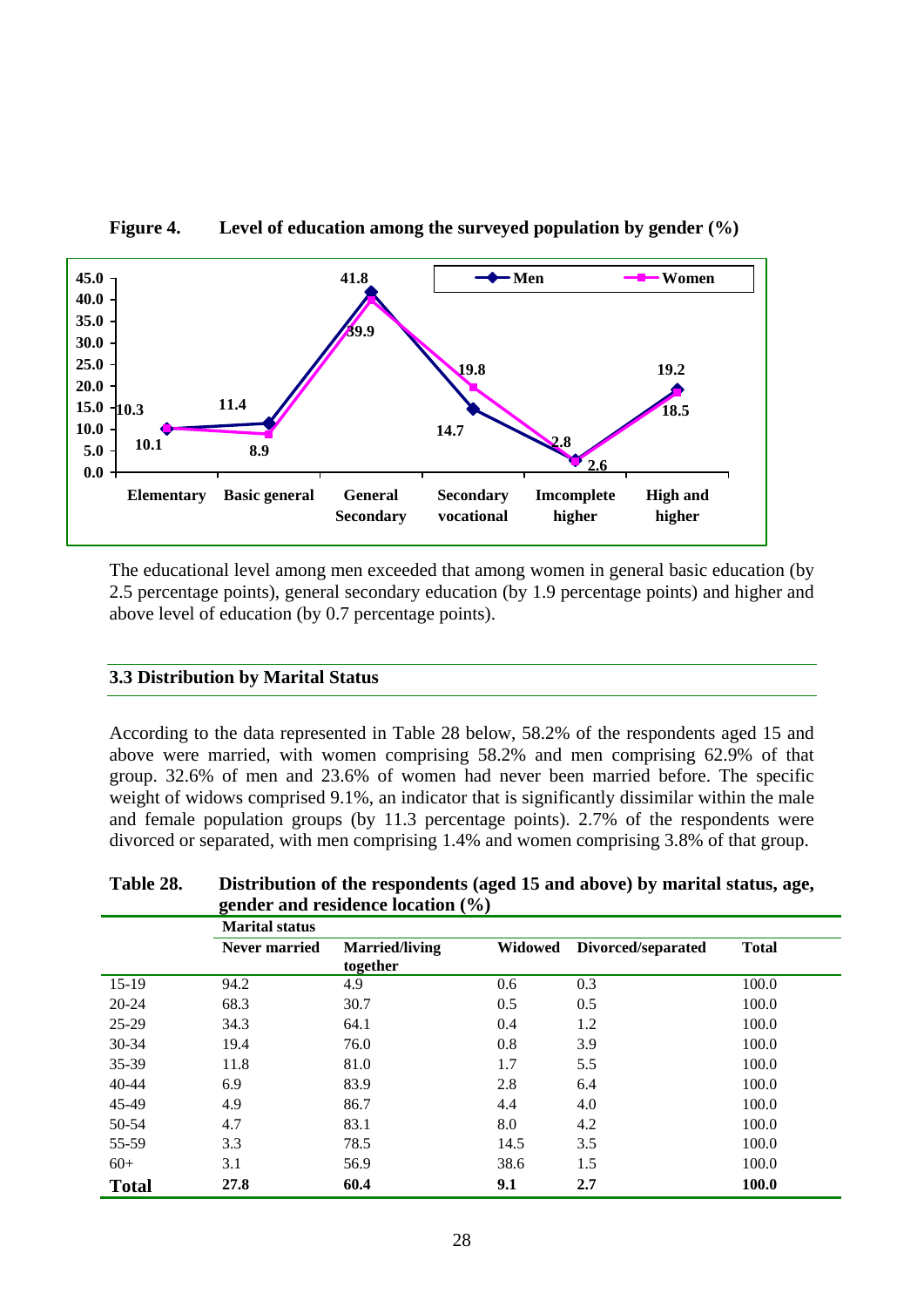

**Figure 4. Level of education among the surveyed population by gender (%)** 

The educational level among men exceeded that among women in general basic education (by 2.5 percentage points), general secondary education (by 1.9 percentage points) and higher and above level of education (by 0.7 percentage points).

#### **3.3 Distribution by Marital Status**

According to the data represented in Table 28 below, 58.2% of the respondents aged 15 and above were married, with women comprising 58.2% and men comprising 62.9% of that group. 32.6% of men and 23.6% of women had never been married before. The specific weight of widows comprised 9.1%, an indicator that is significantly dissimilar within the male and female population groups (by 11.3 percentage points). 2.7% of the respondents were divorced or separated, with men comprising 1.4% and women comprising 3.8% of that group.

|              | gender and residence location $(\% )$ |                                   |                |                    |              |  |
|--------------|---------------------------------------|-----------------------------------|----------------|--------------------|--------------|--|
|              | <b>Marital status</b>                 |                                   |                |                    |              |  |
|              | <b>Never married</b>                  | <b>Married/living</b><br>together | <b>Widowed</b> | Divorced/separated | <b>Total</b> |  |
| $15-19$      | 94.2                                  | 4.9                               | 0.6            | 0.3                | 100.0        |  |
| $20 - 24$    | 68.3                                  | 30.7                              | 0.5            | 0.5                | 100.0        |  |
| 25-29        | 34.3                                  | 64.1                              | 0.4            | 1.2                | 100.0        |  |
| $30 - 34$    | 19.4                                  | 76.0                              | 0.8            | 3.9                | 100.0        |  |
| 35-39        | 11.8                                  | 81.0                              | 1.7            | 5.5                | 100.0        |  |
| $40 - 44$    | 6.9                                   | 83.9                              | 2.8            | 6.4                | 100.0        |  |
| 45-49        | 4.9                                   | 86.7                              | 4.4            | 4.0                | 100.0        |  |
| 50-54        | 4.7                                   | 83.1                              | 8.0            | 4.2                | 100.0        |  |
| 55-59        | 3.3                                   | 78.5                              | 14.5           | 3.5                | 100.0        |  |
| $60+$        | 3.1                                   | 56.9                              | 38.6           | 1.5                | 100.0        |  |
| <b>Total</b> | 27.8                                  | 60.4                              | 9.1            | 2.7                | 100.0        |  |

**Table 28. Distribution of the respondents (aged 15 and above) by marital status, age, gender and residence location (%)**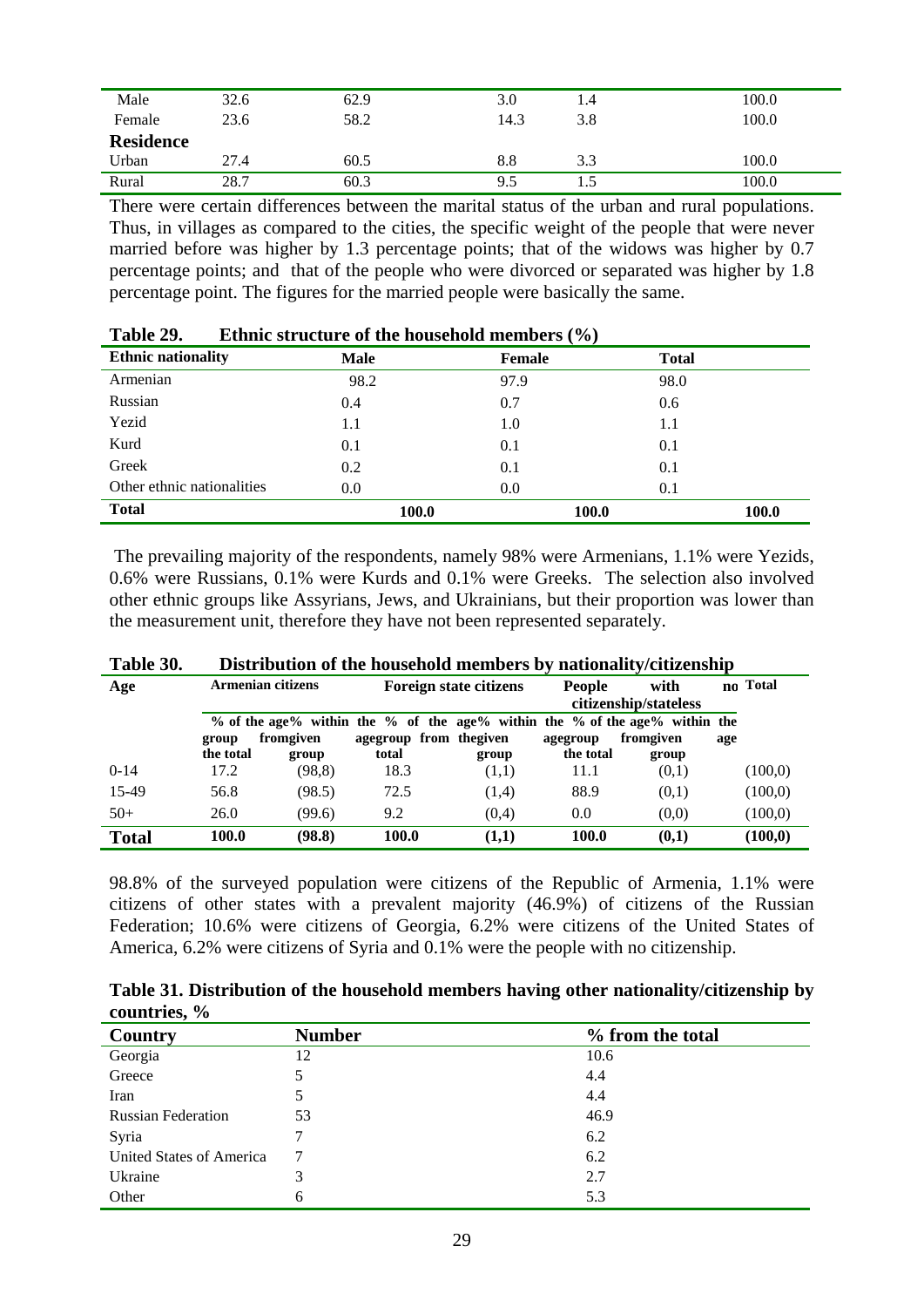| Male             | 32.6 | 62.9 | 3.0  | 1.4 | 100.0 |
|------------------|------|------|------|-----|-------|
| Female           | 23.6 | 58.2 | 14.3 | 3.8 | 100.0 |
| <b>Residence</b> |      |      |      |     |       |
| Urban            | 27.4 | 60.5 | 8.8  | 3.3 | 100.0 |
| Rural            | 28.7 | 60.3 | 9.5  | 1.J | 100.0 |

There were certain differences between the marital status of the urban and rural populations. Thus, in villages as compared to the cities, the specific weight of the people that were never married before was higher by 1.3 percentage points; that of the widows was higher by 0.7 percentage points; and that of the people who were divorced or separated was higher by 1.8 percentage point. The figures for the married people were basically the same.

| .                          |              |               |              |       |  |  |
|----------------------------|--------------|---------------|--------------|-------|--|--|
| <b>Ethnic nationality</b>  | <b>Male</b>  | <b>Female</b> | <b>Total</b> |       |  |  |
| Armenian                   | 98.2         | 97.9          | 98.0         |       |  |  |
| Russian                    | 0.4          | 0.7           | 0.6          |       |  |  |
| Yezid                      | 1.1          | 1.0           | $1.1\,$      |       |  |  |
| Kurd                       | 0.1          | 0.1           | 0.1          |       |  |  |
| Greek                      | 0.2          | 0.1           | 0.1          |       |  |  |
| Other ethnic nationalities | 0.0          | 0.0           | 0.1          |       |  |  |
| <b>Total</b>               | <b>100.0</b> | 100.0         |              | 100.0 |  |  |

| Table 29. | Ethnic structure of the household members $(\% )$ |  |  |
|-----------|---------------------------------------------------|--|--|
|-----------|---------------------------------------------------|--|--|

The prevailing majority of the respondents, namely 98% were Armenians, 1.1% were Yezids, 0.6% were Russians, 0.1% were Kurds and 0.1% were Greeks. The selection also involved other ethnic groups like Assyrians, Jews, and Ukrainians, but their proportion was lower than the measurement unit, therefore they have not been represented separately.

| Age          |           | <b>Armenian citizens</b> |                                                                            | Foreign state citizens | <b>People</b>         | with      |     | no Total |
|--------------|-----------|--------------------------|----------------------------------------------------------------------------|------------------------|-----------------------|-----------|-----|----------|
|              |           |                          |                                                                            |                        | citizenship/stateless |           |     |          |
|              |           |                          | % of the age% within the % of the age% within the % of the age% within the |                        |                       |           |     |          |
|              | group     | fromgiven                | agegroup from the given                                                    |                        | agegroup              | fromgiven | age |          |
|              | the total | group                    | total                                                                      | group                  | the total             | group     |     |          |
| $0-14$       | 17.2      | (98.8)                   | 18.3                                                                       | (1,1)                  | 11.1                  | (0,1)     |     | (100,0)  |
| 15-49        | 56.8      | (98.5)                   | 72.5                                                                       | (1,4)                  | 88.9                  | (0,1)     |     | (100,0)  |
| $50+$        | 26.0      | (99.6)                   | 9.2                                                                        | (0,4)                  | 0.0                   | (0,0)     |     | (100,0)  |
| <b>Total</b> | 100.0     | (98.8)                   | 100.0                                                                      | (1,1)                  | 100.0                 | (0,1)     |     | (100, 0) |

**Table 30. Distribution of the household members by nationality/citizenship** 

98.8% of the surveyed population were citizens of the Republic of Armenia, 1.1% were citizens of other states with a prevalent majority (46.9%) of citizens of the Russian Federation; 10.6% were citizens of Georgia, 6.2% were citizens of the United States of America, 6.2% were citizens of Syria and 0.1% were the people with no citizenship.

**Table 31. Distribution of the household members having other nationality/citizenship by countries, %** 

| Country                         | <b>Number</b> | % from the total |
|---------------------------------|---------------|------------------|
| Georgia                         | 12            | 10.6             |
| Greece                          | 5             | 4.4              |
| Iran                            | 5             | 4.4              |
| <b>Russian Federation</b>       | 53            | 46.9             |
| Syria                           | 7             | 6.2              |
| <b>United States of America</b> | 7             | 6.2              |
| Ukraine                         | 3             | 2.7              |
| Other                           | 6             | 5.3              |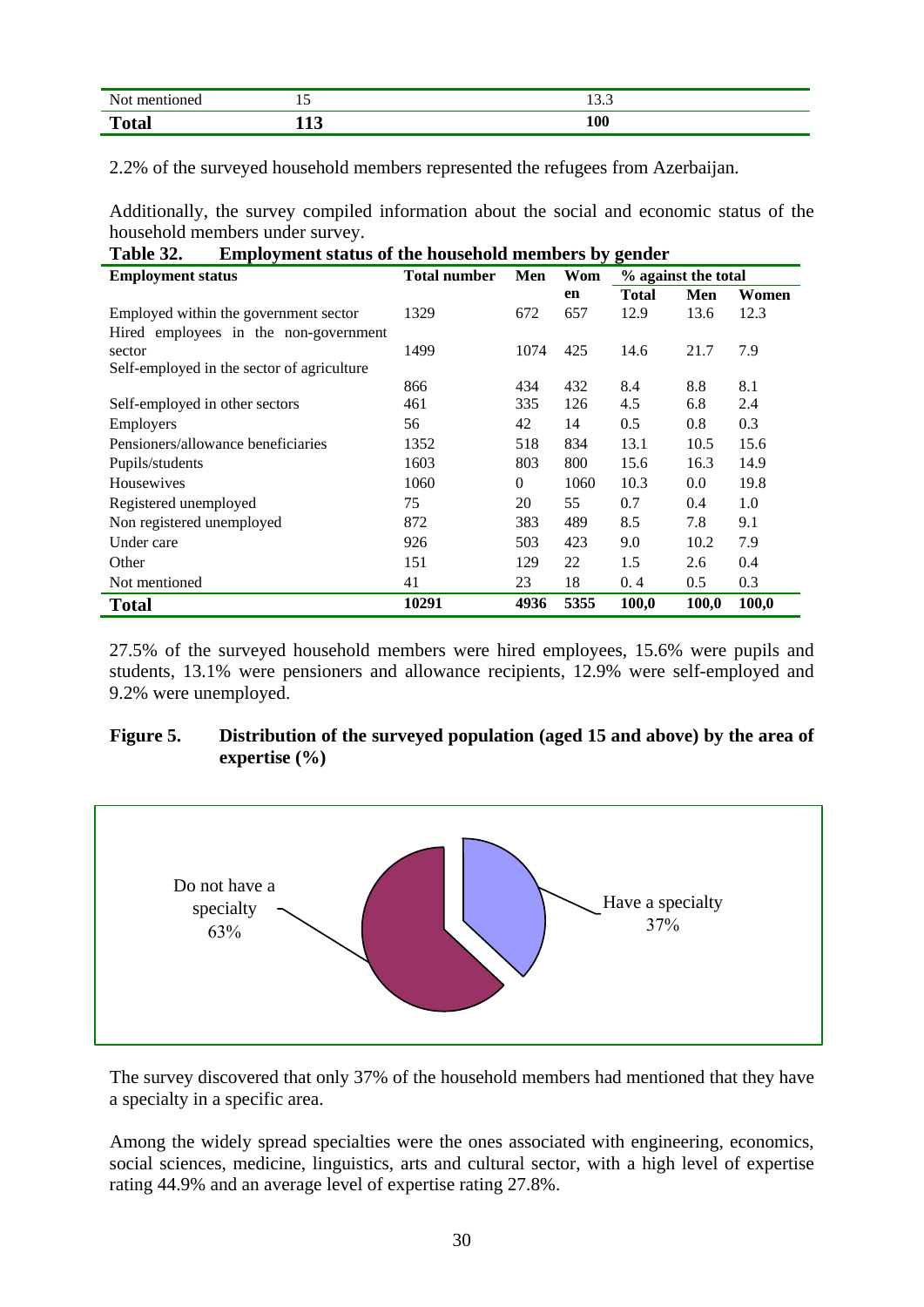| Not<br>mentioned | ⊥ັ                       | $\overline{\phantom{a}}$<br>ن د ۱ |
|------------------|--------------------------|-----------------------------------|
| <b>Total</b>     | $\overline{\phantom{a}}$ | 100                               |

2.2% of the surveyed household members represented the refugees from Azerbaijan.

Additionally, the survey compiled information about the social and economic status of the household members under survey.<br>Table 22. Evenlywered that:

| <b>Employment status of the household members by gender</b><br>Table 32. |                            |              |      |                     |       |       |
|--------------------------------------------------------------------------|----------------------------|--------------|------|---------------------|-------|-------|
| <b>Employment status</b>                                                 | <b>Total number</b><br>Men |              | Wom  | % against the total |       |       |
|                                                                          |                            |              | en   | <b>Total</b>        | Men   | Women |
| Employed within the government sector                                    | 1329                       | 672          | 657  | 12.9                | 13.6  | 12.3  |
| Hired employees in the non-government                                    |                            |              |      |                     |       |       |
| sector                                                                   | 1499                       | 1074         | 425  | 14.6                | 21.7  | 7.9   |
| Self-employed in the sector of agriculture                               |                            |              |      |                     |       |       |
|                                                                          | 866                        | 434          | 432  | 8.4                 | 8.8   | 8.1   |
| Self-employed in other sectors                                           | 461                        | 335          | 126  | 4.5                 | 6.8   | 2.4   |
| Employers                                                                | 56                         | 42           | 14   | 0.5                 | 0.8   | 0.3   |
| Pensioners/allowance beneficiaries                                       | 1352                       | 518          | 834  | 13.1                | 10.5  | 15.6  |
| Pupils/students                                                          | 1603                       | 803          | 800  | 15.6                | 16.3  | 14.9  |
| Housewives                                                               | 1060                       | $\mathbf{0}$ | 1060 | 10.3                | 0.0   | 19.8  |
| Registered unemployed                                                    | 75                         | 20           | 55   | 0.7                 | 0.4   | 1.0   |
| Non registered unemployed                                                | 872                        | 383          | 489  | 8.5                 | 7.8   | 9.1   |
| Under care                                                               | 926                        | 503          | 423  | 9.0                 | 10.2  | 7.9   |
| Other                                                                    | 151                        | 129          | 22   | 1.5                 | 2.6   | 0.4   |
| Not mentioned                                                            | 41                         | 23           | 18   | 0.4                 | 0.5   | 0.3   |
| <b>Total</b>                                                             | 10291                      | 4936         | 5355 | 100,0               | 100,0 | 100,0 |

27.5% of the surveyed household members were hired employees, 15.6% were pupils and students, 13.1% were pensioners and allowance recipients, 12.9% were self-employed and 9.2% were unemployed.

#### **Figure 5. Distribution of the surveyed population (aged 15 and above) by the area of expertise (%)**



The survey discovered that only 37% of the household members had mentioned that they have a specialty in a specific area.

Among the widely spread specialties were the ones associated with engineering, economics, social sciences, medicine, linguistics, arts and cultural sector, with a high level of expertise rating 44.9% and an average level of expertise rating 27.8%.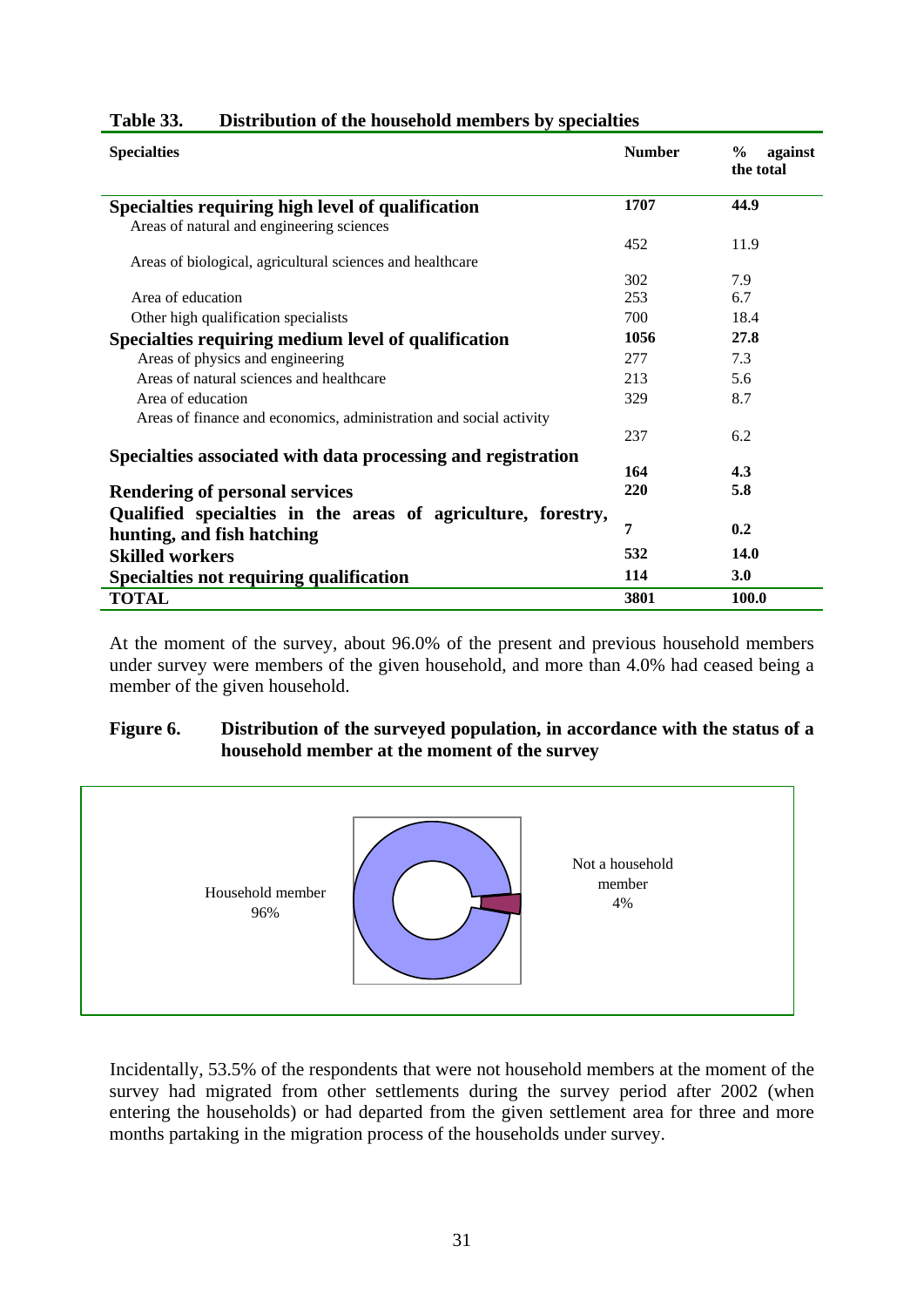| <b>Specialties</b>                                                 | <b>Number</b> | $\frac{0}{0}$<br>against<br>the total |
|--------------------------------------------------------------------|---------------|---------------------------------------|
| Specialties requiring high level of qualification                  | 1707          | 44.9                                  |
| Areas of natural and engineering sciences                          |               |                                       |
|                                                                    | 452           | 11.9                                  |
| Areas of biological, agricultural sciences and healthcare          |               |                                       |
|                                                                    | 302           | 7.9                                   |
| Area of education                                                  | 253           | 6.7                                   |
| Other high qualification specialists                               | 700           | 18.4                                  |
| Specialties requiring medium level of qualification                | 1056          | 27.8                                  |
| Areas of physics and engineering                                   | 277           | 7.3                                   |
| Areas of natural sciences and healthcare                           | 213           | 5.6                                   |
| Area of education                                                  | 329           | 8.7                                   |
| Areas of finance and economics, administration and social activity |               |                                       |
|                                                                    | 237           | 6.2                                   |
| Specialties associated with data processing and registration       |               |                                       |
|                                                                    | 164           | 4.3                                   |
| <b>Rendering of personal services</b>                              | 220           | 5.8                                   |
| Qualified specialties in the areas of agriculture, forestry,       |               |                                       |
| hunting, and fish hatching                                         | 7             | 0.2                                   |
| <b>Skilled workers</b>                                             | 532           | 14.0                                  |
| <b>Specialties not requiring qualification</b>                     | 114           | 3.0                                   |
| <b>TOTAL</b>                                                       | 3801          | 100.0                                 |

# **Table 33. Distribution of the household members by specialties**

At the moment of the survey, about 96.0% of the present and previous household members under survey were members of the given household, and more than 4.0% had ceased being a member of the given household.

#### **Figure 6. Distribution of the surveyed population, in accordance with the status of a household member at the moment of the survey**



Incidentally, 53.5% of the respondents that were not household members at the moment of the survey had migrated from other settlements during the survey period after 2002 (when entering the households) or had departed from the given settlement area for three and more months partaking in the migration process of the households under survey.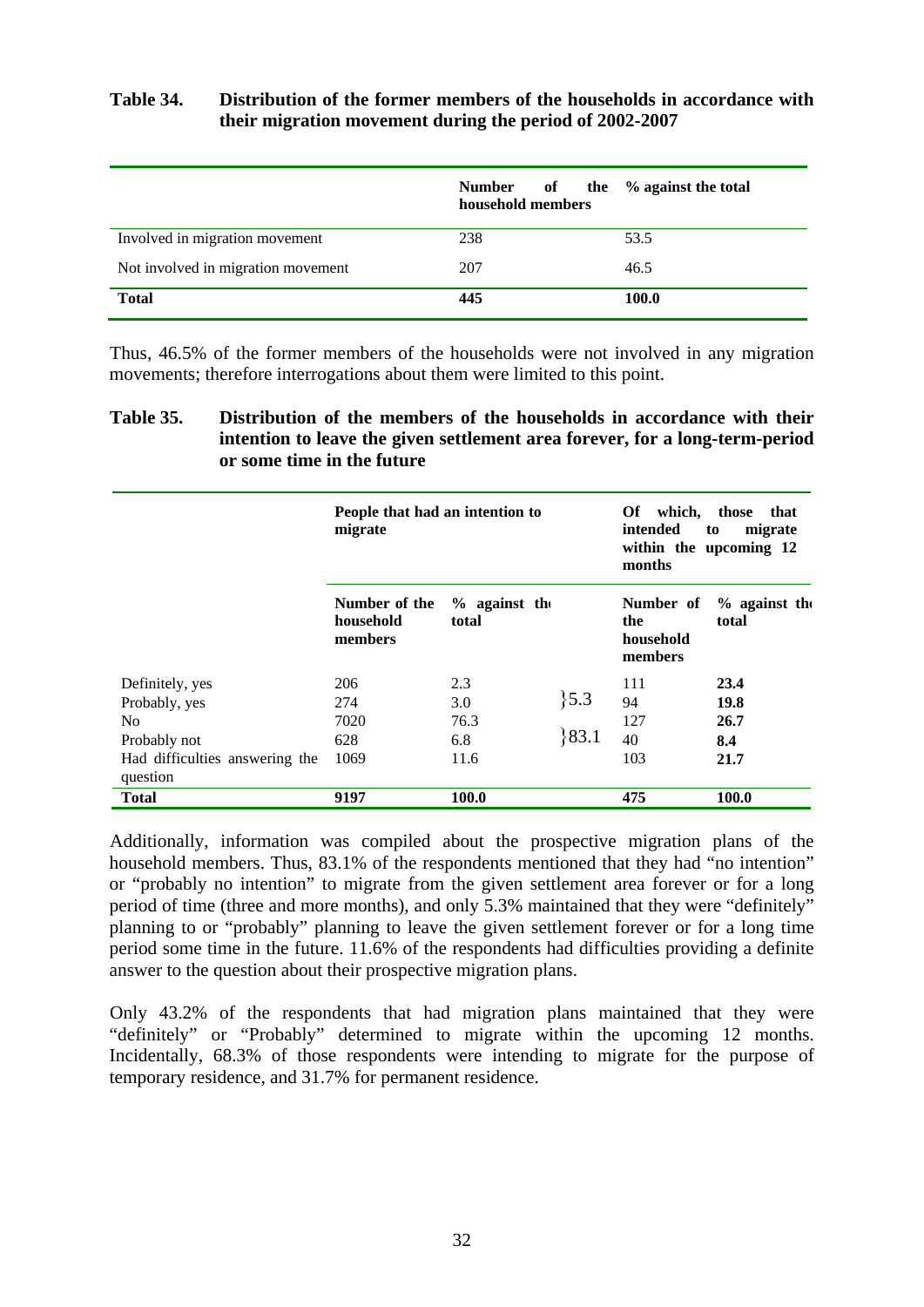# **Table 34. Distribution of the former members of the households in accordance with their migration movement during the period of 2002-2007**

|                                    | Number<br>household members | of the % against the total |
|------------------------------------|-----------------------------|----------------------------|
| Involved in migration movement     | 238                         | 53.5                       |
| Not involved in migration movement | 207                         | 46.5                       |
| <b>Total</b>                       | 445                         | 100.0                      |

Thus, 46.5% of the former members of the households were not involved in any migration movements; therefore interrogations about them were limited to this point.

# **Table 35. Distribution of the members of the households in accordance with their intention to leave the given settlement area forever, for a long-term-period or some time in the future**

|                                            | People that had an intention to<br>migrate |                          |         | Of which, those<br>intended<br>months    | that<br>migrate<br>to<br>within the upcoming 12 |
|--------------------------------------------|--------------------------------------------|--------------------------|---------|------------------------------------------|-------------------------------------------------|
|                                            | Number of the<br>household<br>members      | $%$ against the<br>total |         | Number of<br>the<br>household<br>members | $%$ against the<br>total                        |
| Definitely, yes                            | 206                                        | 2.3                      |         | 111                                      | 23.4                                            |
| Probably, yes                              | 274                                        | 3.0                      | $\{5.3$ | 94                                       | 19.8                                            |
| No                                         | 7020                                       | 76.3                     |         | 127                                      | 26.7                                            |
| Probably not                               | 628                                        | 6.8                      | 83.1    | 40                                       | 8.4                                             |
| Had difficulties answering the<br>question | 1069                                       | 11.6                     |         | 103                                      | 21.7                                            |
| <b>Total</b>                               | 9197                                       | 100.0                    |         | 475                                      | 100.0                                           |

Additionally, information was compiled about the prospective migration plans of the household members. Thus, 83.1% of the respondents mentioned that they had "no intention" or "probably no intention" to migrate from the given settlement area forever or for a long period of time (three and more months), and only 5.3% maintained that they were "definitely" planning to or "probably" planning to leave the given settlement forever or for a long time period some time in the future. 11.6% of the respondents had difficulties providing a definite answer to the question about their prospective migration plans.

Only 43.2% of the respondents that had migration plans maintained that they were "definitely" or "Probably" determined to migrate within the upcoming 12 months. Incidentally, 68.3% of those respondents were intending to migrate for the purpose of temporary residence, and 31.7% for permanent residence.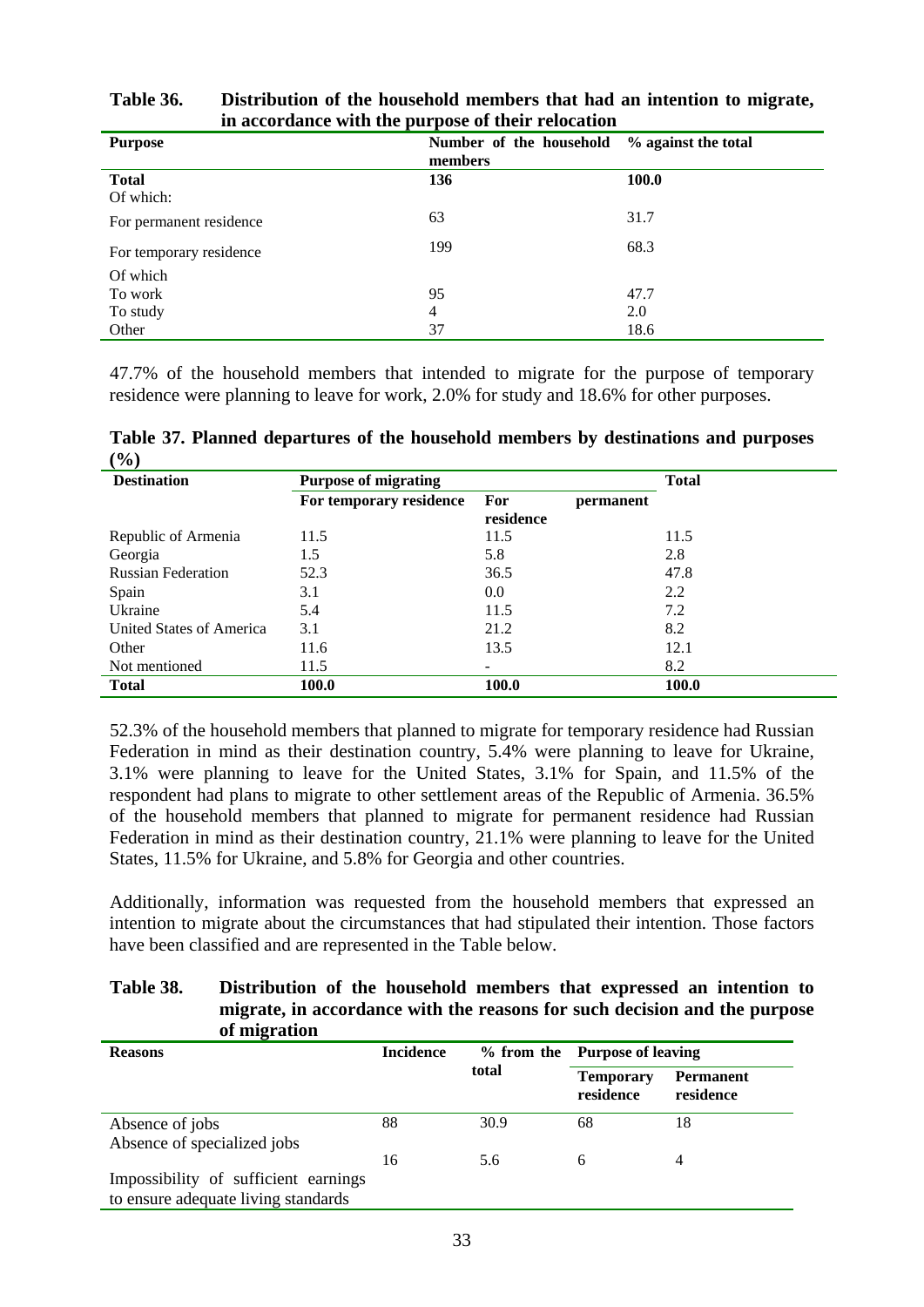| <b>Purpose</b>            | Number of the household<br>members | % against the total |
|---------------------------|------------------------------------|---------------------|
| <b>Total</b><br>Of which: | 136                                | <b>100.0</b>        |
| For permanent residence   | 63                                 | 31.7                |
| For temporary residence   | 199                                | 68.3                |
| Of which                  |                                    |                     |
| To work                   | 95                                 | 47.7                |
| To study                  | $\overline{4}$                     | 2.0                 |
| Other                     | 37                                 | 18.6                |

**Table 36. Distribution of the household members that had an intention to migrate, in accordance with the purpose of their relocation**

47.7% of the household members that intended to migrate for the purpose of temporary residence were planning to leave for work, 2.0% for study and 18.6% for other purposes.

| $\prime\mathbf{v}$ $\prime$ |                             |                               |              |
|-----------------------------|-----------------------------|-------------------------------|--------------|
| <b>Destination</b>          | <b>Purpose of migrating</b> |                               | <b>Total</b> |
|                             | For temporary residence     | For<br>permanent<br>residence |              |
| Republic of Armenia         | 11.5                        | 11.5                          | 11.5         |
| Georgia                     | 1.5                         | 5.8                           | 2.8          |
| <b>Russian Federation</b>   | 52.3                        | 36.5                          | 47.8         |
| Spain                       | 3.1                         | 0.0                           | 2.2          |
| Ukraine                     | 5.4                         | 11.5                          | 7.2          |
| United States of America    | 3.1                         | 21.2                          | 8.2          |
| Other                       | 11.6                        | 13.5                          | 12.1         |
| Not mentioned               | 11.5                        |                               | 8.2          |
| <b>Total</b>                | <b>100.0</b>                | <b>100.0</b>                  | <b>100.0</b> |

**Table 37. Planned departures of the household members by destinations and purposes**   $(0)$ 

52.3% of the household members that planned to migrate for temporary residence had Russian Federation in mind as their destination country, 5.4% were planning to leave for Ukraine, 3.1% were planning to leave for the United States, 3.1% for Spain, and 11.5% of the respondent had plans to migrate to other settlement areas of the Republic of Armenia. 36.5% of the household members that planned to migrate for permanent residence had Russian Federation in mind as their destination country, 21.1% were planning to leave for the United States, 11.5% for Ukraine, and 5.8% for Georgia and other countries.

Additionally, information was requested from the household members that expressed an intention to migrate about the circumstances that had stipulated their intention. Those factors have been classified and are represented in the Table below.

| Table 38. | Distribution of the household members that expressed an intention to      |
|-----------|---------------------------------------------------------------------------|
|           | migrate, in accordance with the reasons for such decision and the purpose |
|           | of migration                                                              |

| <b>Reasons</b>                                                              | <b>Incidence</b> |       | % from the Purpose of leaving |                               |
|-----------------------------------------------------------------------------|------------------|-------|-------------------------------|-------------------------------|
|                                                                             |                  | total | <b>Temporary</b><br>residence | <b>Permanent</b><br>residence |
| Absence of jobs<br>Absence of specialized jobs                              | 88               | 30.9  | 68                            | 18                            |
| Impossibility of sufficient earnings<br>to ensure adequate living standards | 16               | 5.6   | 6                             | 4                             |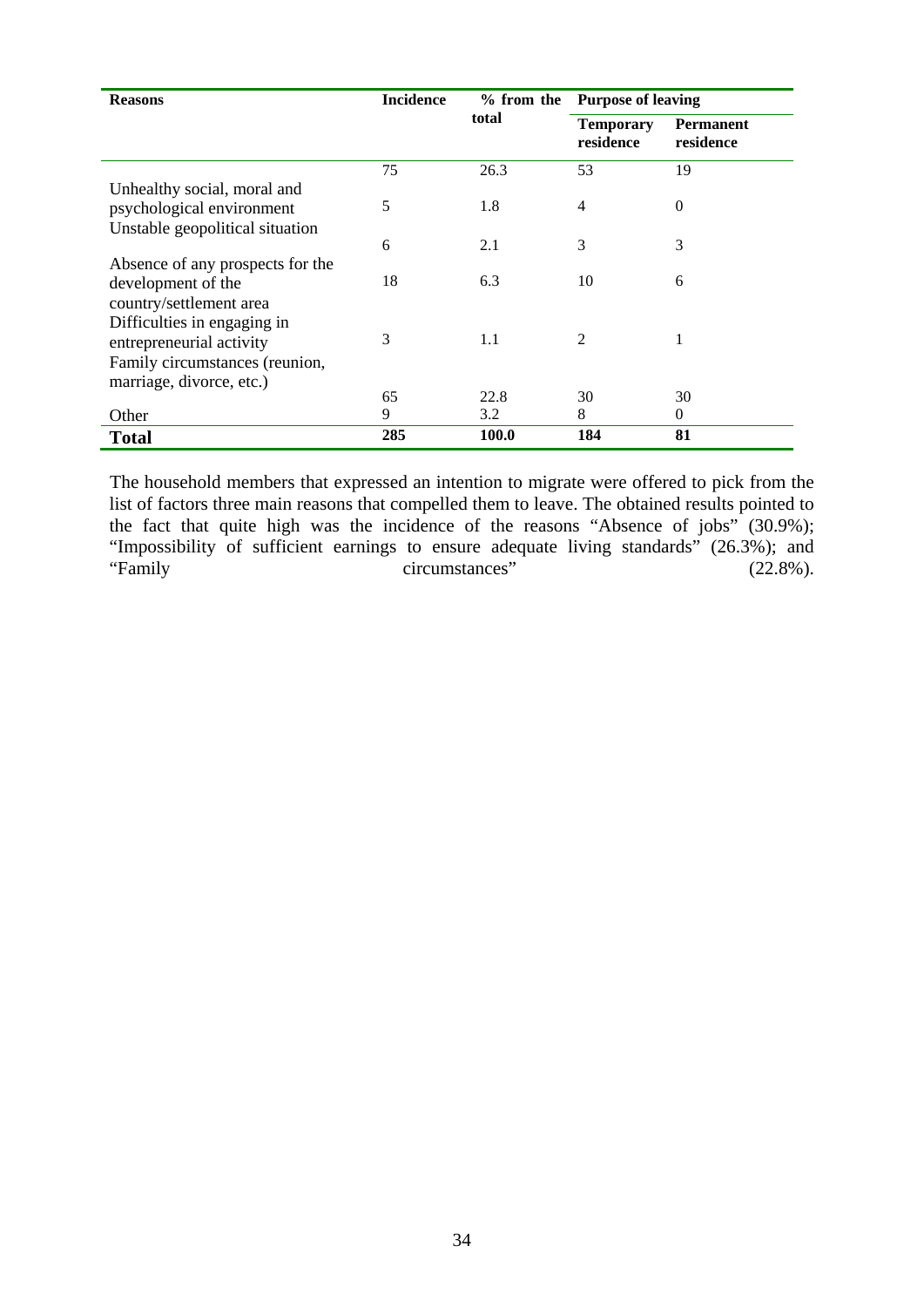| <b>Reasons</b>                   | <b>Incidence</b> | $%$ from the |                               | <b>Purpose of leaving</b>     |  |  |
|----------------------------------|------------------|--------------|-------------------------------|-------------------------------|--|--|
|                                  |                  | total        | <b>Temporary</b><br>residence | <b>Permanent</b><br>residence |  |  |
|                                  | 75               | 26.3         | 53                            | 19                            |  |  |
| Unhealthy social, moral and      |                  |              |                               |                               |  |  |
| psychological environment        | 5                | 1.8          | 4                             | $\Omega$                      |  |  |
| Unstable geopolitical situation  |                  |              |                               |                               |  |  |
|                                  | 6                | 2.1          | 3                             | 3                             |  |  |
| Absence of any prospects for the |                  |              |                               |                               |  |  |
| development of the               | 18               | 6.3          | 10                            | 6                             |  |  |
| country/settlement area          |                  |              |                               |                               |  |  |
| Difficulties in engaging in      |                  |              |                               |                               |  |  |
| entrepreneurial activity         | 3                | 1.1          | $\mathfrak{D}$                |                               |  |  |
| Family circumstances (reunion,   |                  |              |                               |                               |  |  |
| marriage, divorce, etc.)         |                  |              |                               |                               |  |  |
|                                  | 65               | 22.8         | 30                            | 30                            |  |  |
| Other                            | 9                | 3.2          | 8                             | $\mathbf{0}$                  |  |  |
| <b>Total</b>                     | 285              | 100.0        | 184                           | 81                            |  |  |

The household members that expressed an intention to migrate were offered to pick from the list of factors three main reasons that compelled them to leave. The obtained results pointed to the fact that quite high was the incidence of the reasons "Absence of jobs" (30.9%); "Impossibility of sufficient earnings to ensure adequate living standards" (26.3%); and "Family circumstances" (22.8%).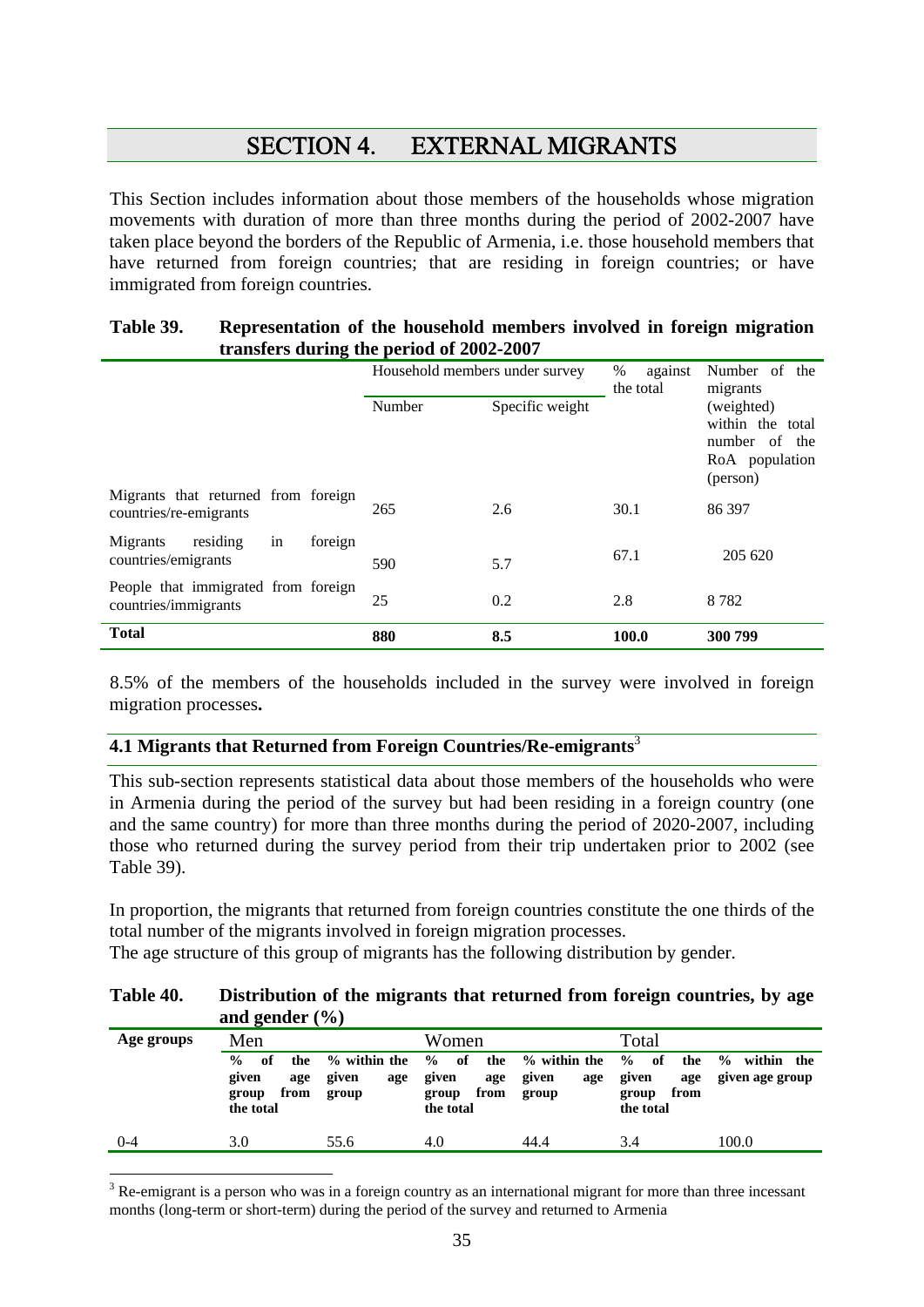# SECTION 4. EXTERNAL MIGRANTS

This Section includes information about those members of the households whose migration movements with duration of more than three months during the period of 2002-2007 have taken place beyond the borders of the Republic of Armenia, i.e. those household members that have returned from foreign countries; that are residing in foreign countries; or have immigrated from foreign countries.

#### **Table 39. Representation of the household members involved in foreign migration transfers during the period of 2002-2007**

|                                                               | Household members under survey |                 | %<br>against<br>the total | Number of the<br>migrants                                                     |
|---------------------------------------------------------------|--------------------------------|-----------------|---------------------------|-------------------------------------------------------------------------------|
|                                                               | Number                         | Specific weight |                           | (weighted)<br>within the total<br>number of the<br>RoA population<br>(person) |
| Migrants that returned from foreign<br>countries/re-emigrants | 265                            | 2.6             | 30.1                      | 86 397                                                                        |
| in<br>residing<br>Migrants<br>foreign<br>countries/emigrants  | 590                            | 5.7             | 67.1                      | 205 620                                                                       |
| People that immigrated from foreign<br>countries/immigrants   | 25                             | 0.2             | 2.8                       | 8782                                                                          |
| <b>Total</b>                                                  | 880                            | 8.5             | 100.0                     | 300 799                                                                       |

8.5% of the members of the households included in the survey were involved in foreign migration processes**.** 

# **4.1 Migrants that Returned from Foreign Countries/Re-emigrants**<sup>3</sup>

 $\overline{\phantom{a}}$ 

This sub-section represents statistical data about those members of the households who were in Armenia during the period of the survey but had been residing in a foreign country (one and the same country) for more than three months during the period of 2020-2007, including those who returned during the survey period from their trip undertaken prior to 2002 (see Table 39).

In proportion, the migrants that returned from foreign countries constitute the one thirds of the total number of the migrants involved in foreign migration processes.

The age structure of this group of migrants has the following distribution by gender.

#### **Table 40. Distribution of the migrants that returned from foreign countries, by age and gender (%)**

| Age groups | Men                                                                      |                                          | Women                                                                    |                                       | Total                                                                      |                                                |
|------------|--------------------------------------------------------------------------|------------------------------------------|--------------------------------------------------------------------------|---------------------------------------|----------------------------------------------------------------------------|------------------------------------------------|
|            | $\frac{0}{0}$<br>of<br>the<br>given<br>age<br>from<br>group<br>the total | $\%$ within the<br>given<br>age<br>group | $\frac{0}{0}$<br>the<br>of<br>given<br>age<br>from<br>group<br>the total | % within the<br>given<br>age<br>group | $\frac{6}{9}$<br>- of<br>the<br>given<br>age<br>from<br>group<br>the total | $\frac{0}{0}$<br>within the<br>given age group |
| 0-4        | 3.0                                                                      | 55.6                                     | 4.0                                                                      | 44.4                                  | 3.4                                                                        | 100.0                                          |

 $3$  Re-emigrant is a person who was in a foreign country as an international migrant for more than three incessant months (long-term or short-term) during the period of the survey and returned to Armenia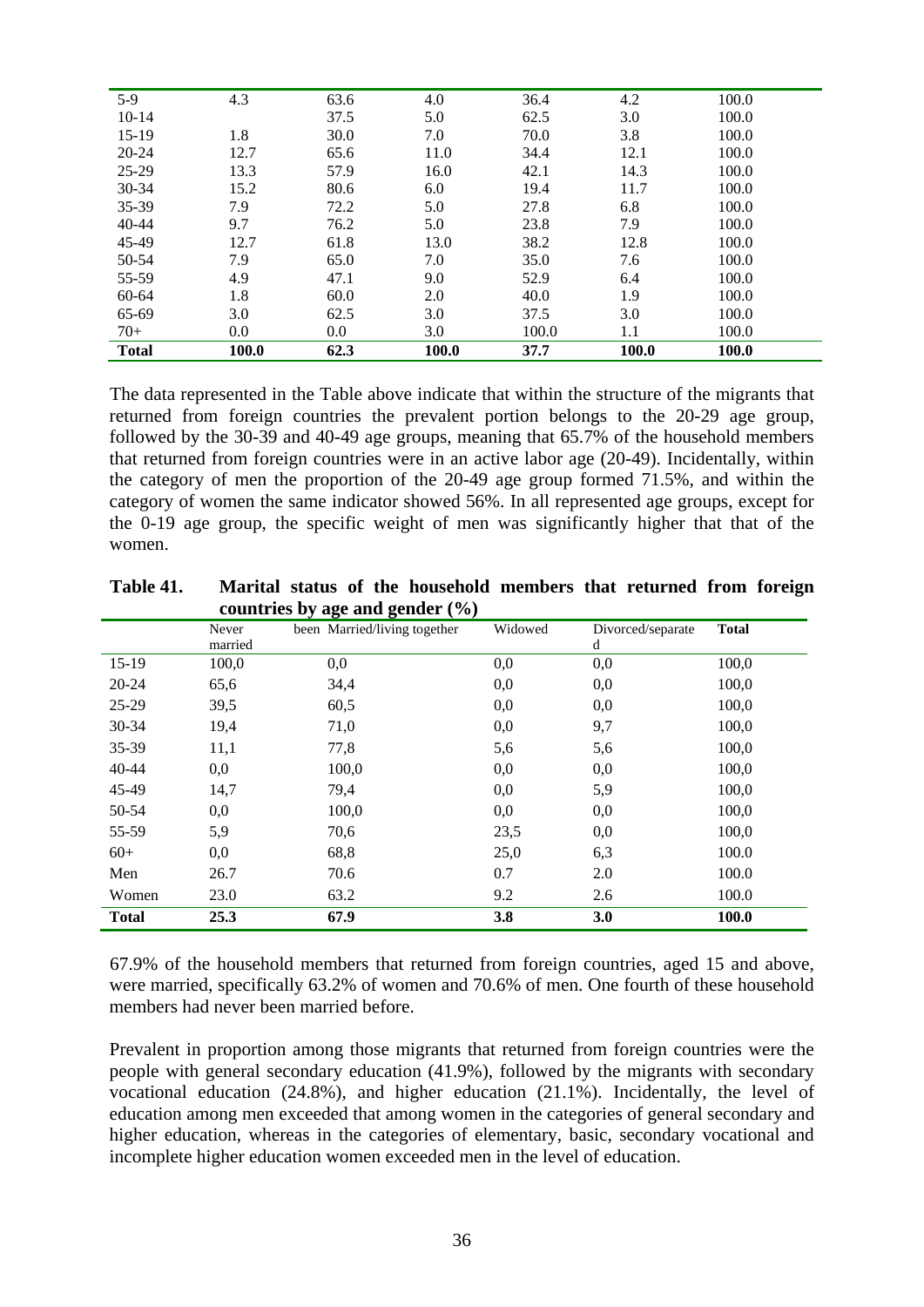| $5-9$        | 4.3   | 63.6 | 4.0   | 36.4  | 4.2   | 100.0 |
|--------------|-------|------|-------|-------|-------|-------|
| $10-14$      |       | 37.5 | 5.0   | 62.5  | 3.0   | 100.0 |
| $15-19$      | 1.8   | 30.0 | 7.0   | 70.0  | 3.8   | 100.0 |
| $20 - 24$    | 12.7  | 65.6 | 11.0  | 34.4  | 12.1  | 100.0 |
| $25-29$      | 13.3  | 57.9 | 16.0  | 42.1  | 14.3  | 100.0 |
| $30 - 34$    | 15.2  | 80.6 | 6.0   | 19.4  | 11.7  | 100.0 |
| 35-39        | 7.9   | 72.2 | 5.0   | 27.8  | 6.8   | 100.0 |
| $40 - 44$    | 9.7   | 76.2 | 5.0   | 23.8  | 7.9   | 100.0 |
| 45-49        | 12.7  | 61.8 | 13.0  | 38.2  | 12.8  | 100.0 |
| 50-54        | 7.9   | 65.0 | 7.0   | 35.0  | 7.6   | 100.0 |
| 55-59        | 4.9   | 47.1 | 9.0   | 52.9  | 6.4   | 100.0 |
| 60-64        | 1.8   | 60.0 | 2.0   | 40.0  | 1.9   | 100.0 |
| 65-69        | 3.0   | 62.5 | 3.0   | 37.5  | 3.0   | 100.0 |
| $70+$        | 0.0   | 0.0  | 3.0   | 100.0 | 1.1   | 100.0 |
| <b>Total</b> | 100.0 | 62.3 | 100.0 | 37.7  | 100.0 | 100.0 |

The data represented in the Table above indicate that within the structure of the migrants that returned from foreign countries the prevalent portion belongs to the 20-29 age group, followed by the 30-39 and 40-49 age groups, meaning that 65.7% of the household members that returned from foreign countries were in an active labor age (20-49). Incidentally, within the category of men the proportion of the 20-49 age group formed 71.5%, and within the category of women the same indicator showed 56%. In all represented age groups, except for the 0-19 age group, the specific weight of men was significantly higher that that of the women.

|              |         | $\frac{1}{2}$                |         |                   |              |
|--------------|---------|------------------------------|---------|-------------------|--------------|
|              | Never   | been Married/living together | Widowed | Divorced/separate | <b>Total</b> |
|              | married |                              |         | d                 |              |
| $15-19$      | 100,0   | 0,0                          | 0,0     | 0,0               | 100,0        |
| 20-24        | 65,6    | 34,4                         | 0,0     | 0,0               | 100,0        |
| 25-29        | 39,5    | 60,5                         | 0,0     | 0,0               | 100,0        |
| 30-34        | 19,4    | 71,0                         | 0,0     | 9,7               | 100,0        |
| 35-39        | 11,1    | 77,8                         | 5,6     | 5,6               | 100,0        |
| $40 - 44$    | 0,0     | 100,0                        | 0,0     | 0,0               | 100,0        |
| 45-49        | 14,7    | 79,4                         | 0,0     | 5,9               | 100,0        |
| 50-54        | 0,0     | 100,0                        | 0,0     | 0,0               | 100,0        |
| 55-59        | 5,9     | 70,6                         | 23,5    | 0,0               | 100,0        |
| $60+$        | 0,0     | 68,8                         | 25,0    | 6,3               | 100.0        |
| Men          | 26.7    | 70.6                         | 0.7     | 2.0               | 100.0        |
| Women        | 23.0    | 63.2                         | 9.2     | 2.6               | 100.0        |
| <b>Total</b> | 25.3    | 67.9                         | 3.8     | <b>3.0</b>        | 100.0        |

**Table 41. Marital status of the household members that returned from foreign countries by age and gender (%)** 

67.9% of the household members that returned from foreign countries, aged 15 and above, were married, specifically 63.2% of women and 70.6% of men. One fourth of these household members had never been married before.

Prevalent in proportion among those migrants that returned from foreign countries were the people with general secondary education (41.9%), followed by the migrants with secondary vocational education (24.8%), and higher education (21.1%). Incidentally, the level of education among men exceeded that among women in the categories of general secondary and higher education, whereas in the categories of elementary, basic, secondary vocational and incomplete higher education women exceeded men in the level of education.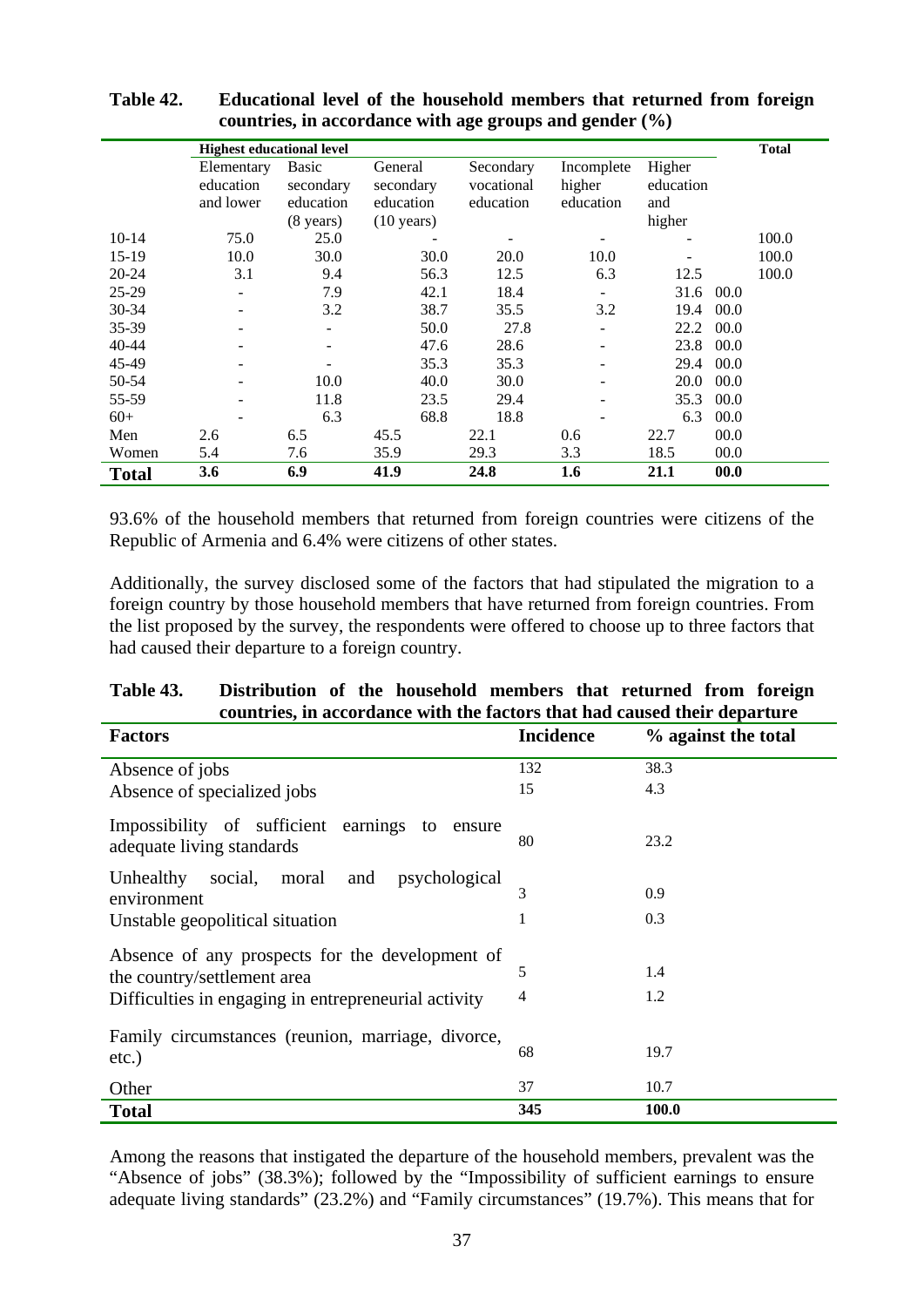|              |                                  |                     | countries, in accordance with age groups and genuer $(70)$ |            |            |           |      |              |
|--------------|----------------------------------|---------------------|------------------------------------------------------------|------------|------------|-----------|------|--------------|
|              | <b>Highest educational level</b> |                     |                                                            |            |            |           |      | <b>Total</b> |
|              | Elementary                       | Basic               | General                                                    | Secondary  | Incomplete | Higher    |      |              |
|              | education                        | secondary           | secondary                                                  | vocational | higher     | education |      |              |
|              | and lower                        | education           | education                                                  | education  | education  | and       |      |              |
|              |                                  | $(8 \text{ years})$ | $(10 \text{ years})$                                       |            |            | higher    |      |              |
| $10-14$      | 75.0                             | 25.0                |                                                            |            |            |           |      | 100.0        |
| $15-19$      | 10.0                             | 30.0                | 30.0                                                       | 20.0       | 10.0       |           |      | 100.0        |
| 20-24        | 3.1                              | 9.4                 | 56.3                                                       | 12.5       | 6.3        | 12.5      |      | 100.0        |
| $25-29$      |                                  | 7.9                 | 42.1                                                       | 18.4       |            | 31.6      | 00.0 |              |
| $30 - 34$    |                                  | 3.2                 | 38.7                                                       | 35.5       | 3.2        | 19.4      | 00.0 |              |
| 35-39        |                                  |                     | 50.0                                                       | 27.8       |            | 22.2      | 00.0 |              |
| 40-44        |                                  |                     | 47.6                                                       | 28.6       |            | 23.8      | 00.0 |              |
| 45-49        |                                  |                     | 35.3                                                       | 35.3       |            | 29.4      | 00.0 |              |
| 50-54        |                                  | 10.0                | 40.0                                                       | 30.0       |            | 20.0      | 00.0 |              |
| 55-59        |                                  | 11.8                | 23.5                                                       | 29.4       |            | 35.3      | 00.0 |              |
| $60+$        |                                  | 6.3                 | 68.8                                                       | 18.8       |            | 6.3       | 00.0 |              |
| Men          | 2.6                              | 6.5                 | 45.5                                                       | 22.1       | 0.6        | 22.7      | 00.0 |              |
| Women        | 5.4                              | 7.6                 | 35.9                                                       | 29.3       | 3.3        | 18.5      | 00.0 |              |
| <b>Total</b> | 3.6                              | 6.9                 | 41.9                                                       | 24.8       | 1.6        | 21.1      | 00.0 |              |

**Table 42. Educational level of the household members that returned from foreign countries, in accordance with age groups and gender (%)** 

93.6% of the household members that returned from foreign countries were citizens of the Republic of Armenia and 6.4% were citizens of other states.

Additionally, the survey disclosed some of the factors that had stipulated the migration to a foreign country by those household members that have returned from foreign countries. From the list proposed by the survey, the respondents were offered to choose up to three factors that had caused their departure to a foreign country.

| Table 43. | Distribution of the household members that returned from foreign          |  |  |  |  |
|-----------|---------------------------------------------------------------------------|--|--|--|--|
|           | countries, in accordance with the factors that had caused their departure |  |  |  |  |

| <b>Factors</b>                                                              | <b>Incidence</b> | % against the total |
|-----------------------------------------------------------------------------|------------------|---------------------|
| Absence of jobs                                                             | 132              | 38.3                |
| Absence of specialized jobs                                                 | 15               | 4.3                 |
| Impossibility of sufficient earnings to ensure<br>adequate living standards | 80               | 23.2                |
| social, moral<br>Unhealthy<br>and<br>psychological                          |                  |                     |
| environment                                                                 | 3                | 0.9                 |
| Unstable geopolitical situation                                             | 1                | 0.3                 |
| Absence of any prospects for the development of                             |                  |                     |
| the country/settlement area                                                 | 5                | 1.4                 |
| Difficulties in engaging in entrepreneurial activity                        | $\overline{4}$   | 1.2                 |
| Family circumstances (reunion, marriage, divorce,                           |                  |                     |
| $etc.$ )                                                                    | 68               | 19.7                |
| Other                                                                       | 37               | 10.7                |
| <b>Total</b>                                                                | 345              | <b>100.0</b>        |

Among the reasons that instigated the departure of the household members, prevalent was the "Absence of jobs" (38.3%); followed by the "Impossibility of sufficient earnings to ensure adequate living standards" (23.2%) and "Family circumstances" (19.7%). This means that for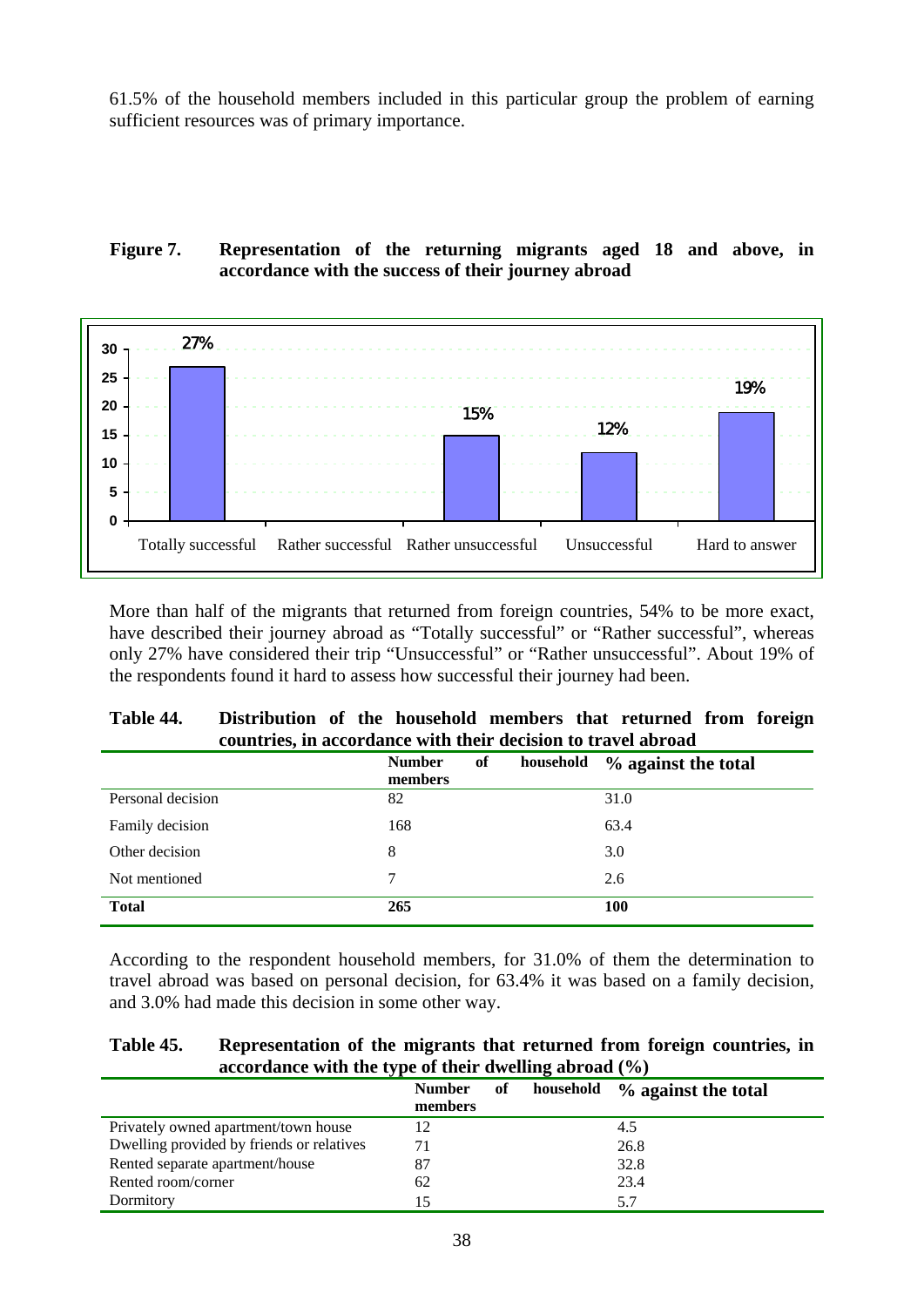61.5% of the household members included in this particular group the problem of earning sufficient resources was of primary importance.

## **Figure 7. Representation of the returning migrants aged 18 and above, in accordance with the success of their journey abroad**



More than half of the migrants that returned from foreign countries, 54% to be more exact, have described their journey abroad as "Totally successful" or "Rather successful", whereas only 27% have considered their trip "Unsuccessful" or "Rather unsuccessful". About 19% of the respondents found it hard to assess how successful their journey had been.

| Table 44. | Distribution of the household members that returned from foreign |  |  |  |  |
|-----------|------------------------------------------------------------------|--|--|--|--|
|           | countries, in accordance with their decision to travel abroad    |  |  |  |  |

|                   | of<br><b>Number</b><br>household<br>members | % against the total |
|-------------------|---------------------------------------------|---------------------|
| Personal decision | 82                                          | 31.0                |
| Family decision   | 168                                         | 63.4                |
| Other decision    | 8                                           | 3.0                 |
| Not mentioned     | 7                                           | 2.6                 |
| <b>Total</b>      | 265                                         | <b>100</b>          |

According to the respondent household members, for 31.0% of them the determination to travel abroad was based on personal decision, for 63.4% it was based on a family decision, and 3.0% had made this decision in some other way.

#### **Table 45. Representation of the migrants that returned from foreign countries, in accordance with the type of their dwelling abroad (%)**

|                                           | <b>Number</b><br>of<br>members | household | % against the total |
|-------------------------------------------|--------------------------------|-----------|---------------------|
| Privately owned apartment/town house      |                                |           | 4.5                 |
| Dwelling provided by friends or relatives | 71                             |           | 26.8                |
| Rented separate apartment/house           |                                |           | 32.8                |
| Rented room/corner                        | 62                             |           | 23.4                |
| Dormitory                                 |                                |           | 5.7                 |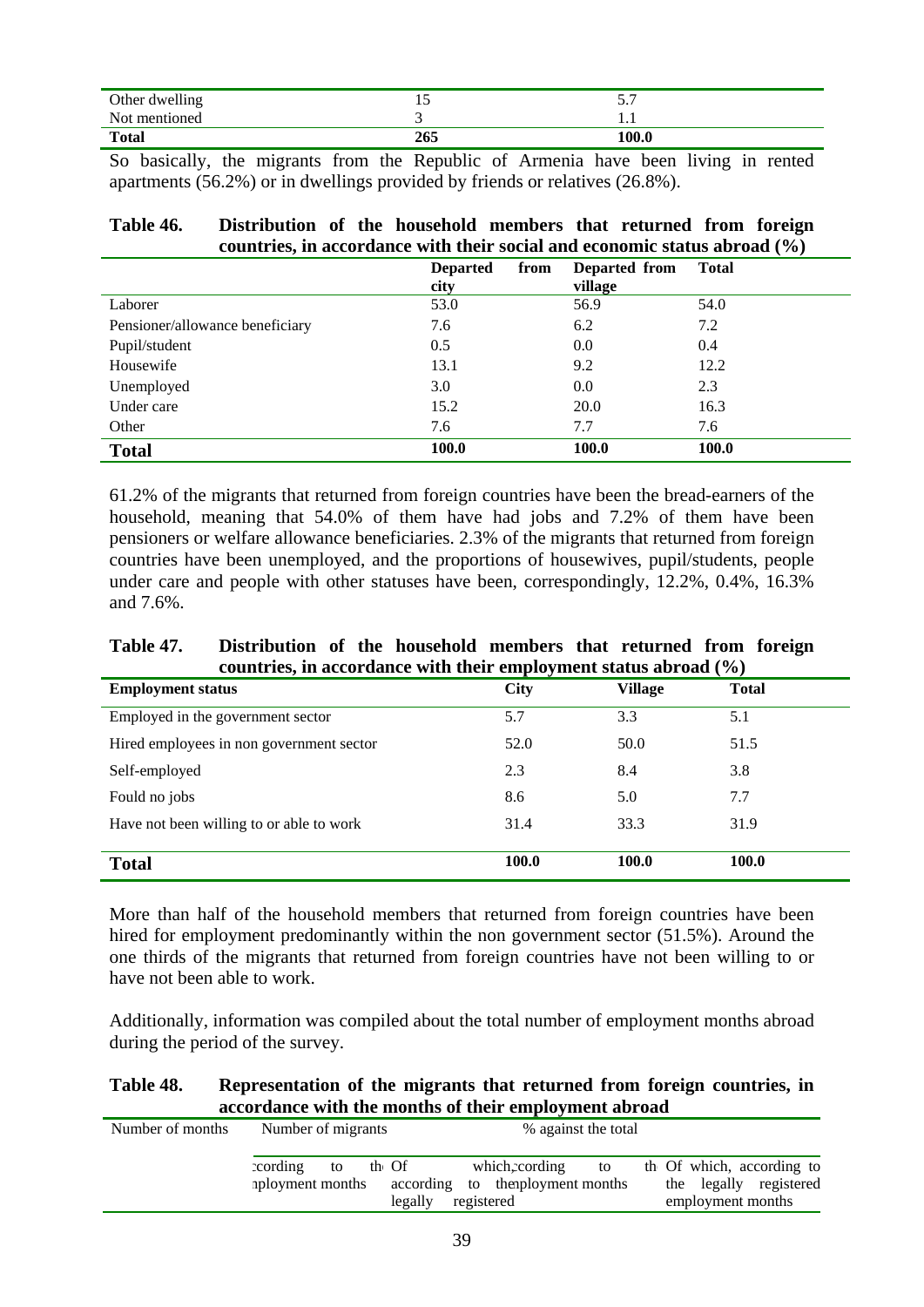| Other dwelling |     | ັ     |
|----------------|-----|-------|
| Not mentioned  |     | .     |
| <b>Total</b>   | 265 | 100.0 |

So basically, the migrants from the Republic of Armenia have been living in rented apartments (56.2%) or in dwellings provided by friends or relatives (26.8%).

| Table 46. | Distribution of the household members that returned from foreign          |  |
|-----------|---------------------------------------------------------------------------|--|
|           | countries, in accordance with their social and economic status abroad (%) |  |

|                                 | <b>Departed</b><br>from<br>city | Departed from<br>village | <b>Total</b> |
|---------------------------------|---------------------------------|--------------------------|--------------|
| Laborer                         | 53.0                            | 56.9                     | 54.0         |
| Pensioner/allowance beneficiary | 7.6                             | 6.2                      | 7.2          |
| Pupil/student                   | 0.5                             | 0.0                      | 0.4          |
| Housewife                       | 13.1                            | 9.2                      | 12.2         |
| Unemployed                      | 3.0                             | 0.0                      | 2.3          |
| Under care                      | 15.2                            | 20.0                     | 16.3         |
| Other                           | 7.6                             | 7.7                      | 7.6          |
| <b>Total</b>                    | 100.0                           | 100.0                    | 100.0        |

61.2% of the migrants that returned from foreign countries have been the bread-earners of the household, meaning that 54.0% of them have had jobs and 7.2% of them have been pensioners or welfare allowance beneficiaries. 2.3% of the migrants that returned from foreign countries have been unemployed, and the proportions of housewives, pupil/students, people under care and people with other statuses have been, correspondingly, 12.2%, 0.4%, 16.3% and 7.6%.

#### **Table 47. Distribution of the household members that returned from foreign countries, in accordance with their employment status abroad (%)**

| <b>Employment status</b>                 | <b>City</b> | <b>Village</b> | <b>Total</b> |
|------------------------------------------|-------------|----------------|--------------|
| Employed in the government sector        | 5.7         | 3.3            | 5.1          |
| Hired employees in non government sector | 52.0        | 50.0           | 51.5         |
| Self-employed                            | 2.3         | 8.4            | 3.8          |
| Fould no jobs                            | 8.6         | 5.0            | 7.7          |
| Have not been willing to or able to work | 31.4        | 33.3           | 31.9         |
| <b>Total</b>                             | 100.0       | 100.0          | 100.0        |
|                                          |             |                |              |

More than half of the household members that returned from foreign countries have been hired for employment predominantly within the non government sector (51.5%). Around the one thirds of the migrants that returned from foreign countries have not been willing to or have not been able to work.

Additionally, information was compiled about the total number of employment months abroad during the period of the survey.

## **Table 48. Representation of the migrants that returned from foreign countries, in accordance with the months of their employment abroad**

| Number of months | % against the total<br>Number of migrants  |         |                                                                |    |                                                                          |
|------------------|--------------------------------------------|---------|----------------------------------------------------------------|----|--------------------------------------------------------------------------|
|                  | cording<br>th Of<br>to<br>aployment months | legally | which.cording<br>according to the operation that<br>registered | to | th Of which, according to<br>the legally registered<br>employment months |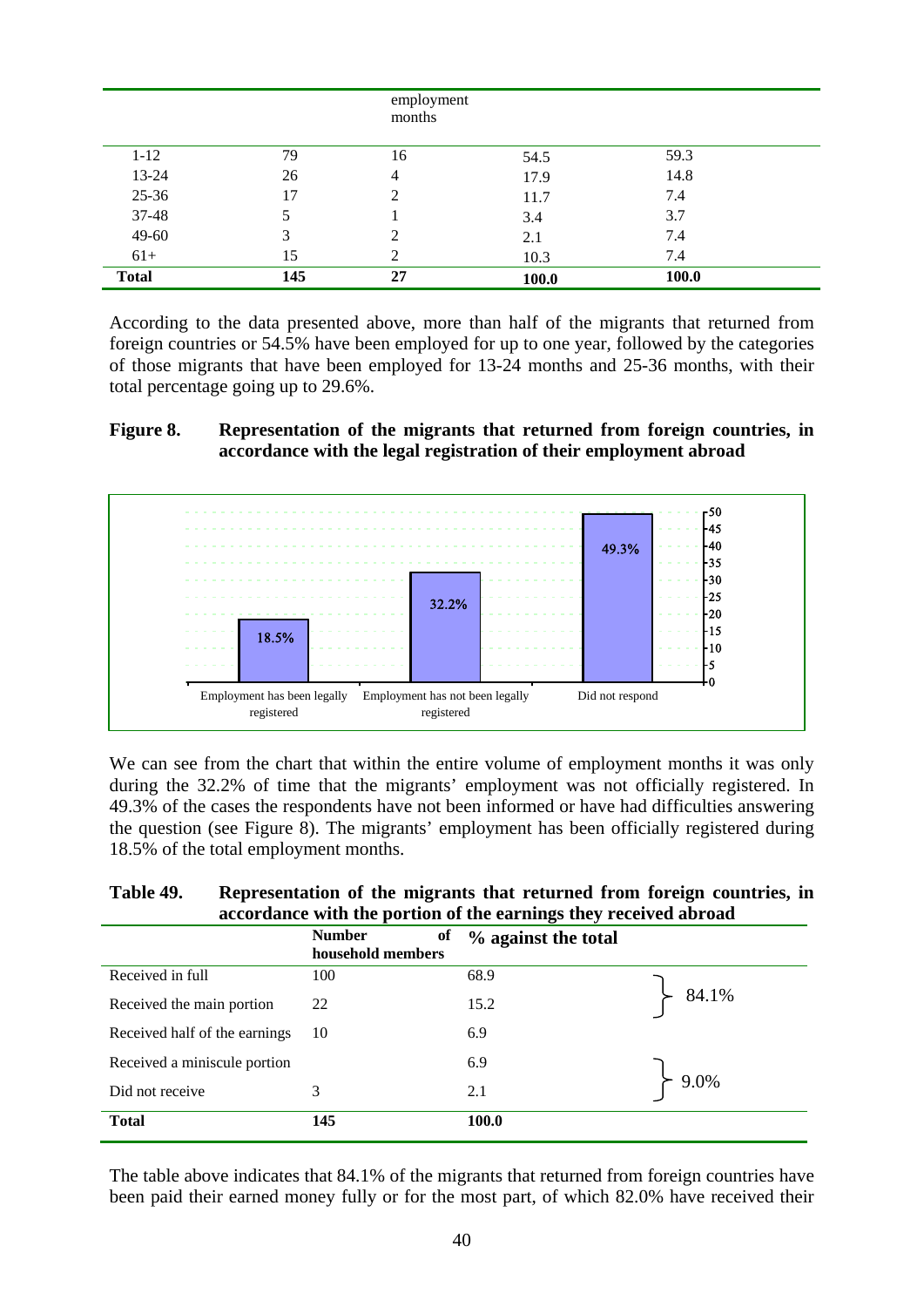|              |     | employment<br>months |       |       |  |
|--------------|-----|----------------------|-------|-------|--|
| $1 - 12$     | 79  | 16                   | 54.5  | 59.3  |  |
| 13-24        | 26  | 4                    | 17.9  | 14.8  |  |
| 25-36        | 17  | 2                    | 11.7  | 7.4   |  |
| 37-48        |     |                      | 3.4   | 3.7   |  |
| 49-60        | 3   | 2                    | 2.1   | 7.4   |  |
| $61+$        | 15  | 2                    | 10.3  | 7.4   |  |
| <b>Total</b> | 145 | 27                   | 100.0 | 100.0 |  |

According to the data presented above, more than half of the migrants that returned from foreign countries or 54.5% have been employed for up to one year, followed by the categories of those migrants that have been employed for 13-24 months and 25-36 months, with their total percentage going up to 29.6%.

## **Figure 8. Representation of the migrants that returned from foreign countries, in accordance with the legal registration of their employment abroad**



We can see from the chart that within the entire volume of employment months it was only during the 32.2% of time that the migrants' employment was not officially registered. In 49.3% of the cases the respondents have not been informed or have had difficulties answering the question (see Figure 8). The migrants' employment has been officially registered during 18.5% of the total employment months.

#### **Table 49. Representation of the migrants that returned from foreign countries, in accordance with the portion of the earnings they received abroad**

|                               | <b>Number</b><br>of<br>household members | % against the total |               |
|-------------------------------|------------------------------------------|---------------------|---------------|
| Received in full              | 100                                      | 68.9                |               |
| Received the main portion     | 22                                       | 15.2                | $\succ$ 84.1% |
| Received half of the earnings | 10                                       | 6.9                 |               |
| Received a miniscule portion  |                                          | 6.9                 |               |
| Did not receive               | 3                                        | 2.1                 | $\succ$ 9.0%  |
| <b>Total</b>                  | 145                                      | 100.0               |               |

The table above indicates that 84.1% of the migrants that returned from foreign countries have been paid their earned money fully or for the most part, of which 82.0% have received their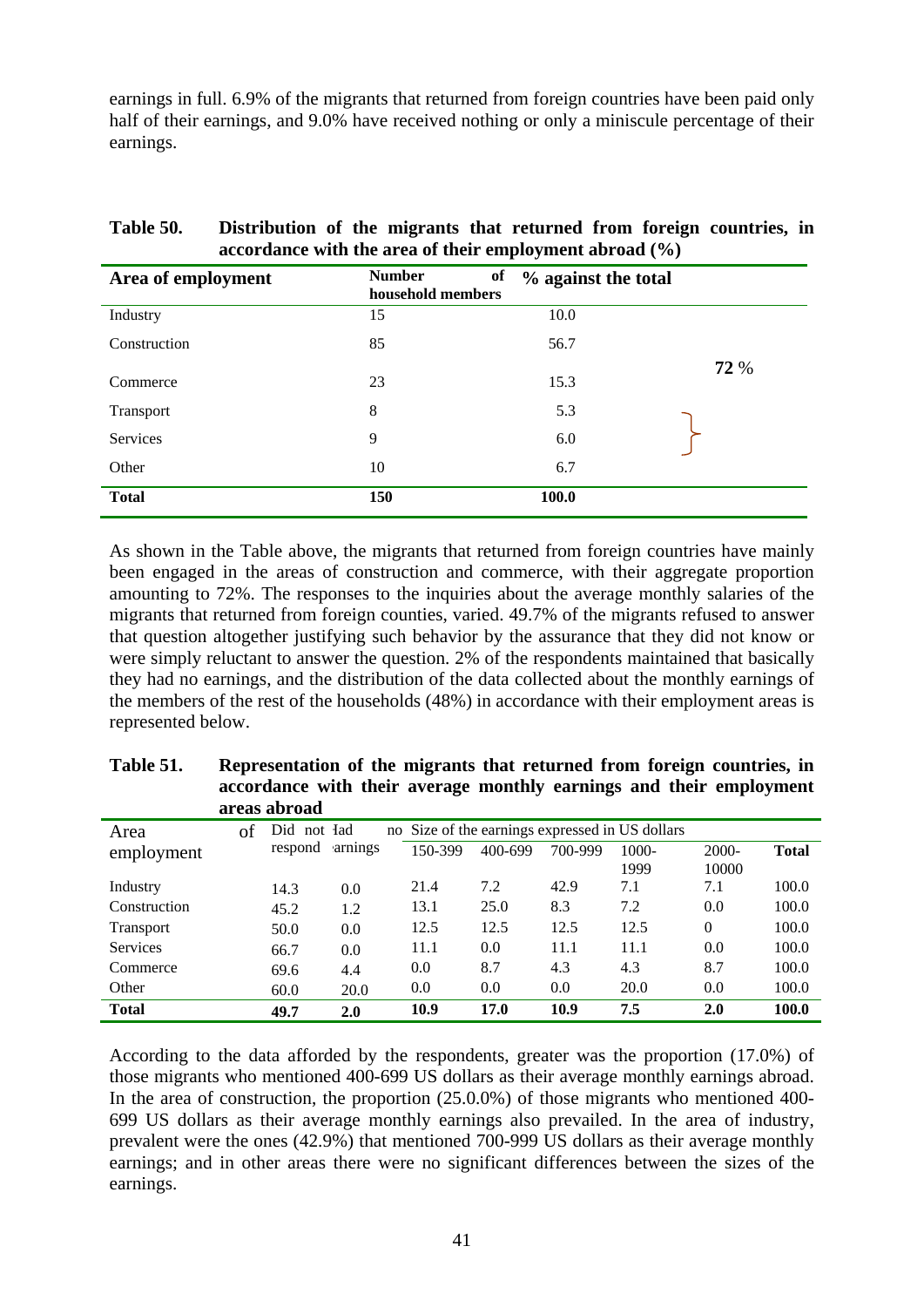earnings in full. 6.9% of the migrants that returned from foreign countries have been paid only half of their earnings, and 9.0% have received nothing or only a miniscule percentage of their earnings.

|                    |                                          | $\frac{1}{2}$       |      |
|--------------------|------------------------------------------|---------------------|------|
| Area of employment | <b>Number</b><br>of<br>household members | % against the total |      |
| Industry           | 15                                       | 10.0                |      |
| Construction       | 85                                       | 56.7                |      |
| Commerce           | 23                                       | 15.3                | 72 % |
| Transport          | 8                                        | 5.3                 |      |
| Services           | 9                                        | 6.0                 |      |
| Other              | 10                                       | 6.7                 |      |
| <b>Total</b>       | 150                                      | 100.0               |      |

## **Table 50. Distribution of the migrants that returned from foreign countries, in accordance with the area of their employment abroad (%)**

As shown in the Table above, the migrants that returned from foreign countries have mainly been engaged in the areas of construction and commerce, with their aggregate proportion amounting to 72%. The responses to the inquiries about the average monthly salaries of the migrants that returned from foreign counties, varied. 49.7% of the migrants refused to answer that question altogether justifying such behavior by the assurance that they did not know or were simply reluctant to answer the question. 2% of the respondents maintained that basically they had no earnings, and the distribution of the data collected about the monthly earnings of the members of the rest of the households (48%) in accordance with their employment areas is represented below.

|                  |    | areas abroad |         | o       | $\overline{\phantom{a}}$ | o       |                                                 |          |              |
|------------------|----|--------------|---------|---------|--------------------------|---------|-------------------------------------------------|----------|--------------|
| Area             | of | Did not Iad  |         |         |                          |         | no Size of the earnings expressed in US dollars |          |              |
| employment       |    | respond      | arnings | 150-399 | 400-699                  | 700-999 | 1000-                                           | $2000 -$ | <b>Total</b> |
|                  |    |              |         |         |                          |         | 1999                                            | 10000    |              |
| Industry         |    | 14.3         | 0.0     | 21.4    | 7.2                      | 42.9    | 7.1                                             | 7.1      | 100.0        |
| Construction     |    | 45.2         | 1.2     | 13.1    | 25.0                     | 8.3     | 7.2                                             | 0.0      | 100.0        |
| <b>Transport</b> |    | 50.0         | 0.0     | 12.5    | 12.5                     | 12.5    | 12.5                                            | $\Omega$ | 100.0        |
| <b>Services</b>  |    | 66.7         | 0.0     | 11.1    | 0.0                      | 11.1    | 11.1                                            | 0.0      | 100.0        |
| Commerce         |    | 69.6         | 4.4     | 0.0     | 8.7                      | 4.3     | 4.3                                             | 8.7      | 100.0        |
| Other            |    | 60.0         | 20.0    | 0.0     | 0.0                      | 0.0     | 20.0                                            | 0.0      | 100.0        |
| <b>Total</b>     |    | 49.7         | 2.0     | 10.9    | 17.0                     | 10.9    | 7.5                                             | 2.0      | 100.0        |

| <b>Table 51.</b> | Representation of the migrants that returned from foreign countries, in |
|------------------|-------------------------------------------------------------------------|
|                  | accordance with their average monthly earnings and their employment     |
|                  | areas abroad                                                            |

According to the data afforded by the respondents, greater was the proportion (17.0%) of those migrants who mentioned 400-699 US dollars as their average monthly earnings abroad. In the area of construction, the proportion (25.0.0%) of those migrants who mentioned 400- 699 US dollars as their average monthly earnings also prevailed. In the area of industry, prevalent were the ones (42.9%) that mentioned 700-999 US dollars as their average monthly earnings; and in other areas there were no significant differences between the sizes of the earnings.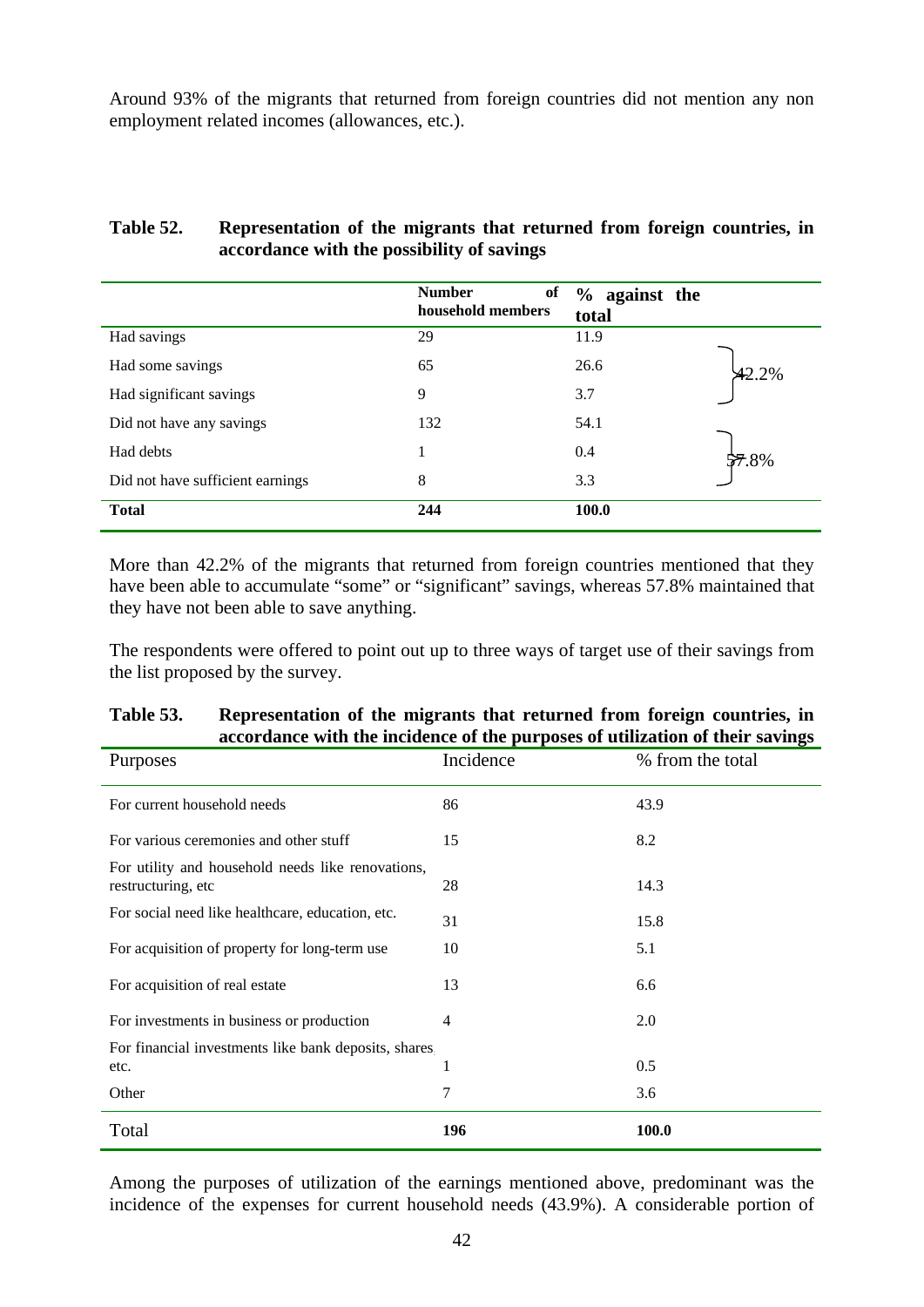Around 93% of the migrants that returned from foreign countries did not mention any non employment related incomes (allowances, etc.).

#### **Table 52. Representation of the migrants that returned from foreign countries, in accordance with the possibility of savings**

|                                  | <b>Number</b><br>of<br>household members | % against the<br>total |          |
|----------------------------------|------------------------------------------|------------------------|----------|
| Had savings                      | 29                                       | 11.9                   |          |
| Had some savings                 | 65                                       | 26.6                   | $42.2\%$ |
| Had significant savings          | 9                                        | 3.7                    |          |
| Did not have any savings         | 132                                      | 54.1                   |          |
| Had debts                        |                                          | 0.4                    | 57.8%    |
| Did not have sufficient earnings | 8                                        | 3.3                    |          |
| <b>Total</b>                     | 244                                      | 100.0                  |          |

More than 42.2% of the migrants that returned from foreign countries mentioned that they have been able to accumulate "some" or "significant" savings, whereas 57.8% maintained that they have not been able to save anything.

The respondents were offered to point out up to three ways of target use of their savings from the list proposed by the survey.

## **Table 53. Representation of the migrants that returned from foreign countries, in accordance with the incidence of the purposes of utilization of their savings**

| Purposes                                                                | Incidence | % from the total |
|-------------------------------------------------------------------------|-----------|------------------|
| For current household needs                                             | 86        | 43.9             |
| For various ceremonies and other stuff                                  | 15        | 8.2              |
| For utility and household needs like renovations,<br>restructuring, etc | 28        | 14.3             |
| For social need like healthcare, education, etc.                        | 31        | 15.8             |
| For acquisition of property for long-term use                           | 10        | 5.1              |
| For acquisition of real estate                                          | 13        | 6.6              |
| For investments in business or production                               | 4         | 2.0              |
| For financial investments like bank deposits, shares,                   |           |                  |
| etc.                                                                    | 1         | 0.5              |
| Other                                                                   | 7         | 3.6              |
| Total                                                                   | 196       | <b>100.0</b>     |

Among the purposes of utilization of the earnings mentioned above, predominant was the incidence of the expenses for current household needs (43.9%). A considerable portion of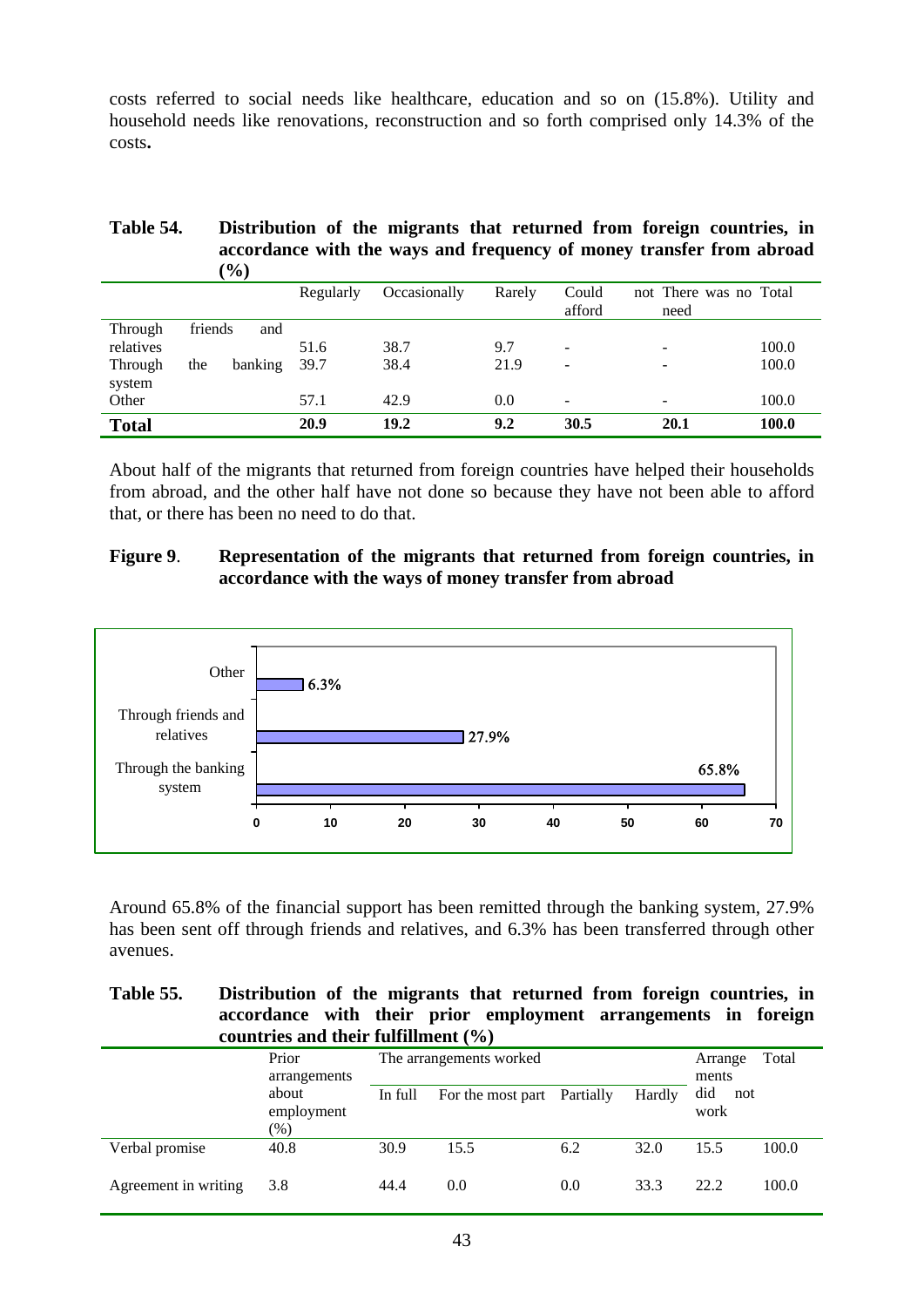costs referred to social needs like healthcare, education and so on (15.8%). Utility and household needs like renovations, reconstruction and so forth comprised only 14.3% of the costs**.** 

#### **Table 54. Distribution of the migrants that returned from foreign countries, in accordance with the ways and frequency of money transfer from abroad**   $(0/\lambda)$

|              | $\sqrt{2}$     |           |              |        |                          |                                |       |
|--------------|----------------|-----------|--------------|--------|--------------------------|--------------------------------|-------|
|              |                | Regularly | Occasionally | Rarely | Could<br>afford          | not There was no Total<br>need |       |
| Through      | friends<br>and |           |              |        |                          |                                |       |
| relatives    |                | 51.6      | 38.7         | 9.7    | $\overline{\phantom{0}}$ | $\overline{\phantom{0}}$       | 100.0 |
| Through      | banking<br>the | 39.7      | 38.4         | 21.9   | $\overline{\phantom{0}}$ | $\overline{\phantom{a}}$       | 100.0 |
| system       |                |           |              |        |                          |                                |       |
| Other        |                | 57.1      | 42.9         | 0.0    | $\overline{\phantom{0}}$ | $\overline{\phantom{0}}$       | 100.0 |
| <b>Total</b> |                | 20.9      | 19.2         | 9.2    | 30.5                     | 20.1                           | 100.0 |

About half of the migrants that returned from foreign countries have helped their households from abroad, and the other half have not done so because they have not been able to afford that, or there has been no need to do that.

## **Figure 9**. **Representation of the migrants that returned from foreign countries, in accordance with the ways of money transfer from abroad**



Around 65.8% of the financial support has been remitted through the banking system, 27.9% has been sent off through friends and relatives, and 6.3% has been transferred through other avenues.

#### **Table 55. Distribution of the migrants that returned from foreign countries, in accordance with their prior employment arrangements in foreign countries and their fulfillment (%)**

|                      | Prior<br>arrangements         |         | The arrangements worked     |     |        | Arrange<br>ments   | Total |
|----------------------|-------------------------------|---------|-----------------------------|-----|--------|--------------------|-------|
|                      | about<br>employment<br>$(\%)$ | In full | For the most part Partially |     | Hardly | did<br>not<br>work |       |
| Verbal promise       | 40.8                          | 30.9    | 15.5                        | 6.2 | 32.0   | 15.5               | 100.0 |
| Agreement in writing | 3.8                           | 44.4    | 0.0                         | 0.0 | 33.3   | 22.2               | 100.0 |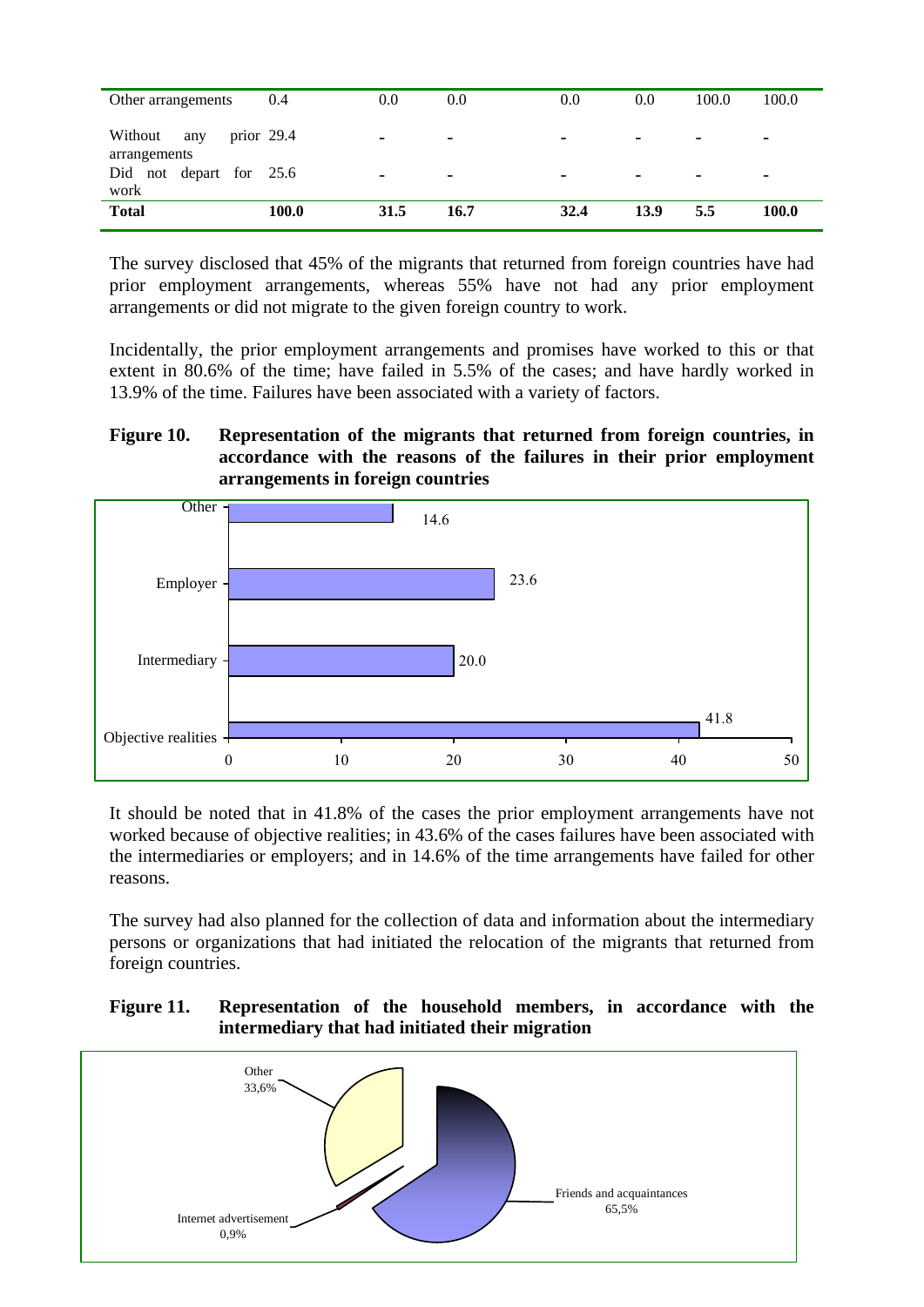| Other arrangements                             | 0.4   | 0.0  | 0.0                      | 0.0                      | 0.0                      | 100.0 | 100.0 |
|------------------------------------------------|-------|------|--------------------------|--------------------------|--------------------------|-------|-------|
| Without<br>prior $29.4$<br>any<br>arrangements |       | -    | $\overline{\phantom{0}}$ | $\overline{\phantom{0}}$ | $\overline{\phantom{0}}$ |       |       |
| Did not depart for 25.6<br>work                |       |      | -                        |                          | $\overline{\phantom{0}}$ |       |       |
| <b>Total</b>                                   | 100.0 | 31.5 | 16.7                     | 32.4                     | 13.9                     | 5.5   | 100.0 |

The survey disclosed that 45% of the migrants that returned from foreign countries have had prior employment arrangements, whereas 55% have not had any prior employment arrangements or did not migrate to the given foreign country to work.

Incidentally, the prior employment arrangements and promises have worked to this or that extent in 80.6% of the time; have failed in 5.5% of the cases; and have hardly worked in 13.9% of the time. Failures have been associated with a variety of factors.

## **Figure 10. Representation of the migrants that returned from foreign countries, in accordance with the reasons of the failures in their prior employment arrangements in foreign countries**



It should be noted that in 41.8% of the cases the prior employment arrangements have not worked because of objective realities; in 43.6% of the cases failures have been associated with the intermediaries or employers; and in 14.6% of the time arrangements have failed for other reasons.

The survey had also planned for the collection of data and information about the intermediary persons or organizations that had initiated the relocation of the migrants that returned from foreign countries.

## **Figure 11. Representation of the household members, in accordance with the intermediary that had initiated their migration**

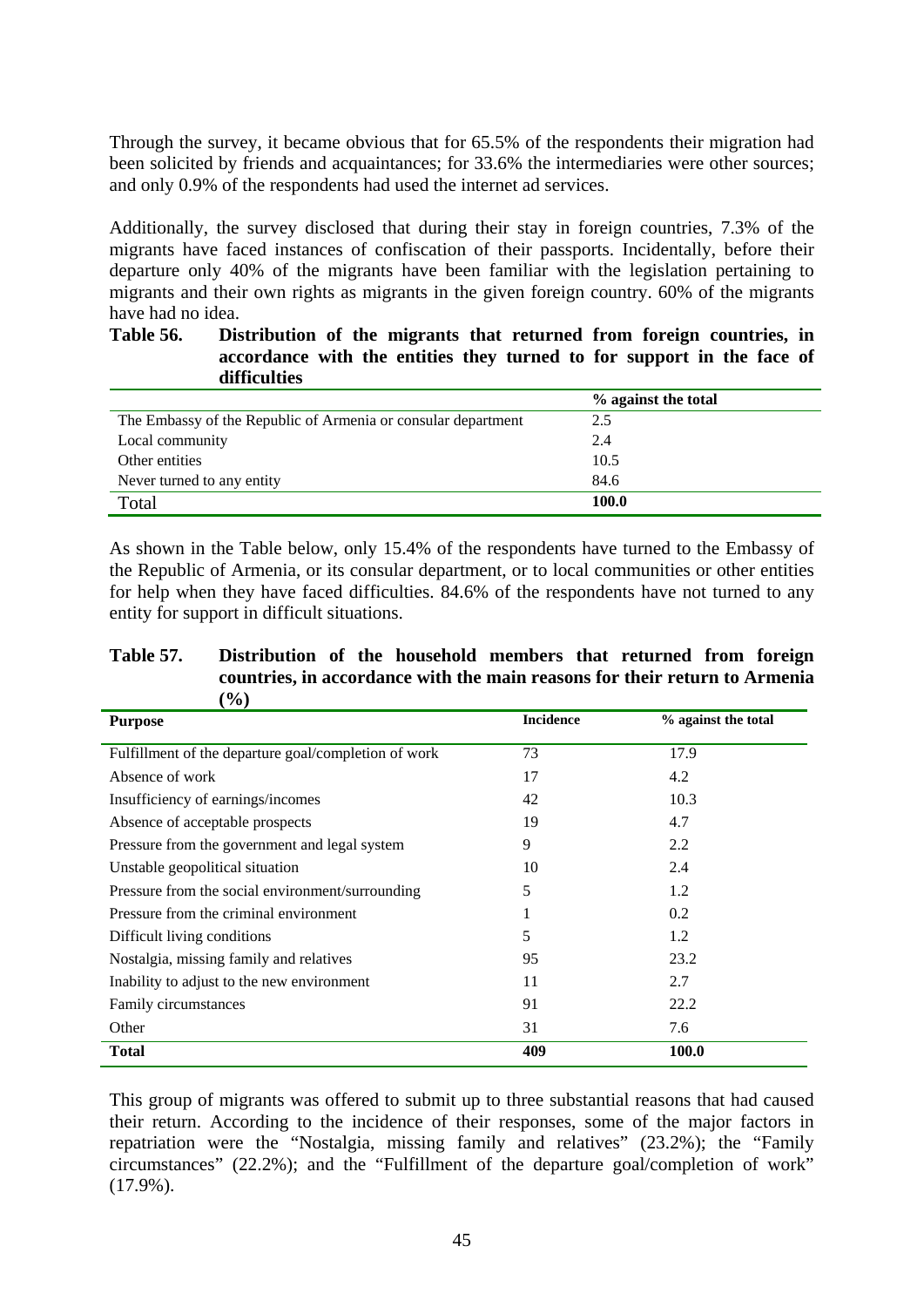Through the survey, it became obvious that for 65.5% of the respondents their migration had been solicited by friends and acquaintances; for 33.6% the intermediaries were other sources; and only 0.9% of the respondents had used the internet ad services.

Additionally, the survey disclosed that during their stay in foreign countries, 7.3% of the migrants have faced instances of confiscation of their passports. Incidentally, before their departure only 40% of the migrants have been familiar with the legislation pertaining to migrants and their own rights as migrants in the given foreign country. 60% of the migrants have had no idea.

## **Table 56. Distribution of the migrants that returned from foreign countries, in accordance with the entities they turned to for support in the face of difficulties**

|                                                               | % against the total |
|---------------------------------------------------------------|---------------------|
| The Embassy of the Republic of Armenia or consular department | 2.5                 |
| Local community                                               | 2.4                 |
| Other entities                                                | 10.5                |
| Never turned to any entity                                    | 84.6                |
| Total                                                         | 100.0               |

As shown in the Table below, only 15.4% of the respondents have turned to the Embassy of the Republic of Armenia, or its consular department, or to local communities or other entities for help when they have faced difficulties. 84.6% of the respondents have not turned to any entity for support in difficult situations.

#### **Table 57. Distribution of the household members that returned from foreign countries, in accordance with the main reasons for their return to Armenia (%)**

| <b>Purpose</b>                                       | <b>Incidence</b> | % against the total |
|------------------------------------------------------|------------------|---------------------|
| Fulfillment of the departure goal/completion of work | 73               | 17.9                |
| Absence of work                                      | 17               | 4.2                 |
| Insufficiency of earnings/incomes                    | 42               | 10.3                |
| Absence of acceptable prospects                      | 19               | 4.7                 |
| Pressure from the government and legal system        | 9                | 2.2                 |
| Unstable geopolitical situation                      | 10               | 2.4                 |
| Pressure from the social environment/surrounding     | 5                | 1.2                 |
| Pressure from the criminal environment               | 1                | 0.2                 |
| Difficult living conditions                          | 5                | 1.2                 |
| Nostalgia, missing family and relatives              | 95               | 23.2                |
| Inability to adjust to the new environment           | 11               | 2.7                 |
| Family circumstances                                 | 91               | 22.2                |
| Other                                                | 31               | 7.6                 |
| <b>Total</b>                                         | 409              | 100.0               |

This group of migrants was offered to submit up to three substantial reasons that had caused their return. According to the incidence of their responses, some of the major factors in repatriation were the "Nostalgia, missing family and relatives" (23.2%); the "Family circumstances" (22.2%); and the "Fulfillment of the departure goal/completion of work"  $(17.9\%)$ .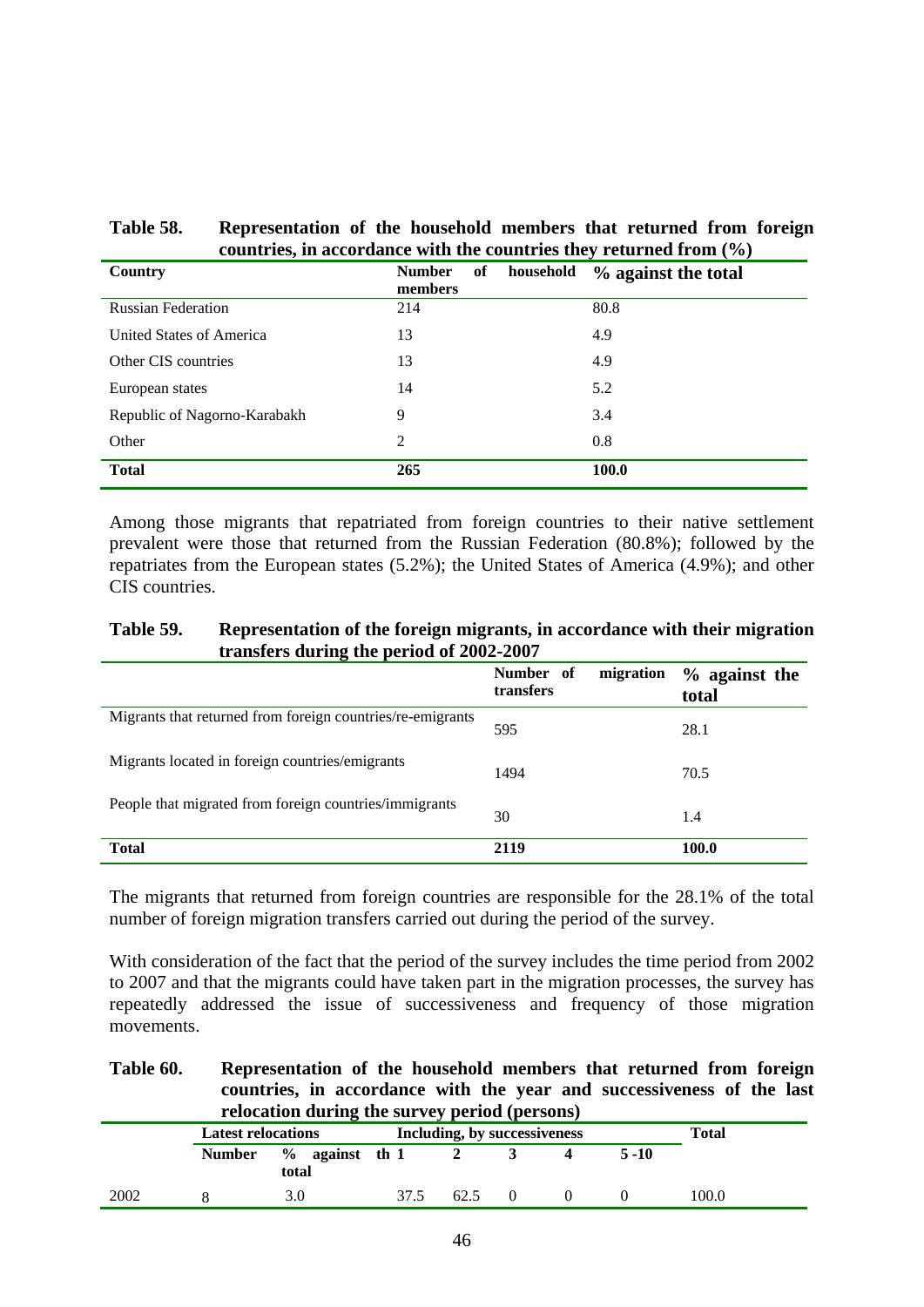| Table 58. | Representation of the household members that returned from foreign                        |
|-----------|-------------------------------------------------------------------------------------------|
|           | countries, in accordance with the countries they returned from $\left(\frac{0}{0}\right)$ |

| Country                      | <b>Number</b><br>of<br>household<br>members | % against the total |
|------------------------------|---------------------------------------------|---------------------|
| <b>Russian Federation</b>    | 214                                         | 80.8                |
| United States of America     | 13                                          | 4.9                 |
| Other CIS countries          | 13                                          | 4.9                 |
| European states              | 14                                          | 5.2                 |
| Republic of Nagorno-Karabakh | 9                                           | 3.4                 |
| Other                        | $\overline{2}$                              | 0.8                 |
| <b>Total</b>                 | 265                                         | 100.0               |

Among those migrants that repatriated from foreign countries to their native settlement prevalent were those that returned from the Russian Federation (80.8%); followed by the repatriates from the European states (5.2%); the United States of America (4.9%); and other CIS countries.

| Table 59. | Representation of the foreign migrants, in accordance with their migration |
|-----------|----------------------------------------------------------------------------|
|           | transfers during the period of 2002-2007                                   |

|                                                            | Number of<br>migration<br>transfers | $%$ against the<br>total |
|------------------------------------------------------------|-------------------------------------|--------------------------|
| Migrants that returned from foreign countries/re-emigrants | 595                                 | 28.1                     |
| Migrants located in foreign countries/emigrants            | 1494                                | 70.5                     |
| People that migrated from foreign countries/immigrants     | 30                                  | 1.4                      |
| <b>Total</b>                                               | 2119                                | 100.0                    |

The migrants that returned from foreign countries are responsible for the 28.1% of the total number of foreign migration transfers carried out during the period of the survey.

With consideration of the fact that the period of the survey includes the time period from 2002 to 2007 and that the migrants could have taken part in the migration processes, the survey has repeatedly addressed the issue of successiveness and frequency of those migration movements.

#### **Table 60. Representation of the household members that returned from foreign countries, in accordance with the year and successiveness of the last relocation during the survey period (persons)**

| relocation during the survey period (persons) |                           |                            |                              |      |          |  |          |       |
|-----------------------------------------------|---------------------------|----------------------------|------------------------------|------|----------|--|----------|-------|
|                                               | <b>Latest relocations</b> |                            | Including, by successiveness |      |          |  | Total    |       |
|                                               | <b>Number</b>             | $\%$ against th 1<br>total |                              |      |          |  | $5 - 10$ |       |
| 2002                                          |                           | 3.0                        | 37.5                         | 62.5 | $\Omega$ |  |          | 100.0 |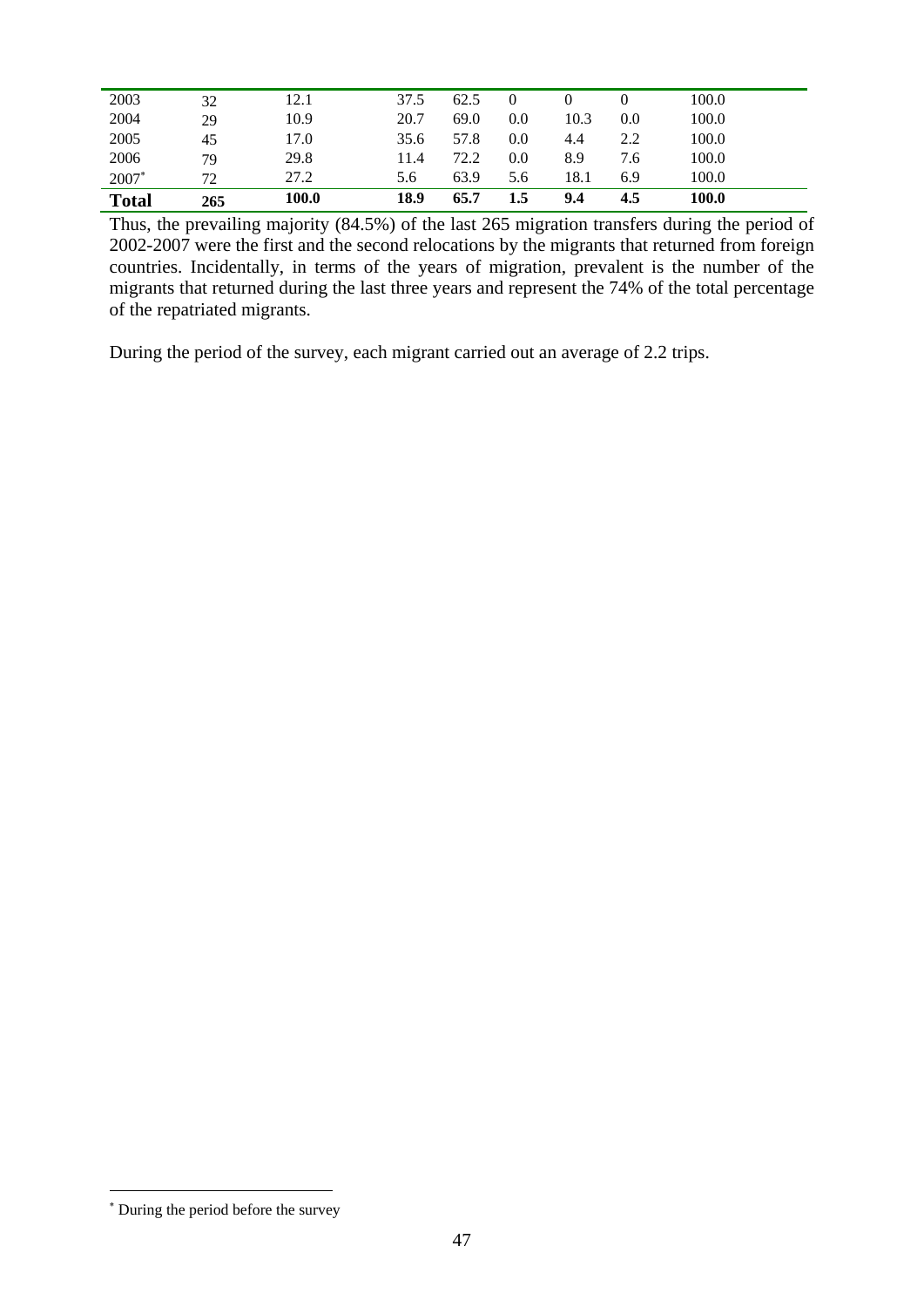| <b>Total</b> | 265 | 100.0 | 18.9 | 65.7 | 1.5 | 9.4  | 4.5 | 100.0 |  |
|--------------|-----|-------|------|------|-----|------|-----|-------|--|
| 2007*        | 72  | 27.2  | 5.6  | 63.9 | 5.6 | 18.1 | 6.9 | 100.0 |  |
| 2006         | 79  | 29.8  | 11.4 | 72.2 | 0.0 | 8.9  | 7.6 | 100.0 |  |
| 2005         | 45  | 17.0  | 35.6 | 57.8 | 0.0 | 4.4  | 2.2 | 100.0 |  |
| 2004         | 29  | 10.9  | 20.7 | 69.0 | 0.0 | 10.3 | 0.0 | 100.0 |  |
| 2003         | 32  | 12.1  | 37.5 | 62.5 |     |      |     | 100.0 |  |
|              |     |       |      |      |     |      |     |       |  |

Thus, the prevailing majority (84.5%) of the last 265 migration transfers during the period of 2002-2007 were the first and the second relocations by the migrants that returned from foreign countries. Incidentally, in terms of the years of migration, prevalent is the number of the migrants that returned during the last three years and represent the 74% of the total percentage of the repatriated migrants.

During the period of the survey, each migrant carried out an average of 2.2 trips.

 $\overline{a}$ 

<sup>∗</sup> During the period before the survey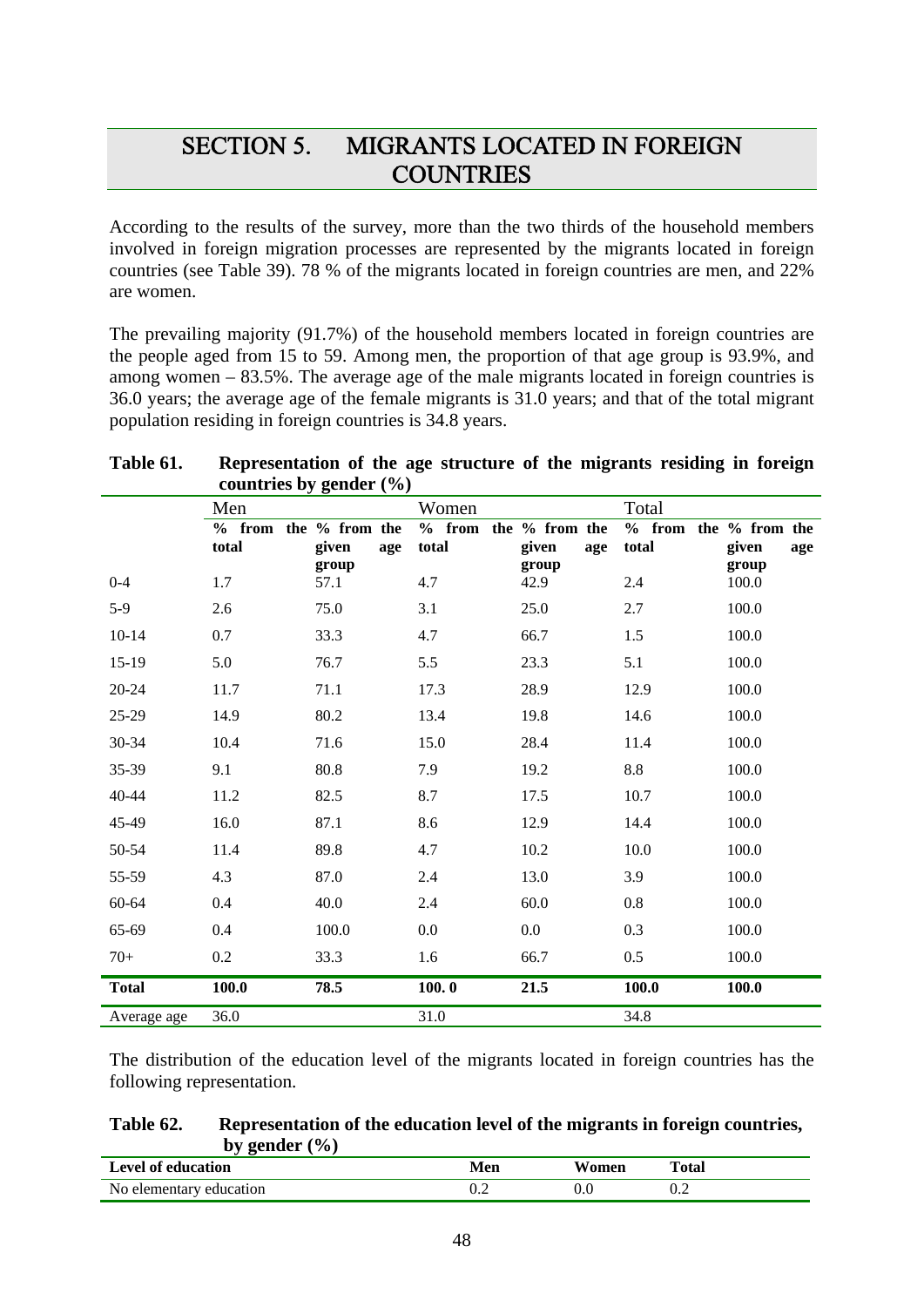# SECTION 5. MIGRANTS LOCATED IN FOREIGN **COUNTRIES**

According to the results of the survey, more than the two thirds of the household members involved in foreign migration processes are represented by the migrants located in foreign countries (see Table 39). 78 % of the migrants located in foreign countries are men, and 22% are women.

The prevailing majority (91.7%) of the household members located in foreign countries are the people aged from 15 to 59. Among men, the proportion of that age group is 93.9%, and among women – 83.5%. The average age of the male migrants located in foreign countries is 36.0 years; the average age of the female migrants is 31.0 years; and that of the total migrant population residing in foreign countries is 34.8 years.

| Table 61. | Representation of the age structure of the migrants residing in foreign |
|-----------|-------------------------------------------------------------------------|
|           | countries by gender $(\% )$                                             |

|              | Men               |                                | Women                          |               | Total                          |                |
|--------------|-------------------|--------------------------------|--------------------------------|---------------|--------------------------------|----------------|
|              | $%$ from<br>total | the % from the<br>given<br>age | % from the % from the<br>total | given<br>age  | % from the % from the<br>total | given<br>age   |
| $0 - 4$      | 1.7               | group<br>57.1                  | 4.7                            | group<br>42.9 | 2.4                            | group<br>100.0 |
| $5-9$        | 2.6               | 75.0                           | 3.1                            | 25.0          | 2.7                            | 100.0          |
| $10 - 14$    | 0.7               | 33.3                           | 4.7                            | 66.7          | 1.5                            | 100.0          |
| 15-19        | 5.0               | 76.7                           | 5.5                            | 23.3          | 5.1                            | 100.0          |
| 20-24        | 11.7              | 71.1                           | 17.3                           | 28.9          | 12.9                           | 100.0          |
| 25-29        | 14.9              | 80.2                           | 13.4                           | 19.8          | 14.6                           | 100.0          |
| 30-34        | 10.4              | 71.6                           | 15.0                           | 28.4          | 11.4                           | 100.0          |
| 35-39        | 9.1               | 80.8                           | 7.9                            | 19.2          | $8.8\,$                        | 100.0          |
| 40-44        | 11.2              | 82.5                           | 8.7                            | 17.5          | 10.7                           | 100.0          |
| 45-49        | 16.0              | 87.1                           | 8.6                            | 12.9          | 14.4                           | 100.0          |
| 50-54        | 11.4              | 89.8                           | 4.7                            | 10.2          | 10.0                           | 100.0          |
| 55-59        | 4.3               | 87.0                           | 2.4                            | 13.0          | 3.9                            | 100.0          |
| 60-64        | 0.4               | 40.0                           | 2.4                            | 60.0          | 0.8                            | 100.0          |
| 65-69        | 0.4               | 100.0                          | $0.0\,$                        | 0.0           | 0.3                            | 100.0          |
| $70+$        | 0.2               | 33.3                           | 1.6                            | 66.7          | 0.5                            | 100.0          |
| <b>Total</b> | 100.0             | 78.5                           | 100.0                          | 21.5          | 100.0                          | 100.0          |
| Average age  | 36.0              |                                | 31.0                           |               | 34.8                           |                |

The distribution of the education level of the migrants located in foreign countries has the following representation.

## **Table 62. Representation of the education level of the migrants in foreign countries,**  by gender  $(\% )$

| <b>Level of education</b> | Men | Women | Total |
|---------------------------|-----|-------|-------|
| No elementary education   | ∪.∠ |       |       |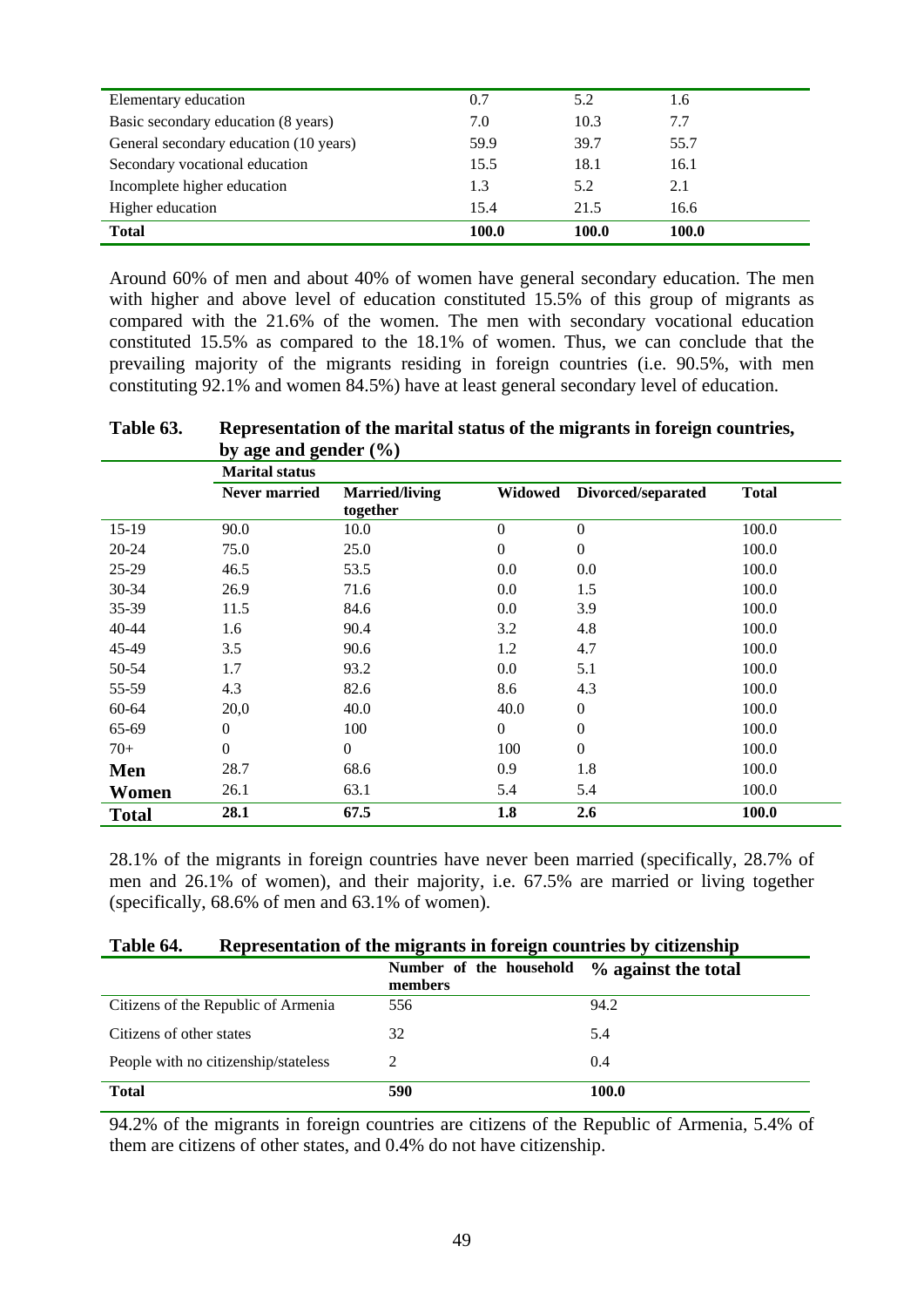| Elementary education                   | 0.7   | 5.2   | 1.6   |
|----------------------------------------|-------|-------|-------|
| Basic secondary education (8 years)    | 7.0   | 10.3  | 7.7   |
| General secondary education (10 years) | 59.9  | 39.7  | 55.7  |
| Secondary vocational education         | 15.5  | 18.1  | 16.1  |
| Incomplete higher education            | 1.3   | 5.2   | 2.1   |
| Higher education                       | 15.4  | 21.5  | 16.6  |
| <b>Total</b>                           | 100.0 | 100.0 | 100.0 |

Around 60% of men and about 40% of women have general secondary education. The men with higher and above level of education constituted 15.5% of this group of migrants as compared with the 21.6% of the women. The men with secondary vocational education constituted 15.5% as compared to the 18.1% of women. Thus, we can conclude that the prevailing majority of the migrants residing in foreign countries (i.e. 90.5%, with men constituting 92.1% and women 84.5%) have at least general secondary level of education.

**Table 63. Representation of the marital status of the migrants in foreign countries, by age and gender (%)**

|              | <b>Marital status</b> |                       |                  |                    |              |
|--------------|-----------------------|-----------------------|------------------|--------------------|--------------|
|              | Never married         | <b>Married/living</b> | Widowed          | Divorced/separated | <b>Total</b> |
|              |                       | together              |                  |                    |              |
| $15-19$      | 90.0                  | 10.0                  | 0                | $\boldsymbol{0}$   | 100.0        |
| $20 - 24$    | 75.0                  | 25.0                  | $\overline{0}$   | $\boldsymbol{0}$   | 100.0        |
| 25-29        | 46.5                  | 53.5                  | 0.0              | 0.0                | 100.0        |
| 30-34        | 26.9                  | 71.6                  | 0.0              | 1.5                | 100.0        |
| 35-39        | 11.5                  | 84.6                  | 0.0              | 3.9                | 100.0        |
| 40-44        | 1.6                   | 90.4                  | 3.2              | 4.8                | 100.0        |
| 45-49        | 3.5                   | 90.6                  | 1.2              | 4.7                | 100.0        |
| 50-54        | 1.7                   | 93.2                  | 0.0              | 5.1                | 100.0        |
| 55-59        | 4.3                   | 82.6                  | 8.6              | 4.3                | 100.0        |
| 60-64        | 20,0                  | 40.0                  | 40.0             | $\boldsymbol{0}$   | 100.0        |
| 65-69        | $\boldsymbol{0}$      | 100                   | $\boldsymbol{0}$ | $\overline{0}$     | 100.0        |
| $70+$        | $\boldsymbol{0}$      | $\boldsymbol{0}$      | 100              | $\boldsymbol{0}$   | 100.0        |
| Men          | 28.7                  | 68.6                  | 0.9              | 1.8                | 100.0        |
| Women        | 26.1                  | 63.1                  | 5.4              | 5.4                | 100.0        |
| <b>Total</b> | 28.1                  | 67.5                  | 1.8              | 2.6                | 100.0        |

28.1% of the migrants in foreign countries have never been married (specifically, 28.7% of men and 26.1% of women), and their majority, i.e. 67.5% are married or living together (specifically, 68.6% of men and 63.1% of women).

| Table 64. | Representation of the migrants in foreign countries by citizenship |  |  |
|-----------|--------------------------------------------------------------------|--|--|
|           |                                                                    |  |  |

|                                      | Number of the household<br>members | % against the total |
|--------------------------------------|------------------------------------|---------------------|
| Citizens of the Republic of Armenia  | 556                                | 94.2                |
| Citizens of other states             | 32                                 | 5.4                 |
| People with no citizenship/stateless | 2                                  | 0.4                 |
| <b>Total</b>                         | 590                                | 100.0               |

94.2% of the migrants in foreign countries are citizens of the Republic of Armenia, 5.4% of them are citizens of other states, and 0.4% do not have citizenship.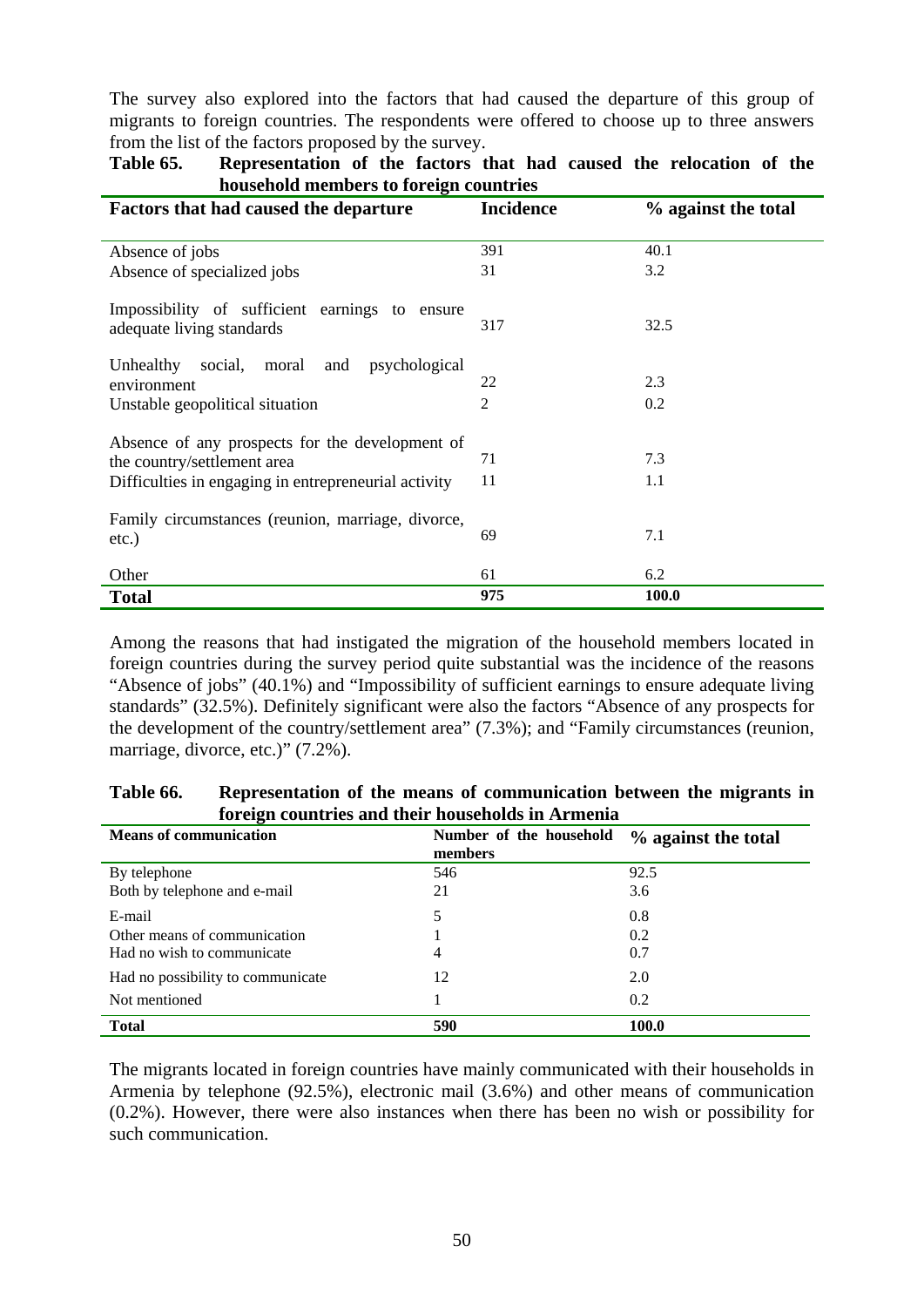The survey also explored into the factors that had caused the departure of this group of migrants to foreign countries. The respondents were offered to choose up to three answers from the list of the factors proposed by the survey.

| nouschold members to foreign countries               |                  |                     |  |  |
|------------------------------------------------------|------------------|---------------------|--|--|
| <b>Factors that had caused the departure</b>         | <b>Incidence</b> | % against the total |  |  |
| Absence of jobs                                      | 391              | 40.1                |  |  |
| Absence of specialized jobs                          | 31               | 3.2                 |  |  |
| Impossibility of sufficient earnings to ensure       |                  |                     |  |  |
| adequate living standards                            | 317              | 32.5                |  |  |
| Unhealthy<br>moral and<br>social,<br>psychological   |                  |                     |  |  |
| environment                                          | 22               | 2.3                 |  |  |
| Unstable geopolitical situation                      | $\overline{2}$   | 0.2                 |  |  |
| Absence of any prospects for the development of      |                  |                     |  |  |
| the country/settlement area                          | 71               | 7.3                 |  |  |
| Difficulties in engaging in entrepreneurial activity | 11               | 1.1                 |  |  |
| Family circumstances (reunion, marriage, divorce,    |                  |                     |  |  |
| $etc.$ )                                             | 69               | 7.1                 |  |  |
| Other                                                | 61               | 6.2                 |  |  |
| <b>Total</b>                                         | 975              | 100.0               |  |  |

**Table 65. Representation of the factors that had caused the relocation of the household members to foreign countries** 

Among the reasons that had instigated the migration of the household members located in foreign countries during the survey period quite substantial was the incidence of the reasons "Absence of jobs" (40.1%) and "Impossibility of sufficient earnings to ensure adequate living standards" (32.5%). Definitely significant were also the factors "Absence of any prospects for the development of the country/settlement area" (7.3%); and "Family circumstances (reunion, marriage, divorce, etc.)" (7.2%).

| 0<br><b>Means of communication</b> | Number of the household<br>members | % against the total |
|------------------------------------|------------------------------------|---------------------|
| By telephone                       | 546                                | 92.5                |
| Both by telephone and e-mail       | 21                                 | 3.6                 |
| E-mail                             |                                    | 0.8                 |
| Other means of communication       |                                    | 0.2                 |
| Had no wish to communicate         | 4                                  | 0.7                 |
| Had no possibility to communicate  | 12                                 | 2.0                 |
| Not mentioned                      |                                    | 0.2                 |
| <b>Total</b>                       | 590                                | 100.0               |

**Table 66. Representation of the means of communication between the migrants in foreign countries and their households in Armenia** 

The migrants located in foreign countries have mainly communicated with their households in Armenia by telephone (92.5%), electronic mail (3.6%) and other means of communication (0.2%). However, there were also instances when there has been no wish or possibility for such communication.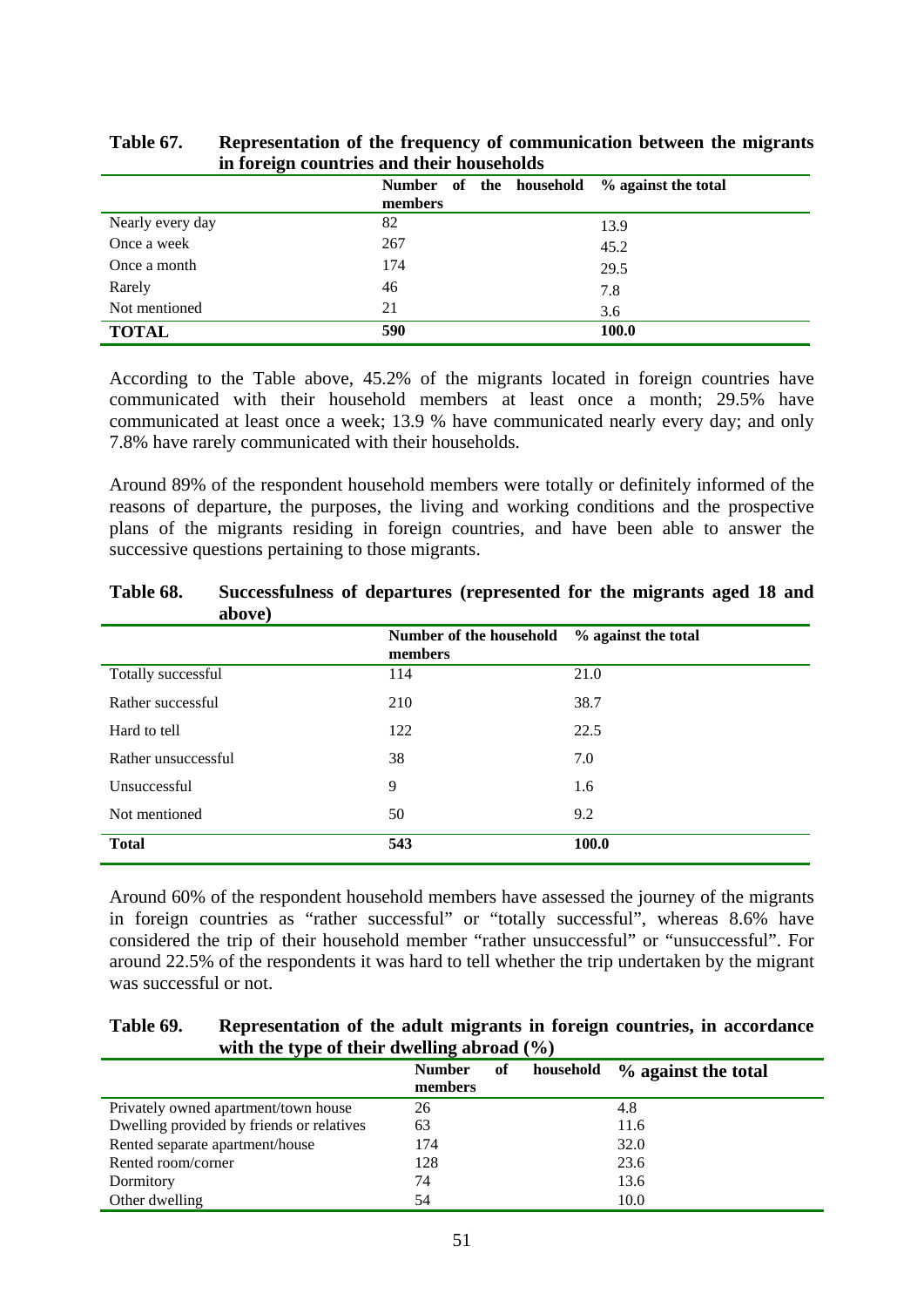|                  | Number of the household<br>members | % against the total |
|------------------|------------------------------------|---------------------|
| Nearly every day | 82                                 | 13.9                |
| Once a week      | 267                                | 45.2                |
| Once a month     | 174                                | 29.5                |
| Rarely           | 46                                 | 7.8                 |
| Not mentioned    | 21                                 | 3.6                 |
| <b>TOTAL</b>     | 590                                | 100.0               |

| Table 67. | Representation of the frequency of communication between the migrants |
|-----------|-----------------------------------------------------------------------|
|           | in foreign countries and their households                             |

According to the Table above, 45.2% of the migrants located in foreign countries have communicated with their household members at least once a month; 29.5% have communicated at least once a week; 13.9 % have communicated nearly every day; and only 7.8% have rarely communicated with their households.

Around 89% of the respondent household members were totally or definitely informed of the reasons of departure, the purposes, the living and working conditions and the prospective plans of the migrants residing in foreign countries, and have been able to answer the successive questions pertaining to those migrants.

|                     | Number of the household<br>members | % against the total |
|---------------------|------------------------------------|---------------------|
| Totally successful  | 114                                | 21.0                |
| Rather successful   | 210                                | 38.7                |
| Hard to tell        | 122                                | 22.5                |
| Rather unsuccessful | 38                                 | 7.0                 |
| Unsuccessful        | 9                                  | 1.6                 |
| Not mentioned       | 50                                 | 9.2                 |
| <b>Total</b>        | 543                                | 100.0               |

**Table 68. Successfulness of departures (represented for the migrants aged 18 and above)** 

Around 60% of the respondent household members have assessed the journey of the migrants in foreign countries as "rather successful" or "totally successful", whereas 8.6% have considered the trip of their household member "rather unsuccessful" or "unsuccessful". For around 22.5% of the respondents it was hard to tell whether the trip undertaken by the migrant was successful or not.

| Table 69. | Representation of the adult migrants in foreign countries, in accordance |
|-----------|--------------------------------------------------------------------------|
|           | with the type of their dwelling abroad $(\% )$                           |

| . .                                       | -<br>of<br><b>Number</b><br>members | household | % against the total |
|-------------------------------------------|-------------------------------------|-----------|---------------------|
| Privately owned apartment/town house      | 26                                  |           | 4.8                 |
| Dwelling provided by friends or relatives | 63                                  |           | 11.6                |
| Rented separate apartment/house           | 174                                 |           | 32.0                |
| Rented room/corner                        | 128                                 |           | 23.6                |
| Dormitory                                 | 74                                  |           | 13.6                |
| Other dwelling                            | 54                                  |           | 10.0                |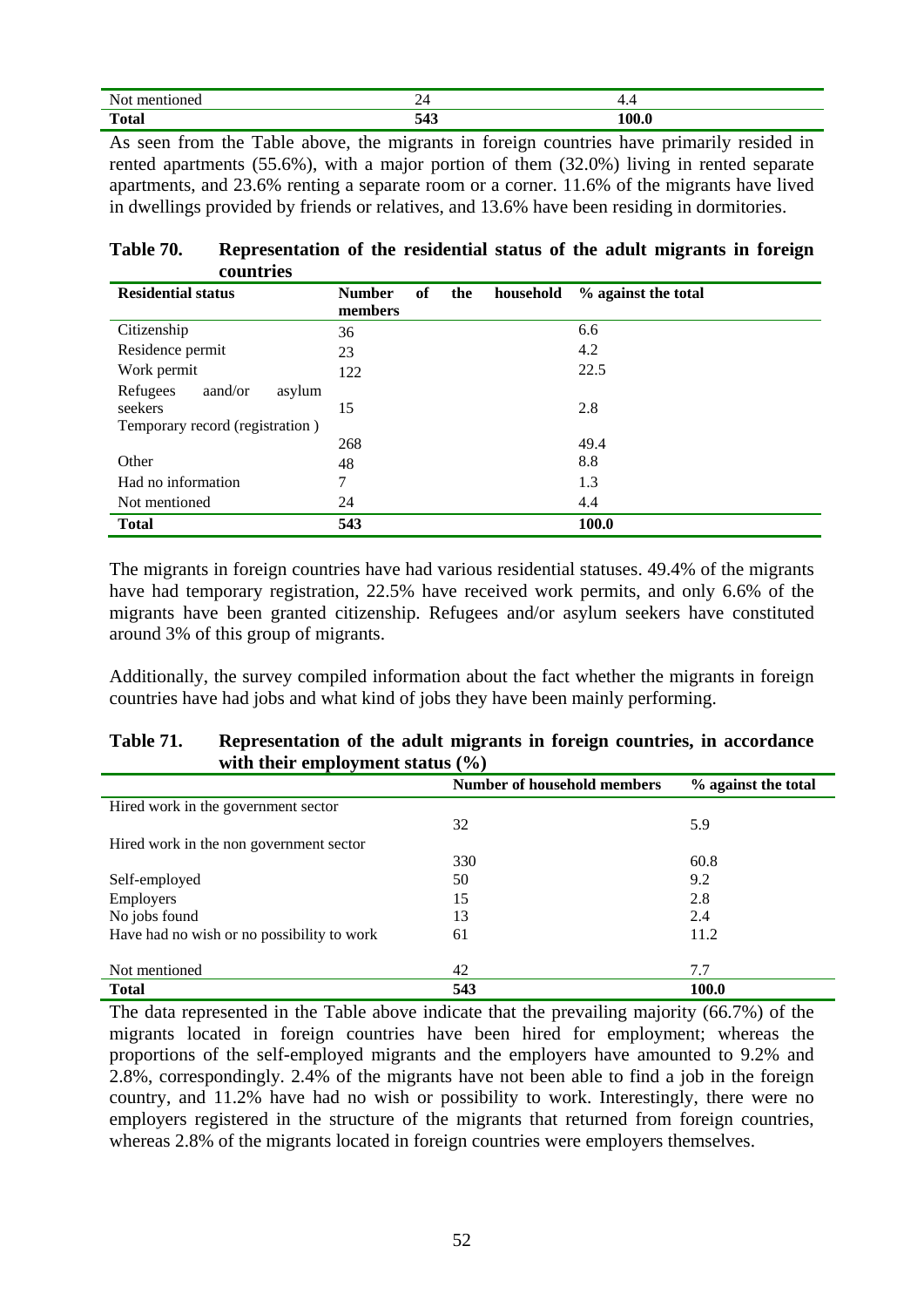| - -<br>. N.<br>.         | <b>A</b> | $\cdots$ |
|--------------------------|----------|----------|
| $\sqrt{2}$<br>$-4-$<br>. | - - -    | Λſ       |

As seen from the Table above, the migrants in foreign countries have primarily resided in rented apartments (55.6%), with a major portion of them (32.0%) living in rented separate apartments, and 23.6% renting a separate room or a corner. 11.6% of the migrants have lived in dwellings provided by friends or relatives, and 13.6% have been residing in dormitories.

| Table 70. | Representation of the residential status of the adult migrants in foreign |  |  |  |  |  |
|-----------|---------------------------------------------------------------------------|--|--|--|--|--|
|           | countries                                                                 |  |  |  |  |  |

| <b>Residential status</b>       | <b>Number</b> | of | the | household | % against the total |
|---------------------------------|---------------|----|-----|-----------|---------------------|
|                                 | members       |    |     |           |                     |
| Citizenship                     | 36            |    |     |           | 6.6                 |
| Residence permit                | 23            |    |     |           | 4.2                 |
| Work permit                     | 122           |    |     |           | 22.5                |
| Refugees<br>aand/or<br>asylum   |               |    |     |           |                     |
| seekers                         | 15            |    |     |           | 2.8                 |
| Temporary record (registration) |               |    |     |           |                     |
|                                 | 268           |    |     |           | 49.4                |
| Other                           | 48            |    |     |           | 8.8                 |
| Had no information              | 7             |    |     |           | 1.3                 |
| Not mentioned                   | 24            |    |     |           | 4.4                 |
| <b>Total</b>                    | 543           |    |     |           | <b>100.0</b>        |

The migrants in foreign countries have had various residential statuses. 49.4% of the migrants have had temporary registration, 22.5% have received work permits, and only 6.6% of the migrants have been granted citizenship. Refugees and/or asylum seekers have constituted around 3% of this group of migrants.

Additionally, the survey compiled information about the fact whether the migrants in foreign countries have had jobs and what kind of jobs they have been mainly performing.

## **Table 71. Representation of the adult migrants in foreign countries, in accordance with their employment status (%)**

|                                            | <b>Number of household members</b> | % against the total |
|--------------------------------------------|------------------------------------|---------------------|
| Hired work in the government sector        |                                    |                     |
|                                            | 32                                 | 5.9                 |
| Hired work in the non government sector    |                                    |                     |
|                                            | 330                                | 60.8                |
| Self-employed                              | 50                                 | 9.2                 |
| Employers                                  | 15                                 | 2.8                 |
| No jobs found                              | 13                                 | 2.4                 |
| Have had no wish or no possibility to work | 61                                 | 11.2                |
|                                            |                                    |                     |
| Not mentioned                              | 42                                 | 7.7                 |
| <b>Total</b>                               | 543                                | 100.0               |

The data represented in the Table above indicate that the prevailing majority (66.7%) of the migrants located in foreign countries have been hired for employment; whereas the proportions of the self-employed migrants and the employers have amounted to 9.2% and 2.8%, correspondingly. 2.4% of the migrants have not been able to find a job in the foreign country, and 11.2% have had no wish or possibility to work. Interestingly, there were no employers registered in the structure of the migrants that returned from foreign countries, whereas 2.8% of the migrants located in foreign countries were employers themselves.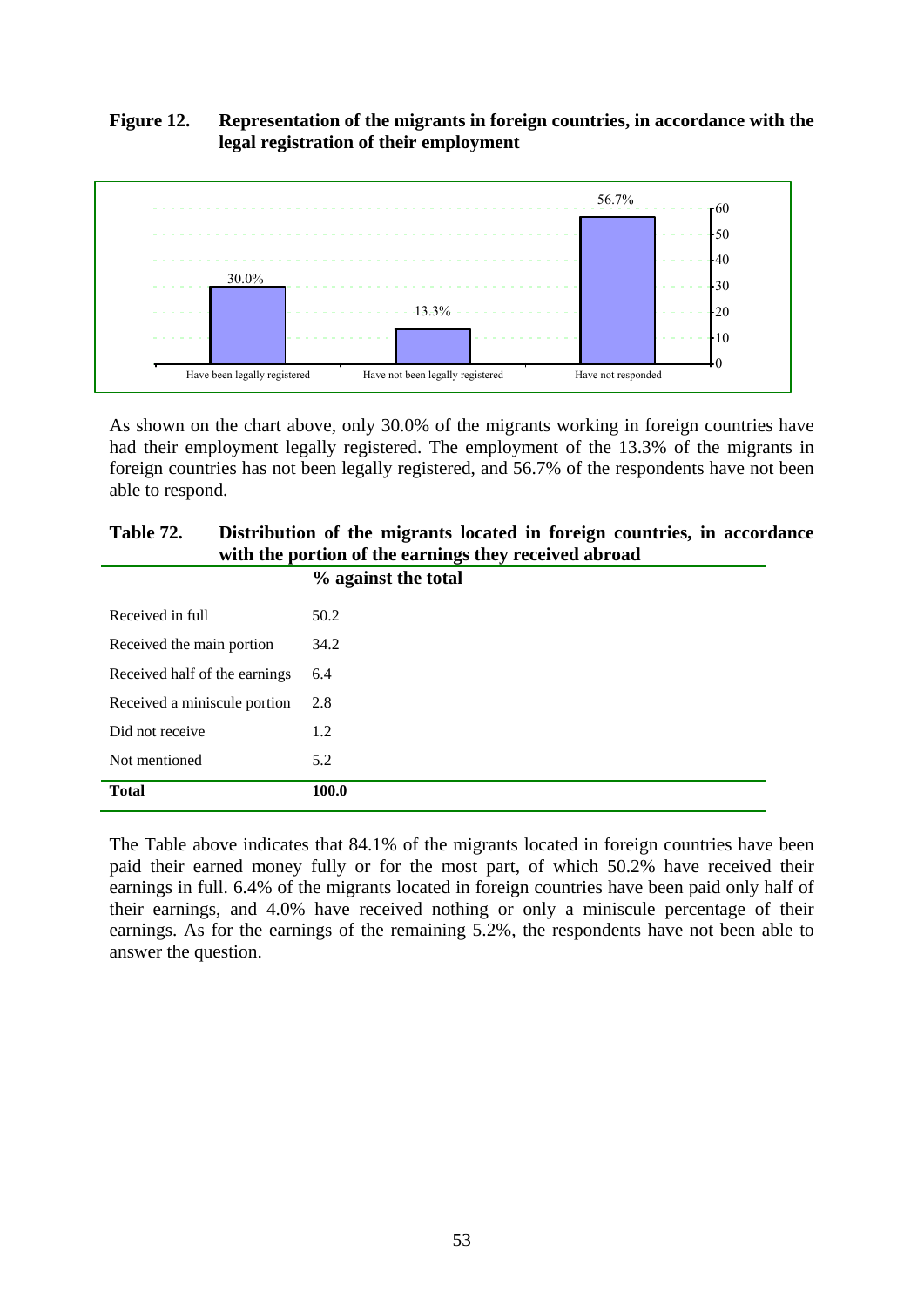# **Figure 12. Representation of the migrants in foreign countries, in accordance with the legal registration of their employment**



As shown on the chart above, only 30.0% of the migrants working in foreign countries have had their employment legally registered. The employment of the 13.3% of the migrants in foreign countries has not been legally registered, and 56.7% of the respondents have not been able to respond.

# **Table 72. Distribution of the migrants located in foreign countries, in accordance with the portion of the earnings they received abroad**

|                               | % against the total |
|-------------------------------|---------------------|
| Received in full              | 50.2                |
| Received the main portion     | 34.2                |
| Received half of the earnings | 6.4                 |
| Received a miniscule portion  | 2.8                 |
| Did not receive               | 1.2                 |
| Not mentioned                 | 5.2                 |
| <b>Total</b>                  | 100.0               |

The Table above indicates that 84.1% of the migrants located in foreign countries have been paid their earned money fully or for the most part, of which 50.2% have received their earnings in full. 6.4% of the migrants located in foreign countries have been paid only half of their earnings, and 4.0% have received nothing or only a miniscule percentage of their earnings. As for the earnings of the remaining 5.2%, the respondents have not been able to answer the question.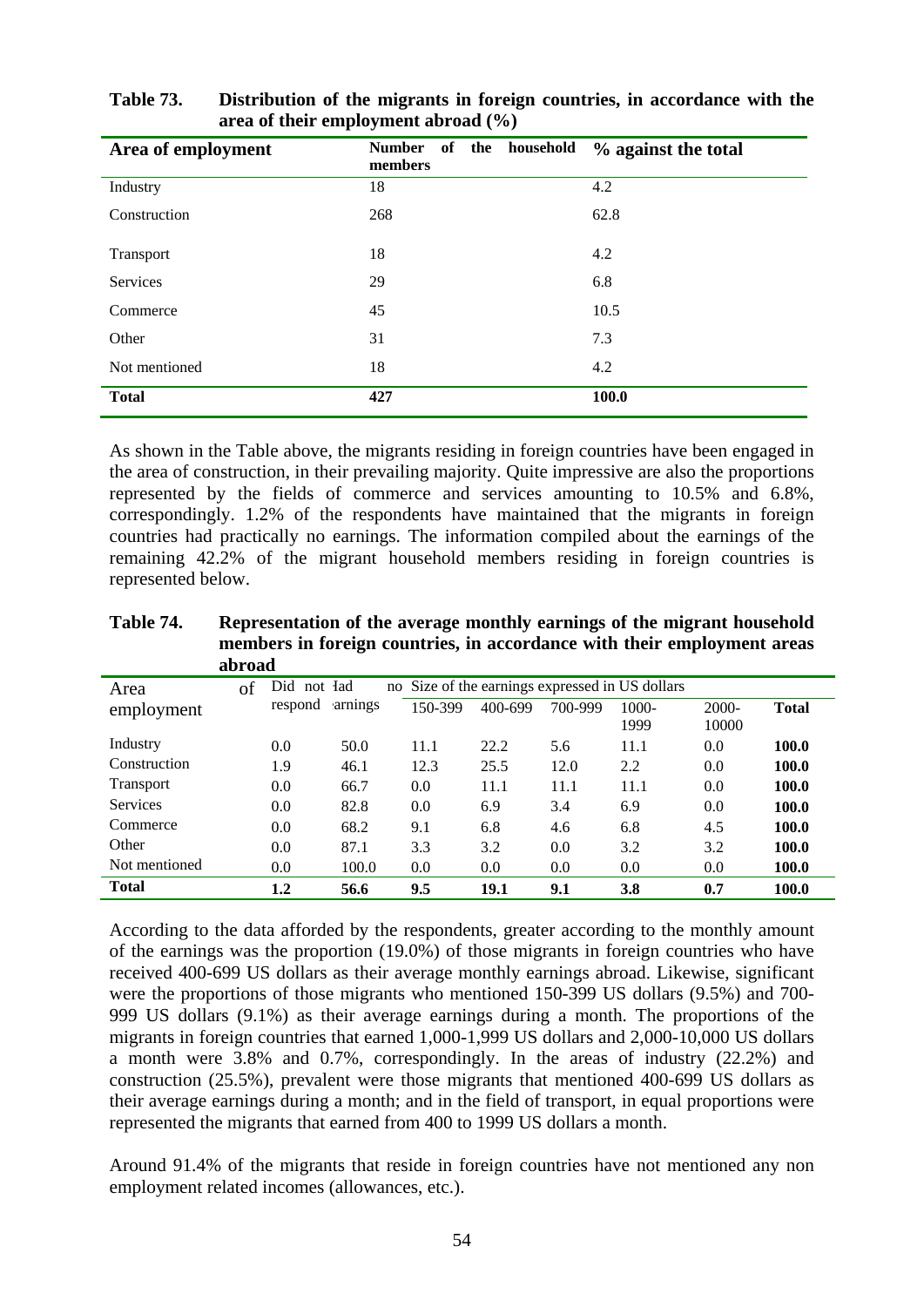| Area of employment | of the household<br><b>Number</b><br>members | % against the total |
|--------------------|----------------------------------------------|---------------------|
| Industry           | 18                                           | 4.2                 |
| Construction       | 268                                          | 62.8                |
| Transport          | 18                                           | 4.2                 |
| <b>Services</b>    | 29                                           | 6.8                 |
| Commerce           | 45                                           | 10.5                |
| Other              | 31                                           | 7.3                 |
| Not mentioned      | 18                                           | 4.2                 |
| <b>Total</b>       | 427                                          | 100.0               |

**Table 73. Distribution of the migrants in foreign countries, in accordance with the area of their employment abroad (%)** 

As shown in the Table above, the migrants residing in foreign countries have been engaged in the area of construction, in their prevailing majority. Quite impressive are also the proportions represented by the fields of commerce and services amounting to 10.5% and 6.8%, correspondingly. 1.2% of the respondents have maintained that the migrants in foreign countries had practically no earnings. The information compiled about the earnings of the remaining 42.2% of the migrant household members residing in foreign countries is represented below.

**Table 74. Representation of the average monthly earnings of the migrant household members in foreign countries, in accordance with their employment areas abroad** 

| Area             | of | Did not Iad |         |         |         |         | no Size of the earnings expressed in US dollars |                   |              |
|------------------|----|-------------|---------|---------|---------|---------|-------------------------------------------------|-------------------|--------------|
| employment       |    | respond     | arnings | 150-399 | 400-699 | 700-999 | $1000 -$<br>1999                                | $2000 -$<br>10000 | <b>Total</b> |
| Industry         |    | 0.0         | 50.0    | 11.1    | 22.2    | 5.6     | 11.1                                            | 0.0               | 100.0        |
| Construction     |    | 1.9         | 46.1    | 12.3    | 25.5    | 12.0    | 2.2                                             | 0.0               | 100.0        |
| <b>Transport</b> |    | 0.0         | 66.7    | 0.0     | 11.1    | 11.1    | 11.1                                            | 0.0               | 100.0        |
| <b>Services</b>  |    | 0.0         | 82.8    | 0.0     | 6.9     | 3.4     | 6.9                                             | 0.0               | 100.0        |
| Commerce         |    | 0.0         | 68.2    | 9.1     | 6.8     | 4.6     | 6.8                                             | 4.5               | 100.0        |
| Other            |    | 0.0         | 87.1    | 3.3     | 3.2     | 0.0     | 3.2                                             | 3.2               | 100.0        |
| Not mentioned    |    | 0.0         | 100.0   | 0.0     | 0.0     | 0.0     | 0.0                                             | 0.0               | 100.0        |
| <b>Total</b>     |    | 1.2         | 56.6    | 9.5     | 19.1    | 9.1     | 3.8                                             | 0.7               | 100.0        |

According to the data afforded by the respondents, greater according to the monthly amount of the earnings was the proportion (19.0%) of those migrants in foreign countries who have received 400-699 US dollars as their average monthly earnings abroad. Likewise, significant were the proportions of those migrants who mentioned 150-399 US dollars (9.5%) and 700- 999 US dollars (9.1%) as their average earnings during a month. The proportions of the migrants in foreign countries that earned 1,000-1,999 US dollars and 2,000-10,000 US dollars a month were 3.8% and 0.7%, correspondingly. In the areas of industry (22.2%) and construction (25.5%), prevalent were those migrants that mentioned 400-699 US dollars as their average earnings during a month; and in the field of transport, in equal proportions were represented the migrants that earned from 400 to 1999 US dollars a month.

Around 91.4% of the migrants that reside in foreign countries have not mentioned any non employment related incomes (allowances, etc.).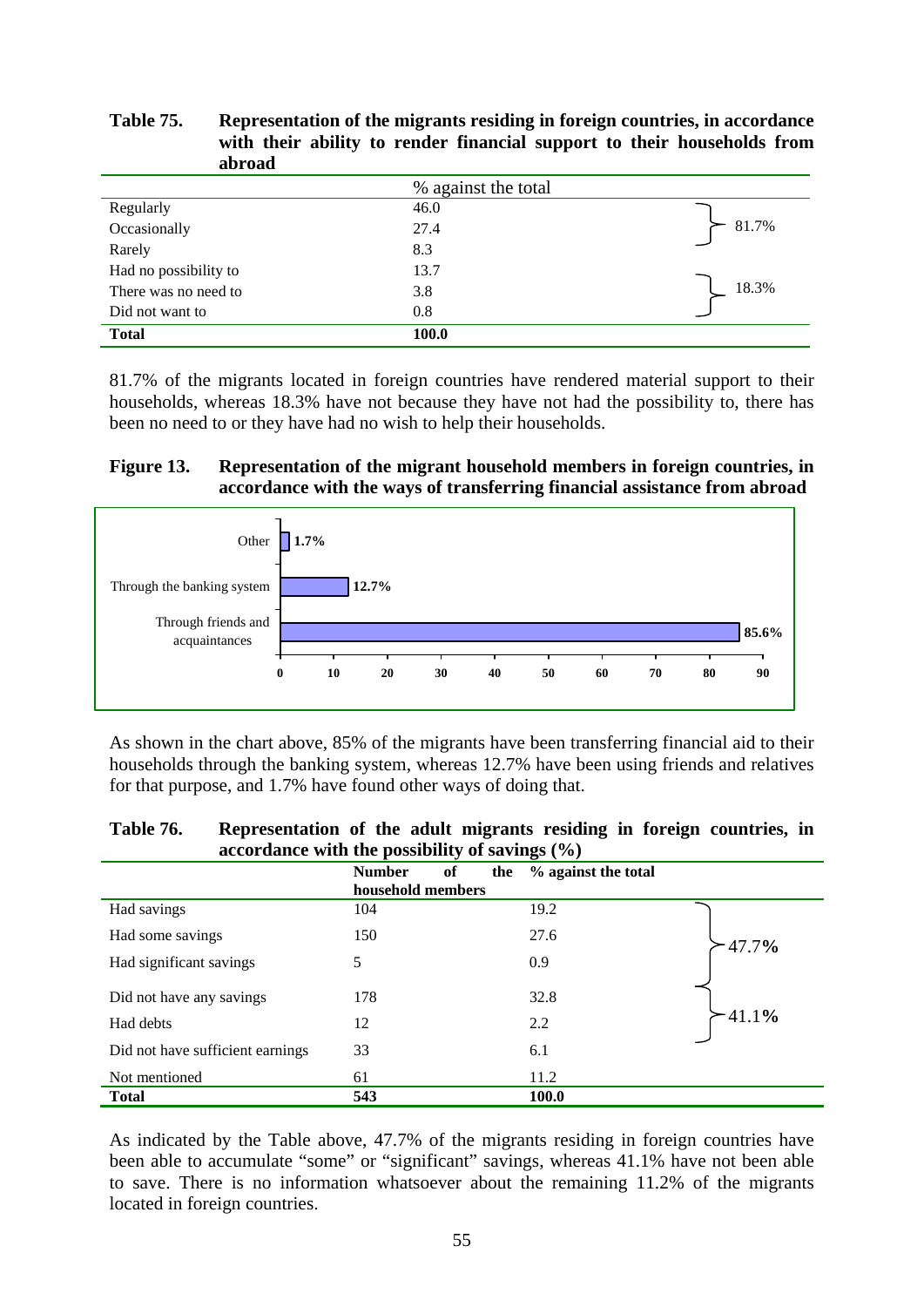| avroau                |                     |       |
|-----------------------|---------------------|-------|
|                       | % against the total |       |
| Regularly             | 46.0                |       |
| Occasionally          | 27.4                | 81.7% |
| Rarely                | 8.3                 |       |
| Had no possibility to | 13.7                |       |
| There was no need to  | 3.8                 | 18.3% |
| Did not want to       | 0.8                 |       |
| <b>Total</b>          | 100.0               |       |

**Table 75. Representation of the migrants residing in foreign countries, in accordance with their ability to render financial support to their households from abroad** 

81.7% of the migrants located in foreign countries have rendered material support to their households, whereas 18.3% have not because they have not had the possibility to, there has been no need to or they have had no wish to help their households.

#### **Figure 13. Representation of the migrant household members in foreign countries, in accordance with the ways of transferring financial assistance from abroad**



As shown in the chart above, 85% of the migrants have been transferring financial aid to their households through the banking system, whereas 12.7% have been using friends and relatives for that purpose, and 1.7% have found other ways of doing that.

| Table 76. | Representation of the adult migrants residing in foreign countries, in |  |
|-----------|------------------------------------------------------------------------|--|
|           | accordance with the possibility of savings $(\% )$                     |  |

| $\arccos$ wance with the possibility of savings (70) |                                                 |                     |  |  |
|------------------------------------------------------|-------------------------------------------------|---------------------|--|--|
|                                                      | of<br><b>Number</b><br>the<br>household members | % against the total |  |  |
|                                                      | 104                                             | 19.2                |  |  |
| Had savings                                          |                                                 |                     |  |  |
| Had some savings                                     | 150                                             | 27.6<br>47.7%       |  |  |
| Had significant savings                              | 5                                               | 0.9                 |  |  |
|                                                      |                                                 |                     |  |  |
| Did not have any savings                             | 178                                             | 32.8                |  |  |
| Had debts                                            | 12                                              | $-41.1%$<br>2.2     |  |  |
|                                                      |                                                 |                     |  |  |
| Did not have sufficient earnings                     | 33                                              | 6.1                 |  |  |
| Not mentioned                                        | 61                                              | 11.2                |  |  |
| <b>Total</b>                                         | 543                                             | 100.0               |  |  |

As indicated by the Table above, 47.7% of the migrants residing in foreign countries have been able to accumulate "some" or "significant" savings, whereas 41.1% have not been able to save. There is no information whatsoever about the remaining 11.2% of the migrants located in foreign countries.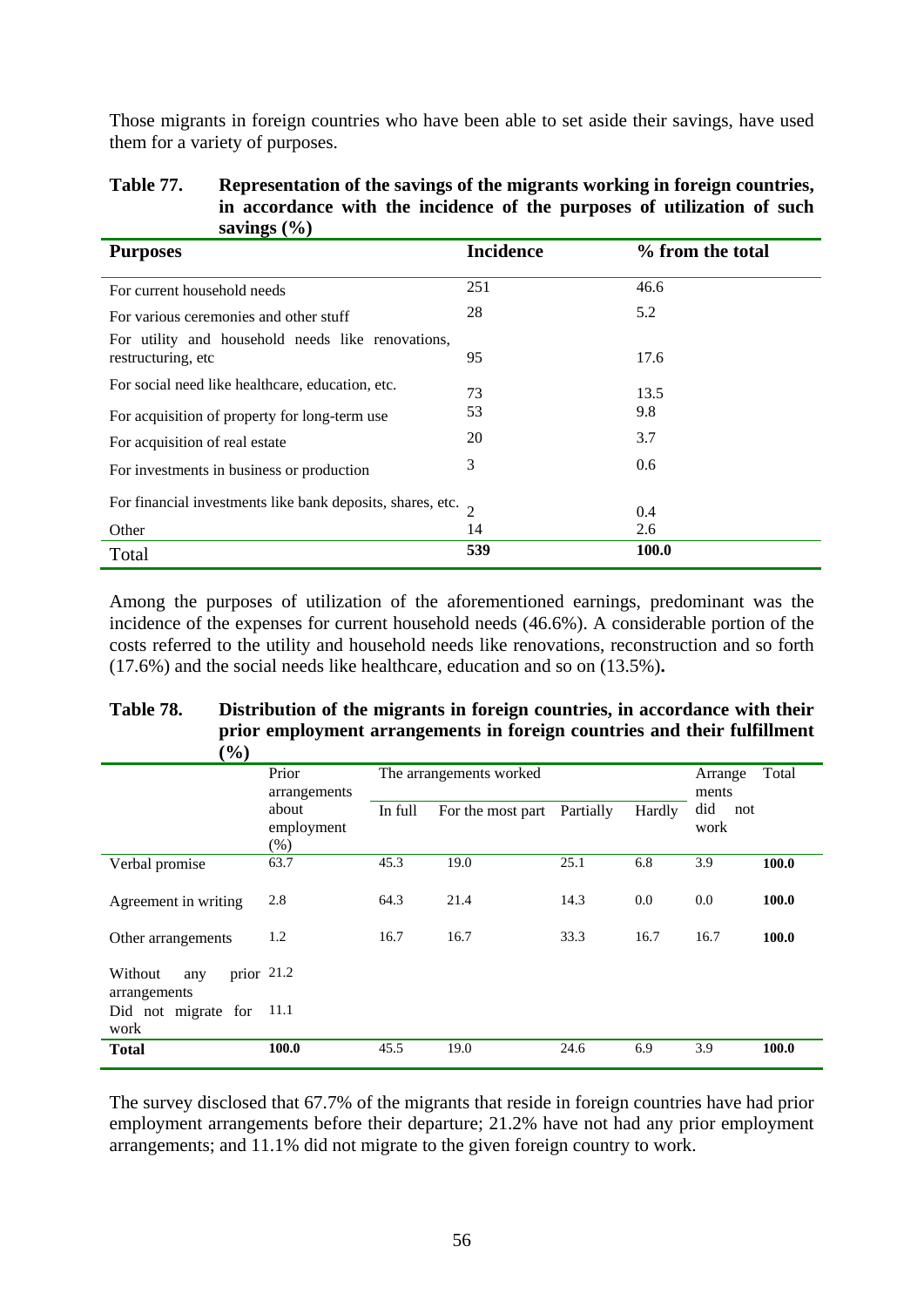Those migrants in foreign countries who have been able to set aside their savings, have used them for a variety of purposes.

#### **Table 77. Representation of the savings of the migrants working in foreign countries, in accordance with the incidence of the purposes of utilization of such savings (%)**

| <b>Purposes</b>                                                          | <b>Incidence</b> | % from the total |
|--------------------------------------------------------------------------|------------------|------------------|
| For current household needs                                              | 251              | 46.6             |
| For various ceremonies and other stuff                                   | 28               | 5.2              |
| For utility and household needs like renovations,<br>restructuring, etc. | 95               | 17.6             |
| For social need like healthcare, education, etc.                         | 73               | 13.5             |
| For acquisition of property for long-term use                            | 53               | 9.8              |
| For acquisition of real estate                                           | 20               | 3.7              |
| For investments in business or production                                | 3                | 0.6              |
| For financial investments like bank deposits, shares, etc. $\frac{1}{2}$ |                  | 0.4              |
| Other                                                                    | 14               | 2.6              |
| Total                                                                    | 539              | <b>100.0</b>     |

Among the purposes of utilization of the aforementioned earnings, predominant was the incidence of the expenses for current household needs (46.6%). A considerable portion of the costs referred to the utility and household needs like renovations, reconstruction and so forth (17.6%) and the social needs like healthcare, education and so on (13.5%)**.** 

#### **Table 78. Distribution of the migrants in foreign countries, in accordance with their prior employment arrangements in foreign countries and their fulfillment**   $(0/\lambda)$

| 70 J                                           |                       |         |                         |           |        |                  |       |
|------------------------------------------------|-----------------------|---------|-------------------------|-----------|--------|------------------|-------|
|                                                | Prior<br>arrangements |         | The arrangements worked |           |        | Arrange<br>ments | Total |
|                                                | about                 | In full | For the most part       | Partially | Hardly | did<br>not       |       |
|                                                | employment<br>$(\% )$ |         |                         |           |        | work             |       |
| Verbal promise                                 | 63.7                  | 45.3    | 19.0                    | 25.1      | 6.8    | 3.9              | 100.0 |
| Agreement in writing                           | 2.8                   | 64.3    | 21.4                    | 14.3      | 0.0    | 0.0              | 100.0 |
| Other arrangements                             | 1.2                   | 16.7    | 16.7                    | 33.3      | 16.7   | 16.7             | 100.0 |
| prior $21.2$<br>Without<br>any<br>arrangements |                       |         |                         |           |        |                  |       |
| Did not migrate for<br>work                    | 11.1                  |         |                         |           |        |                  |       |
| <b>Total</b>                                   | 100.0                 | 45.5    | 19.0                    | 24.6      | 6.9    | 3.9              | 100.0 |

The survey disclosed that 67.7% of the migrants that reside in foreign countries have had prior employment arrangements before their departure; 21.2% have not had any prior employment arrangements; and 11.1% did not migrate to the given foreign country to work.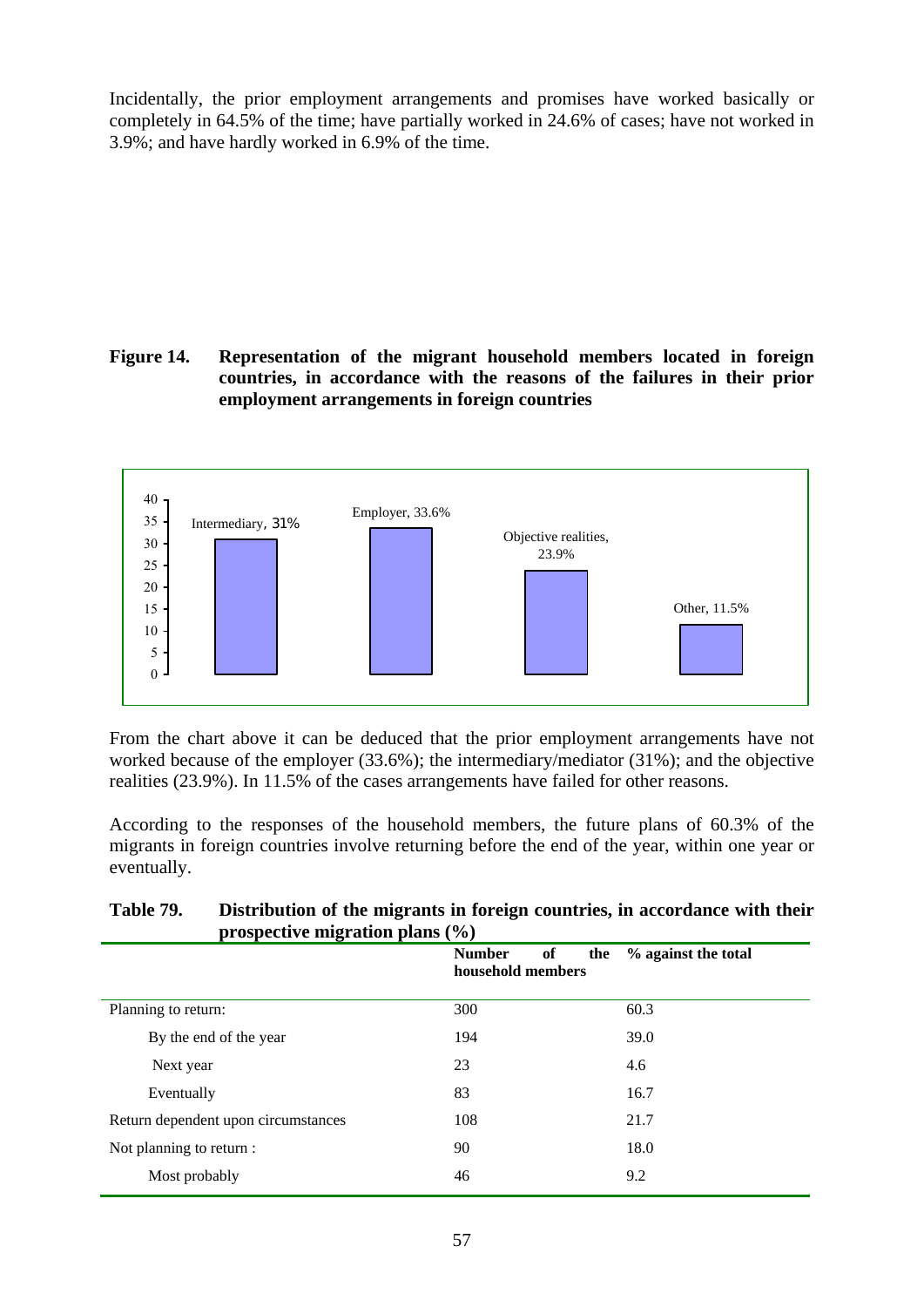Incidentally, the prior employment arrangements and promises have worked basically or completely in 64.5% of the time; have partially worked in 24.6% of cases; have not worked in 3.9%; and have hardly worked in 6.9% of the time.

**Figure 14. Representation of the migrant household members located in foreign countries, in accordance with the reasons of the failures in their prior employment arrangements in foreign countries** 



From the chart above it can be deduced that the prior employment arrangements have not worked because of the employer (33.6%); the intermediary/mediator (31%); and the objective realities (23.9%). In 11.5% of the cases arrangements have failed for other reasons.

According to the responses of the household members, the future plans of 60.3% of the migrants in foreign countries involve returning before the end of the year, within one year or eventually.

# **Table 79. Distribution of the migrants in foreign countries, in accordance with their prospective migration plans (%)**

|                                     | <b>Number</b><br>of<br>the<br>household members | % against the total |
|-------------------------------------|-------------------------------------------------|---------------------|
| Planning to return:                 | 300                                             | 60.3                |
| By the end of the year              | 194                                             | 39.0                |
| Next year                           | 23                                              | 4.6                 |
| Eventually                          | 83                                              | 16.7                |
| Return dependent upon circumstances | 108                                             | 21.7                |
| Not planning to return :            | 90                                              | 18.0                |
| Most probably                       | 46                                              | 9.2                 |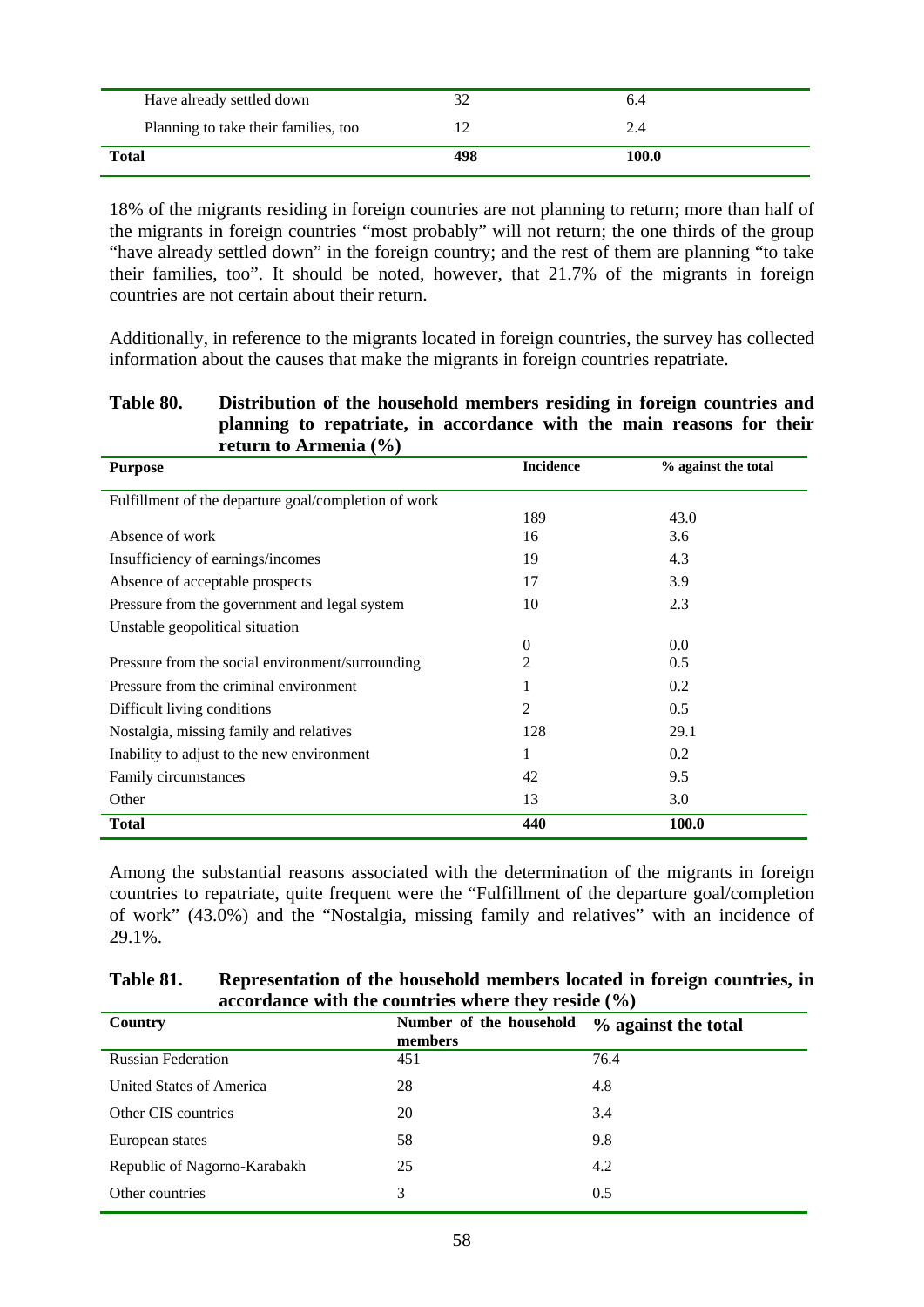| Have already settled down            |     | 0.4   |  |
|--------------------------------------|-----|-------|--|
| Planning to take their families, too |     |       |  |
| <b>Total</b>                         | 498 | 100.0 |  |

18% of the migrants residing in foreign countries are not planning to return; more than half of the migrants in foreign countries "most probably" will not return; the one thirds of the group "have already settled down" in the foreign country; and the rest of them are planning "to take their families, too". It should be noted, however, that 21.7% of the migrants in foreign countries are not certain about their return.

Additionally, in reference to the migrants located in foreign countries, the survey has collected information about the causes that make the migrants in foreign countries repatriate.

#### **Table 80. Distribution of the household members residing in foreign countries and planning to repatriate, in accordance with the main reasons for their return to Armenia (%)**

| <b>Purpose</b>                                       | <b>Incidence</b> | % against the total |
|------------------------------------------------------|------------------|---------------------|
| Fulfillment of the departure goal/completion of work |                  |                     |
|                                                      | 189              | 43.0                |
| Absence of work                                      | 16               | 3.6                 |
| Insufficiency of earnings/incomes                    | 19               | 4.3                 |
| Absence of acceptable prospects                      | 17               | 3.9                 |
| Pressure from the government and legal system        | 10               | 2.3                 |
| Unstable geopolitical situation                      |                  |                     |
|                                                      | $\boldsymbol{0}$ | 0.0                 |
| Pressure from the social environment/surrounding     | $\overline{2}$   | 0.5                 |
| Pressure from the criminal environment               | 1                | 0.2                 |
| Difficult living conditions                          | $\overline{2}$   | 0.5                 |
| Nostalgia, missing family and relatives              | 128              | 29.1                |
| Inability to adjust to the new environment           | 1                | 0.2                 |
| Family circumstances                                 | 42               | 9.5                 |
| Other                                                | 13               | 3.0                 |
| <b>Total</b>                                         | 440              | 100.0               |

Among the substantial reasons associated with the determination of the migrants in foreign countries to repatriate, quite frequent were the "Fulfillment of the departure goal/completion of work" (43.0%) and the "Nostalgia, missing family and relatives" with an incidence of 29.1%.

| Table 81. | Representation of the household members located in foreign countries, in |
|-----------|--------------------------------------------------------------------------|
|           | accordance with the countries where they reside $(\% )$                  |

| Country                      | Number of the household<br>members | % against the total |
|------------------------------|------------------------------------|---------------------|
| <b>Russian Federation</b>    | 451                                | 76.4                |
| United States of America     | 28                                 | 4.8                 |
| Other CIS countries          | 20                                 | 3.4                 |
| European states              | 58                                 | 9.8                 |
| Republic of Nagorno-Karabakh | 25                                 | 4.2                 |
| Other countries              | 3                                  | 0.5                 |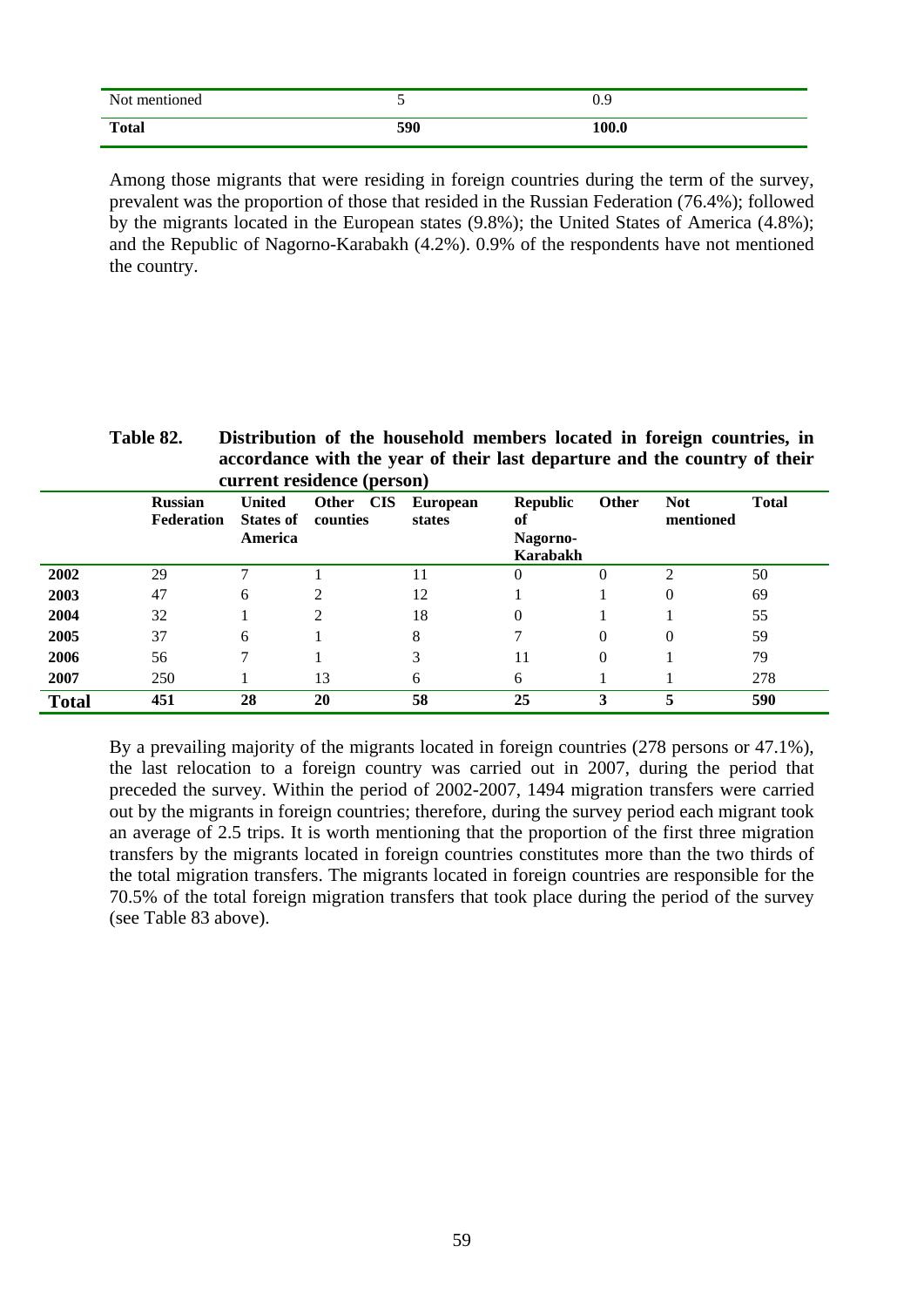| Not mentioned |     | ገ ዐ<br>v.z |
|---------------|-----|------------|
| <b>Total</b>  | 590 | 100.0      |

Among those migrants that were residing in foreign countries during the term of the survey, prevalent was the proportion of those that resided in the Russian Federation (76.4%); followed by the migrants located in the European states (9.8%); the United States of America (4.8%); and the Republic of Nagorno-Karabakh (4.2%). 0.9% of the respondents have not mentioned the country.

**Table 82. Distribution of the household members located in foreign countries, in accordance with the year of their last departure and the country of their current residence (person)** 

|              | <b>Russian</b><br>Federation | <b>United</b><br><b>States of</b><br>America | <b>CIS</b><br>Other<br>counties | <b>European</b><br>states | <b>Republic</b><br>of<br><b>Nagorno-</b><br>Karabakh | Other    | <b>Not</b><br>mentioned | <b>Total</b> |
|--------------|------------------------------|----------------------------------------------|---------------------------------|---------------------------|------------------------------------------------------|----------|-------------------------|--------------|
| 2002         | 29                           |                                              |                                 | 11                        | 0                                                    | 0        | $\overline{2}$          | 50           |
| 2003         | 47                           | 6                                            | 2                               | 12                        |                                                      |          | $\theta$                | 69           |
| 2004         | 32                           |                                              | 2                               | 18                        | $\theta$                                             |          |                         | 55           |
| 2005         | 37                           | 6                                            |                                 | 8                         |                                                      | $\Omega$ | $\theta$                | 59           |
| 2006         | 56                           | 7                                            |                                 | 3                         | 11                                                   | $\Omega$ |                         | 79           |
| 2007         | 250                          |                                              | 13                              | 6                         | 6                                                    |          |                         | 278          |
| <b>Total</b> | 451                          | 28                                           | 20                              | 58                        | 25                                                   | 3        | 5                       | 590          |

By a prevailing majority of the migrants located in foreign countries (278 persons or 47.1%), the last relocation to a foreign country was carried out in 2007, during the period that preceded the survey. Within the period of 2002-2007, 1494 migration transfers were carried out by the migrants in foreign countries; therefore, during the survey period each migrant took an average of 2.5 trips. It is worth mentioning that the proportion of the first three migration transfers by the migrants located in foreign countries constitutes more than the two thirds of the total migration transfers. The migrants located in foreign countries are responsible for the 70.5% of the total foreign migration transfers that took place during the period of the survey (see Table 83 above).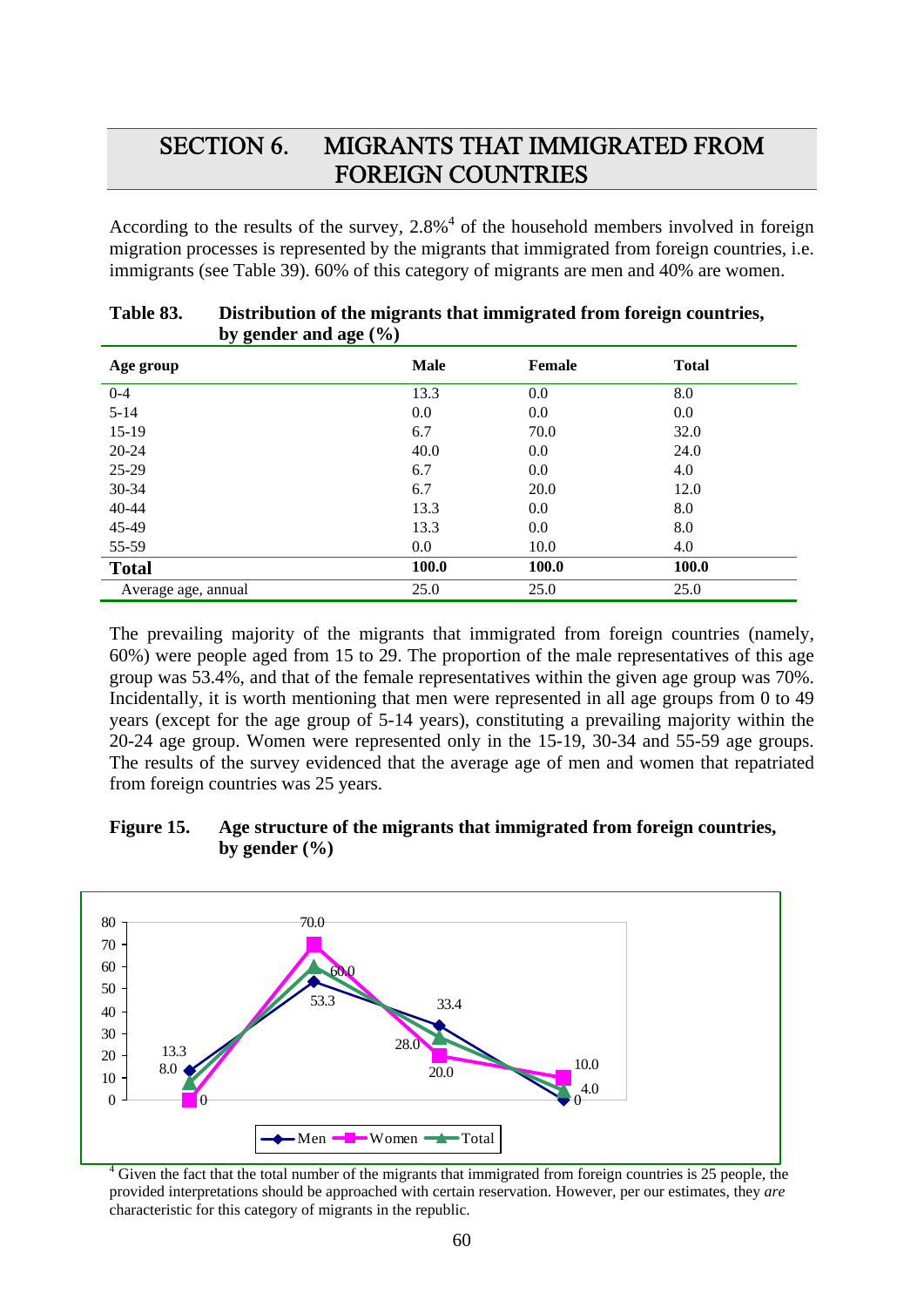# SECTION 6. MIGRANTS THAT IMMIGRATED FROM FOREIGN COUNTRIES

According to the results of the survey,  $2.8\%$ <sup>4</sup> of the household members involved in foreign migration processes is represented by the migrants that immigrated from foreign countries, i.e. immigrants (see Table 39). 60% of this category of migrants are men and 40% are women.

| by genuer and $agc(70)$ |             |               |              |
|-------------------------|-------------|---------------|--------------|
| Age group               | <b>Male</b> | <b>Female</b> | <b>Total</b> |
| $0 - 4$                 | 13.3        | 0.0           | 8.0          |
| $5 - 14$                | 0.0         | 0.0           | 0.0          |
| $15-19$                 | 6.7         | 70.0          | 32.0         |
| 20-24                   | 40.0        | 0.0           | 24.0         |
| 25-29                   | 6.7         | 0.0           | 4.0          |
| 30-34                   | 6.7         | 20.0          | 12.0         |
| 40-44                   | 13.3        | 0.0           | 8.0          |
| 45-49                   | 13.3        | 0.0           | 8.0          |
| 55-59                   | $0.0\,$     | 10.0          | 4.0          |
| <b>Total</b>            | 100.0       | 100.0         | 100.0        |
| Average age, annual     | 25.0        | 25.0          | 25.0         |

| Table 83. | Distribution of the migrants that immigrated from foreign countries, |
|-----------|----------------------------------------------------------------------|
|           | by gender and age $(\% )$                                            |

The prevailing majority of the migrants that immigrated from foreign countries (namely, 60%) were people aged from 15 to 29. The proportion of the male representatives of this age group was 53.4%, and that of the female representatives within the given age group was 70%. Incidentally, it is worth mentioning that men were represented in all age groups from 0 to 49 years (except for the age group of 5-14 years), constituting a prevailing majority within the 20-24 age group. Women were represented only in the 15-19, 30-34 and 55-59 age groups. The results of the survey evidenced that the average age of men and women that repatriated from foreign countries was 25 years.

## **Figure 15. Age structure of the migrants that immigrated from foreign countries,**  by gender  $(\frac{6}{6})$



<sup>4</sup> Given the fact that the total number of the migrants that immigrated from foreign countries is 25 people, the provided interpretations should be approached with certain reservation. However, per our estimates, they *are* characteristic for this category of migrants in the republic.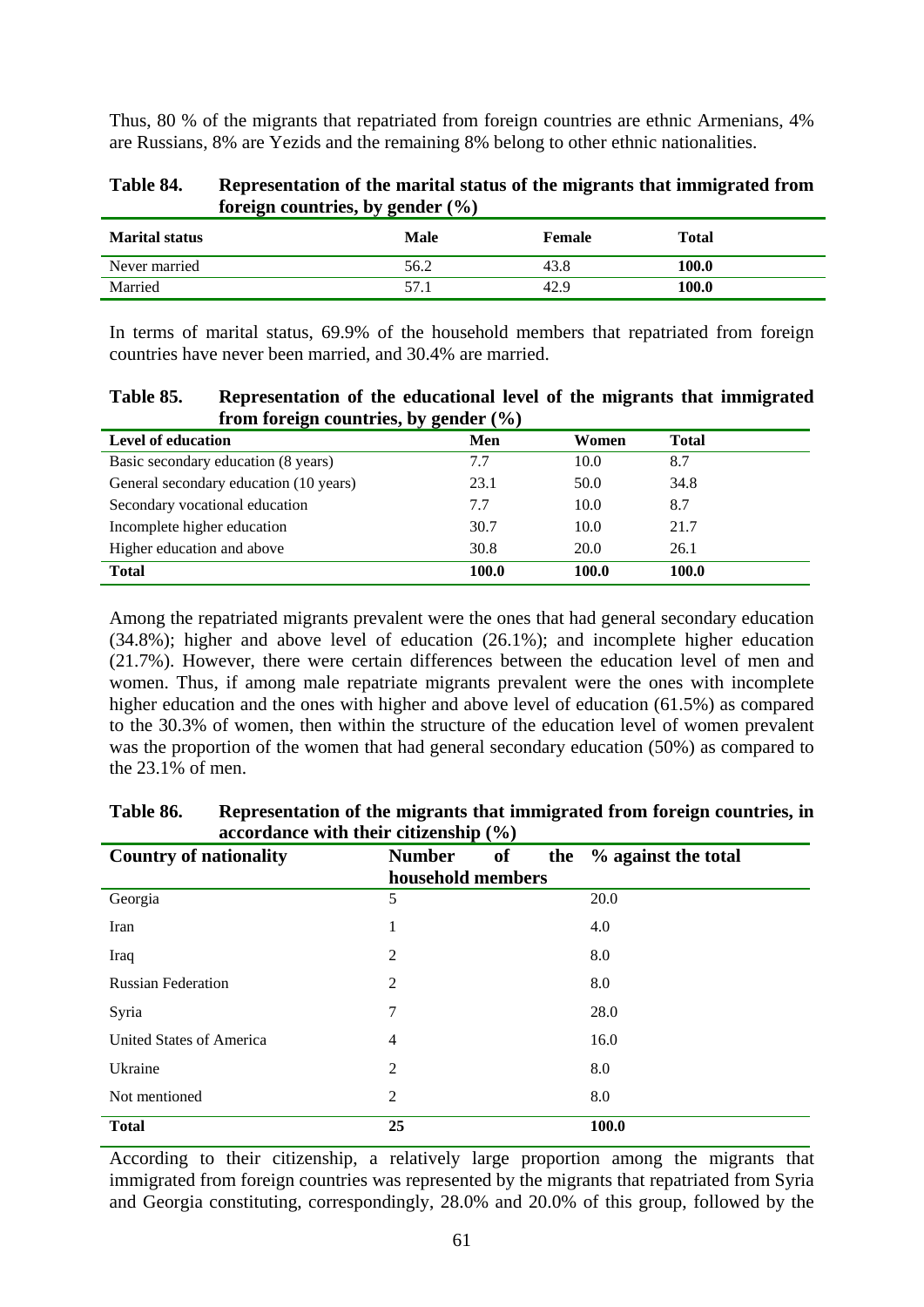Thus, 80 % of the migrants that repatriated from foreign countries are ethnic Armenians, 4% are Russians, 8% are Yezids and the remaining 8% belong to other ethnic nationalities.

| Table 84. | Representation of the marital status of the migrants that immigrated from |
|-----------|---------------------------------------------------------------------------|
|           | foreign countries, by gender $(\% )$                                      |

| <b>Marital status</b> | Male | Female | <b>Total</b> |
|-----------------------|------|--------|--------------|
| Never married         | 56.2 | 43.8   | 100.0        |
| Married               | 57.1 | 42.9   | 100.0        |

In terms of marital status, 69.9% of the household members that repatriated from foreign countries have never been married, and 30.4% are married.

| Table 85. | Representation of the educational level of the migrants that immigrated |
|-----------|-------------------------------------------------------------------------|
|           | from foreign countries, by gender $(\% )$                               |

| <b>Level of education</b>              | Men   | Women | <b>Total</b> |
|----------------------------------------|-------|-------|--------------|
| Basic secondary education (8 years)    | 7.7   | 10.0  | 8.7          |
| General secondary education (10 years) | 23.1  | 50.0  | 34.8         |
| Secondary vocational education         | 7.7   | 10.0  | 8.7          |
| Incomplete higher education            | 30.7  | 10.0  | 21.7         |
| Higher education and above             | 30.8  | 20.0  | 26.1         |
| <b>Total</b>                           | 100.0 | 100.0 | 100.0        |

Among the repatriated migrants prevalent were the ones that had general secondary education (34.8%); higher and above level of education (26.1%); and incomplete higher education (21.7%). However, there were certain differences between the education level of men and women. Thus, if among male repatriate migrants prevalent were the ones with incomplete higher education and the ones with higher and above level of education (61.5%) as compared to the 30.3% of women, then within the structure of the education level of women prevalent was the proportion of the women that had general secondary education (50%) as compared to the 23.1% of men.

| $\frac{1}{2}$<br><b>Country of nationality</b> | <b>of</b><br><b>Number</b><br>the | % against the total |
|------------------------------------------------|-----------------------------------|---------------------|
|                                                | household members                 |                     |
| Georgia                                        | 5                                 | 20.0                |
| Iran                                           | 1                                 | 4.0                 |
| Iraq                                           | $\overline{2}$                    | 8.0                 |
| <b>Russian Federation</b>                      | $\overline{2}$                    | 8.0                 |
| Syria                                          | 7                                 | 28.0                |
| United States of America                       | 4                                 | 16.0                |
| Ukraine                                        | $\overline{2}$                    | 8.0                 |
| Not mentioned                                  | $\overline{2}$                    | 8.0                 |
| <b>Total</b>                                   | 25                                | 100.0               |

**Table 86. Representation of the migrants that immigrated from foreign countries, in accordance with their citizenship (%)** 

According to their citizenship, a relatively large proportion among the migrants that immigrated from foreign countries was represented by the migrants that repatriated from Syria and Georgia constituting, correspondingly, 28.0% and 20.0% of this group, followed by the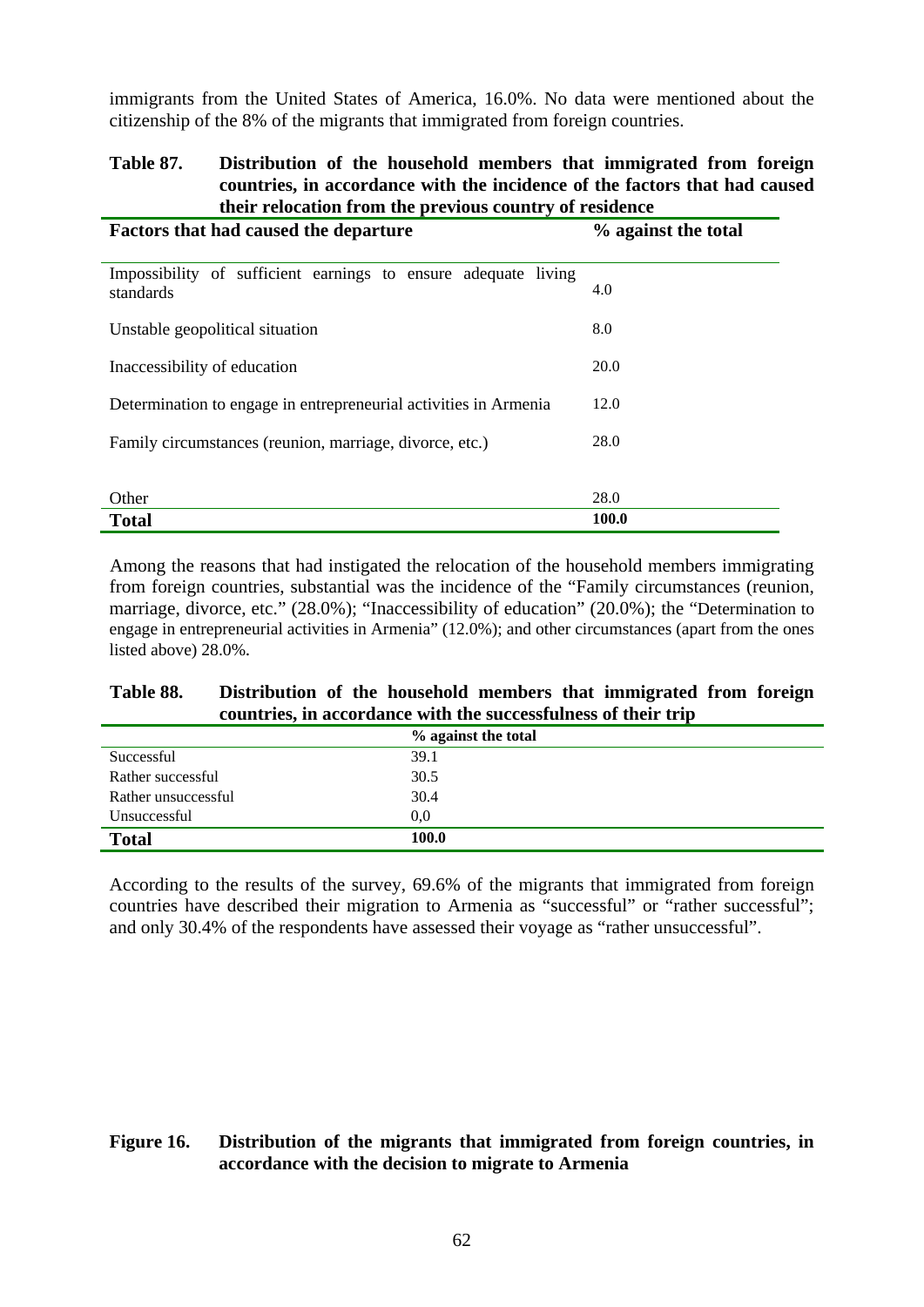immigrants from the United States of America, 16.0%. No data were mentioned about the citizenship of the 8% of the migrants that immigrated from foreign countries.

#### **Table 87. Distribution of the household members that immigrated from foreign countries, in accordance with the incidence of the factors that had caused their relocation from the previous country of residence**

| <b>Factors that had caused the departure</b>                                | % against the total |
|-----------------------------------------------------------------------------|---------------------|
| Impossibility of sufficient earnings to ensure adequate living<br>standards | 4.0                 |
| Unstable geopolitical situation                                             | 8.0                 |
| Inaccessibility of education                                                | 20.0                |
| Determination to engage in entrepreneurial activities in Armenia            | 12.0                |
| Family circumstances (reunion, marriage, divorce, etc.)                     | 28.0                |
|                                                                             | 28.0                |
| Other<br><b>Total</b>                                                       | 100.0               |

Among the reasons that had instigated the relocation of the household members immigrating from foreign countries, substantial was the incidence of the "Family circumstances (reunion, marriage, divorce, etc." (28.0%); "Inaccessibility of education" (20.0%); the "Determination to engage in entrepreneurial activities in Armenia" (12.0%); and other circumstances (apart from the ones listed above) 28.0%.

## **Table 88. Distribution of the household members that immigrated from foreign countries, in accordance with the successfulness of their trip**

|                     | % against the total |
|---------------------|---------------------|
| Successful          | 39.1                |
| Rather successful   | 30.5                |
| Rather unsuccessful | 30.4                |
| Unsuccessful        | 0.0                 |
| <b>Total</b>        | 100.0               |

According to the results of the survey, 69.6% of the migrants that immigrated from foreign countries have described their migration to Armenia as "successful" or "rather successful"; and only 30.4% of the respondents have assessed their voyage as "rather unsuccessful".

## **Figure 16. Distribution of the migrants that immigrated from foreign countries, in accordance with the decision to migrate to Armenia**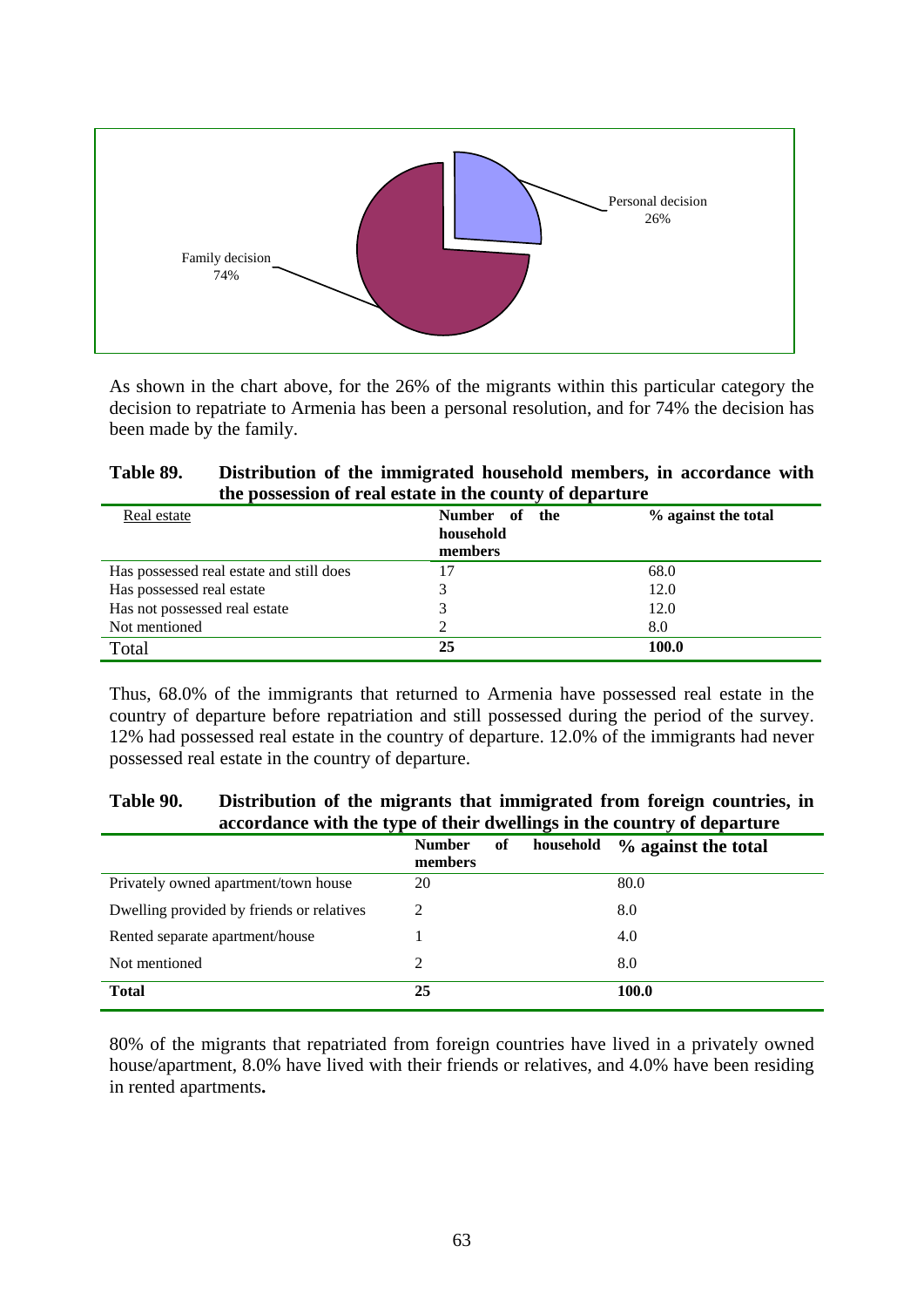

As shown in the chart above, for the 26% of the migrants within this particular category the decision to repatriate to Armenia has been a personal resolution, and for 74% the decision has been made by the family.

| Table 89. | Distribution of the immigrated household members, in accordance with |
|-----------|----------------------------------------------------------------------|
|           | the possession of real estate in the county of departure             |

| Real estate                              | Number of the<br>household<br>members | % against the total |
|------------------------------------------|---------------------------------------|---------------------|
| Has possessed real estate and still does | 17                                    | 68.0                |
| Has possessed real estate                |                                       | 12.0                |
| Has not possessed real estate            |                                       | 12.0                |
| Not mentioned                            |                                       | 8.0                 |
| Total                                    | 25                                    | 100.0               |

Thus, 68.0% of the immigrants that returned to Armenia have possessed real estate in the country of departure before repatriation and still possessed during the period of the survey. 12% had possessed real estate in the country of departure. 12.0% of the immigrants had never possessed real estate in the country of departure.

## **Table 90. Distribution of the migrants that immigrated from foreign countries, in accordance with the type of their dwellings in the country of departure**

|                                           | of<br><b>Number</b><br>members | household | % against the total |
|-------------------------------------------|--------------------------------|-----------|---------------------|
| Privately owned apartment/town house      | 20                             |           | 80.0                |
| Dwelling provided by friends or relatives | 2                              |           | 8.0                 |
| Rented separate apartment/house           |                                |           | 4.0                 |
| Not mentioned                             | 2                              |           | 8.0                 |
| <b>Total</b>                              | 25                             |           | 100.0               |

80% of the migrants that repatriated from foreign countries have lived in a privately owned house/apartment, 8.0% have lived with their friends or relatives, and 4.0% have been residing in rented apartments**.**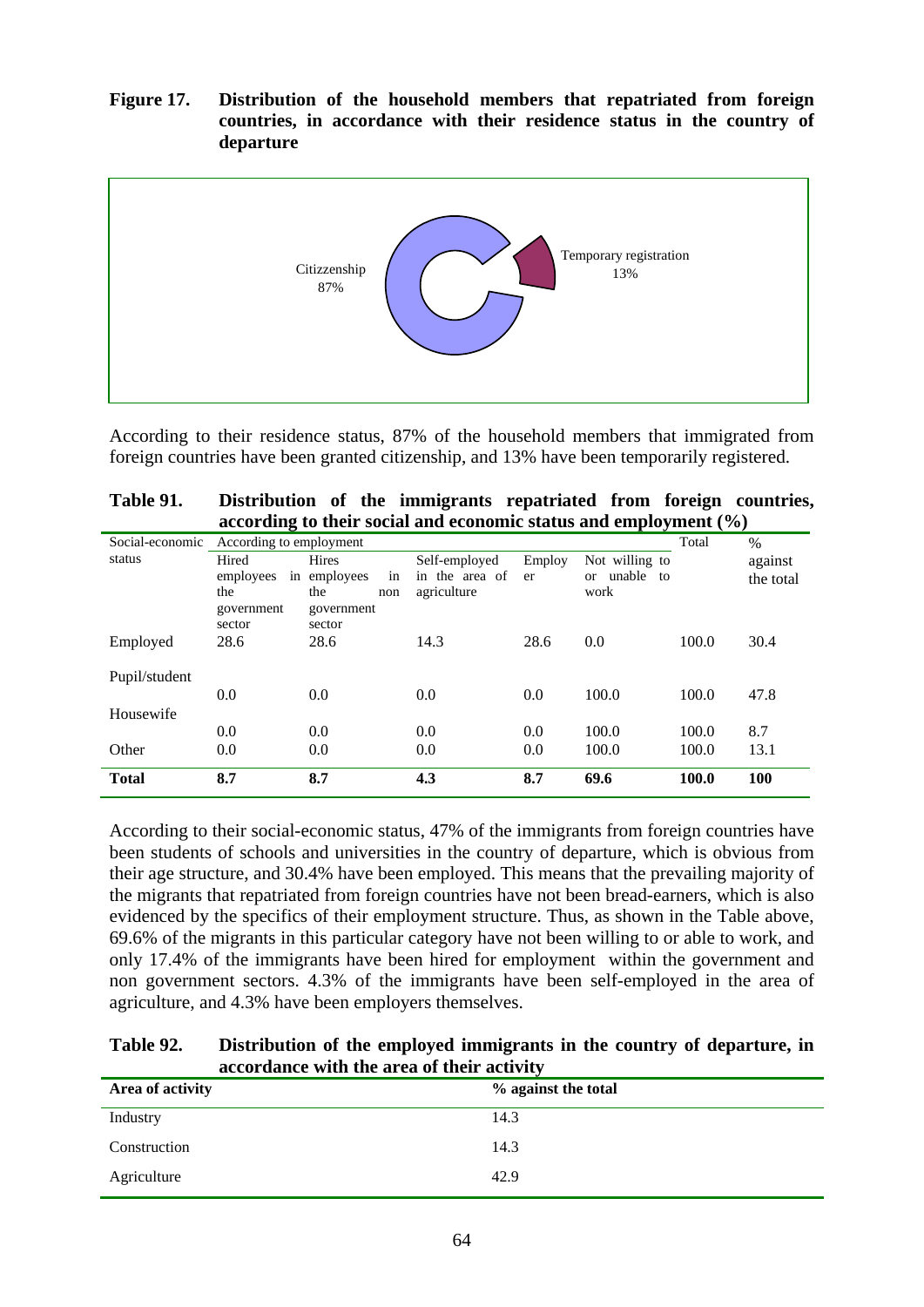**Figure 17. Distribution of the household members that repatriated from foreign countries, in accordance with their residence status in the country of departure** 



According to their residence status, 87% of the household members that immigrated from foreign countries have been granted citizenship, and 13% have been temporarily registered.

| Table 91. | Distribution of the immigrants repatriated from foreign countries,  |  |  |  |  |  |  |  |
|-----------|---------------------------------------------------------------------|--|--|--|--|--|--|--|
|           | according to their social and economic status and employment $(\%)$ |  |  |  |  |  |  |  |

| Social-economic | According to employment |                    |                |        |                          | Total | $\%$       |
|-----------------|-------------------------|--------------------|----------------|--------|--------------------------|-------|------------|
| status          | Hired                   | <b>Hires</b>       | Self-employed  | Employ | Not willing to           |       | against    |
|                 | employees               | in employees<br>in | in the area of | er     | unable<br>to<br>$\alpha$ |       | the total  |
|                 | the                     | the<br>non         | agriculture    |        | work                     |       |            |
|                 | government              | government         |                |        |                          |       |            |
|                 | sector                  | sector             |                |        |                          |       |            |
| Employed        | 28.6                    | 28.6               | 14.3           | 28.6   | 0.0                      | 100.0 | 30.4       |
|                 |                         |                    |                |        |                          |       |            |
| Pupil/student   |                         |                    |                |        |                          |       |            |
|                 | 0.0                     | 0.0                | 0.0            | 0.0    | 100.0                    | 100.0 | 47.8       |
| Housewife       |                         |                    |                |        |                          |       |            |
|                 | 0.0                     | 0.0                | 0.0            | 0.0    | 100.0                    | 100.0 | 8.7        |
| Other           | 0.0                     | 0.0                | 0.0            | 0.0    | 100.0                    | 100.0 | 13.1       |
|                 |                         |                    |                |        |                          |       |            |
| <b>Total</b>    | 8.7                     | 8.7                | 4.3            | 8.7    | 69.6                     | 100.0 | <b>100</b> |

According to their social-economic status, 47% of the immigrants from foreign countries have been students of schools and universities in the country of departure, which is obvious from their age structure, and 30.4% have been employed. This means that the prevailing majority of the migrants that repatriated from foreign countries have not been bread-earners, which is also evidenced by the specifics of their employment structure. Thus, as shown in the Table above, 69.6% of the migrants in this particular category have not been willing to or able to work, and only 17.4% of the immigrants have been hired for employment within the government and non government sectors. 4.3% of the immigrants have been self-employed in the area of agriculture, and 4.3% have been employers themselves.

| Table 92. | Distribution of the employed immigrants in the country of departure, in |
|-----------|-------------------------------------------------------------------------|
|           | accordance with the area of their activity                              |

| Area of activity | % against the total |
|------------------|---------------------|
| Industry         | 14.3                |
| Construction     | 14.3                |
| Agriculture      | 42.9                |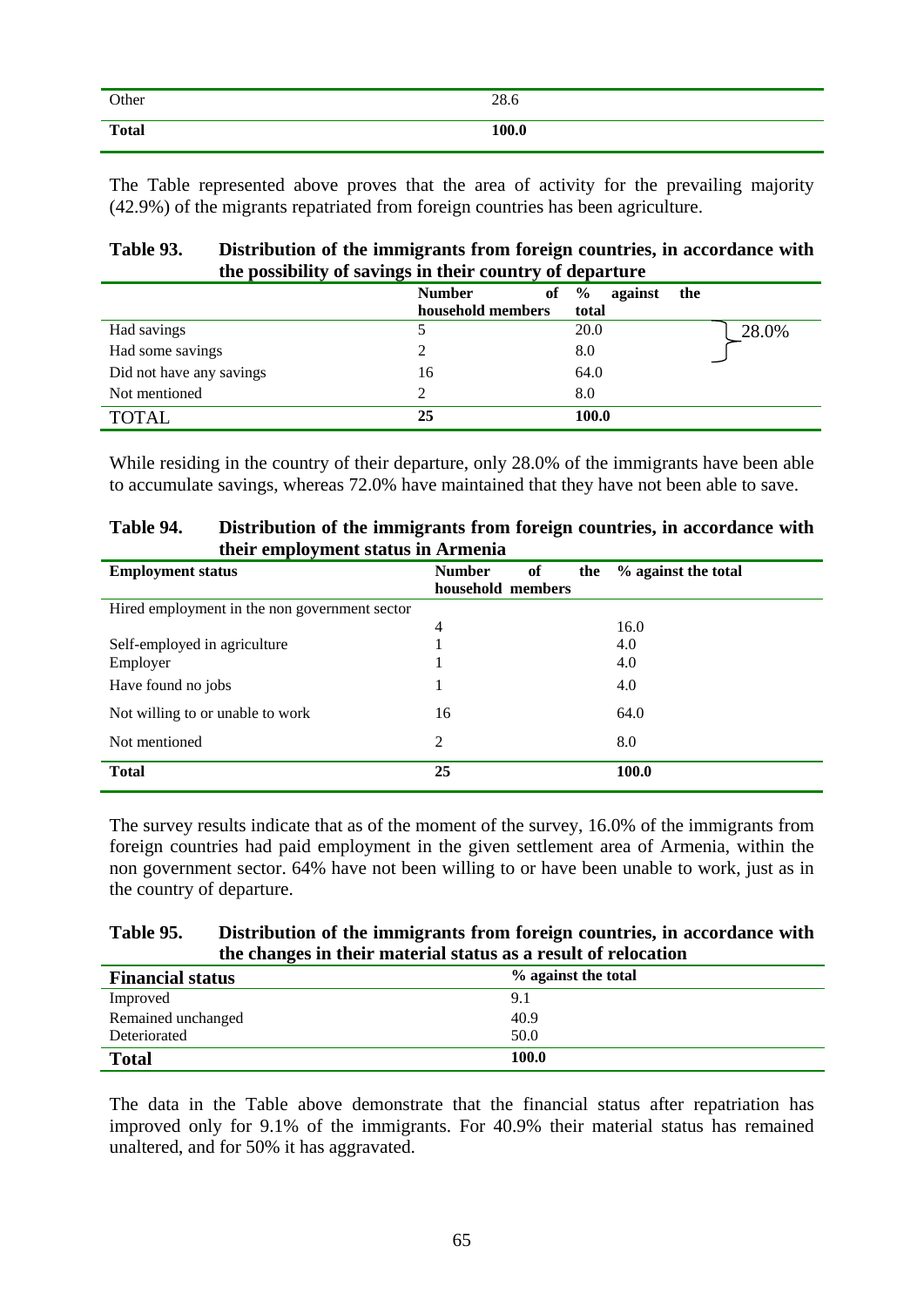| Other        | 28.6  |
|--------------|-------|
| <b>Total</b> | 100.0 |

The Table represented above proves that the area of activity for the prevailing majority (42.9%) of the migrants repatriated from foreign countries has been agriculture.

| Table 93. | Distribution of the immigrants from foreign countries, in accordance with |
|-----------|---------------------------------------------------------------------------|
|           | the possibility of savings in their country of departure                  |

|                          | <b>Number</b><br>of | $\frac{0}{0}$<br>against<br>the |
|--------------------------|---------------------|---------------------------------|
|                          | household members   | total                           |
| Had savings              |                     | 28.0%<br>20.0                   |
| Had some savings         |                     | 8.0                             |
| Did not have any savings | 16                  | 64.0                            |
| Not mentioned            |                     | 8.0                             |
| <b>TOTAL</b>             | 25                  | 100.0                           |

While residing in the country of their departure, only 28.0% of the immigrants have been able to accumulate savings, whereas 72.0% have maintained that they have not been able to save.

| Table 94. | Distribution of the immigrants from foreign countries, in accordance with |
|-----------|---------------------------------------------------------------------------|
|           | their employment status in Armenia                                        |

| <b>Employment status</b>                      | <b>Number</b><br>of<br>the<br>household members | % against the total |
|-----------------------------------------------|-------------------------------------------------|---------------------|
| Hired employment in the non government sector |                                                 |                     |
|                                               | $\overline{4}$                                  | 16.0                |
| Self-employed in agriculture                  |                                                 | 4.0                 |
| Employer                                      |                                                 | 4.0                 |
| Have found no jobs                            | 1                                               | 4.0                 |
| Not willing to or unable to work              | 16                                              | 64.0                |
| Not mentioned                                 | 2                                               | 8.0                 |
| <b>Total</b>                                  | 25                                              | 100.0               |

The survey results indicate that as of the moment of the survey, 16.0% of the immigrants from foreign countries had paid employment in the given settlement area of Armenia, within the non government sector. 64% have not been willing to or have been unable to work, just as in the country of departure.

#### **Table 95. Distribution of the immigrants from foreign countries, in accordance with the changes in their material status as a result of relocation**

| <b>Financial status</b> | % against the total |
|-------------------------|---------------------|
| Improved                | 9.1                 |
| Remained unchanged      | 40.9                |
| Deteriorated            | 50.0                |
| <b>Total</b>            | 100.0               |

The data in the Table above demonstrate that the financial status after repatriation has improved only for 9.1% of the immigrants. For 40.9% their material status has remained unaltered, and for 50% it has aggravated.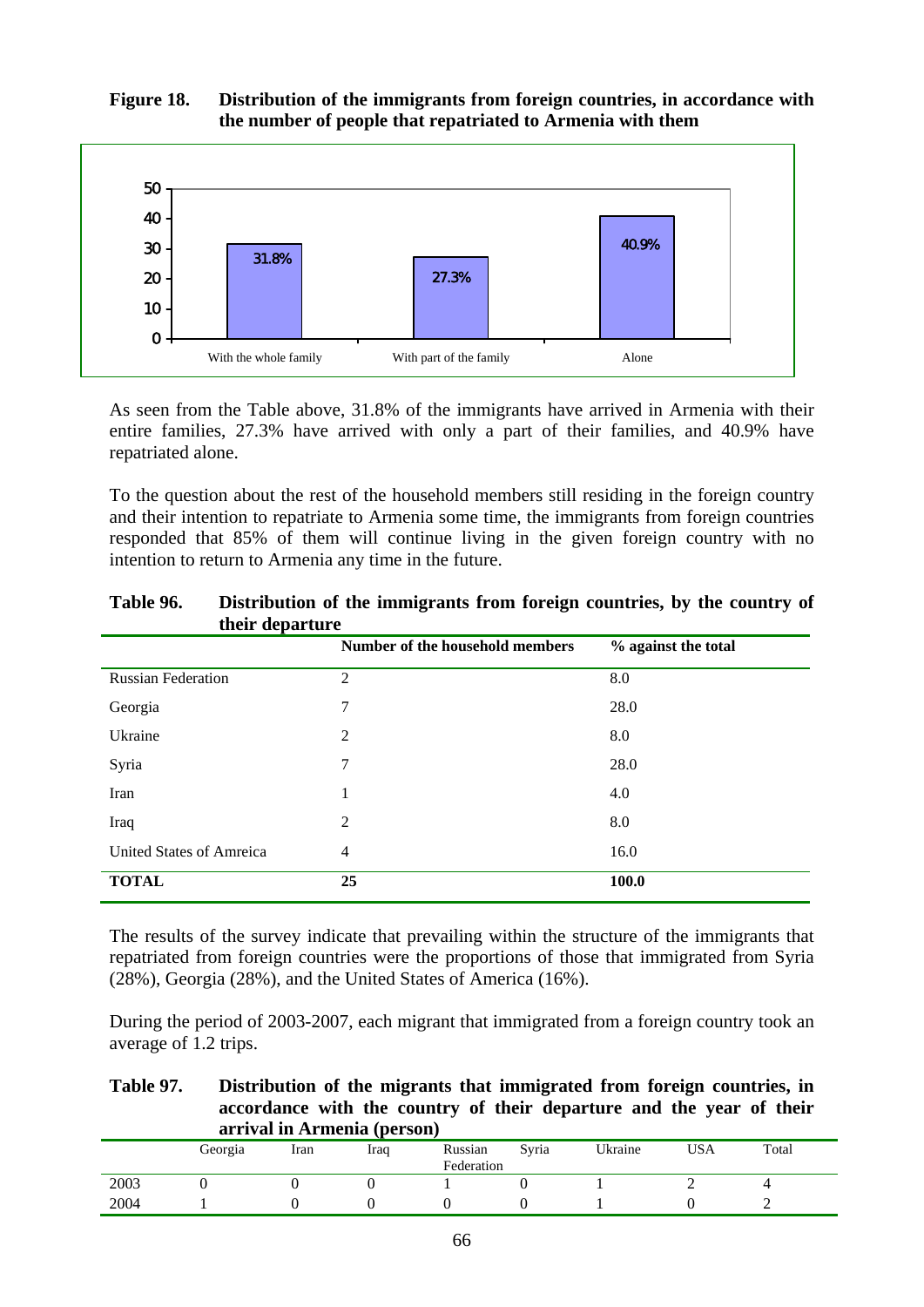## **Figure 18. Distribution of the immigrants from foreign countries, in accordance with the number of people that repatriated to Armenia with them**



As seen from the Table above, 31.8% of the immigrants have arrived in Armenia with their entire families, 27.3% have arrived with only a part of their families, and 40.9% have repatriated alone.

To the question about the rest of the household members still residing in the foreign country and their intention to repatriate to Armenia some time, the immigrants from foreign countries responded that 85% of them will continue living in the given foreign country with no intention to return to Armenia any time in the future.

| uich acpartare            |                                 |                     |
|---------------------------|---------------------------------|---------------------|
|                           | Number of the household members | % against the total |
| <b>Russian Federation</b> | $\overline{2}$                  | 8.0                 |
| Georgia                   | 7                               | 28.0                |
| Ukraine                   | $\overline{2}$                  | 8.0                 |
| Syria                     | 7                               | 28.0                |
| Iran                      | 1                               | 4.0                 |
| Iraq                      | $\overline{2}$                  | 8.0                 |
| United States of Amreica  | $\overline{4}$                  | 16.0                |
| <b>TOTAL</b>              | 25                              | 100.0               |

**Table 96. Distribution of the immigrants from foreign countries, by the country of their departure** 

The results of the survey indicate that prevailing within the structure of the immigrants that repatriated from foreign countries were the proportions of those that immigrated from Syria (28%), Georgia (28%), and the United States of America (16%).

During the period of 2003-2007, each migrant that immigrated from a foreign country took an average of 1.2 trips.

**Table 97. Distribution of the migrants that immigrated from foreign countries, in accordance with the country of their departure and the year of their arrival in Armenia (person)** 

|      | Georgia | Iran | Iraq | Russian<br>Federation | Syria | Ukraine | <b>USA</b> | Total |
|------|---------|------|------|-----------------------|-------|---------|------------|-------|
| 2003 |         |      |      |                       |       |         |            |       |
| 2004 |         |      |      |                       |       |         |            | -     |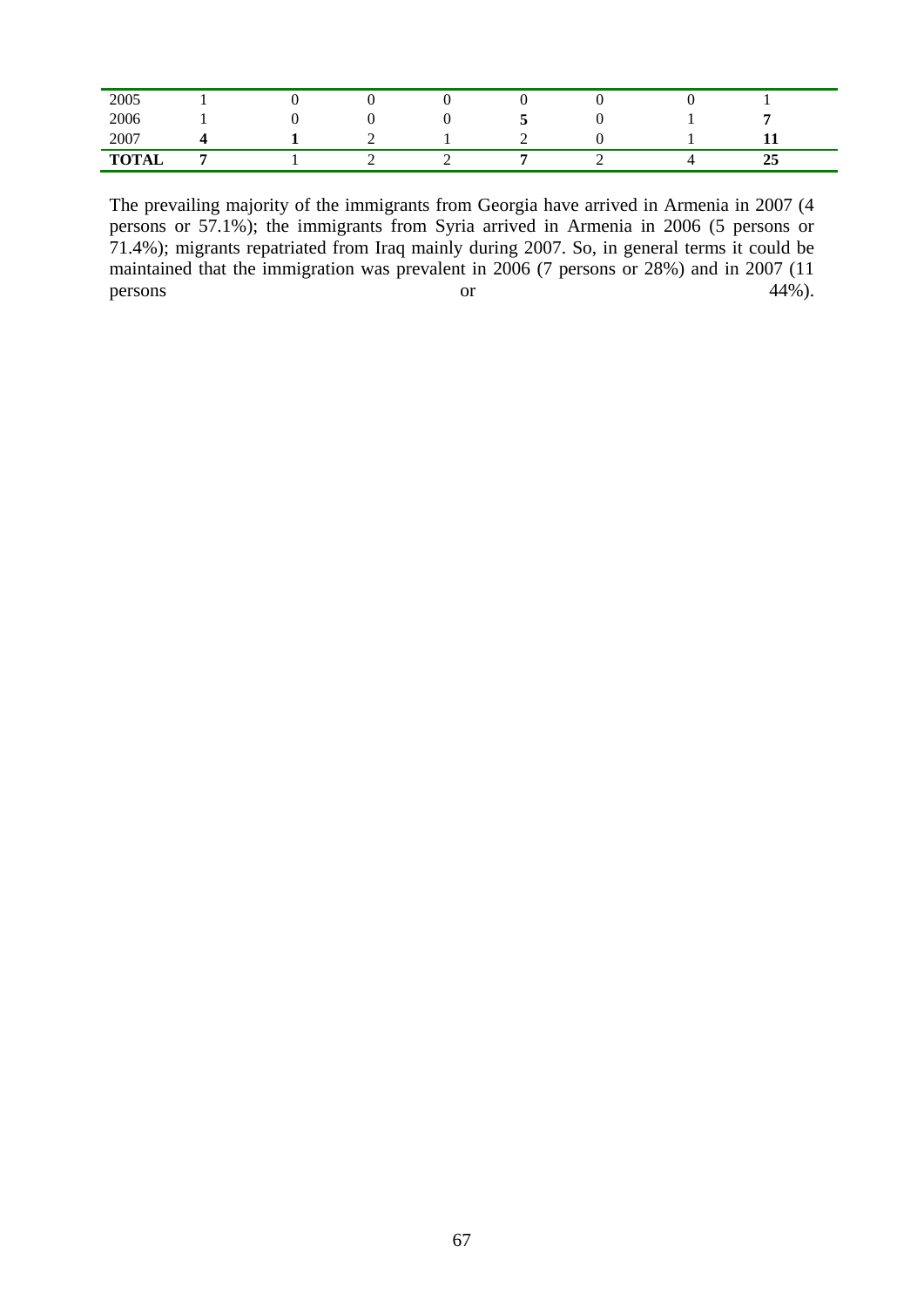| 2005         |  |   |   |          |   |    |  |
|--------------|--|---|---|----------|---|----|--|
| 2006         |  |   |   | <u>ب</u> |   |    |  |
| 2007         |  | ∼ |   | ∼        |   | ᆂᆂ |  |
| <b>TOTAL</b> |  | - | - |          | - | 25 |  |

The prevailing majority of the immigrants from Georgia have arrived in Armenia in 2007 (4 persons or 57.1%); the immigrants from Syria arrived in Armenia in 2006 (5 persons or 71.4%); migrants repatriated from Iraq mainly during 2007. So, in general terms it could be maintained that the immigration was prevalent in 2006 (7 persons or 28%) and in 2007 (11 persons or  $44\%$ ).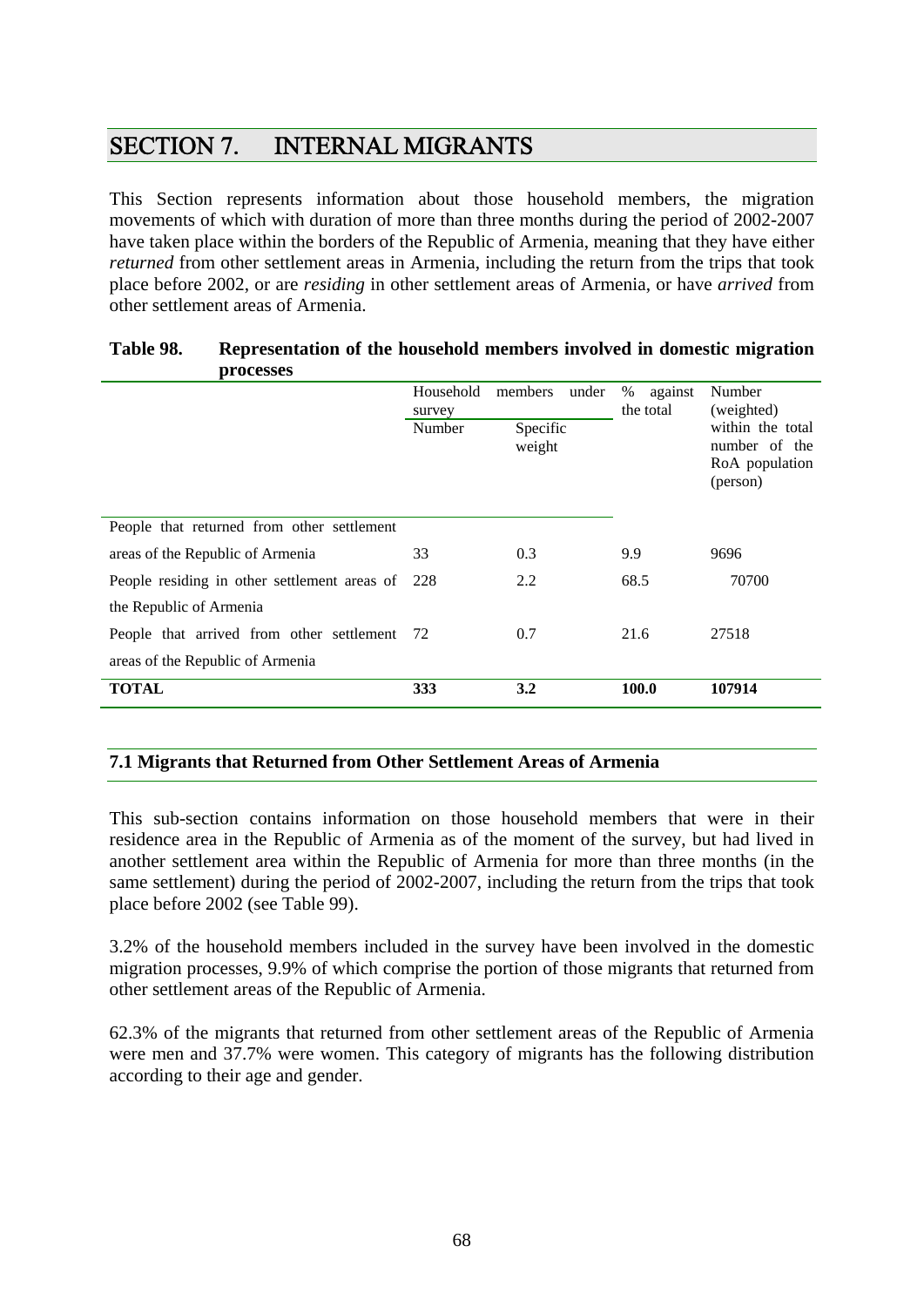# SECTION 7. INTERNAL MIGRANTS

This Section represents information about those household members, the migration movements of which with duration of more than three months during the period of 2002-2007 have taken place within the borders of the Republic of Armenia, meaning that they have either *returned* from other settlement areas in Armenia, including the return from the trips that took place before 2002, or are *residing* in other settlement areas of Armenia, or have *arrived* from other settlement areas of Armenia.

| processes                                    |                     |                    |                           |                                                                    |
|----------------------------------------------|---------------------|--------------------|---------------------------|--------------------------------------------------------------------|
|                                              | Household<br>survey | members<br>under   | %<br>against<br>the total | Number<br>(weighted)                                               |
|                                              | Number              | Specific<br>weight |                           | within the total<br>number of<br>the<br>RoA population<br>(person) |
| People that returned from other settlement   |                     |                    |                           |                                                                    |
| areas of the Republic of Armenia             | 33                  | 0.3                | 9.9                       | 9696                                                               |
| People residing in other settlement areas of | 228                 | 2.2                | 68.5                      | 70700                                                              |
| the Republic of Armenia                      |                     |                    |                           |                                                                    |
| People that arrived from other settlement    | 72                  | 0.7                | 21.6                      | 27518                                                              |
| areas of the Republic of Armenia             |                     |                    |                           |                                                                    |
| <b>TOTAL</b>                                 | 333                 | 3.2                | 100.0                     | 107914                                                             |
|                                              |                     |                    |                           |                                                                    |

## **Table 98. Representation of the household members involved in domestic migration processes**

## **7.1 Migrants that Returned from Other Settlement Areas of Armenia**

This sub-section contains information on those household members that were in their residence area in the Republic of Armenia as of the moment of the survey, but had lived in another settlement area within the Republic of Armenia for more than three months (in the same settlement) during the period of 2002-2007, including the return from the trips that took place before 2002 (see Table 99).

3.2% of the household members included in the survey have been involved in the domestic migration processes, 9.9% of which comprise the portion of those migrants that returned from other settlement areas of the Republic of Armenia.

62.3% of the migrants that returned from other settlement areas of the Republic of Armenia were men and 37.7% were women. This category of migrants has the following distribution according to their age and gender.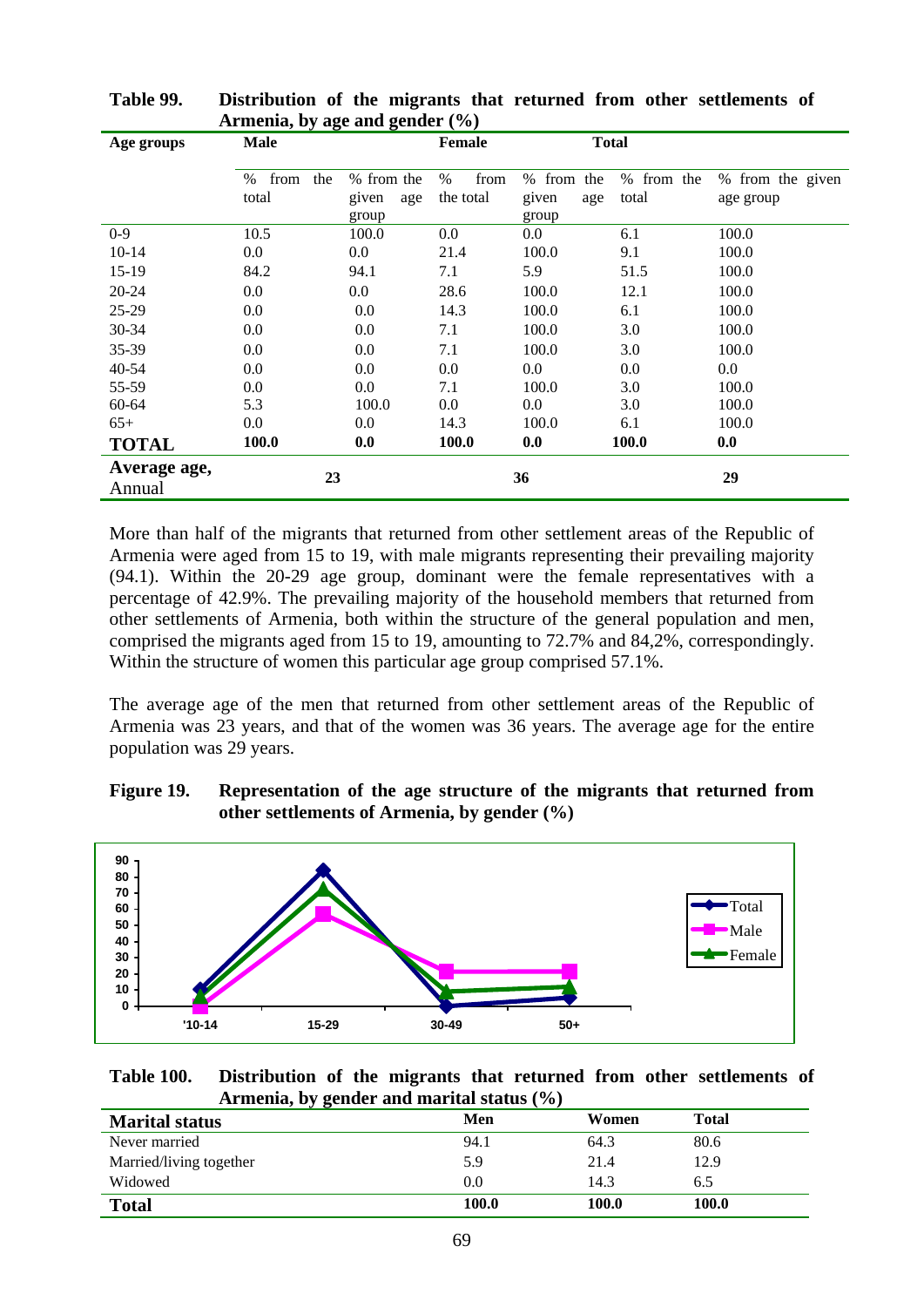| Age groups   | ໍ້<br><b>Male</b>         | o.                         | <b>Female</b>             | <b>Total</b>               |                        |                               |
|--------------|---------------------------|----------------------------|---------------------------|----------------------------|------------------------|-------------------------------|
|              | the<br>%<br>from<br>total | % from the<br>given<br>age | from<br>$\%$<br>the total | % from the<br>given<br>age | from the<br>%<br>total | % from the given<br>age group |
|              |                           | group                      |                           | group                      |                        |                               |
| $0 - 9$      | 10.5                      | 100.0                      | $0.0\,$                   | $0.0\,$                    | 6.1                    | 100.0                         |
| $10 - 14$    | 0.0                       | $0.0\,$                    | 21.4                      | 100.0                      | 9.1                    | 100.0                         |
| $15-19$      | 84.2                      | 94.1                       | 7.1                       | 5.9                        | 51.5                   | 100.0                         |
| 20-24        | $0.0\,$                   | $0.0\,$                    | 28.6                      | 100.0                      | 12.1                   | 100.0                         |
| 25-29        | $0.0\,$                   | 0.0                        | 14.3                      | 100.0                      | 6.1                    | 100.0                         |
| 30-34        | $0.0\,$                   | 0.0                        | 7.1                       | 100.0                      | 3.0                    | 100.0                         |
| 35-39        | $0.0\,$                   | 0.0                        | 7.1                       | 100.0                      | 3.0                    | 100.0                         |
| $40 - 54$    | 0.0                       | 0.0                        | 0.0                       | 0.0                        | 0.0                    | $0.0\,$                       |
| 55-59        | $0.0\,$                   | 0.0                        | 7.1                       | 100.0                      | 3.0                    | 100.0                         |
| 60-64        | 5.3                       | 100.0                      | 0.0                       | $0.0\,$                    | 3.0                    | 100.0                         |
| $65+$        | 0.0                       | 0.0                        | 14.3                      | 100.0                      | 6.1                    | 100.0                         |
| <b>TOTAL</b> | 100.0                     | 0.0                        | 100.0                     | 0.0                        | 100.0                  | 0.0                           |
| Average age, |                           |                            |                           | 36                         |                        | 29                            |
| Annual       | 23                        |                            |                           |                            |                        |                               |

**Table 99. Distribution of the migrants that returned from other settlements of Armenia, by age and gender (%)** 

More than half of the migrants that returned from other settlement areas of the Republic of Armenia were aged from 15 to 19, with male migrants representing their prevailing majority (94.1). Within the 20-29 age group, dominant were the female representatives with a percentage of 42.9%. The prevailing majority of the household members that returned from other settlements of Armenia, both within the structure of the general population and men, comprised the migrants aged from 15 to 19, amounting to 72.7% and 84,2%, correspondingly. Within the structure of women this particular age group comprised 57.1%.

The average age of the men that returned from other settlement areas of the Republic of Armenia was 23 years, and that of the women was 36 years. The average age for the entire population was 29 years.





**Table 100. Distribution of the migrants that returned from other settlements of Armenia, by gender and marital status (%)** 

| ັດ<br><b>Marital status</b> | Men     | Women | <b>Total</b> |
|-----------------------------|---------|-------|--------------|
| Never married               | 94.1    | 64.3  | 80.6         |
| Married/living together     | 5.9     | 21.4  | 12.9         |
| Widowed                     | $0.0\,$ | 14.3  | 6.5          |
| <b>Total</b>                | 100.0   | 100.0 | 100.0        |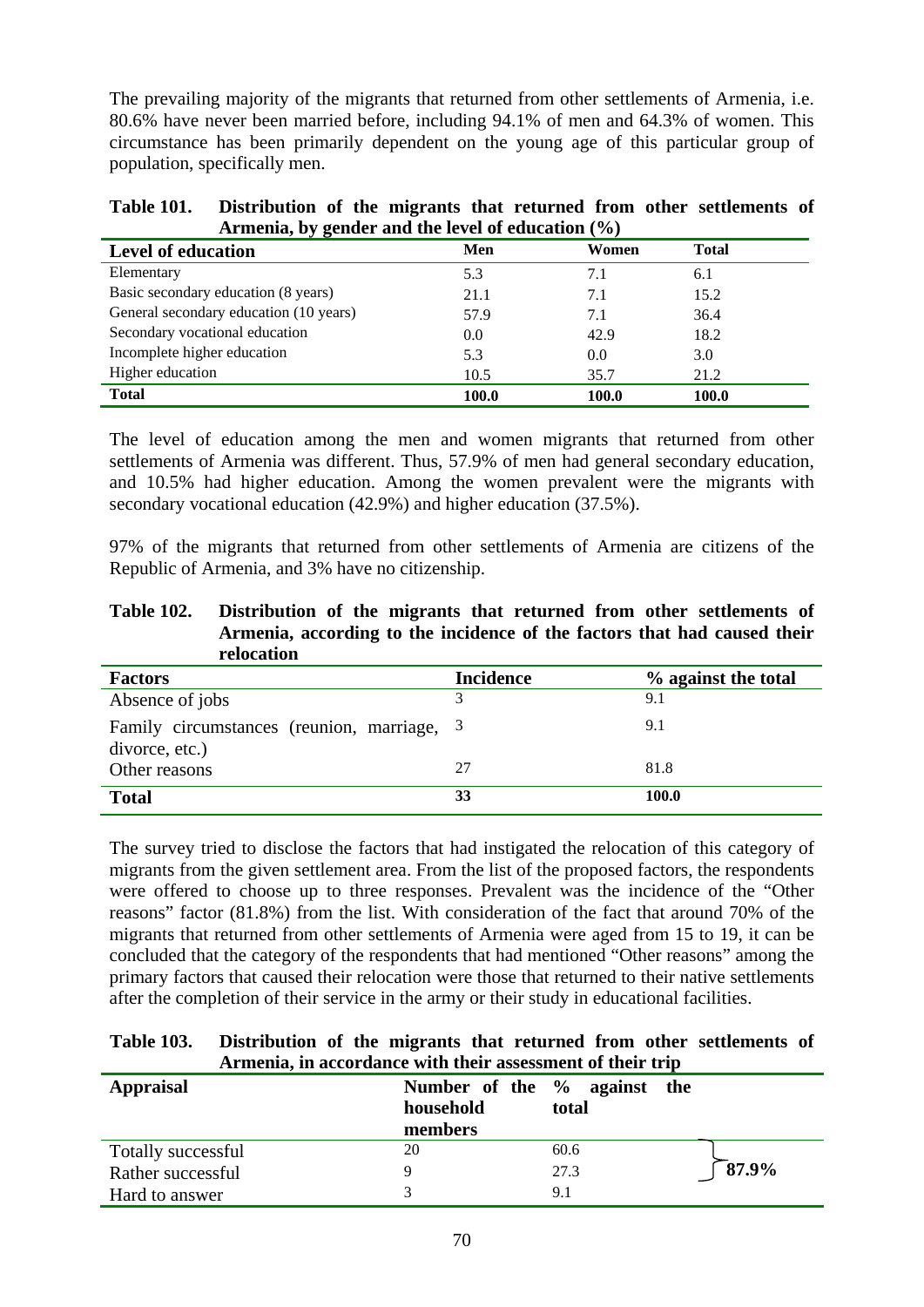The prevailing majority of the migrants that returned from other settlements of Armenia, i.e. 80.6% have never been married before, including 94.1% of men and 64.3% of women. This circumstance has been primarily dependent on the young age of this particular group of population, specifically men.

| <b>Table 101.</b> | Distribution of the migrants that returned from other settlements of |
|-------------------|----------------------------------------------------------------------|
|                   | Armenia, by gender and the level of education $(\% )$                |

| $\ldots$ $\ldots$ $\ldots$ $\ldots$ $\ldots$ |       |       |              |
|----------------------------------------------|-------|-------|--------------|
| <b>Level of education</b>                    | Men   | Women | <b>Total</b> |
| Elementary                                   | 5.3   | 7.1   | 6.1          |
| Basic secondary education (8 years)          | 21.1  | 7.1   | 15.2         |
| General secondary education (10 years)       | 57.9  | 7.1   | 36.4         |
| Secondary vocational education               | 0.0   | 42.9  | 18.2         |
| Incomplete higher education                  | 5.3   | 0.0   | 3.0          |
| Higher education                             | 10.5  | 35.7  | 21.2         |
| <b>Total</b>                                 | 100.0 | 100.0 | 100.0        |

The level of education among the men and women migrants that returned from other settlements of Armenia was different. Thus, 57.9% of men had general secondary education, and 10.5% had higher education. Among the women prevalent were the migrants with secondary vocational education (42.9%) and higher education (37.5%).

97% of the migrants that returned from other settlements of Armenia are citizens of the Republic of Armenia, and 3% have no citizenship.

| <b>Table 102.</b> | Distribution of the migrants that returned from other settlements of     |
|-------------------|--------------------------------------------------------------------------|
|                   | Armenia, according to the incidence of the factors that had caused their |
|                   | relocation                                                               |

| <b>Factors</b>                                               | <b>Incidence</b> | % against the total |
|--------------------------------------------------------------|------------------|---------------------|
| Absence of jobs                                              |                  | 9.1                 |
| Family circumstances (reunion, marriage, 3<br>divorce, etc.) |                  | 9.1                 |
| Other reasons                                                | 27               | 81.8                |
| <b>Total</b>                                                 | 33               | <b>100.0</b>        |

The survey tried to disclose the factors that had instigated the relocation of this category of migrants from the given settlement area. From the list of the proposed factors, the respondents were offered to choose up to three responses. Prevalent was the incidence of the "Other reasons" factor (81.8%) from the list. With consideration of the fact that around 70% of the migrants that returned from other settlements of Armenia were aged from 15 to 19, it can be concluded that the category of the respondents that had mentioned "Other reasons" among the primary factors that caused their relocation were those that returned to their native settlements after the completion of their service in the army or their study in educational facilities.

| <b>Table 103.</b> | Distribution of the migrants that returned from other settlements of |
|-------------------|----------------------------------------------------------------------|
|                   | Armenia, in accordance with their assessment of their trip           |

| <b>Appraisal</b>   | Number of the % against the<br>household<br>members | total |                 |
|--------------------|-----------------------------------------------------|-------|-----------------|
| Totally successful | 20                                                  | 60.6  |                 |
| Rather successful  |                                                     | 27.3  | $\sqrt{87.9\%}$ |
| Hard to answer     |                                                     | 9.1   |                 |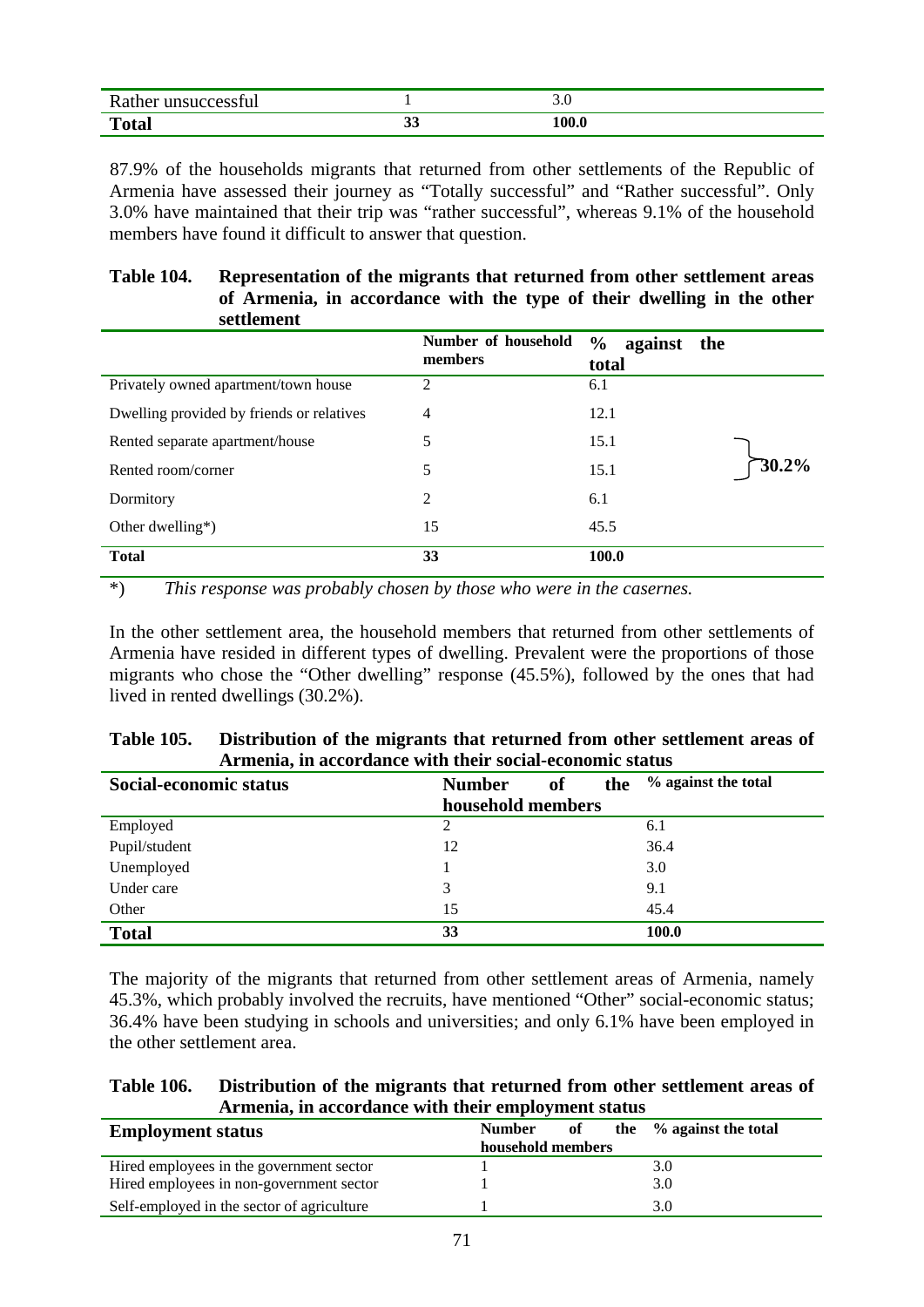| $\mathbf{R}$<br>.    |    | $\cup \, \cdot \, \cup$ |
|----------------------|----|-------------------------|
| $T_{\alpha}$<br>utai | ັບ | 100.0                   |

87.9% of the households migrants that returned from other settlements of the Republic of Armenia have assessed their journey as "Totally successful" and "Rather successful". Only 3.0% have maintained that their trip was "rather successful", whereas 9.1% of the household members have found it difficult to answer that question.

#### **Table 104. Representation of the migrants that returned from other settlement areas of Armenia, in accordance with the type of their dwelling in the other settlement**

| .                                         |                                |                              |
|-------------------------------------------|--------------------------------|------------------------------|
|                                           | Number of household<br>members | $\%$<br>against the<br>total |
| Privately owned apartment/town house      | 2                              | 6.1                          |
| Dwelling provided by friends or relatives | 4                              | 12.1                         |
| Rented separate apartment/house           | 5                              | 15.1                         |
| Rented room/corner                        | 5                              | 30.2%<br>15.1                |
| Dormitory                                 | 2                              | 6.1                          |
| Other dwelling*)                          | 15                             | 45.5                         |
| <b>Total</b>                              | 33                             | 100.0                        |

\*) *This response was probably chosen by those who were in the casernes.* 

In the other settlement area, the household members that returned from other settlements of Armenia have resided in different types of dwelling. Prevalent were the proportions of those migrants who chose the "Other dwelling" response (45.5%), followed by the ones that had lived in rented dwellings (30.2%).

| <b>Table 105.</b> | Distribution of the migrants that returned from other settlement areas of |
|-------------------|---------------------------------------------------------------------------|
|                   | Armenia, in accordance with their social-economic status                  |

| Social-economic status | <b>Number</b><br>the<br><b>of</b> | % against the total |
|------------------------|-----------------------------------|---------------------|
|                        | household members                 |                     |
| Employed               | 2                                 | 6.1                 |
| Pupil/student          | 12                                | 36.4                |
| Unemployed             |                                   | 3.0                 |
| Under care             | 3                                 | 9.1                 |
| Other                  | 15                                | 45.4                |
| <b>Total</b>           | 33                                | 100.0               |

The majority of the migrants that returned from other settlement areas of Armenia, namely 45.3%, which probably involved the recruits, have mentioned "Other" social-economic status; 36.4% have been studying in schools and universities; and only 6.1% have been employed in the other settlement area.

| <b>Table 106.</b> | Distribution of the migrants that returned from other settlement areas of |
|-------------------|---------------------------------------------------------------------------|
|                   | Armenia, in accordance with their employment status                       |

| <b>Employment status</b>                   | of<br><b>Number</b> | the $\%$ against the total |
|--------------------------------------------|---------------------|----------------------------|
|                                            | household members   |                            |
| Hired employees in the government sector   |                     | 3.0                        |
| Hired employees in non-government sector   |                     | 3.0                        |
| Self-employed in the sector of agriculture |                     | 3.0                        |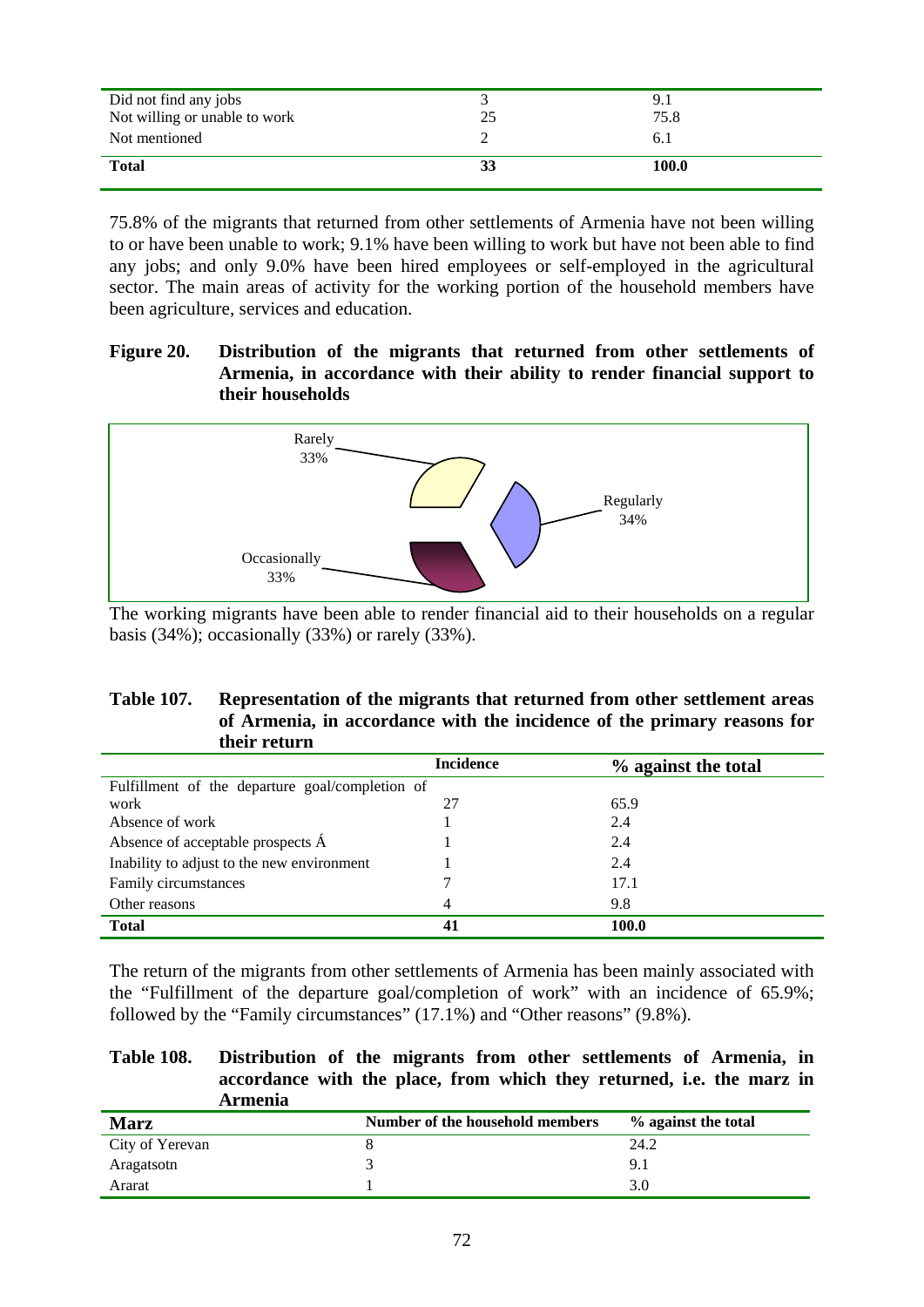| Did not find any jobs<br>Not willing or unable to work | 9.1<br>75.8 |
|--------------------------------------------------------|-------------|
| Not mentioned                                          | 6.1         |
| <b>Total</b>                                           | 100.0       |

75.8% of the migrants that returned from other settlements of Armenia have not been willing to or have been unable to work; 9.1% have been willing to work but have not been able to find any jobs; and only 9.0% have been hired employees or self-employed in the agricultural sector. The main areas of activity for the working portion of the household members have been agriculture, services and education.

## **Figure 20. Distribution of the migrants that returned from other settlements of Armenia, in accordance with their ability to render financial support to their households**



The working migrants have been able to render financial aid to their households on a regular basis (34%); occasionally (33%) or rarely (33%).

#### **Table 107. Representation of the migrants that returned from other settlement areas of Armenia, in accordance with the incidence of the primary reasons for their return**

|                                                 | <b>Incidence</b> | % against the total |
|-------------------------------------------------|------------------|---------------------|
| Fulfillment of the departure goal/completion of |                  |                     |
| work                                            | 27               | 65.9                |
| Absence of work                                 |                  | 2.4                 |
| Absence of acceptable prospects A               |                  | 2.4                 |
| Inability to adjust to the new environment      |                  | 2.4                 |
| Family circumstances                            |                  | 17.1                |
| Other reasons                                   | 4                | 9.8                 |
| <b>Total</b>                                    | 41               | 100.0               |

The return of the migrants from other settlements of Armenia has been mainly associated with the "Fulfillment of the departure goal/completion of work" with an incidence of 65.9%; followed by the "Family circumstances" (17.1%) and "Other reasons" (9.8%).

#### **Table 108. Distribution of the migrants from other settlements of Armenia, in accordance with the place, from which they returned, i.e. the marz in Armenia**

| <b>Marz</b>     | Number of the household members | % against the total |
|-----------------|---------------------------------|---------------------|
| City of Yerevan |                                 | 24.2                |
| Aragatsotn      |                                 | 9.1                 |
| Ararat          |                                 | 3.0                 |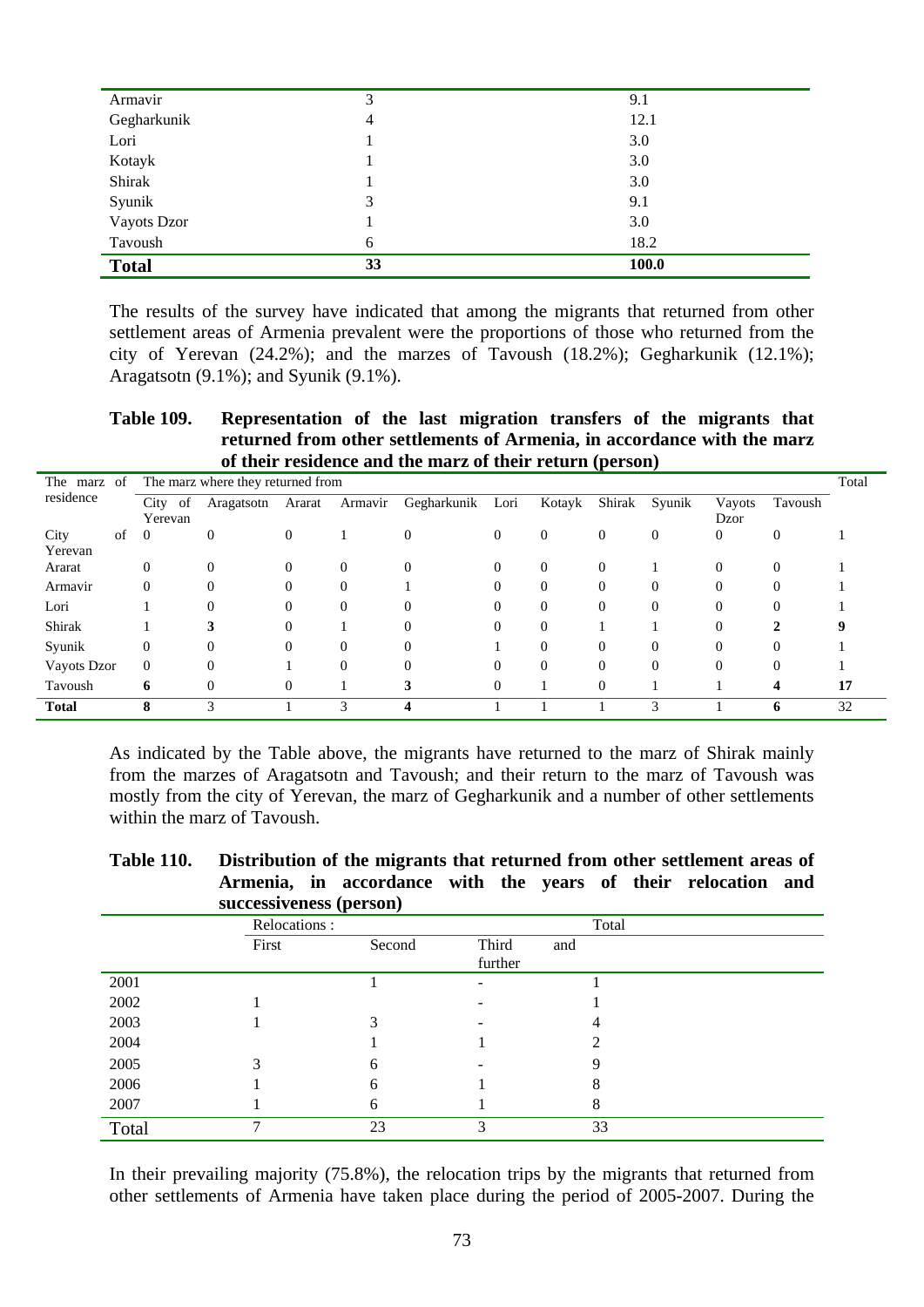| <b>Total</b> | 33 | 100.0 |  |
|--------------|----|-------|--|
| Tavoush      | 6  | 18.2  |  |
| Vayots Dzor  |    | 3.0   |  |
| Syunik       | 3  | 9.1   |  |
| Shirak       |    | 3.0   |  |
| Kotayk       |    | 3.0   |  |
| Lori         |    | 3.0   |  |
| Gegharkunik  | 4  | 12.1  |  |
| Armavir      | 3  | 9.1   |  |

The results of the survey have indicated that among the migrants that returned from other settlement areas of Armenia prevalent were the proportions of those who returned from the city of Yerevan (24.2%); and the marzes of Tavoush (18.2%); Gegharkunik (12.1%); Aragatsotn (9.1%); and Syunik (9.1%).

**Table 109. Representation of the last migration transfers of the migrants that returned from other settlements of Armenia, in accordance with the marz of their residence and the marz of their return (person)** 

| The marz     | of |                | The marz where they returned from |                |          |             |                |                |                |                |                |          | Total |
|--------------|----|----------------|-----------------------------------|----------------|----------|-------------|----------------|----------------|----------------|----------------|----------------|----------|-------|
| residence    |    | of<br>City     | Aragatsotn                        | Ararat         | Armavir  | Gegharkunik | Lori           | Kotayk         | Shirak         | Syunik         | Vayots         | Tavoush  |       |
|              |    | Yerevan        |                                   |                |          |             |                |                |                |                | Dzor           |          |       |
| City         | of | $\overline{0}$ | $\mathbf{0}$                      | $\overline{0}$ |          | $\theta$    | $\overline{0}$ | $\overline{0}$ | $\overline{0}$ | $\overline{0}$ | $\overline{0}$ | $\Omega$ |       |
| Yerevan      |    |                |                                   |                |          |             |                |                |                |                |                |          |       |
| Ararat       |    | $\Omega$       | $\Omega$                          | $\Omega$       | $\Omega$ | $\Omega$    | $\Omega$       | $\theta$       | $\Omega$       |                | $\mathbf{0}$   |          |       |
| Armavir      |    | 0              | $\Omega$                          | $\overline{0}$ | $\Omega$ |             | $\Omega$       | $\Omega$       | $\Omega$       | $\Omega$       | $\Omega$       | $\Omega$ |       |
| Lori         |    |                | $\Omega$                          | $\Omega$       | $\Omega$ | $\Omega$    | $\Omega$       | $\Omega$       | $\Omega$       | $\theta$       | $\Omega$       | $\Omega$ |       |
| Shirak       |    |                |                                   | 0              |          | $\Omega$    | $\Omega$       | $\Omega$       |                |                | $\Omega$       |          |       |
| Syunik       |    | 0              | $\Omega$                          | $\Omega$       | $\Omega$ | $\Omega$    |                | $\Omega$       | $\Omega$       | $\Omega$       | $\Omega$       | $\Omega$ |       |
| Vayots Dzor  |    | $\Omega$       | $\Omega$                          |                | $\Omega$ | $\Omega$    | $\Omega$       | $\Omega$       | $\Omega$       | $\Omega$       | $\Omega$       | $\Omega$ |       |
| Tavoush      |    | 6              | $\Omega$                          | 0              |          | 3           | $\Omega$       |                | $\Omega$       |                |                | 4        | 17    |
| <b>Total</b> |    | 8              | 3                                 |                | 3        | $\Delta$    |                |                |                | 3              |                | n        | 32    |

As indicated by the Table above, the migrants have returned to the marz of Shirak mainly from the marzes of Aragatsotn and Tavoush; and their return to the marz of Tavoush was mostly from the city of Yerevan, the marz of Gegharkunik and a number of other settlements within the marz of Tavoush.

| <b>Table 110.</b> |                         | Distribution of the migrants that returned from other settlement areas of |  |  |  |  |
|-------------------|-------------------------|---------------------------------------------------------------------------|--|--|--|--|
|                   |                         | Armenia, in accordance with the years of their relocation and             |  |  |  |  |
|                   | successiveness (person) |                                                                           |  |  |  |  |

|       | Relocations: |        |                         | Total |
|-------|--------------|--------|-------------------------|-------|
|       | First        | Second | Third<br>and<br>further |       |
| 2001  |              |        |                         |       |
| 2002  |              |        |                         |       |
| 2003  |              | 3      |                         | 4     |
| 2004  |              |        |                         | ◠     |
| 2005  | 3            | 6      |                         | q     |
| 2006  |              | 6      |                         | 8     |
| 2007  |              | 6      |                         | 8     |
| Total | ⇁            | 23     | 3                       | 33    |

In their prevailing majority (75.8%), the relocation trips by the migrants that returned from other settlements of Armenia have taken place during the period of 2005-2007. During the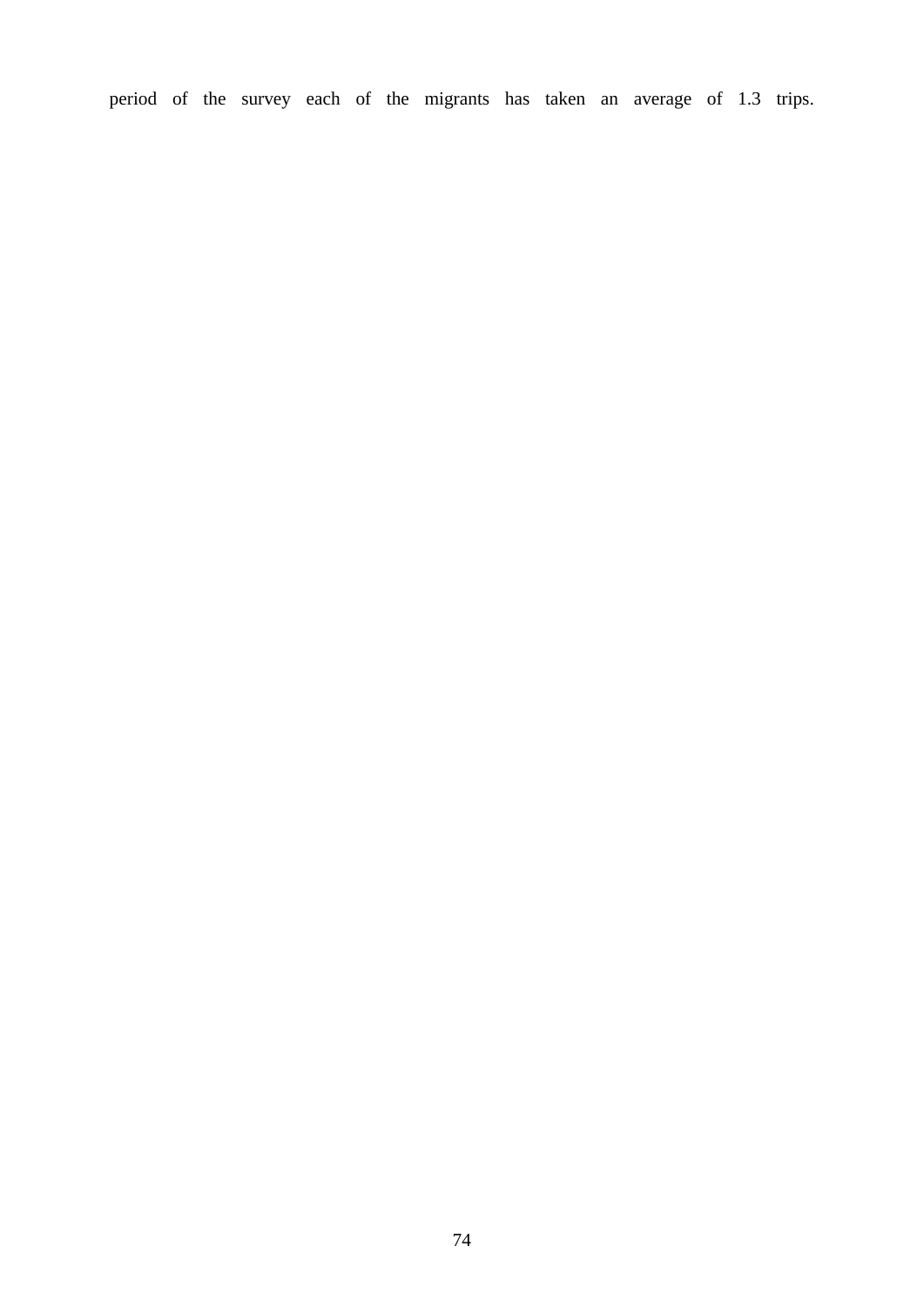period of the survey each of the migrants has taken an average of 1.3 trips.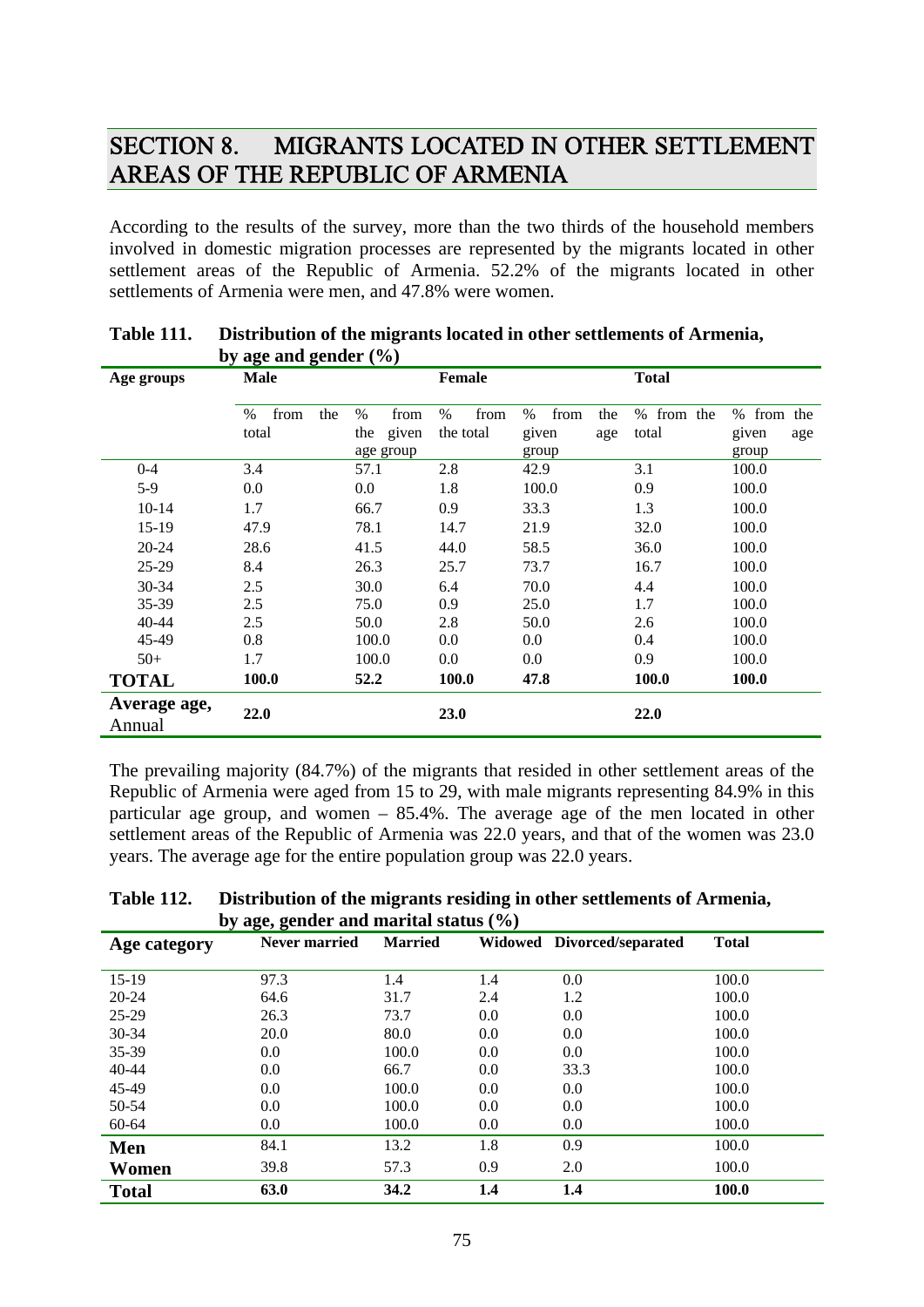## SECTION 8. MIGRANTS LOCATED IN OTHER SETTLEMENT AREAS OF THE REPUBLIC OF ARMENIA

According to the results of the survey, more than the two thirds of the household members involved in domestic migration processes are represented by the migrants located in other settlement areas of the Republic of Armenia. 52.2% of the migrants located in other settlements of Armenia were men, and 47.8% were women.

|              | $\omega$ agu anu gunuu $(70)$ |              |               |                     |               |              |
|--------------|-------------------------------|--------------|---------------|---------------------|---------------|--------------|
| Age groups   | <b>Male</b>                   |              | <b>Female</b> |                     | <b>Total</b>  |              |
|              | $\%$<br>from<br>the           | $\%$<br>from | $\%$<br>from  | $\%$<br>from<br>the | from the<br>% | % from the   |
|              | total                         | given<br>the | the total     | given<br>age        | total         | given<br>age |
|              |                               | age group    |               | group               |               | group        |
| $0 - 4$      | 3.4                           | 57.1         | 2.8           | 42.9                | 3.1           | 100.0        |
| $5-9$        | 0.0                           | $0.0\,$      | 1.8           | 100.0               | 0.9           | 100.0        |
| $10 - 14$    | 1.7                           | 66.7         | 0.9           | 33.3                | 1.3           | 100.0        |
| 15-19        | 47.9                          | 78.1         | 14.7          | 21.9                | 32.0          | 100.0        |
| $20 - 24$    | 28.6                          | 41.5         | 44.0          | 58.5                | 36.0          | 100.0        |
| $25-29$      | 8.4                           | 26.3         | 25.7          | 73.7                | 16.7          | 100.0        |
| 30-34        | 2.5                           | 30.0         | 6.4           | 70.0                | 4.4           | 100.0        |
| 35-39        | 2.5                           | 75.0         | 0.9           | 25.0                | 1.7           | 100.0        |
| 40-44        | 2.5                           | 50.0         | 2.8           | 50.0                | 2.6           | 100.0        |
| 45-49        | 0.8                           | 100.0        | 0.0           | $0.0\,$             | 0.4           | 100.0        |
| $50+$        | 1.7                           | 100.0        | 0.0           | $0.0\,$             | 0.9           | 100.0        |
| <b>TOTAL</b> | 100.0                         | 52.2         | 100.0         | 47.8                | 100.0         | 100.0        |
| Average age, |                               |              |               |                     |               |              |
| Annual       | 22.0                          |              | 23.0          |                     | 22.0          |              |

| <b>Table 111.</b> | Distribution of the migrants located in other settlements of Armenia, |
|-------------------|-----------------------------------------------------------------------|
|                   | by age and gender $(\% )$                                             |

The prevailing majority (84.7%) of the migrants that resided in other settlement areas of the Republic of Armenia were aged from 15 to 29, with male migrants representing 84.9% in this particular age group, and women – 85.4%. The average age of the men located in other settlement areas of the Republic of Armenia was 22.0 years, and that of the women was 23.0 years. The average age for the entire population group was 22.0 years.

**Table 112. Distribution of the migrants residing in other settlements of Armenia, by age, gender and marital status (%)** 

| $\sigma$ age, genuer and marrier status (70) |               |                |     |                            |              |  |
|----------------------------------------------|---------------|----------------|-----|----------------------------|--------------|--|
| Age category                                 | Never married | <b>Married</b> |     | Widowed Divorced/separated | <b>Total</b> |  |
| $15-19$                                      | 97.3          | 1.4            | 1.4 | 0.0                        | 100.0        |  |
| $20 - 24$                                    | 64.6          | 31.7           | 2.4 | 1.2                        | 100.0        |  |
| $25-29$                                      | 26.3          | 73.7           | 0.0 | 0.0                        | 100.0        |  |
| 30-34                                        | 20.0          | 80.0           | 0.0 | 0.0                        | 100.0        |  |
| 35-39                                        | 0.0           | 100.0          | 0.0 | 0.0                        | 100.0        |  |
| $40 - 44$                                    | 0.0           | 66.7           | 0.0 | 33.3                       | 100.0        |  |
| 45-49                                        | 0.0           | 100.0          | 0.0 | 0.0                        | 100.0        |  |
| 50-54                                        | 0.0           | 100.0          | 0.0 | 0.0                        | 100.0        |  |
| 60-64                                        | 0.0           | 100.0          | 0.0 | 0.0                        | 100.0        |  |
| Men                                          | 84.1          | 13.2           | 1.8 | 0.9                        | 100.0        |  |
| Women                                        | 39.8          | 57.3           | 0.9 | 2.0                        | 100.0        |  |
| <b>Total</b>                                 | 63.0          | 34.2           | 1.4 | 1.4                        | 100.0        |  |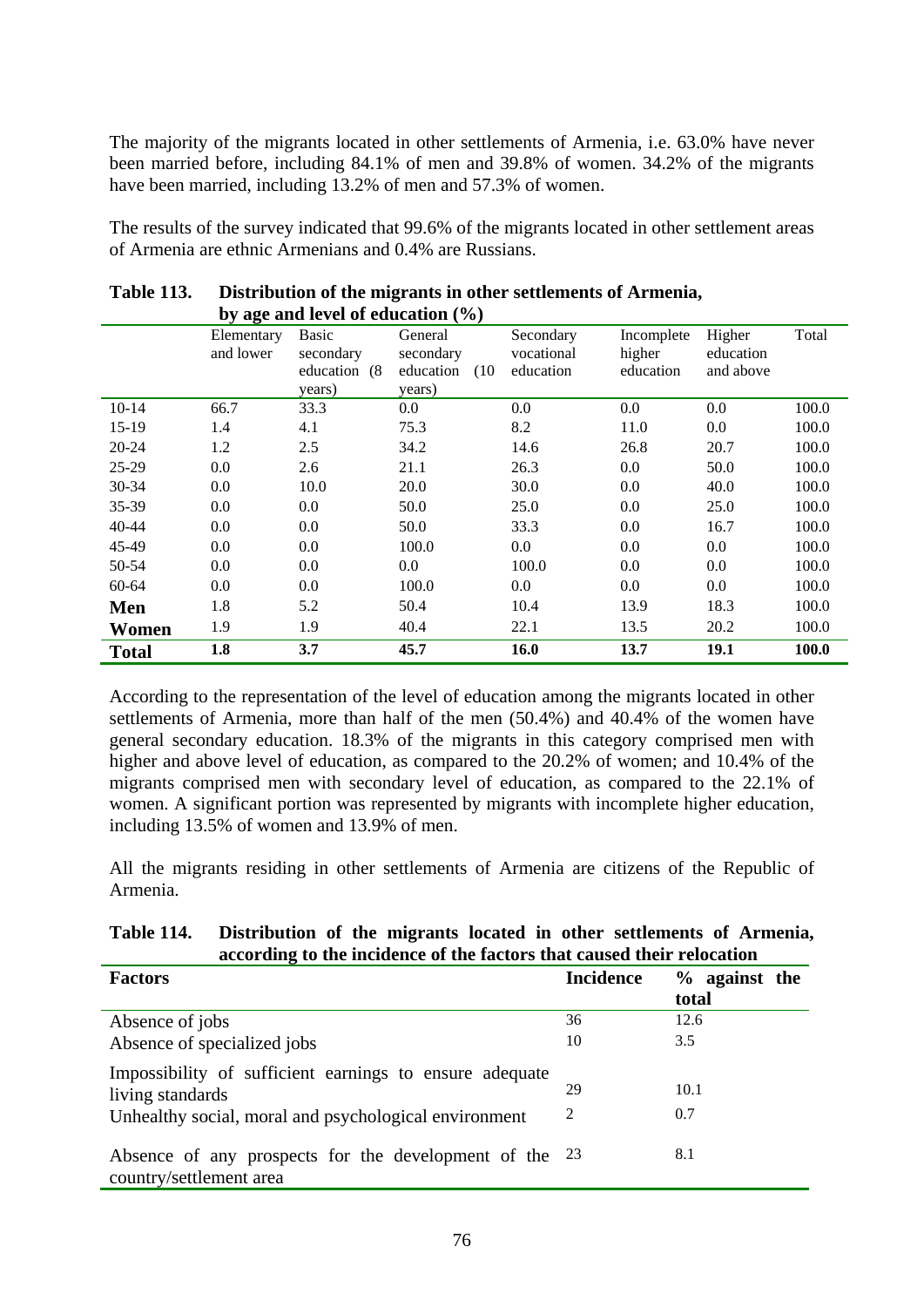The majority of the migrants located in other settlements of Armenia, i.e. 63.0% have never been married before, including 84.1% of men and 39.8% of women. 34.2% of the migrants have been married, including 13.2% of men and 57.3% of women.

The results of the survey indicated that 99.6% of the migrants located in other settlement areas of Armenia are ethnic Armenians and 0.4% are Russians.

|              |                         | by age and level of education $(\%)$                    |                                                     |                                      |                                   |                                  |       |
|--------------|-------------------------|---------------------------------------------------------|-----------------------------------------------------|--------------------------------------|-----------------------------------|----------------------------------|-------|
|              | Elementary<br>and lower | <b>Basic</b><br>secondary<br>education<br>(8)<br>years) | General<br>secondary<br>(10)<br>education<br>years) | Secondary<br>vocational<br>education | Incomplete<br>higher<br>education | Higher<br>education<br>and above | Total |
| $10 - 14$    | 66.7                    | 33.3                                                    | 0.0                                                 | 0.0                                  | 0.0                               | 0.0                              | 100.0 |
| $15-19$      | 1.4                     | 4.1                                                     | 75.3                                                | 8.2                                  | 11.0                              | 0.0                              | 100.0 |
| $20 - 24$    | 1.2                     | 2.5                                                     | 34.2                                                | 14.6                                 | 26.8                              | 20.7                             | 100.0 |
| $25-29$      | 0.0                     | 2.6                                                     | 21.1                                                | 26.3                                 | 0.0                               | 50.0                             | 100.0 |
| 30-34        | 0.0                     | 10.0                                                    | 20.0                                                | 30.0                                 | 0.0                               | 40.0                             | 100.0 |
| 35-39        | 0.0                     | 0.0                                                     | 50.0                                                | 25.0                                 | 0.0                               | 25.0                             | 100.0 |
| $40 - 44$    | 0.0                     | 0.0                                                     | 50.0                                                | 33.3                                 | 0.0                               | 16.7                             | 100.0 |
| 45-49        | 0.0                     | 0.0                                                     | 100.0                                               | 0.0                                  | 0.0                               | $0.0\,$                          | 100.0 |
| 50-54        | 0.0                     | 0.0                                                     | 0.0                                                 | 100.0                                | 0.0                               | 0.0                              | 100.0 |
| 60-64        | 0.0                     | 0.0                                                     | 100.0                                               | 0.0                                  | 0.0                               | $0.0\,$                          | 100.0 |
| Men          | 1.8                     | 5.2                                                     | 50.4                                                | 10.4                                 | 13.9                              | 18.3                             | 100.0 |
| Women        | 1.9                     | 1.9                                                     | 40.4                                                | 22.1                                 | 13.5                              | 20.2                             | 100.0 |
| <b>Total</b> | 1.8                     | 3.7                                                     | 45.7                                                | 16.0                                 | 13.7                              | 19.1                             | 100.0 |

### **Table 113. Distribution of the migrants in other settlements of Armenia, by age and level of education (%)**

According to the representation of the level of education among the migrants located in other settlements of Armenia, more than half of the men (50.4%) and 40.4% of the women have general secondary education. 18.3% of the migrants in this category comprised men with higher and above level of education, as compared to the 20.2% of women; and 10.4% of the migrants comprised men with secondary level of education, as compared to the 22.1% of women. A significant portion was represented by migrants with incomplete higher education, including 13.5% of women and 13.9% of men.

All the migrants residing in other settlements of Armenia are citizens of the Republic of Armenia.

### **Table 114. Distribution of the migrants located in other settlements of Armenia, according to the incidence of the factors that caused their relocation**

| <b>Factors</b>                                          | <b>Incidence</b> | $%$ against the |
|---------------------------------------------------------|------------------|-----------------|
|                                                         |                  | total           |
| Absence of jobs                                         | 36               | 12.6            |
| Absence of specialized jobs                             | 10               | 3.5             |
| Impossibility of sufficient earnings to ensure adequate |                  |                 |
| living standards                                        | 29               | 10.1            |
| Unhealthy social, moral and psychological environment   | 2                | 0.7             |
| Absence of any prospects for the development of the 23  |                  | 8.1             |
| country/settlement area                                 |                  |                 |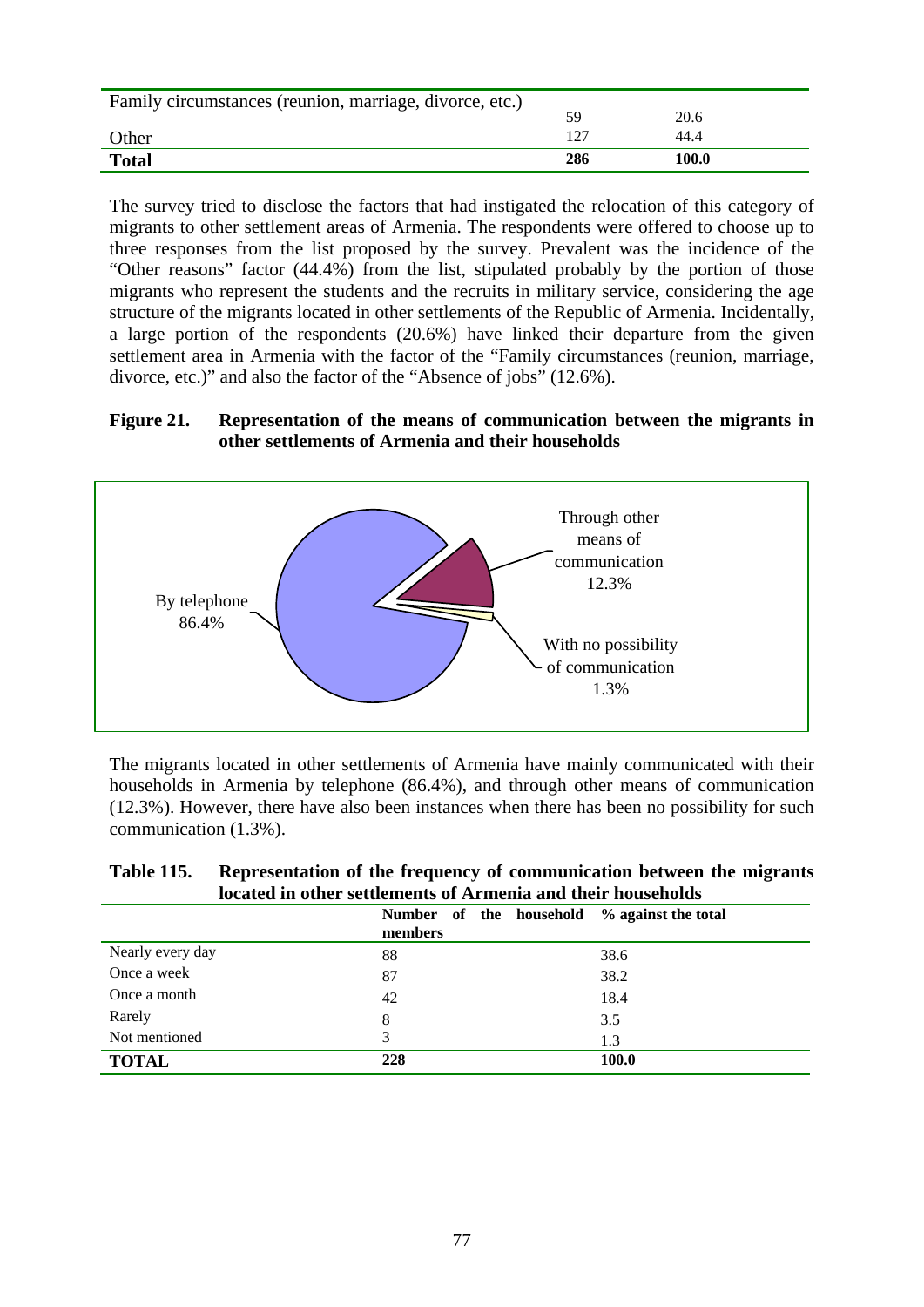| Family circumstances (reunion, marriage, divorce, etc.) |       |       |
|---------------------------------------------------------|-------|-------|
|                                                         | 59    | 20.6  |
| Other                                                   | 1 7 7 | 44.4  |
| <b>Total</b>                                            | 286   | 100.0 |

The survey tried to disclose the factors that had instigated the relocation of this category of migrants to other settlement areas of Armenia. The respondents were offered to choose up to three responses from the list proposed by the survey. Prevalent was the incidence of the "Other reasons" factor (44.4%) from the list, stipulated probably by the portion of those migrants who represent the students and the recruits in military service, considering the age structure of the migrants located in other settlements of the Republic of Armenia. Incidentally, a large portion of the respondents (20.6%) have linked their departure from the given settlement area in Armenia with the factor of the "Family circumstances (reunion, marriage, divorce, etc.)" and also the factor of the "Absence of jobs" (12.6%).

### **Figure 21. Representation of the means of communication between the migrants in other settlements of Armenia and their households**



The migrants located in other settlements of Armenia have mainly communicated with their households in Armenia by telephone (86.4%), and through other means of communication (12.3%). However, there have also been instances when there has been no possibility for such communication (1.3%).

| <b>Table 115.</b> | Representation of the frequency of communication between the migrants |
|-------------------|-----------------------------------------------------------------------|
|                   | located in other settlements of Armenia and their households          |

|                  | Number of the household<br>members | % against the total |
|------------------|------------------------------------|---------------------|
| Nearly every day | 88                                 | 38.6                |
| Once a week      | 87                                 | 38.2                |
| Once a month     | 42                                 | 18.4                |
| Rarely           | 8                                  | 3.5                 |
| Not mentioned    | 3                                  | 1.3                 |
| <b>TOTAL</b>     | 228                                | 100.0               |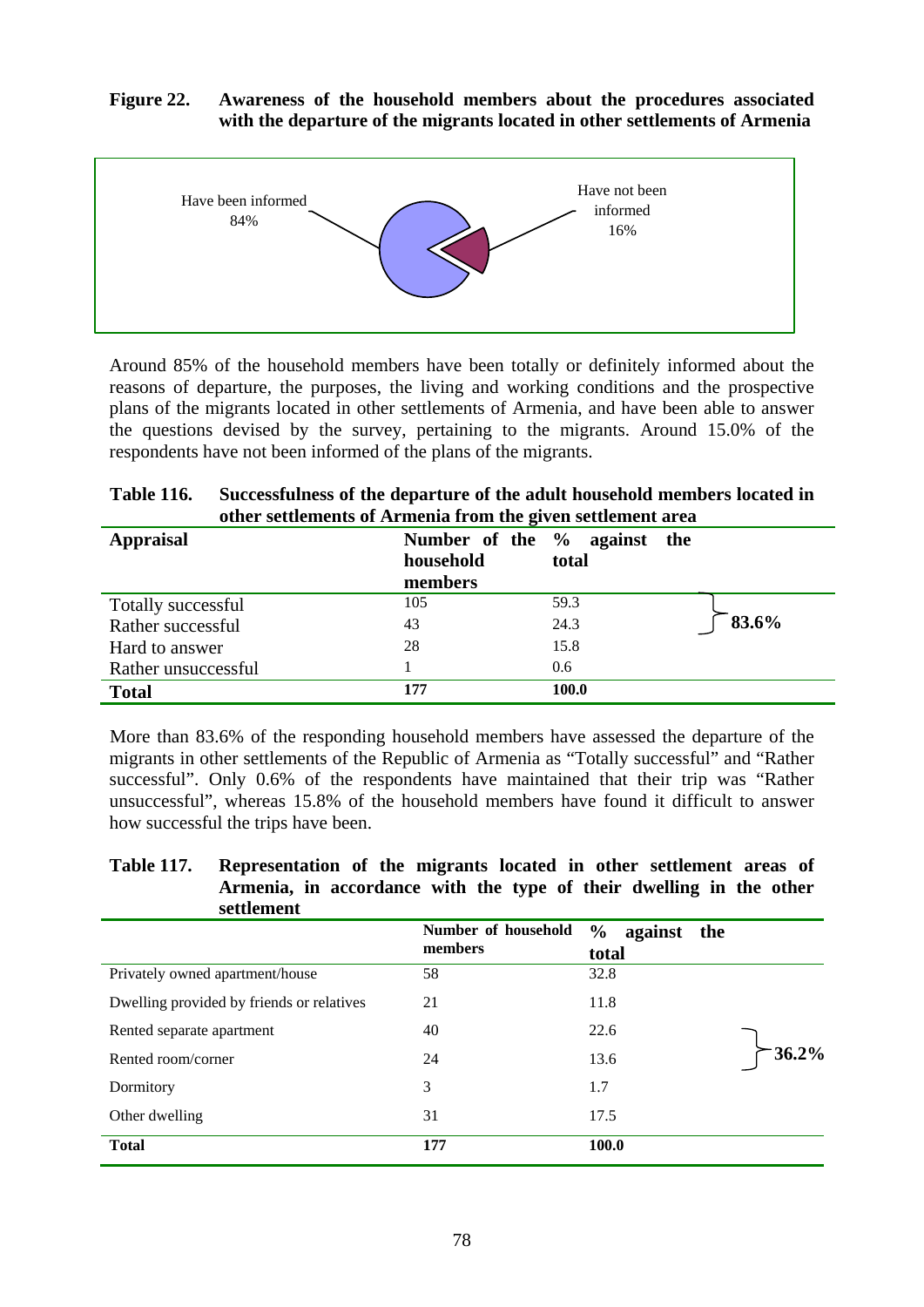### **Figure 22. Awareness of the household members about the procedures associated with the departure of the migrants located in other settlements of Armenia**



Around 85% of the household members have been totally or definitely informed about the reasons of departure, the purposes, the living and working conditions and the prospective plans of the migrants located in other settlements of Armenia, and have been able to answer the questions devised by the survey, pertaining to the migrants. Around 15.0% of the respondents have not been informed of the plans of the migrants.

| <b>Table 116.</b> | Successfulness of the departure of the adult household members located in |
|-------------------|---------------------------------------------------------------------------|
|                   | other settlements of Armenia from the given settlement area               |

| <b>Appraisal</b>    | household<br>members | Number of the % against the<br>total |       |
|---------------------|----------------------|--------------------------------------|-------|
| Totally successful  | 105                  | 59.3                                 |       |
| Rather successful   | 43                   | 24.3                                 | 83.6% |
| Hard to answer      | 28                   | 15.8                                 |       |
| Rather unsuccessful |                      | 0.6                                  |       |
| <b>Total</b>        | 177                  | 100.0                                |       |

More than 83.6% of the responding household members have assessed the departure of the migrants in other settlements of the Republic of Armenia as "Totally successful" and "Rather successful". Only 0.6% of the respondents have maintained that their trip was "Rather unsuccessful", whereas 15.8% of the household members have found it difficult to answer how successful the trips have been.

### **Table 117. Representation of the migrants located in other settlement areas of Armenia, in accordance with the type of their dwelling in the other settlement**

|                                           | Number of household<br>members | $\frac{6}{9}$<br>against the<br>total |          |
|-------------------------------------------|--------------------------------|---------------------------------------|----------|
| Privately owned apartment/house           | 58                             | 32.8                                  |          |
| Dwelling provided by friends or relatives | 21                             | 11.8                                  |          |
| Rented separate apartment                 | 40                             | 22.6                                  |          |
| Rented room/corner                        | 24                             | 13.6                                  | $36.2\%$ |
| Dormitory                                 | 3                              | 1.7                                   |          |
| Other dwelling                            | 31                             | 17.5                                  |          |
| <b>Total</b>                              | 177                            | 100.0                                 |          |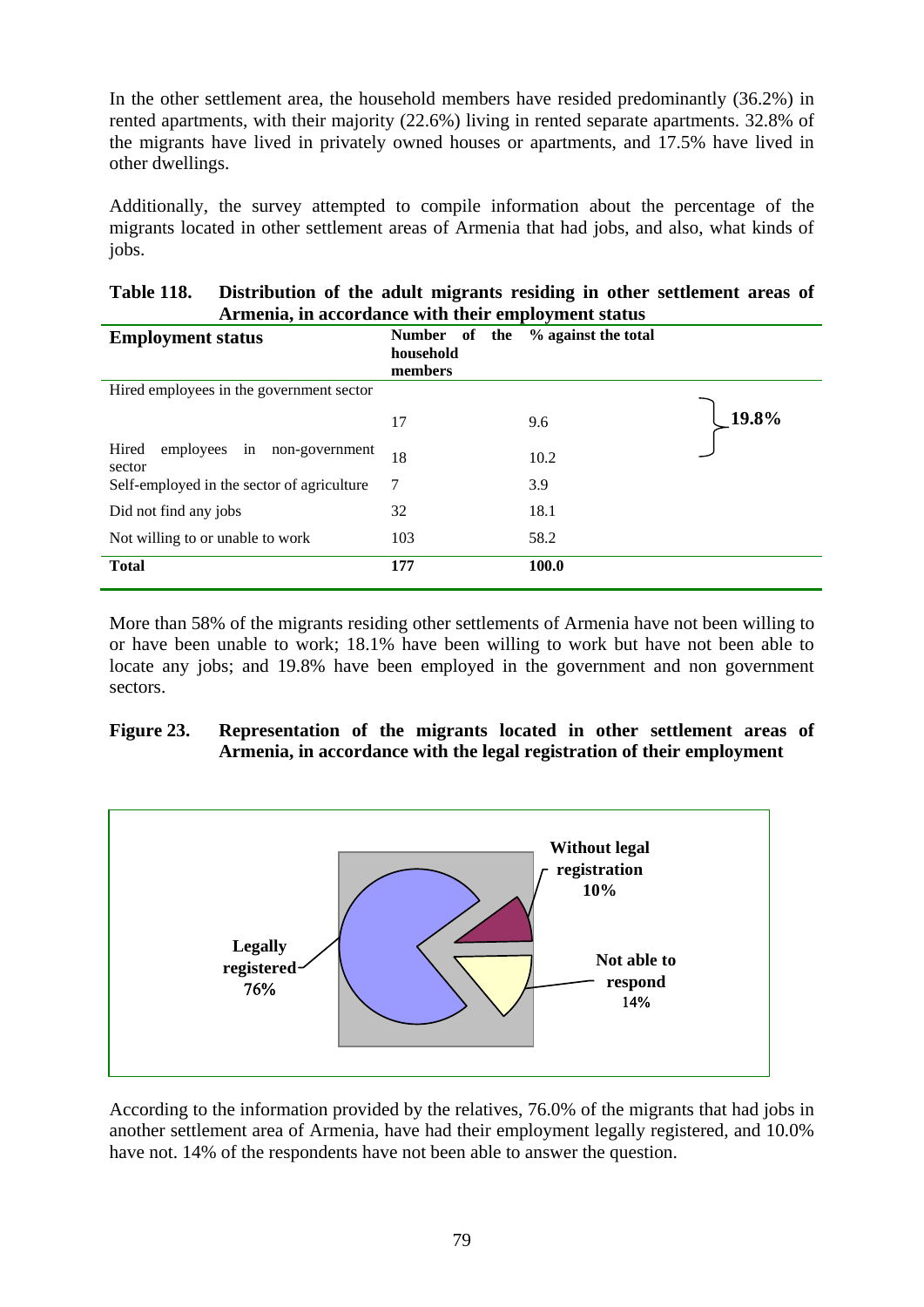In the other settlement area, the household members have resided predominantly (36.2%) in rented apartments, with their majority (22.6%) living in rented separate apartments. 32.8% of the migrants have lived in privately owned houses or apartments, and 17.5% have lived in other dwellings.

Additionally, the survey attempted to compile information about the percentage of the migrants located in other settlement areas of Armenia that had jobs, and also, what kinds of jobs.

| <b>Table 118.</b> | Distribution of the adult migrants residing in other settlement areas of |
|-------------------|--------------------------------------------------------------------------|
|                   | Armenia, in accordance with their employment status                      |

| <b>Employment status</b>                             | Number of<br>the<br>household<br>members | % against the total |          |
|------------------------------------------------------|------------------------------------------|---------------------|----------|
| Hired employees in the government sector             |                                          |                     |          |
|                                                      | 17                                       | 9.6                 | $19.8\%$ |
| Hired<br>employees<br>non-government<br>in<br>sector | 18                                       | 10.2                |          |
| Self-employed in the sector of agriculture           | 7                                        | 3.9                 |          |
| Did not find any jobs                                | 32                                       | 18.1                |          |
| Not willing to or unable to work                     | 103                                      | 58.2                |          |
| <b>Total</b>                                         | 177                                      | 100.0               |          |

More than 58% of the migrants residing other settlements of Armenia have not been willing to or have been unable to work; 18.1% have been willing to work but have not been able to locate any jobs; and 19.8% have been employed in the government and non government sectors.

### **Figure 23. Representation of the migrants located in other settlement areas of Armenia, in accordance with the legal registration of their employment**



According to the information provided by the relatives, 76.0% of the migrants that had jobs in another settlement area of Armenia, have had their employment legally registered, and 10.0% have not. 14% of the respondents have not been able to answer the question.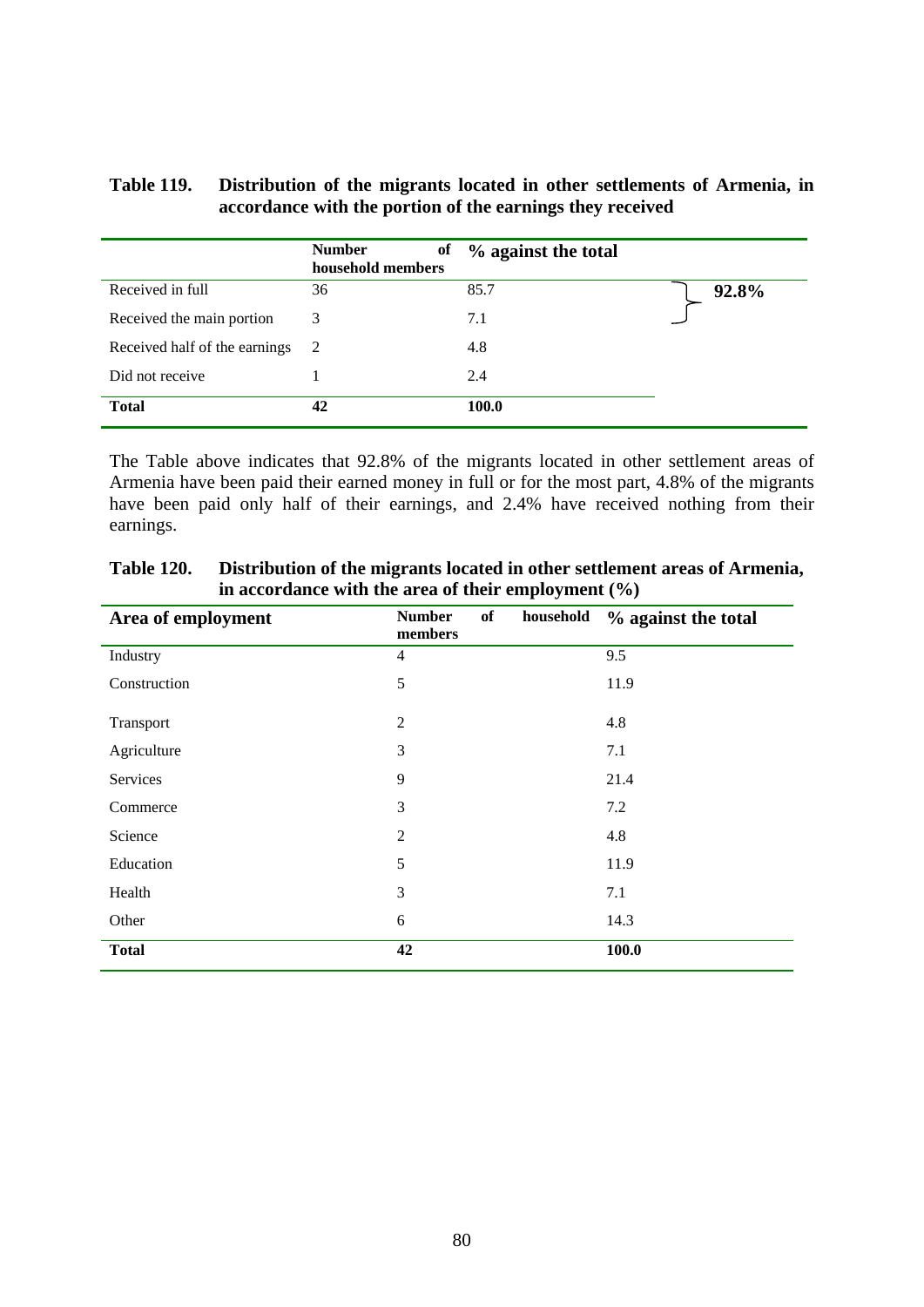### **Table 119. Distribution of the migrants located in other settlements of Armenia, in accordance with the portion of the earnings they received**

|                               | <b>Number</b><br>of<br>household members | % against the total |       |
|-------------------------------|------------------------------------------|---------------------|-------|
| Received in full              | 36                                       | 85.7                | 92.8% |
| Received the main portion     | 3                                        | 7.1                 |       |
| Received half of the earnings | - 2                                      | 4.8                 |       |
| Did not receive               |                                          | 2.4                 |       |
| <b>Total</b>                  | 42                                       | 100.0               |       |

The Table above indicates that 92.8% of the migrants located in other settlement areas of Armenia have been paid their earned money in full or for the most part, 4.8% of the migrants have been paid only half of their earnings, and 2.4% have received nothing from their earnings.

| Area of employment | of<br><b>Number</b><br>household<br>members | % against the total |
|--------------------|---------------------------------------------|---------------------|
| Industry           | $\overline{4}$                              | 9.5                 |
| Construction       | 5                                           | 11.9                |
| Transport          | $\overline{2}$                              | 4.8                 |
| Agriculture        | 3                                           | 7.1                 |
| Services           | 9                                           | 21.4                |
| Commerce           | 3                                           | 7.2                 |
| Science            | $\overline{c}$                              | 4.8                 |
| Education          | 5                                           | 11.9                |
| Health             | 3                                           | 7.1                 |
| Other              | 6                                           | 14.3                |
| <b>Total</b>       | 42                                          | 100.0               |

**Table 120. Distribution of the migrants located in other settlement areas of Armenia, in accordance with the area of their employment (%)**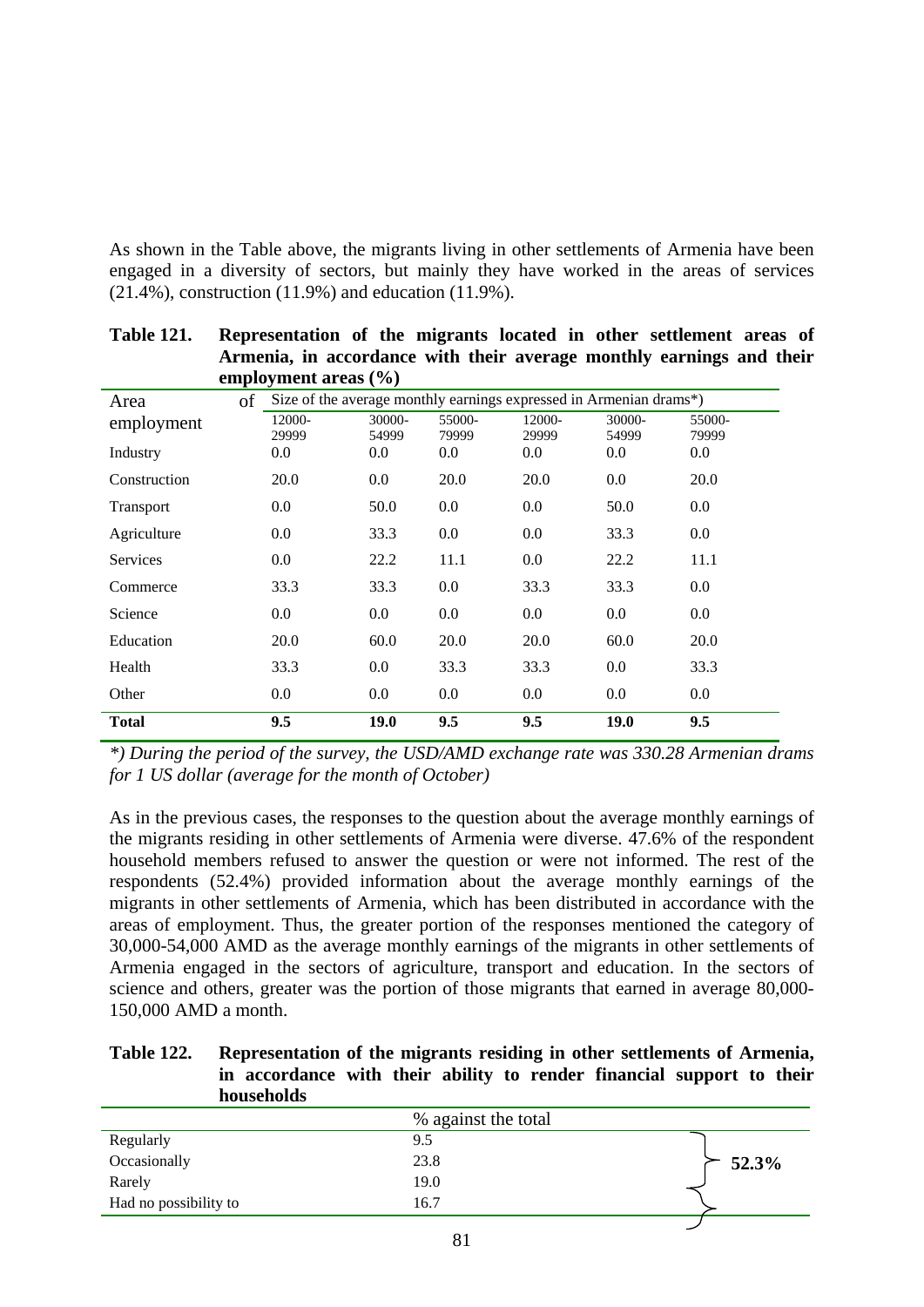As shown in the Table above, the migrants living in other settlements of Armenia have been engaged in a diversity of sectors, but mainly they have worked in the areas of services (21.4%), construction (11.9%) and education (11.9%).

|                  | employment areas $(\% )$                                           |                 |                 |                 |                 |                 |
|------------------|--------------------------------------------------------------------|-----------------|-----------------|-----------------|-----------------|-----------------|
| of<br>Area       | Size of the average monthly earnings expressed in Armenian drams*) |                 |                 |                 |                 |                 |
| employment       | 12000-<br>29999                                                    | 30000-<br>54999 | 55000-<br>79999 | 12000-<br>29999 | 30000-<br>54999 | 55000-<br>79999 |
| Industry         | 0.0                                                                | 0.0             | 0.0             | 0.0             | 0.0             | $0.0\,$         |
| Construction     | 20.0                                                               | 0.0             | 20.0            | 20.0            | 0.0             | 20.0            |
| <b>Transport</b> | 0.0                                                                | 50.0            | 0.0             | $0.0\,$         | 50.0            | $0.0\,$         |
| Agriculture      | $0.0\,$                                                            | 33.3            | 0.0             | 0.0             | 33.3            | 0.0             |
| <b>Services</b>  | 0.0                                                                | 22.2            | 11.1            | $0.0\,$         | 22.2            | 11.1            |
| Commerce         | 33.3                                                               | 33.3            | 0.0             | 33.3            | 33.3            | $0.0\,$         |
| Science          | 0.0                                                                | $0.0\,$         | 0.0             | $0.0\,$         | 0.0             | $0.0\,$         |
| Education        | 20.0                                                               | 60.0            | 20.0            | 20.0            | 60.0            | 20.0            |
| Health           | 33.3                                                               | 0.0             | 33.3            | 33.3            | 0.0             | 33.3            |
| Other            | 0.0                                                                | 0.0             | 0.0             | $0.0\,$         | 0.0             | $0.0\,$         |
| <b>Total</b>     | 9.5                                                                | 19.0            | 9.5             | 9.5             | 19.0            | 9.5             |

**Table 121. Representation of the migrants located in other settlement areas of Armenia, in accordance with their average monthly earnings and their** 

*\*) During the period of the survey, the USD/AMD exchange rate was 330.28 Armenian drams for 1 US dollar (average for the month of October)* 

As in the previous cases, the responses to the question about the average monthly earnings of the migrants residing in other settlements of Armenia were diverse. 47.6% of the respondent household members refused to answer the question or were not informed. The rest of the respondents (52.4%) provided information about the average monthly earnings of the migrants in other settlements of Armenia, which has been distributed in accordance with the areas of employment. Thus, the greater portion of the responses mentioned the category of 30,000-54,000 AMD as the average monthly earnings of the migrants in other settlements of Armenia engaged in the sectors of agriculture, transport and education. In the sectors of science and others, greater was the portion of those migrants that earned in average 80,000- 150,000 AMD a month.

### **Table 122. Representation of the migrants residing in other settlements of Armenia, in accordance with their ability to render financial support to their households**

|                       | % against the total |       |
|-----------------------|---------------------|-------|
| Regularly             | 9.5                 |       |
| Occasionally          | 23.8                | 52.3% |
| Rarely                | 19.0                |       |
| Had no possibility to | 16.7                |       |
|                       |                     |       |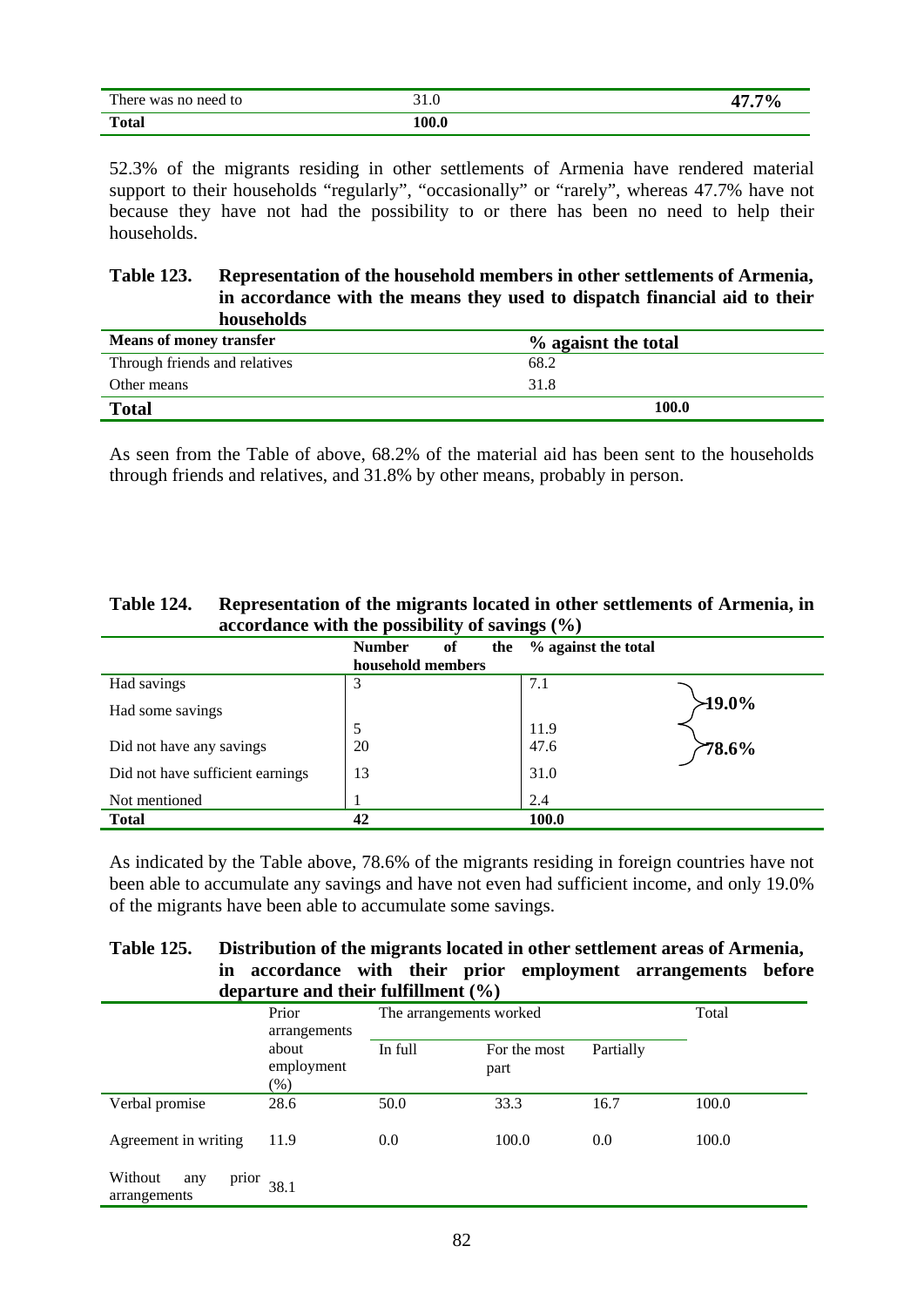| There was no need to | 91.U  | 17 70. |
|----------------------|-------|--------|
| <b>Total</b>         | 100.0 |        |

52.3% of the migrants residing in other settlements of Armenia have rendered material support to their households "regularly", "occasionally" or "rarely", whereas 47.7% have not because they have not had the possibility to or there has been no need to help their households.

### **Table 123. Representation of the household members in other settlements of Armenia, in accordance with the means they used to dispatch financial aid to their households**

| <b>Means of money transfer</b> | % agaisnt the total |
|--------------------------------|---------------------|
| Through friends and relatives  | 68.2                |
| Other means                    | 31.8                |
| <b>Total</b>                   | 100.0               |

As seen from the Table of above, 68.2% of the material aid has been sent to the households through friends and relatives, and 31.8% by other means, probably in person.

| <b>Table 124.</b> | Representation of the migrants located in other settlements of Armenia, in |
|-------------------|----------------------------------------------------------------------------|
|                   | accordance with the possibility of savings $(\% )$                         |

|                                  | <b>Number</b>     | of | the | % against the total |           |
|----------------------------------|-------------------|----|-----|---------------------|-----------|
|                                  | household members |    |     |                     |           |
| Had savings                      | 3                 |    |     | 7.1                 |           |
| Had some savings                 |                   |    |     |                     | $219.0\%$ |
|                                  | 5                 |    |     | 11.9                |           |
| Did not have any savings         | 20                |    |     | 47.6                | 78.6%     |
| Did not have sufficient earnings | 13                |    |     | 31.0                |           |
| Not mentioned                    |                   |    |     | 2.4                 |           |
| <b>Total</b>                     | 42                |    |     | 100.0               |           |

As indicated by the Table above, 78.6% of the migrants residing in foreign countries have not been able to accumulate any savings and have not even had sufficient income, and only 19.0% of the migrants have been able to accumulate some savings.

| <b>Table 125.</b> |                                         |  |  | Distribution of the migrants located in other settlement areas of Armenia, |  |
|-------------------|-----------------------------------------|--|--|----------------------------------------------------------------------------|--|
|                   |                                         |  |  | in accordance with their prior employment arrangements before              |  |
|                   | departure and their fulfillment $(\% )$ |  |  |                                                                            |  |

|                                         | Prior<br>arrangements         | The arrangements worked |                                   | Total |       |
|-----------------------------------------|-------------------------------|-------------------------|-----------------------------------|-------|-------|
|                                         | about<br>employment<br>$(\%)$ | In full                 | Partially<br>For the most<br>part |       |       |
| Verbal promise                          | 28.6                          | 50.0                    | 33.3                              | 16.7  | 100.0 |
| Agreement in writing                    | 11.9                          | 0.0                     | 100.0                             | 0.0   | 100.0 |
| Without<br>prior<br>any<br>arrangements | 38.1                          |                         |                                   |       |       |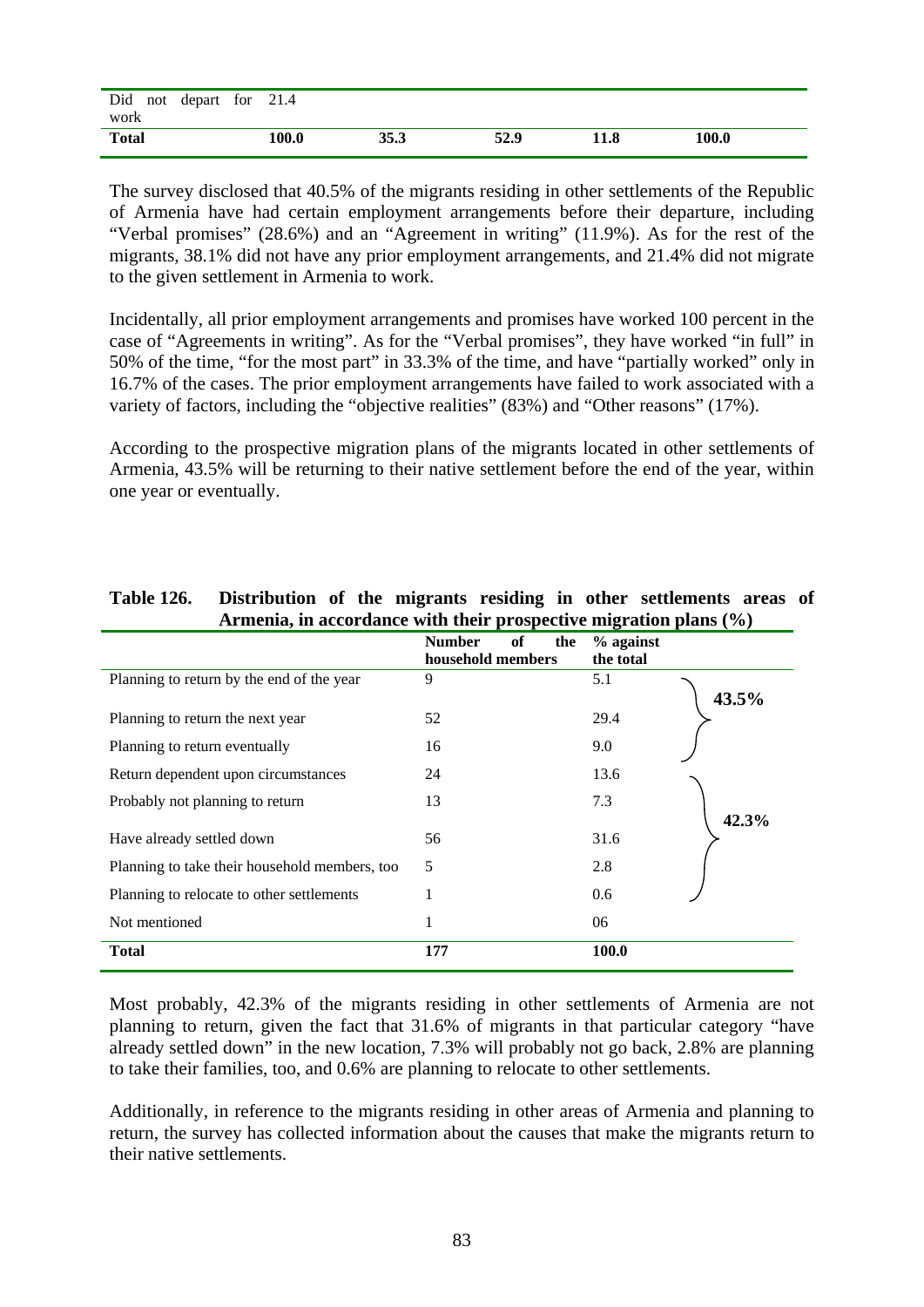| Did not depart for 21.4<br>work |       |      |      |      |       |
|---------------------------------|-------|------|------|------|-------|
| <b>Total</b>                    | 100.0 | 35.3 | 52.9 | 11.8 | 100.0 |

The survey disclosed that 40.5% of the migrants residing in other settlements of the Republic of Armenia have had certain employment arrangements before their departure, including "Verbal promises" (28.6%) and an "Agreement in writing" (11.9%). As for the rest of the migrants, 38.1% did not have any prior employment arrangements, and 21.4% did not migrate to the given settlement in Armenia to work.

Incidentally, all prior employment arrangements and promises have worked 100 percent in the case of "Agreements in writing". As for the "Verbal promises", they have worked "in full" in 50% of the time, "for the most part" in 33.3% of the time, and have "partially worked" only in 16.7% of the cases. The prior employment arrangements have failed to work associated with a variety of factors, including the "objective realities" (83%) and "Other reasons" (17%).

According to the prospective migration plans of the migrants located in other settlements of Armenia, 43.5% will be returning to their native settlement before the end of the year, within one year or eventually.

|                                               | <b>Number</b><br>of<br>the<br>household members | % against<br>the total |
|-----------------------------------------------|-------------------------------------------------|------------------------|
| Planning to return by the end of the year     | 9                                               | 5.1<br>43.5%           |
| Planning to return the next year              | 52                                              | 29.4                   |
| Planning to return eventually                 | 16                                              | 9.0                    |
| Return dependent upon circumstances           | 24                                              | 13.6                   |
| Probably not planning to return               | 13                                              | 7.3<br>42.3%           |
| Have already settled down                     | 56                                              | 31.6                   |
| Planning to take their household members, too | 5                                               | 2.8                    |
| Planning to relocate to other settlements     | 1                                               | 0.6                    |
| Not mentioned                                 | 1                                               | 06                     |
| <b>Total</b>                                  | 177                                             | 100.0                  |

### **Table 126. Distribution of the migrants residing in other settlements areas of Armenia, in accordance with their prospective migration plans (%)**

Most probably, 42.3% of the migrants residing in other settlements of Armenia are not planning to return, given the fact that 31.6% of migrants in that particular category "have already settled down" in the new location, 7.3% will probably not go back, 2.8% are planning to take their families, too, and 0.6% are planning to relocate to other settlements.

Additionally, in reference to the migrants residing in other areas of Armenia and planning to return, the survey has collected information about the causes that make the migrants return to their native settlements.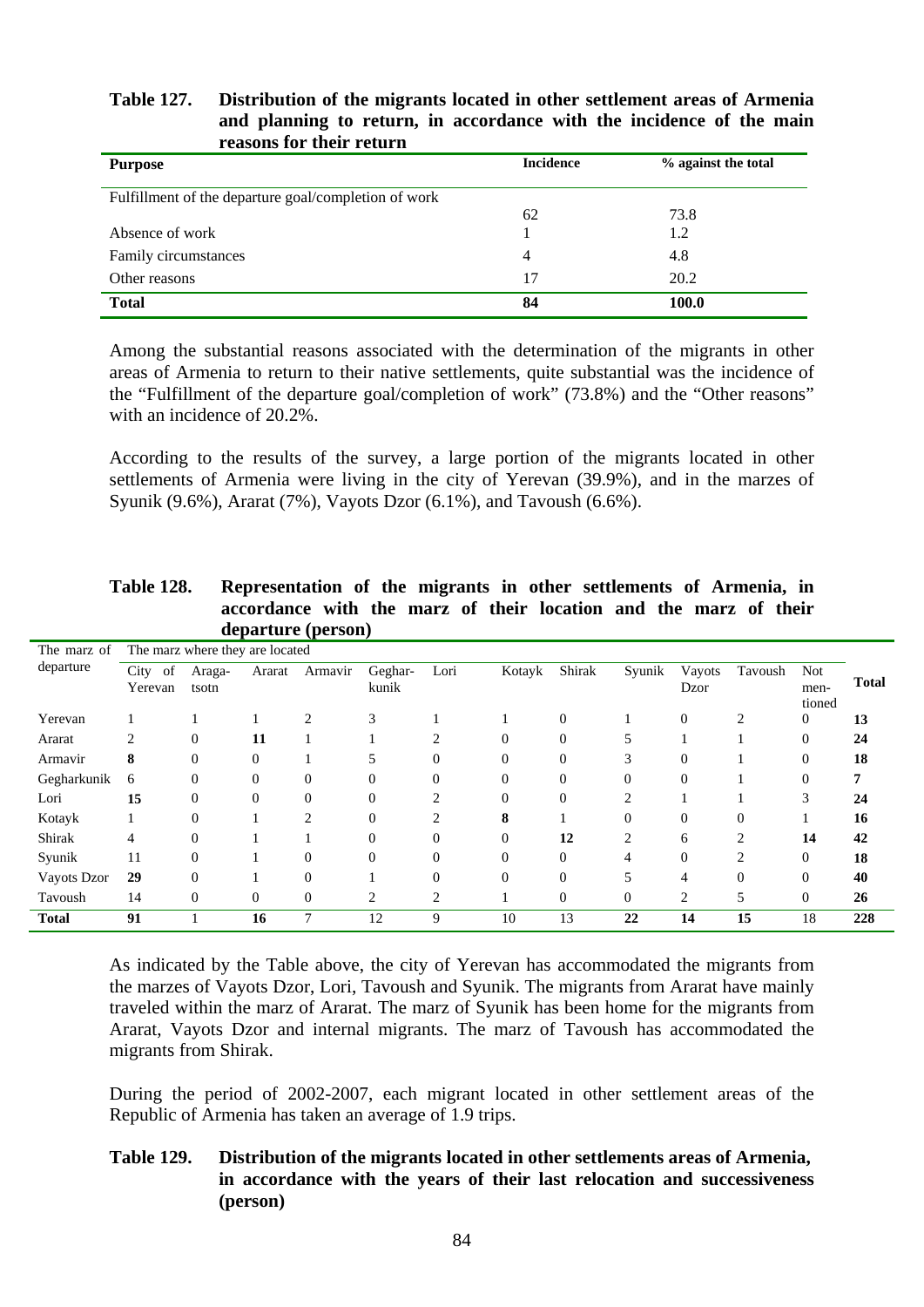### **Table 127. Distribution of the migrants located in other settlement areas of Armenia and planning to return, in accordance with the incidence of the main reasons for their return**

| <b>Purpose</b>                                       | <b>Incidence</b> | % against the total |
|------------------------------------------------------|------------------|---------------------|
| Fulfillment of the departure goal/completion of work |                  |                     |
|                                                      | 62               | 73.8                |
| Absence of work                                      |                  | 1.2                 |
| Family circumstances                                 | 4                | 4.8                 |
| Other reasons                                        | 17               | 20.2                |
| <b>Total</b>                                         | 84               | 100.0               |

Among the substantial reasons associated with the determination of the migrants in other areas of Armenia to return to their native settlements, quite substantial was the incidence of the "Fulfillment of the departure goal/completion of work" (73.8%) and the "Other reasons" with an incidence of 20.2%.

According to the results of the survey, a large portion of the migrants located in other settlements of Armenia were living in the city of Yerevan (39.9%), and in the marzes of Syunik (9.6%), Ararat (7%), Vayots Dzor (6.1%), and Tavoush (6.6%).

|              |                       |                                 |          | departure (person) |                  |                |          |                |          |                |                |                              |              |
|--------------|-----------------------|---------------------------------|----------|--------------------|------------------|----------------|----------|----------------|----------|----------------|----------------|------------------------------|--------------|
| The marz of  |                       | The marz where they are located |          |                    |                  |                |          |                |          |                |                |                              |              |
| departure    | City<br>of<br>Yerevan | Araga-<br>tsotn                 | Ararat   | Armavir            | Geghar-<br>kunik | Lori           | Kotayk   | Shirak         | Syunik   | Vayots<br>Dzor | Tavoush        | <b>Not</b><br>men-<br>tioned | <b>Total</b> |
| Yerevan      |                       |                                 |          | $\overline{c}$     | 3                |                |          | 0              |          | $\overline{0}$ | $\overline{c}$ | $\overline{0}$               | 13           |
| Ararat       | っ                     | $\Omega$                        | 11       |                    |                  |                |          |                |          |                |                | $\Omega$                     | 24           |
| Armavir      | 8                     | $\Omega$                        | $\Omega$ |                    |                  |                |          |                |          | $\Omega$       |                | 0                            | 18           |
| Gegharkunik  | 6                     | $\Omega$                        | $\Omega$ | $\Omega$           | 0                |                | 0        | 0              | $\Omega$ | $\Omega$       |                | $\Omega$                     |              |
| Lori         | 15                    | $\Omega$                        | $\Omega$ | 0                  | $\Omega$         |                |          |                |          |                |                | 3                            | 24           |
| Kotayk       |                       | $\Omega$                        |          |                    | $\Omega$         |                | 8        |                |          | $\Omega$       | $\overline{0}$ |                              | 16           |
| Shirak       | 4                     | $\Omega$                        |          |                    | $\Omega$         |                | $\Omega$ | 12             | 2        | 6              | $\overline{c}$ | 14                           | 42           |
| Syunik       | 11                    | $\Omega$                        |          | 0                  | $\Omega$         |                |          | 0              |          | $\Omega$       | $\mathfrak{D}$ | $\Omega$                     | 18           |
| Vayots Dzor  | 29                    | 0                               |          | 0                  |                  |                | 0        | 0              |          | 4              | $\overline{0}$ | 0                            | 40           |
| Tavoush      | 14                    | $\Omega$                        | $\Omega$ | $\Omega$           | $\overline{c}$   | $\overline{c}$ |          | $\overline{0}$ | $\Omega$ | 2              | 5              | $\overline{0}$               | 26           |
| <b>Total</b> | 91                    |                                 | 16       | 7                  | 12               | 9              | 10       | 13             | 22       | 14             | 15             | 18                           | 228          |

| <b>Table 128.</b> | Representation of the migrants in other settlements of Armenia, in |
|-------------------|--------------------------------------------------------------------|
|                   | accordance with the marz of their location and the marz of their   |
|                   | departure (person)                                                 |

As indicated by the Table above, the city of Yerevan has accommodated the migrants from the marzes of Vayots Dzor, Lori, Tavoush and Syunik. The migrants from Ararat have mainly traveled within the marz of Ararat. The marz of Syunik has been home for the migrants from Ararat, Vayots Dzor and internal migrants. The marz of Tavoush has accommodated the migrants from Shirak.

During the period of 2002-2007, each migrant located in other settlement areas of the Republic of Armenia has taken an average of 1.9 trips.

### **Table 129. Distribution of the migrants located in other settlements areas of Armenia, in accordance with the years of their last relocation and successiveness (person)**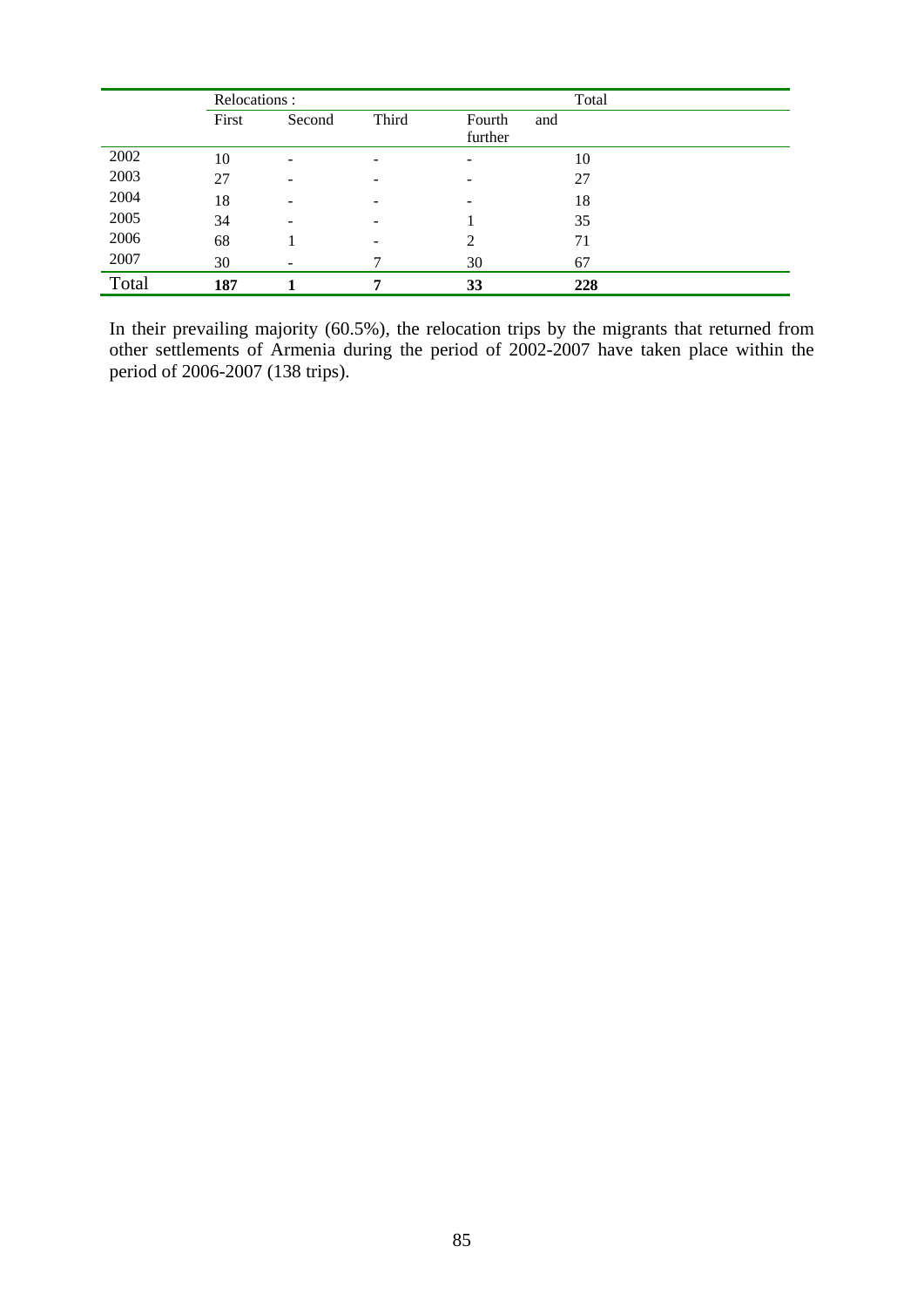|       | Relocations: |        | Total |               |     |
|-------|--------------|--------|-------|---------------|-----|
|       | First        | Second | Third | Fourth<br>and |     |
|       |              |        |       | further       |     |
| 2002  | 10           | -      |       |               | 10  |
| 2003  | 27           | -      |       |               | 27  |
| 2004  | 18           | -      |       |               | 18  |
| 2005  | 34           | -      |       |               | 35  |
| 2006  | 68           |        |       | 2             | 71  |
| 2007  | 30           | -      |       | 30            | 67  |
| Total | 187          |        | 7     | 33            | 228 |

In their prevailing majority (60.5%), the relocation trips by the migrants that returned from other settlements of Armenia during the period of 2002-2007 have taken place within the period of 2006-2007 (138 trips).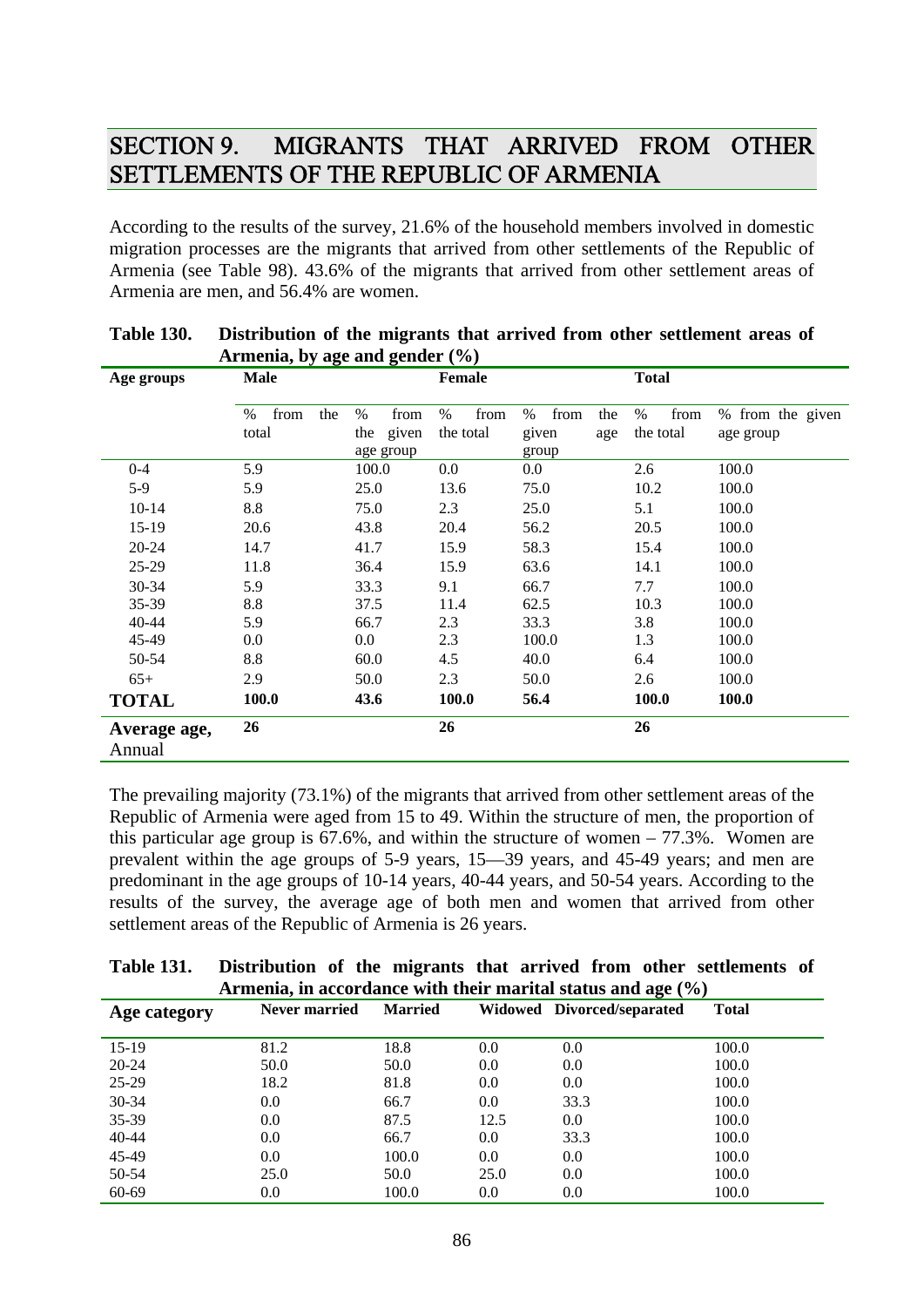## SECTION 9. MIGRANTS THAT ARRIVED FROM OTHER SETTLEMENTS OF THE REPUBLIC OF ARMENIA

According to the results of the survey, 21.6% of the household members involved in domestic migration processes are the migrants that arrived from other settlements of the Republic of Armenia (see Table 98). 43.6% of the migrants that arrived from other settlement areas of Armenia are men, and 56.4% are women.

|              | $A$ mema, by age and genuer (70) |                                        |                           |                                              |                        |                               |  |
|--------------|----------------------------------|----------------------------------------|---------------------------|----------------------------------------------|------------------------|-------------------------------|--|
| Age groups   | <b>Male</b>                      |                                        |                           |                                              | <b>Total</b>           |                               |  |
|              | from<br>$\%$<br>the<br>total     | $\%$<br>from<br>the given<br>age group | from<br>$\%$<br>the total | $\%$<br>from<br>the<br>given<br>age<br>group | %<br>from<br>the total | % from the given<br>age group |  |
| $0 - 4$      | 5.9                              | 100.0                                  | 0.0                       | 0.0                                          | 2.6                    | 100.0                         |  |
| $5-9$        | 5.9                              | 25.0                                   | 13.6                      | 75.0                                         | 10.2                   | 100.0                         |  |
| $10-14$      | 8.8                              | 75.0                                   | 2.3                       | 25.0                                         | 5.1                    | 100.0                         |  |
| $15-19$      | 20.6                             | 43.8                                   | 20.4                      | 56.2                                         | 20.5                   | 100.0                         |  |
| $20 - 24$    | 14.7                             | 41.7                                   | 15.9                      | 58.3                                         | 15.4                   | 100.0                         |  |
| $25-29$      | 11.8                             | 36.4                                   | 15.9                      | 63.6                                         | 14.1                   | 100.0                         |  |
| 30-34        | 5.9                              | 33.3                                   | 9.1                       | 66.7                                         | 7.7                    | 100.0                         |  |
| 35-39        | 8.8                              | 37.5                                   | 11.4                      | 62.5                                         | 10.3                   | 100.0                         |  |
| $40 - 44$    | 5.9                              | 66.7                                   | 2.3                       | 33.3                                         | 3.8                    | 100.0                         |  |
| 45-49        | 0.0                              | $0.0\,$                                | 2.3                       | 100.0                                        | 1.3                    | 100.0                         |  |
| 50-54        | 8.8                              | 60.0                                   | 4.5                       | 40.0                                         | 6.4                    | 100.0                         |  |
| $65+$        | 2.9                              | 50.0                                   | 2.3                       | 50.0                                         | 2.6                    | 100.0                         |  |
| <b>TOTAL</b> | 100.0                            | 43.6                                   | <b>100.0</b>              | 56.4                                         | <b>100.0</b>           | <b>100.0</b>                  |  |
| Average age, | 26                               |                                        | 26                        |                                              | 26                     |                               |  |
| Annual       |                                  |                                        |                           |                                              |                        |                               |  |

| <b>Table 130.</b> | Distribution of the migrants that arrived from other settlement areas of |
|-------------------|--------------------------------------------------------------------------|
|                   | Armenia, by age and gender $(\% )$                                       |

The prevailing majority (73.1%) of the migrants that arrived from other settlement areas of the Republic of Armenia were aged from 15 to 49. Within the structure of men, the proportion of this particular age group is 67.6%, and within the structure of women – 77.3%. Women are prevalent within the age groups of 5-9 years, 15—39 years, and 45-49 years; and men are predominant in the age groups of 10-14 years, 40-44 years, and 50-54 years. According to the results of the survey, the average age of both men and women that arrived from other settlement areas of the Republic of Armenia is 26 years.

| <b>Table 131.</b> | Distribution of the migrants that arrived from other settlements of |  |  |  |  |
|-------------------|---------------------------------------------------------------------|--|--|--|--|
|                   | Armenia, in accordance with their marital status and age $(\%)$     |  |  |  |  |

| Age category | Never married | <b>Married</b> |      | Widowed Divorced/separated | <b>Total</b> |
|--------------|---------------|----------------|------|----------------------------|--------------|
|              |               |                |      |                            |              |
| $15-19$      | 81.2          | 18.8           | 0.0  | 0.0                        | 100.0        |
| $20 - 24$    | 50.0          | 50.0           | 0.0  | 0.0                        | 100.0        |
| $25-29$      | 18.2          | 81.8           | 0.0  | 0.0                        | 100.0        |
| $30 - 34$    | 0.0           | 66.7           | 0.0  | 33.3                       | 100.0        |
| 35-39        | 0.0           | 87.5           | 12.5 | 0.0                        | 100.0        |
| $40 - 44$    | 0.0           | 66.7           | 0.0  | 33.3                       | 100.0        |
| 45-49        | 0.0           | 100.0          | 0.0  | 0.0                        | 100.0        |
| 50-54        | 25.0          | 50.0           | 25.0 | 0.0                        | 100.0        |
| 60-69        | 0.0           | 100.0          | 0.0  | 0.0                        | 100.0        |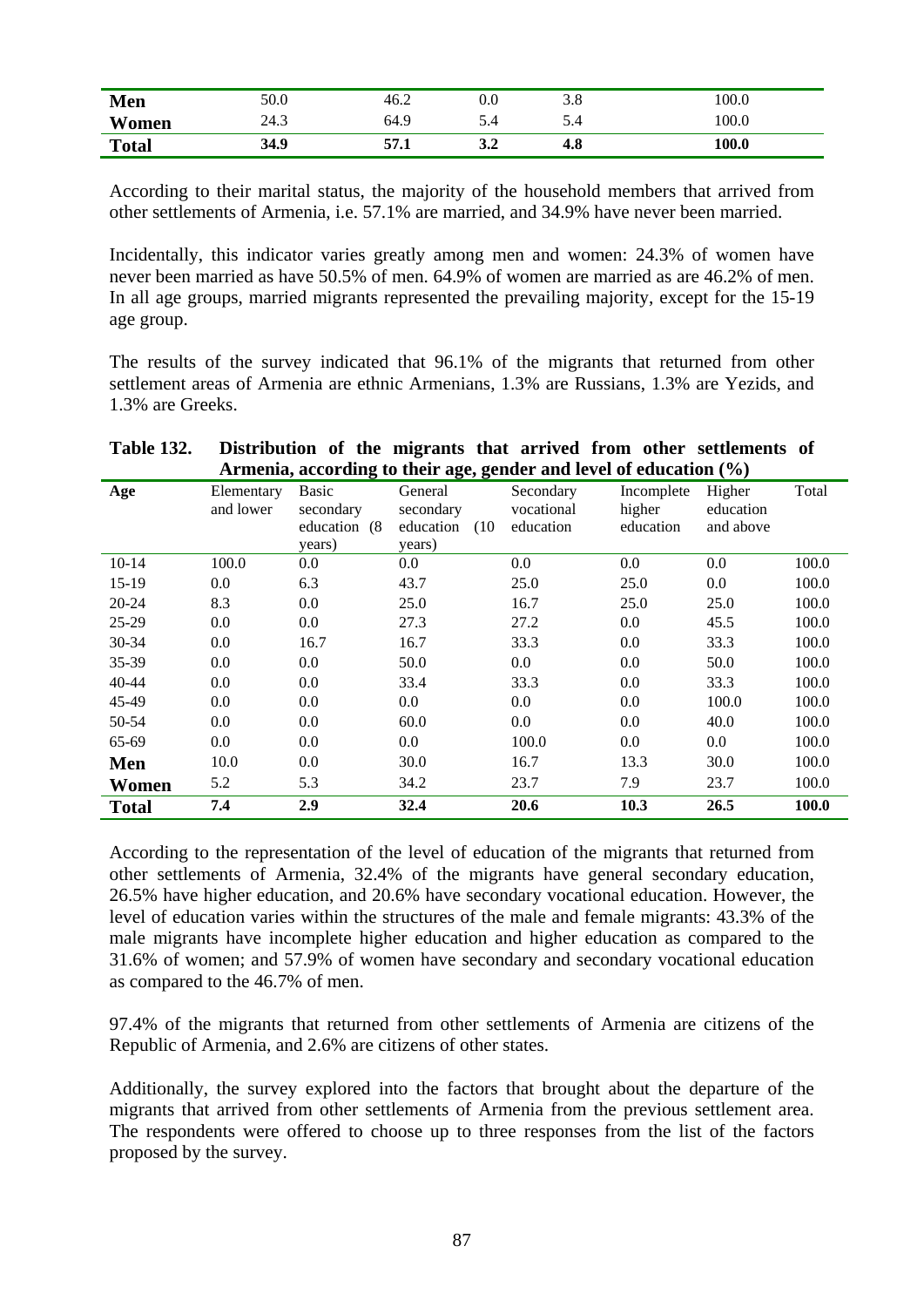| Men          | 50.0 | 46.2 | U.U | റ റ<br>J.O | 100.0 |
|--------------|------|------|-----|------------|-------|
| Women        | 24.3 | 64.9 | 5.4 | D.4        | 100.0 |
| <b>Total</b> | 34.9 | 57.1 | J.4 | 4.8        | 100.0 |

According to their marital status, the majority of the household members that arrived from other settlements of Armenia, i.e. 57.1% are married, and 34.9% have never been married.

Incidentally, this indicator varies greatly among men and women: 24.3% of women have never been married as have 50.5% of men. 64.9% of women are married as are 46.2% of men. In all age groups, married migrants represented the prevailing majority, except for the 15-19 age group.

The results of the survey indicated that 96.1% of the migrants that returned from other settlement areas of Armenia are ethnic Armenians, 1.3% are Russians, 1.3% are Yezids, and 1.3% are Greeks.

| Armenia, according to their age, gender and level of education $(\%)$ |                         |                                               |                                                     |                                      |                                   |                                  |       |
|-----------------------------------------------------------------------|-------------------------|-----------------------------------------------|-----------------------------------------------------|--------------------------------------|-----------------------------------|----------------------------------|-------|
| Age                                                                   | Elementary<br>and lower | Basic<br>secondary<br>education (8)<br>years) | General<br>secondary<br>education<br>(10)<br>years) | Secondary<br>vocational<br>education | Incomplete<br>higher<br>education | Higher<br>education<br>and above | Total |
| $10-14$                                                               | 100.0                   | $0.0\,$                                       | 0.0                                                 | 0.0                                  | 0.0                               | 0.0                              | 100.0 |
| $15-19$                                                               | 0.0                     | 6.3                                           | 43.7                                                | 25.0                                 | 25.0                              | 0.0                              | 100.0 |
| $20 - 24$                                                             | 8.3                     | 0.0                                           | 25.0                                                | 16.7                                 | 25.0                              | 25.0                             | 100.0 |
| $25-29$                                                               | 0.0                     | $0.0\,$                                       | 27.3                                                | 27.2                                 | 0.0                               | 45.5                             | 100.0 |
| 30-34                                                                 | 0.0                     | 16.7                                          | 16.7                                                | 33.3                                 | 0.0                               | 33.3                             | 100.0 |
| 35-39                                                                 | 0.0                     | 0.0                                           | 50.0                                                | 0.0                                  | 0.0                               | 50.0                             | 100.0 |
| $40 - 44$                                                             | 0.0                     | 0.0                                           | 33.4                                                | 33.3                                 | 0.0                               | 33.3                             | 100.0 |
| 45-49                                                                 | 0.0                     | 0.0                                           | 0.0                                                 | 0.0                                  | 0.0                               | 100.0                            | 100.0 |
| 50-54                                                                 | 0.0                     | 0.0                                           | 60.0                                                | 0.0                                  | 0.0                               | 40.0                             | 100.0 |
| 65-69                                                                 | 0.0                     | 0.0                                           | 0.0                                                 | 100.0                                | 0.0                               | 0.0                              | 100.0 |
| Men                                                                   | 10.0                    | 0.0                                           | 30.0                                                | 16.7                                 | 13.3                              | 30.0                             | 100.0 |
| Women                                                                 | 5.2                     | 5.3                                           | 34.2                                                | 23.7                                 | 7.9                               | 23.7                             | 100.0 |
| <b>Total</b>                                                          | 7.4                     | 2.9                                           | 32.4                                                | 20.6                                 | 10.3                              | 26.5                             | 100.0 |

# **Table 132. Distribution of the migrants that arrived from other settlements of**

According to the representation of the level of education of the migrants that returned from other settlements of Armenia, 32.4% of the migrants have general secondary education, 26.5% have higher education, and 20.6% have secondary vocational education. However, the level of education varies within the structures of the male and female migrants: 43.3% of the male migrants have incomplete higher education and higher education as compared to the 31.6% of women; and 57.9% of women have secondary and secondary vocational education as compared to the 46.7% of men.

97.4% of the migrants that returned from other settlements of Armenia are citizens of the Republic of Armenia, and 2.6% are citizens of other states.

Additionally, the survey explored into the factors that brought about the departure of the migrants that arrived from other settlements of Armenia from the previous settlement area. The respondents were offered to choose up to three responses from the list of the factors proposed by the survey.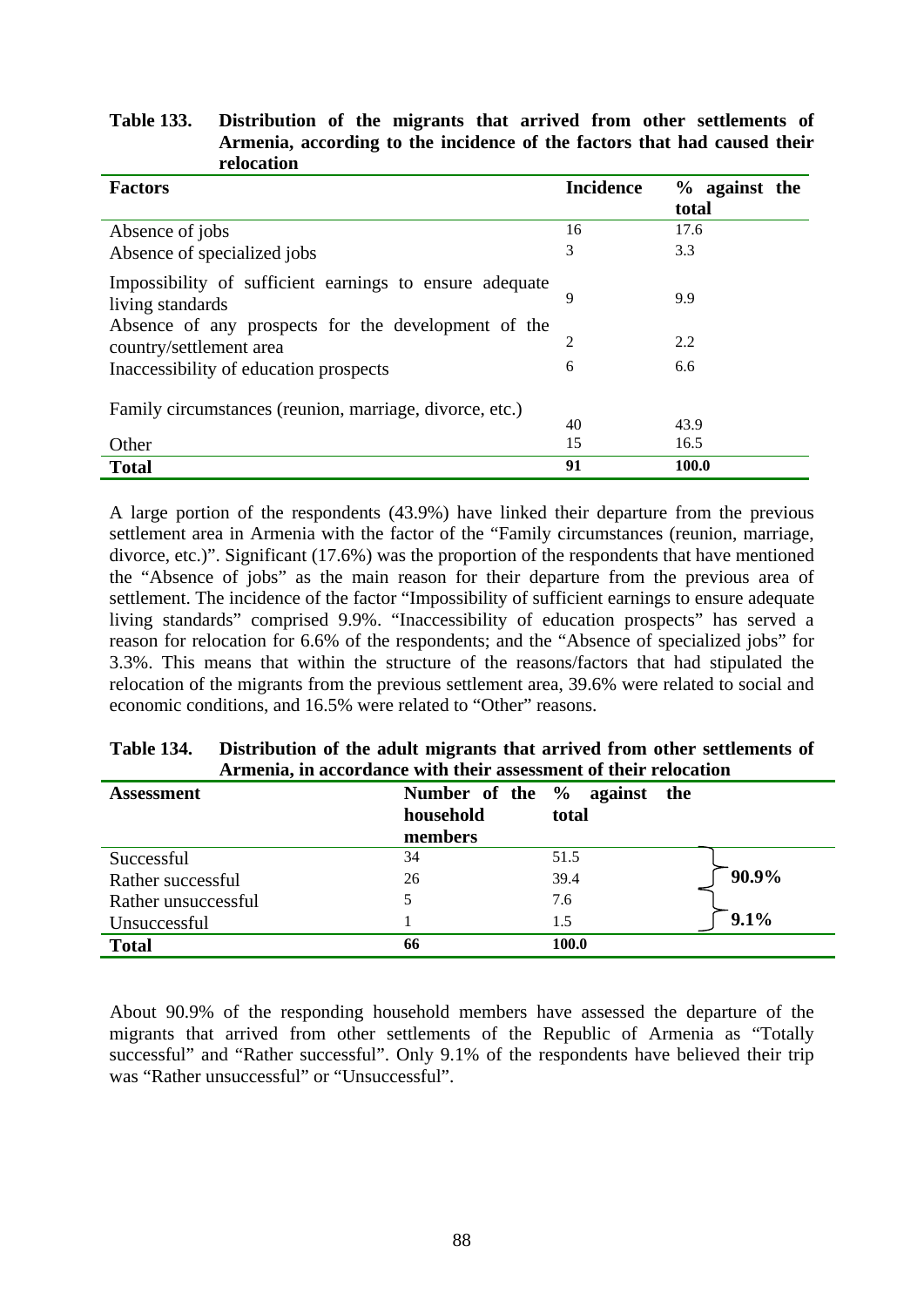### **Table 133. Distribution of the migrants that arrived from other settlements of Armenia, according to the incidence of the factors that had caused their relocation**

| <b>Factors</b>                                                                 | <b>Incidence</b> | $%$ against the<br>total |
|--------------------------------------------------------------------------------|------------------|--------------------------|
| Absence of jobs                                                                | 16               | 17.6                     |
| Absence of specialized jobs                                                    | 3                | 3.3                      |
| Impossibility of sufficient earnings to ensure adequate<br>living standards    | 9                | 9.9                      |
| Absence of any prospects for the development of the<br>country/settlement area | 2                | 2.2                      |
| Inaccessibility of education prospects                                         | 6                | 6.6                      |
| Family circumstances (reunion, marriage, divorce, etc.)                        | 40               | 43.9                     |
| Other                                                                          | 15               | 16.5                     |
| <b>Total</b>                                                                   | 91               | 100.0                    |

A large portion of the respondents (43.9%) have linked their departure from the previous settlement area in Armenia with the factor of the "Family circumstances (reunion, marriage, divorce, etc.)". Significant (17.6%) was the proportion of the respondents that have mentioned the "Absence of jobs" as the main reason for their departure from the previous area of settlement. The incidence of the factor "Impossibility of sufficient earnings to ensure adequate living standards" comprised 9.9%. "Inaccessibility of education prospects" has served a reason for relocation for 6.6% of the respondents; and the "Absence of specialized jobs" for 3.3%. This means that within the structure of the reasons/factors that had stipulated the relocation of the migrants from the previous settlement area, 39.6% were related to social and economic conditions, and 16.5% were related to "Other" reasons.

#### **Table 134. Distribution of the adult migrants that arrived from other settlements of Armenia, in accordance with their assessment of their relocation Assessment Number of the % against the**

| <b>Assessment</b>   | household | Number of the % against the<br>total |          |
|---------------------|-----------|--------------------------------------|----------|
|                     | members   |                                      |          |
| Successful          | 34        | 51.5                                 |          |
| Rather successful   | 26        | 39.4                                 | $90.9\%$ |
| Rather unsuccessful |           | 7.6                                  |          |
| Unsuccessful        |           | 1.5                                  | 9.1%     |
| <b>Total</b>        | 66        | 100.0                                |          |

About 90.9% of the responding household members have assessed the departure of the migrants that arrived from other settlements of the Republic of Armenia as "Totally successful" and "Rather successful". Only 9.1% of the respondents have believed their trip was "Rather unsuccessful" or "Unsuccessful".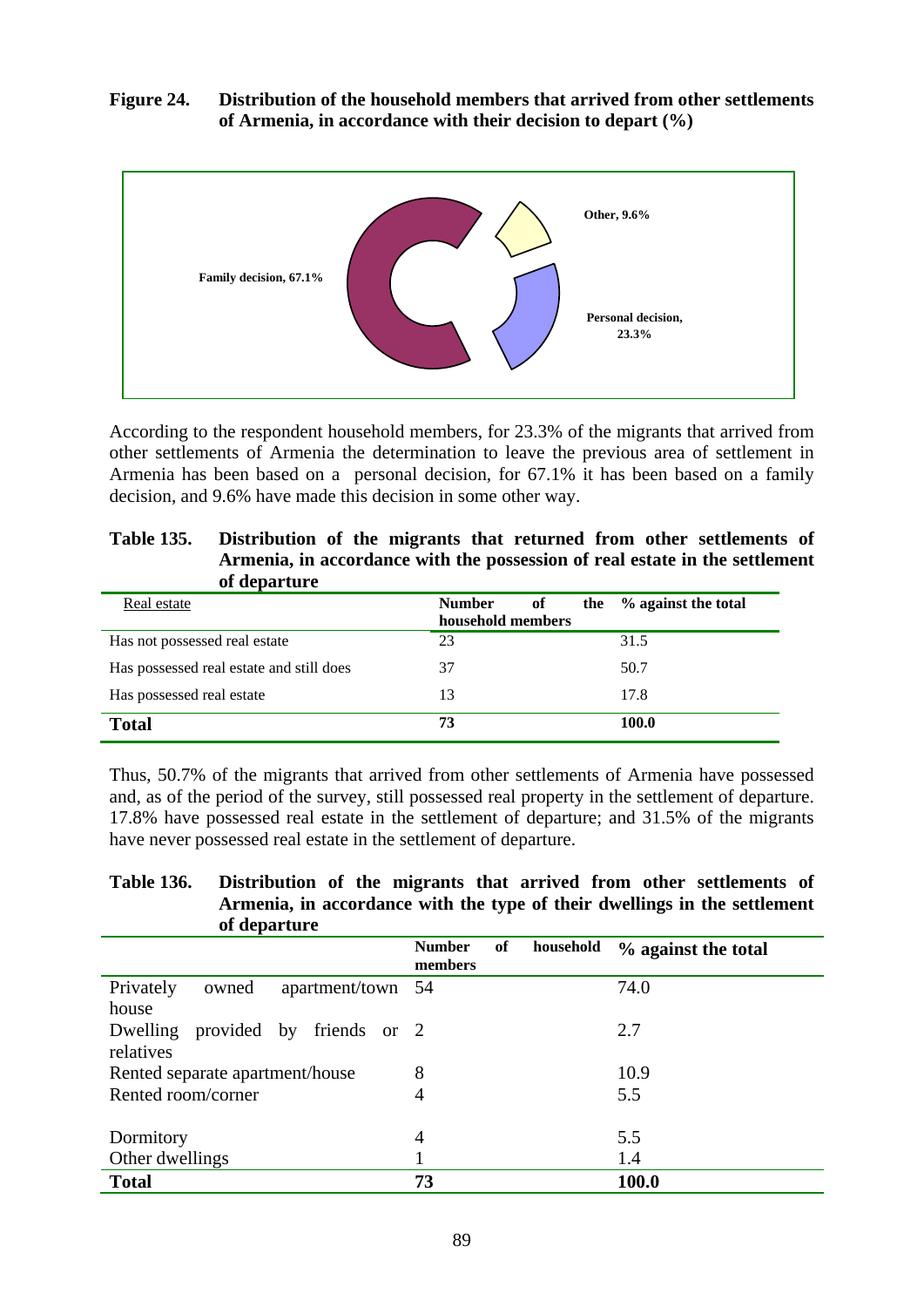### **Figure 24. Distribution of the household members that arrived from other settlements of Armenia, in accordance with their decision to depart (%)**



According to the respondent household members, for 23.3% of the migrants that arrived from other settlements of Armenia the determination to leave the previous area of settlement in Armenia has been based on a personal decision, for 67.1% it has been based on a family decision, and 9.6% have made this decision in some other way.

| <b>Table 135.</b> | Distribution of the migrants that returned from other settlements of        |
|-------------------|-----------------------------------------------------------------------------|
|                   | Armenia, in accordance with the possession of real estate in the settlement |
|                   | of departure                                                                |

| Real estate                              | <b>Number</b><br>of<br>household members | the % against the total |
|------------------------------------------|------------------------------------------|-------------------------|
| Has not possessed real estate            | 23                                       | 31.5                    |
| Has possessed real estate and still does | 37                                       | 50.7                    |
| Has possessed real estate                | 13                                       | 17.8                    |
| <b>Total</b>                             | 73                                       | 100.0                   |

Thus, 50.7% of the migrants that arrived from other settlements of Armenia have possessed and, as of the period of the survey, still possessed real property in the settlement of departure. 17.8% have possessed real estate in the settlement of departure; and 31.5% of the migrants have never possessed real estate in the settlement of departure.

| <b>Table 136.</b> | Distribution of the migrants that arrived from other settlements of       |
|-------------------|---------------------------------------------------------------------------|
|                   | Armenia, in accordance with the type of their dwellings in the settlement |
|                   | of departure                                                              |

|                                   |                   | <b>Number</b><br>members | of | household | % against the total |
|-----------------------------------|-------------------|--------------------------|----|-----------|---------------------|
| Privately<br>owned                | apartment/town 54 |                          |    |           | 74.0                |
| house                             |                   |                          |    |           |                     |
| Dwelling provided by friends or 2 |                   |                          |    |           | 2.7                 |
| relatives                         |                   |                          |    |           |                     |
| Rented separate apartment/house   |                   | 8                        |    |           | 10.9                |
| Rented room/corner                |                   | $\overline{4}$           |    |           | 5.5                 |
|                                   |                   |                          |    |           |                     |
| Dormitory                         |                   | $\overline{4}$           |    |           | 5.5                 |
| Other dwellings                   |                   |                          |    |           | 1.4                 |
| <b>Total</b>                      |                   | 73                       |    |           | 100.0               |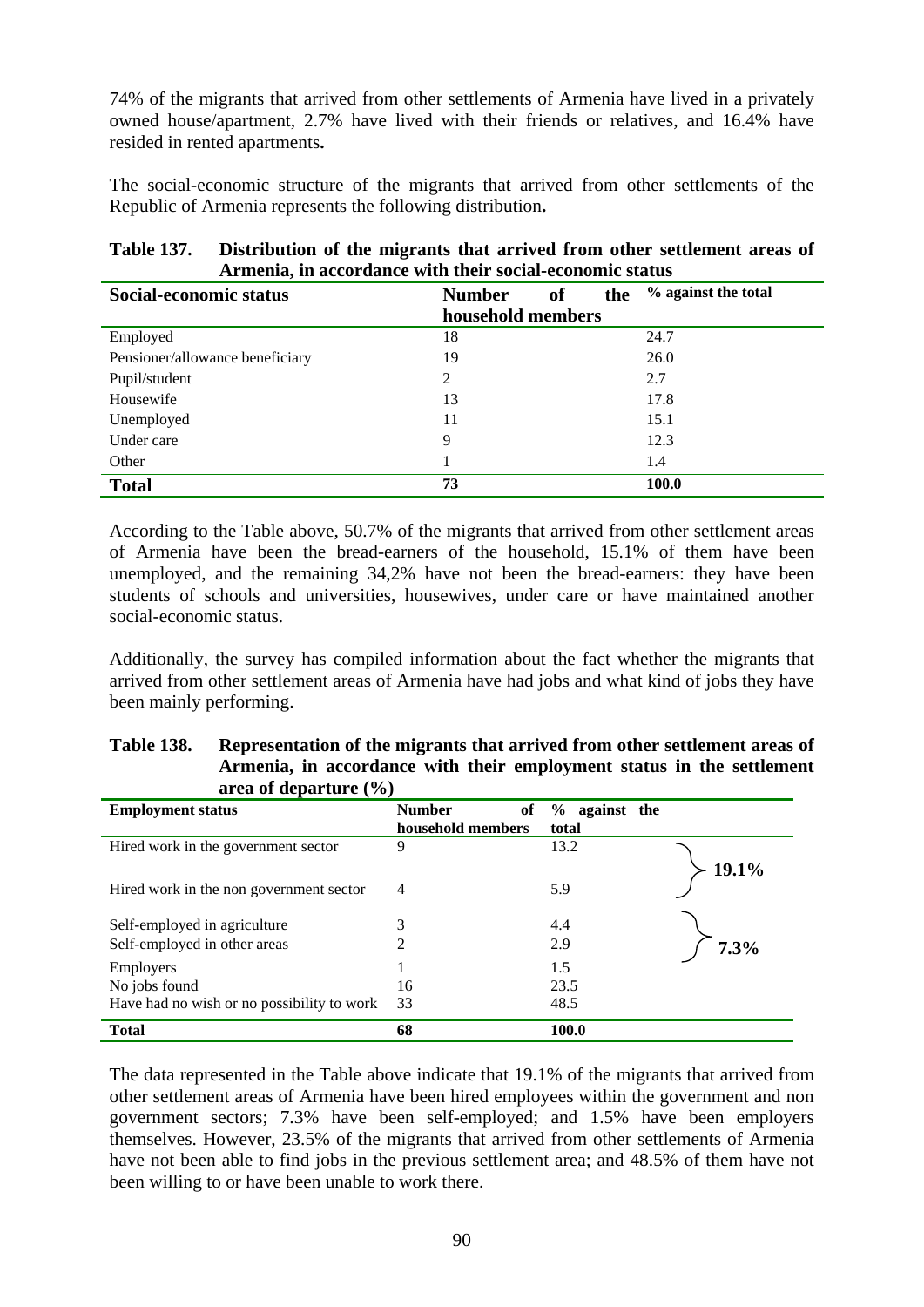74% of the migrants that arrived from other settlements of Armenia have lived in a privately owned house/apartment, 2.7% have lived with their friends or relatives, and 16.4% have resided in rented apartments**.** 

The social-economic structure of the migrants that arrived from other settlements of the Republic of Armenia represents the following distribution**.** 

| Social-economic status          | <b>Number</b><br>of<br>the | % against the total |
|---------------------------------|----------------------------|---------------------|
|                                 | household members          |                     |
| Employed                        | 18                         | 24.7                |
| Pensioner/allowance beneficiary | 19                         | 26.0                |
| Pupil/student                   | 2                          | 2.7                 |
| Housewife                       | 13                         | 17.8                |
| Unemployed                      | 11                         | 15.1                |
| Under care                      | 9                          | 12.3                |
| Other                           |                            | 1.4                 |
| <b>Total</b>                    | 73                         | 100.0               |

### **Table 137. Distribution of the migrants that arrived from other settlement areas of Armenia, in accordance with their social-economic status**

According to the Table above, 50.7% of the migrants that arrived from other settlement areas of Armenia have been the bread-earners of the household, 15.1% of them have been unemployed, and the remaining 34,2% have not been the bread-earners: they have been students of schools and universities, housewives, under care or have maintained another social-economic status.

Additionally, the survey has compiled information about the fact whether the migrants that arrived from other settlement areas of Armenia have had jobs and what kind of jobs they have been mainly performing.

| <b>Table 138.</b> | Representation of the migrants that arrived from other settlement areas of |
|-------------------|----------------------------------------------------------------------------|
|                   | Armenia, in accordance with their employment status in the settlement      |
|                   | area of departure $(\% )$                                                  |

| <b>Employment status</b>                   | <b>Number</b><br>of<br>household members | % against the<br>total |
|--------------------------------------------|------------------------------------------|------------------------|
| Hired work in the government sector        | 9                                        | 13.2<br>19.1%          |
| Hired work in the non government sector    | 4                                        | 5.9                    |
| Self-employed in agriculture               | 3                                        | 4.4                    |
| Self-employed in other areas               | 2                                        | 2.9<br>7.3%            |
| Employers                                  |                                          | 1.5                    |
| No jobs found                              | 16                                       | 23.5                   |
| Have had no wish or no possibility to work | 33                                       | 48.5                   |
| <b>Total</b>                               | 68                                       | 100.0                  |

The data represented in the Table above indicate that 19.1% of the migrants that arrived from other settlement areas of Armenia have been hired employees within the government and non government sectors; 7.3% have been self-employed; and 1.5% have been employers themselves. However, 23.5% of the migrants that arrived from other settlements of Armenia have not been able to find jobs in the previous settlement area; and 48.5% of them have not been willing to or have been unable to work there.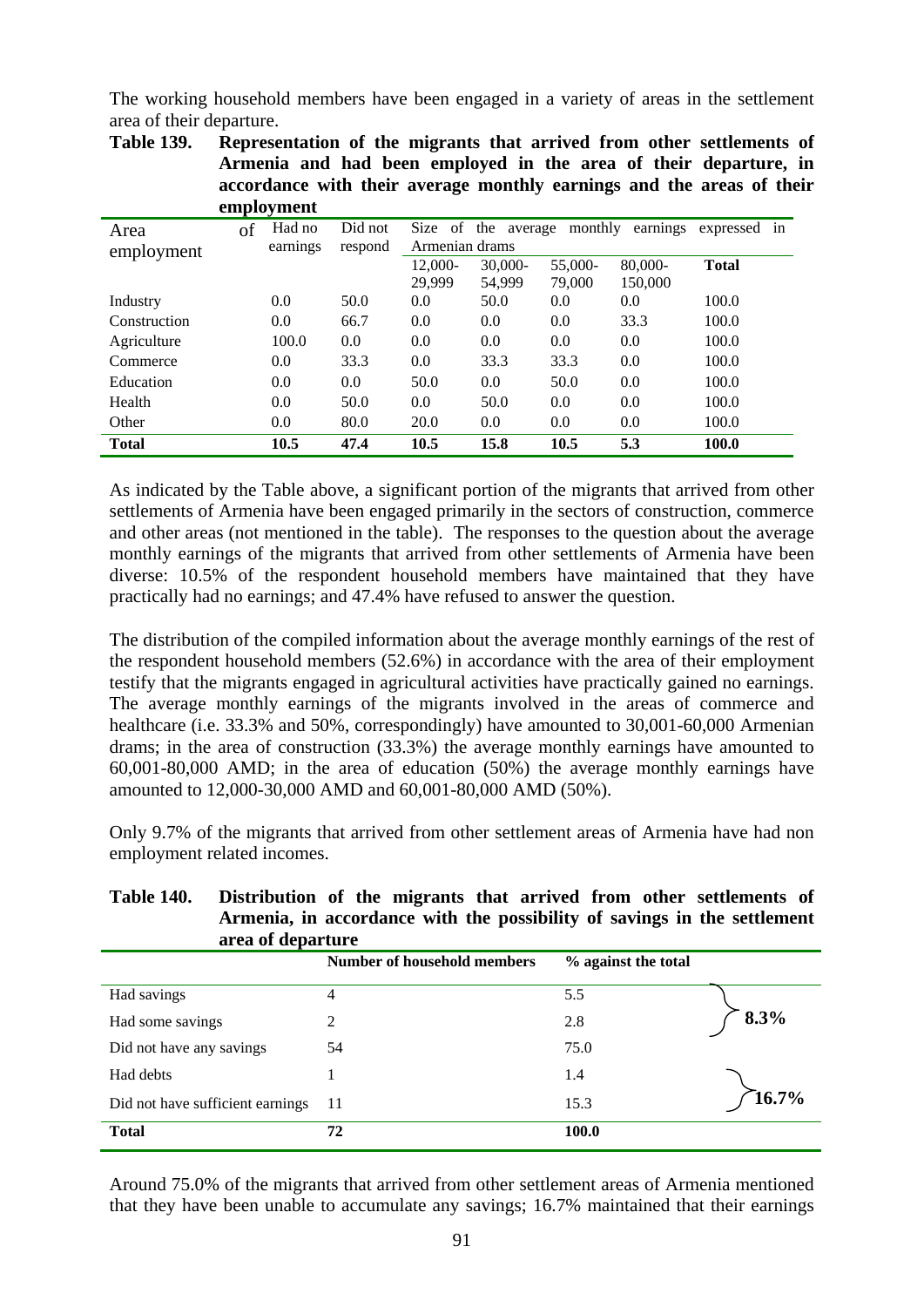The working household members have been engaged in a variety of areas in the settlement area of their departure.

|              |    |                  |                  |                |                  |                  | accordance with their average monthly earnings and the areas of the |              |  |
|--------------|----|------------------|------------------|----------------|------------------|------------------|---------------------------------------------------------------------|--------------|--|
|              |    | employment       |                  |                |                  |                  |                                                                     |              |  |
| Area         | of | Had no           | Did not          | Size           | of the average   | monthly          | earnings                                                            | expressed in |  |
| employment   |    | earnings         | respond          | Armenian drams |                  |                  |                                                                     |              |  |
|              |    |                  |                  | 12,000-        | $30,000 -$       | 55,000-          | 80,000-                                                             | <b>Total</b> |  |
|              |    |                  |                  | 29.999         | 54.999           | 79,000           | 150,000                                                             |              |  |
| Industry     |    | $0.0\,$          | 50.0             | 0.0            | 50.0             | 0.0 <sub>1</sub> | 0.0                                                                 | 100.0        |  |
| Construction |    | 0.0              | 66.7             | 0.0            | 0.0              | 0.0              | 33.3                                                                | 100.0        |  |
| Agriculture  |    | 100.0            | 0.0              | 0.0            | 0.0 <sub>1</sub> | 0.0              | 0.0                                                                 | 100.0        |  |
| Commerce     |    | 0.0              | 33.3             | 0.0            | 33.3             | 33.3             | 0.0                                                                 | 100.0        |  |
| Education    |    | 0.0              | 0.0 <sub>1</sub> | 50.0           | 0.0 <sub>1</sub> | 50.0             | 0.0                                                                 | 100.0        |  |
| Health       |    | 0.0              | 50.0             | 0.0            | 50.0             | 0.0              | 0.0                                                                 | 100.0        |  |
| Other        |    | 0.0 <sub>1</sub> | 80.0             | 20.0           | 0.0 <sub>1</sub> | 0.0              | 0.0                                                                 | 100.0        |  |
| <b>Total</b> |    | 10.5             | 47.4             | 10.5           | 15.8             | 10.5             | 5.3                                                                 | 100.0        |  |

**Table 139. Representation of the migrants that arrived from other settlements of Armenia and had been employed in the area of their departure, in accordance with their average monthly earnings and the areas of their** 

As indicated by the Table above, a significant portion of the migrants that arrived from other settlements of Armenia have been engaged primarily in the sectors of construction, commerce and other areas (not mentioned in the table). The responses to the question about the average monthly earnings of the migrants that arrived from other settlements of Armenia have been diverse: 10.5% of the respondent household members have maintained that they have practically had no earnings; and 47.4% have refused to answer the question.

The distribution of the compiled information about the average monthly earnings of the rest of the respondent household members (52.6%) in accordance with the area of their employment testify that the migrants engaged in agricultural activities have practically gained no earnings. The average monthly earnings of the migrants involved in the areas of commerce and healthcare (i.e. 33.3% and 50%, correspondingly) have amounted to 30,001-60,000 Armenian drams; in the area of construction (33.3%) the average monthly earnings have amounted to 60,001-80,000 AMD; in the area of education (50%) the average monthly earnings have amounted to 12,000-30,000 AMD and 60,001-80,000 AMD (50%).

Only 9.7% of the migrants that arrived from other settlement areas of Armenia have had non employment related incomes.

| Armenia, in accordance with the possibility of savings in the settlement<br>area of departure |                                    |                     |      |
|-----------------------------------------------------------------------------------------------|------------------------------------|---------------------|------|
|                                                                                               | <b>Number of household members</b> | % against the total |      |
| Had savings                                                                                   |                                    | 5.5                 |      |
| Had some savings                                                                              |                                    | 2.8                 | 8.3% |
| Did not have any savings                                                                      | 54                                 | 75.0                |      |
| Had debts                                                                                     |                                    | 1.4                 |      |

Did not have sufficient earnings 11 15.3 15.3 16.7%

**Total** 100.0

# **Table 140. Distribution of the migrants that arrived from other settlements of**

Around 75.0% of the migrants that arrived from other settlement areas of Armenia mentioned that they have been unable to accumulate any savings; 16.7% maintained that their earnings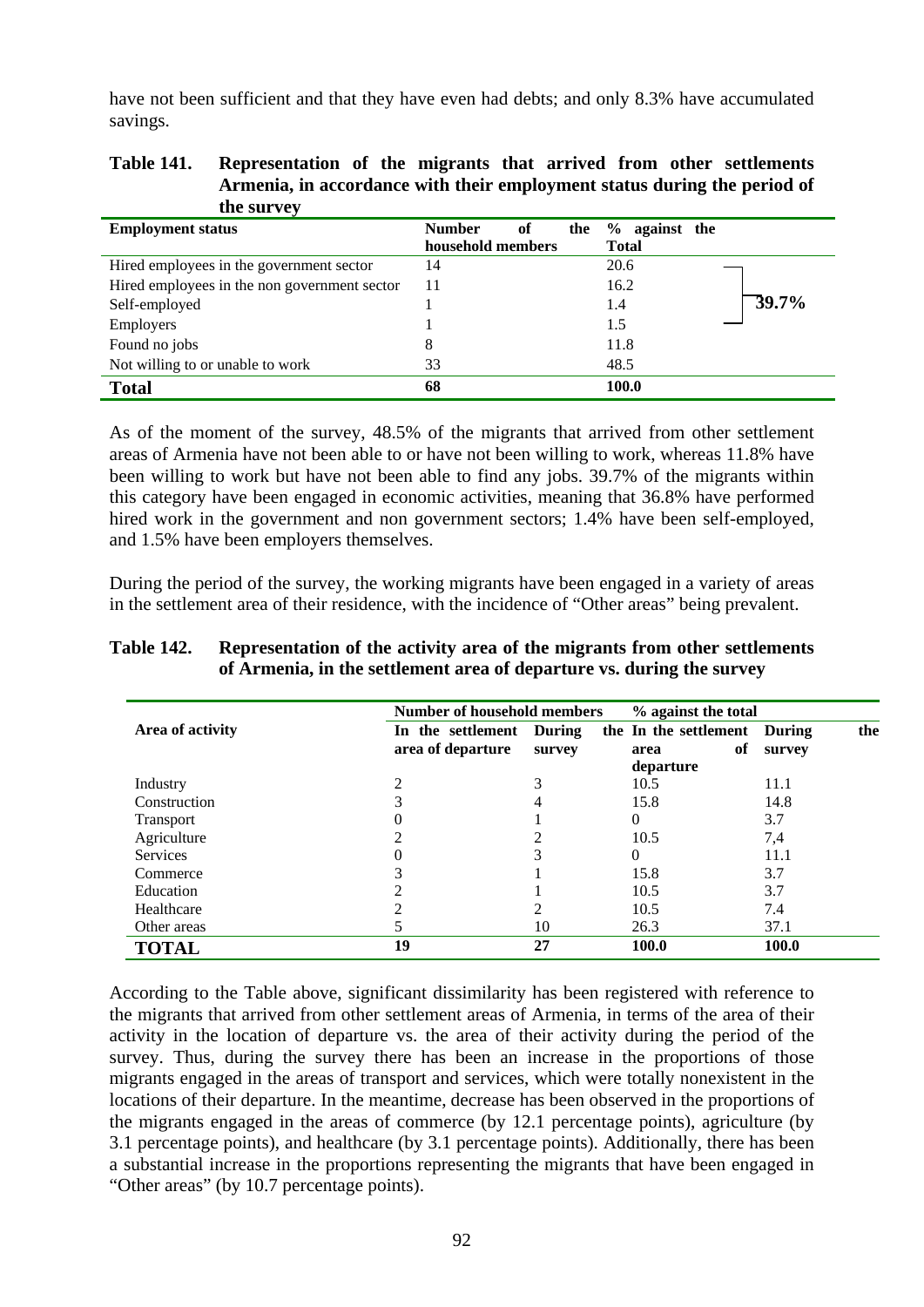have not been sufficient and that they have even had debts; and only 8.3% have accumulated savings.

### **Table 141. Representation of the migrants that arrived from other settlements Armenia, in accordance with their employment status during the period of the survey**

| <b>Employment status</b>                     | оf<br><b>Number</b><br>the | $\%$<br>against the        |
|----------------------------------------------|----------------------------|----------------------------|
|                                              | household members          | <b>Total</b>               |
| Hired employees in the government sector     | 14                         | 20.6                       |
| Hired employees in the non government sector | 11                         | 16.2                       |
| Self-employed                                |                            | $\overline{39.7\%}$<br>1.4 |
| <b>Employers</b>                             |                            | 1.5                        |
| Found no jobs                                | 8                          | 11.8                       |
| Not willing to or unable to work             | 33                         | 48.5                       |
| <b>Total</b>                                 | 68                         | 100.0                      |

As of the moment of the survey, 48.5% of the migrants that arrived from other settlement areas of Armenia have not been able to or have not been willing to work, whereas 11.8% have been willing to work but have not been able to find any jobs. 39.7% of the migrants within this category have been engaged in economic activities, meaning that 36.8% have performed hired work in the government and non government sectors; 1.4% have been self-employed, and 1.5% have been employers themselves.

During the period of the survey, the working migrants have been engaged in a variety of areas in the settlement area of their residence, with the incidence of "Other areas" being prevalent.

|                  | <b>Number of household members</b>     |                  | % against the total           |                               |     |
|------------------|----------------------------------------|------------------|-------------------------------|-------------------------------|-----|
| Area of activity | In the settlement<br>area of departure | During<br>survey | the In the settlement<br>area | <b>During</b><br>оf<br>survey | the |
|                  |                                        |                  | departure                     |                               |     |
| Industry         |                                        |                  | 10.5                          | 11.1                          |     |
| Construction     |                                        | 4                | 15.8                          | 14.8                          |     |
| <b>Transport</b> |                                        |                  | 0                             | 3.7                           |     |
| Agriculture      |                                        |                  | 10.5                          | 7,4                           |     |
| <b>Services</b>  |                                        |                  | 0                             | 11.1                          |     |
| Commerce         |                                        |                  | 15.8                          | 3.7                           |     |
| Education        |                                        |                  | 10.5                          | 3.7                           |     |
| Healthcare       |                                        | ∍                | 10.5                          | 7.4                           |     |
| Other areas      |                                        | 10               | 26.3                          | 37.1                          |     |
| <b>TOTAL</b>     | 19                                     | 27               | 100.0                         | 100.0                         |     |

### **Table 142. Representation of the activity area of the migrants from other settlements of Armenia, in the settlement area of departure vs. during the survey**

According to the Table above, significant dissimilarity has been registered with reference to the migrants that arrived from other settlement areas of Armenia, in terms of the area of their activity in the location of departure vs. the area of their activity during the period of the survey. Thus, during the survey there has been an increase in the proportions of those migrants engaged in the areas of transport and services, which were totally nonexistent in the locations of their departure. In the meantime, decrease has been observed in the proportions of the migrants engaged in the areas of commerce (by 12.1 percentage points), agriculture (by 3.1 percentage points), and healthcare (by 3.1 percentage points). Additionally, there has been a substantial increase in the proportions representing the migrants that have been engaged in "Other areas" (by 10.7 percentage points).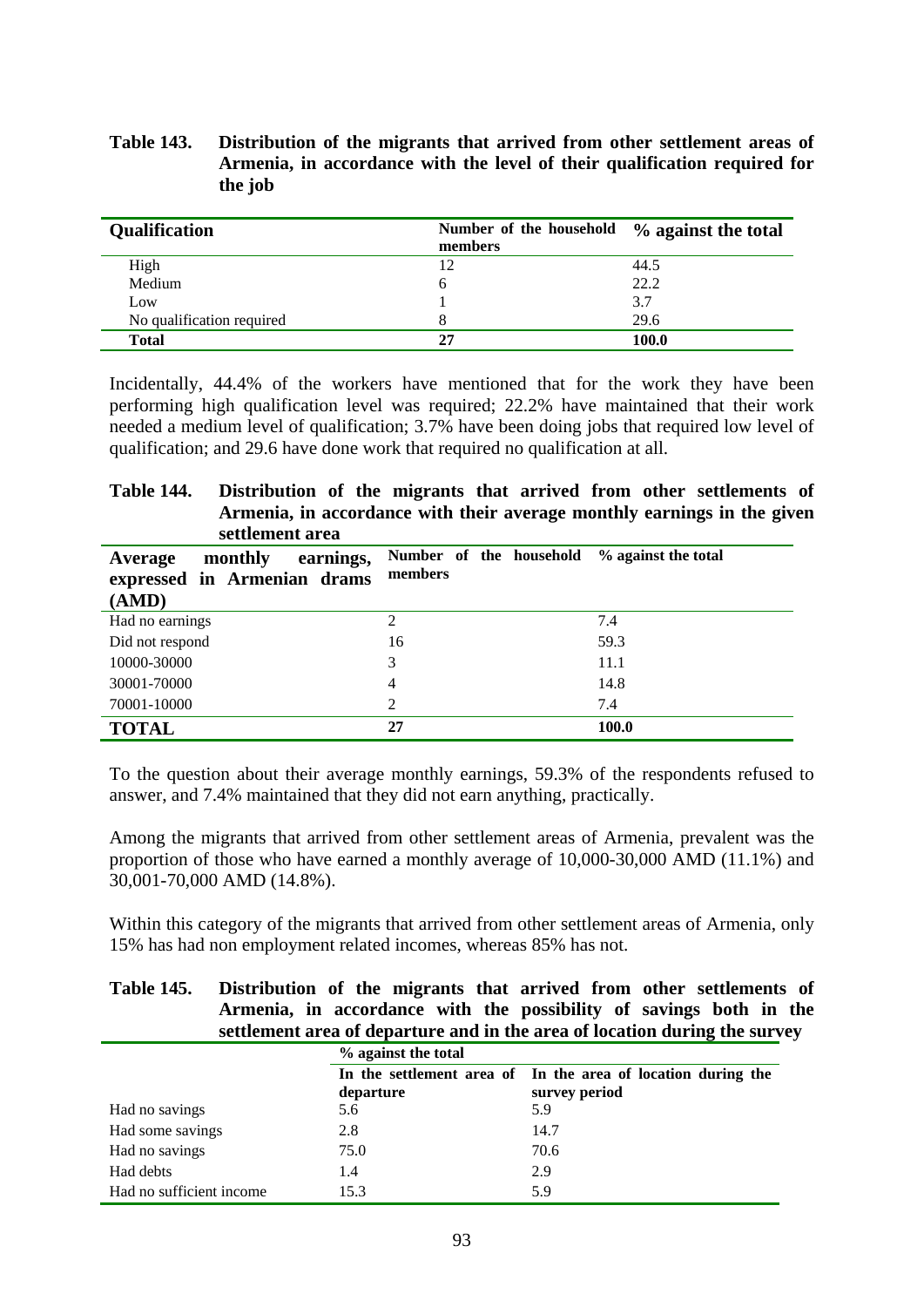### **Table 143. Distribution of the migrants that arrived from other settlement areas of Armenia, in accordance with the level of their qualification required for the job**

| <b>Qualification</b>      | Number of the household $\%$ against the total<br>members |       |
|---------------------------|-----------------------------------------------------------|-------|
| High                      |                                                           | 44.5  |
| Medium                    | O                                                         | 22.2  |
| Low                       |                                                           | 3.7   |
| No qualification required |                                                           | 29.6  |
| <b>Total</b>              | 27                                                        | 100.0 |

Incidentally, 44.4% of the workers have mentioned that for the work they have been performing high qualification level was required; 22.2% have maintained that their work needed a medium level of qualification; 3.7% have been doing jobs that required low level of qualification; and 29.6 have done work that required no qualification at all.

### **Table 144. Distribution of the migrants that arrived from other settlements of Armenia, in accordance with their average monthly earnings in the given settlement area**

| earnings,<br>monthly<br>Average<br>expressed in Armenian drams<br>(AMD) | Number of the household % against the total<br>members |       |
|-------------------------------------------------------------------------|--------------------------------------------------------|-------|
| Had no earnings                                                         | $\mathfrak{D}$                                         | 7.4   |
| Did not respond                                                         | 16                                                     | 59.3  |
| 10000-30000                                                             | 3                                                      | 11.1  |
| 30001-70000                                                             | $\overline{4}$                                         | 14.8  |
| 70001-10000                                                             | 2                                                      | 7.4   |
| <b>TOTAL</b>                                                            | 27                                                     | 100.0 |

To the question about their average monthly earnings, 59.3% of the respondents refused to answer, and 7.4% maintained that they did not earn anything, practically.

Among the migrants that arrived from other settlement areas of Armenia, prevalent was the proportion of those who have earned a monthly average of 10,000-30,000 AMD (11.1%) and 30,001-70,000 AMD (14.8%).

Within this category of the migrants that arrived from other settlement areas of Armenia, only 15% has had non employment related incomes, whereas 85% has not.

### **Table 145. Distribution of the migrants that arrived from other settlements of Armenia, in accordance with the possibility of savings both in the settlement area of departure and in the area of location during the survey**

|                          | % against the total |                                                              |  |
|--------------------------|---------------------|--------------------------------------------------------------|--|
|                          |                     | In the settlement area of In the area of location during the |  |
|                          | departure           | survey period                                                |  |
| Had no savings           | 5.6                 | 5.9                                                          |  |
| Had some savings         | 2.8                 | 14.7                                                         |  |
| Had no savings           | 75.0                | 70.6                                                         |  |
| Had debts                | 1.4                 | 2.9                                                          |  |
| Had no sufficient income | 15.3                | 5.9                                                          |  |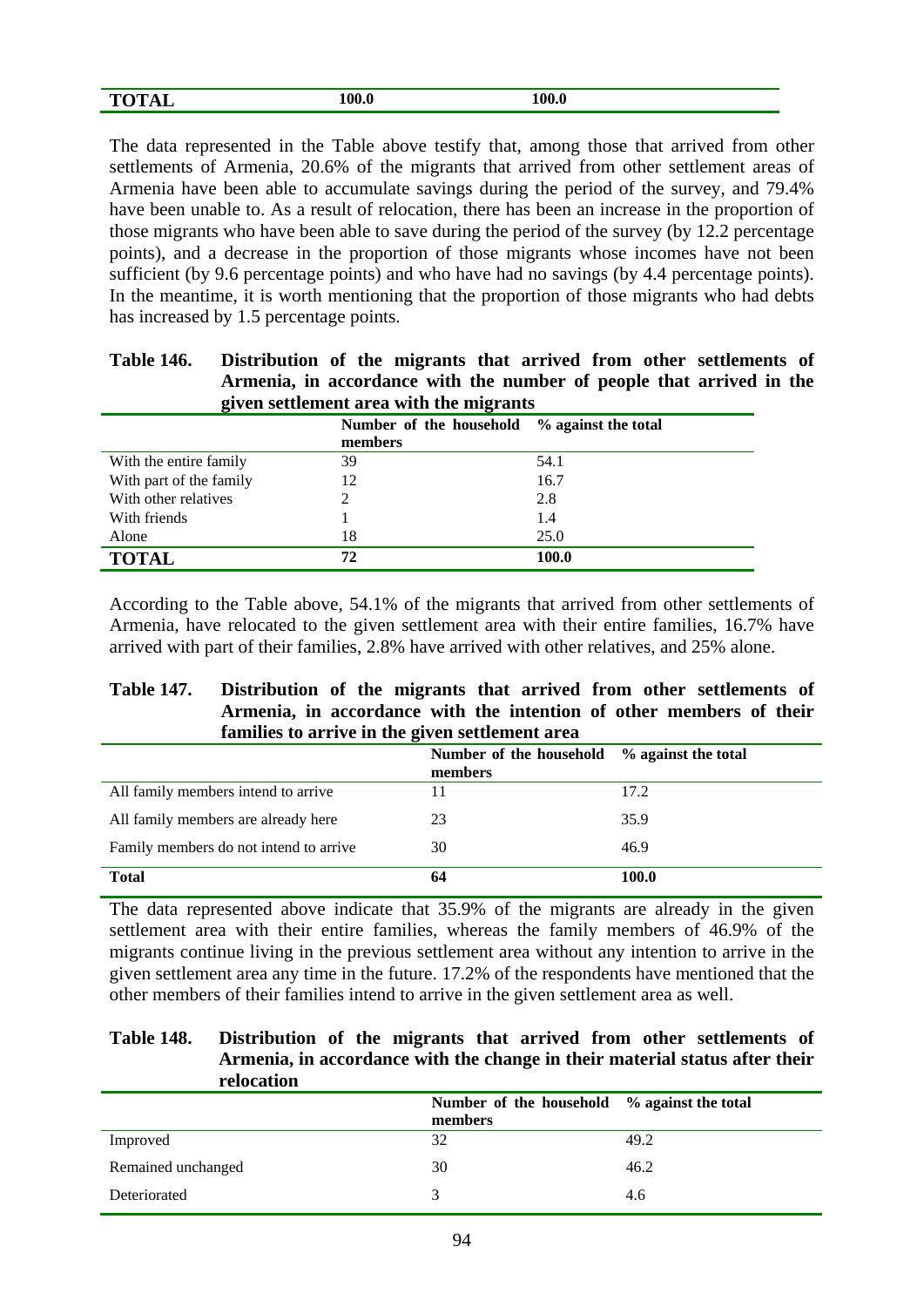| <b>TOTAL</b><br>----- | 100.0 | 100.0 |
|-----------------------|-------|-------|
|                       |       |       |

The data represented in the Table above testify that, among those that arrived from other settlements of Armenia, 20.6% of the migrants that arrived from other settlement areas of Armenia have been able to accumulate savings during the period of the survey, and 79.4% have been unable to. As a result of relocation, there has been an increase in the proportion of those migrants who have been able to save during the period of the survey (by 12.2 percentage points), and a decrease in the proportion of those migrants whose incomes have not been sufficient (by 9.6 percentage points) and who have had no savings (by 4.4 percentage points). In the meantime, it is worth mentioning that the proportion of those migrants who had debts has increased by 1.5 percentage points.

| <b>Table 146.</b> | Distribution of the migrants that arrived from other settlements of  |
|-------------------|----------------------------------------------------------------------|
|                   | Armenia, in accordance with the number of people that arrived in the |
|                   | given settlement area with the migrants                              |

|                         | Number of the household % against the total<br>members |       |
|-------------------------|--------------------------------------------------------|-------|
| With the entire family  | 39                                                     | 54.1  |
| With part of the family | 12                                                     | 16.7  |
| With other relatives    |                                                        | 2.8   |
| With friends            |                                                        | 1.4   |
| Alone                   | 18                                                     | 25.0  |
| <b>TOTAL</b>            | 72                                                     | 100.0 |

According to the Table above, 54.1% of the migrants that arrived from other settlements of Armenia, have relocated to the given settlement area with their entire families, 16.7% have arrived with part of their families, 2.8% have arrived with other relatives, and 25% alone.

### **Table 147. Distribution of the migrants that arrived from other settlements of Armenia, in accordance with the intention of other members of their families to arrive in the given settlement area**

|                                        | Number of the household % against the total<br>members |       |
|----------------------------------------|--------------------------------------------------------|-------|
| All family members intend to arrive    |                                                        | 17.2  |
| All family members are already here    | 23                                                     | 35.9  |
| Family members do not intend to arrive | 30                                                     | 46.9  |
| <b>Total</b>                           | 64                                                     | 100.0 |

The data represented above indicate that 35.9% of the migrants are already in the given settlement area with their entire families, whereas the family members of 46.9% of the migrants continue living in the previous settlement area without any intention to arrive in the given settlement area any time in the future. 17.2% of the respondents have mentioned that the other members of their families intend to arrive in the given settlement area as well.

### **Table 148. Distribution of the migrants that arrived from other settlements of Armenia, in accordance with the change in their material status after their relocation**

|                    | Number of the household % against the total<br>members |      |
|--------------------|--------------------------------------------------------|------|
| Improved           | 32                                                     | 49.2 |
| Remained unchanged | 30                                                     | 46.2 |
| Deteriorated       |                                                        | 4.6  |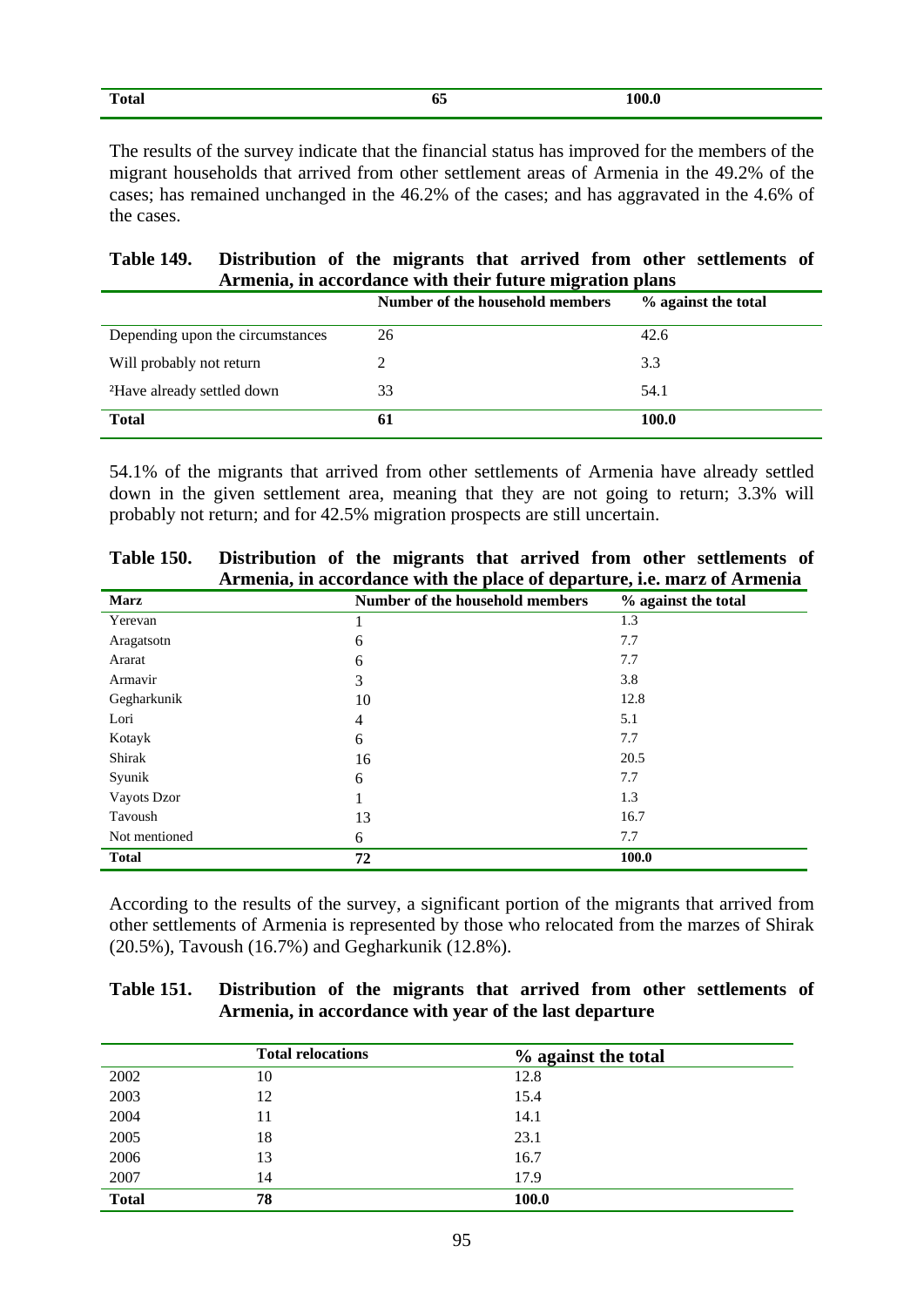| $\mathbf{r}$<br>Total | 05 | 100.0 |
|-----------------------|----|-------|
|                       |    |       |

The results of the survey indicate that the financial status has improved for the members of the migrant households that arrived from other settlement areas of Armenia in the 49.2% of the cases; has remained unchanged in the 46.2% of the cases; and has aggravated in the 4.6% of the cases.

| <b>Table 149.</b>                                        | Distribution of the migrants that arrived from other settlements of |  |  |  |  |  |  |
|----------------------------------------------------------|---------------------------------------------------------------------|--|--|--|--|--|--|
| Armenia, in accordance with their future migration plans |                                                                     |  |  |  |  |  |  |

|                                        | Number of the household members | % against the total |
|----------------------------------------|---------------------------------|---------------------|
| Depending upon the circumstances       | 26                              | 42.6                |
| Will probably not return               |                                 | 3.3                 |
| <sup>2</sup> Have already settled down | 33                              | 54.1                |
| <b>Total</b>                           | -61                             | 100.0               |

54.1% of the migrants that arrived from other settlements of Armenia have already settled down in the given settlement area, meaning that they are not going to return; 3.3% will probably not return; and for 42.5% migration prospects are still uncertain.

|               | Artitudina, in accordance with the place of departure, i.e. marz or Artitudina |                     |
|---------------|--------------------------------------------------------------------------------|---------------------|
| <b>Marz</b>   | Number of the household members                                                | % against the total |
| Yerevan       |                                                                                | 1.3                 |
| Aragatsotn    | 6                                                                              | 7.7                 |
| Ararat        | 6                                                                              | 7.7                 |
| Armavir       | 3                                                                              | 3.8                 |
| Gegharkunik   | 10                                                                             | 12.8                |
| Lori          | 4                                                                              | 5.1                 |
| Kotayk        | 6                                                                              | 7.7                 |
| Shirak        | 16                                                                             | 20.5                |
| Syunik        | 6                                                                              | 7.7                 |
| Vayots Dzor   |                                                                                | 1.3                 |
| Tavoush       | 13                                                                             | 16.7                |
| Not mentioned | 6                                                                              | 7.7                 |
| <b>Total</b>  | 72                                                                             | 100.0               |

**Table 150. Distribution of the migrants that arrived from other settlements of Armenia, in accordance with the place of departure, i.e. marz of Armenia** 

According to the results of the survey, a significant portion of the migrants that arrived from other settlements of Armenia is represented by those who relocated from the marzes of Shirak (20.5%), Tavoush (16.7%) and Gegharkunik (12.8%).

| <b>Table 151.</b>                                      | Distribution of the migrants that arrived from other settlements of |  |  |  |  |  |
|--------------------------------------------------------|---------------------------------------------------------------------|--|--|--|--|--|
| Armenia, in accordance with year of the last departure |                                                                     |  |  |  |  |  |

|              | <b>Total relocations</b> | % against the total |
|--------------|--------------------------|---------------------|
| 2002         | 10                       | 12.8                |
| 2003         | 12                       | 15.4                |
| 2004         | 11                       | 14.1                |
| 2005         | 18                       | 23.1                |
| 2006         | 13                       | 16.7                |
| 2007         | 14                       | 17.9                |
| <b>Total</b> | 78                       | 100.0               |